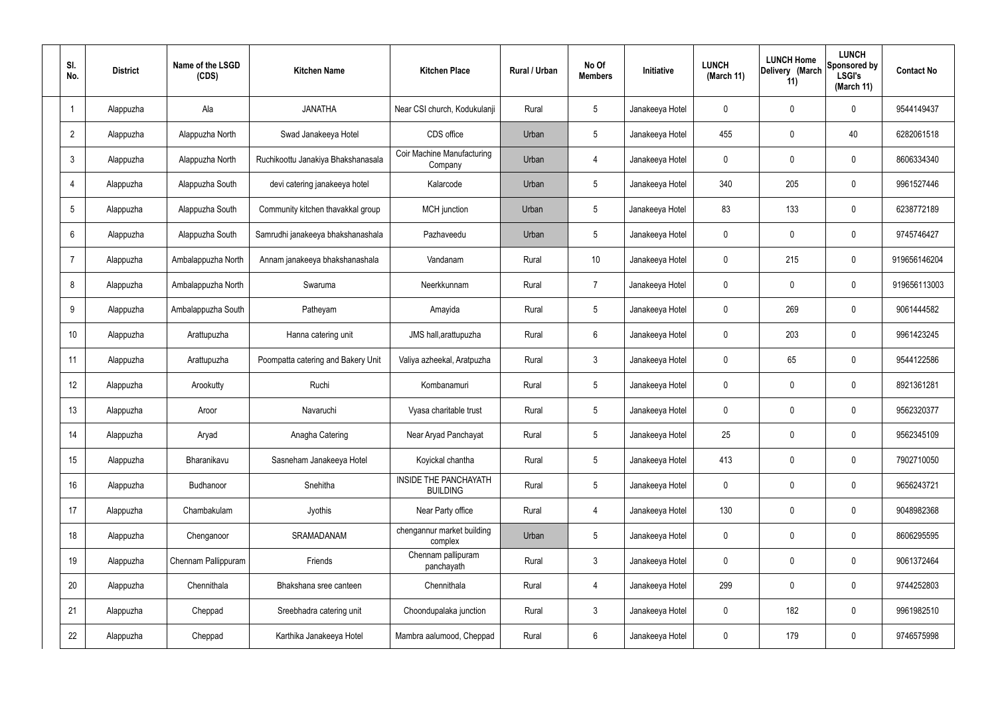| SI.<br>No.      | <b>District</b> | Name of the LSGD<br>(CDS) | <b>Kitchen Name</b>                | <b>Kitchen Place</b>                            | Rural / Urban | No Of<br><b>Members</b> | <b>Initiative</b> | <b>LUNCH</b><br>(March 11) | <b>LUNCH Home</b><br>Delivery (March<br>11) | <b>LUNCH</b><br>Sponsored by<br><b>LSGI's</b><br>(March 11) | <b>Contact No</b> |
|-----------------|-----------------|---------------------------|------------------------------------|-------------------------------------------------|---------------|-------------------------|-------------------|----------------------------|---------------------------------------------|-------------------------------------------------------------|-------------------|
|                 | Alappuzha       | Ala                       | <b>JANATHA</b>                     | Near CSI church, Kodukulanji                    | Rural         | $5\phantom{.0}$         | Janakeeya Hotel   | 0                          | 0                                           | $\mathbf 0$                                                 | 9544149437        |
| $\overline{2}$  | Alappuzha       | Alappuzha North           | Swad Janakeeya Hotel               | CDS office                                      | Urban         | $5\phantom{.0}$         | Janakeeya Hotel   | 455                        | 0                                           | 40                                                          | 6282061518        |
| $\mathbf{3}$    | Alappuzha       | Alappuzha North           | Ruchikoottu Janakiya Bhakshanasala | <b>Coir Machine Manufacturing</b><br>Company    | Urban         | 4                       | Janakeeya Hotel   | $\mathbf 0$                | 0                                           | $\mathbf 0$                                                 | 8606334340        |
| $\overline{4}$  | Alappuzha       | Alappuzha South           | devi catering janakeeya hotel      | Kalarcode                                       | Urban         | $5\phantom{.0}$         | Janakeeya Hotel   | 340                        | 205                                         | $\mathbf 0$                                                 | 9961527446        |
| $5\overline{)}$ | Alappuzha       | Alappuzha South           | Community kitchen thavakkal group  | MCH junction                                    | Urban         | $5\phantom{.0}$         | Janakeeya Hotel   | 83                         | 133                                         | $\mathbf 0$                                                 | 6238772189        |
| 6               | Alappuzha       | Alappuzha South           | Samrudhi janakeeya bhakshanashala  | Pazhaveedu                                      | Urban         | $5\phantom{.0}$         | Janakeeya Hotel   | $\mathbf 0$                | $\mathbf 0$                                 | $\mathbf 0$                                                 | 9745746427        |
| $\overline{7}$  | Alappuzha       | Ambalappuzha North        | Annam janakeeya bhakshanashala     | Vandanam                                        | Rural         | 10 <sup>°</sup>         | Janakeeya Hotel   | $\mathbf 0$                | 215                                         | $\mathbf 0$                                                 | 919656146204      |
| 8               | Alappuzha       | Ambalappuzha North        | Swaruma                            | Neerkkunnam                                     | Rural         | $\overline{7}$          | Janakeeya Hotel   | $\mathbf 0$                | $\mathbf 0$                                 | $\mathbf 0$                                                 | 919656113003      |
| 9               | Alappuzha       | Ambalappuzha South        | Patheyam                           | Amayida                                         | Rural         | $5\phantom{.0}$         | Janakeeya Hotel   | $\mathbf 0$                | 269                                         | $\mathbf 0$                                                 | 9061444582        |
| 10              | Alappuzha       | Arattupuzha               | Hanna catering unit                | JMS hall, arattupuzha                           | Rural         | $6\phantom{.}6$         | Janakeeya Hotel   | $\mathbf 0$                | 203                                         | $\mathbf 0$                                                 | 9961423245        |
| 11              | Alappuzha       | Arattupuzha               | Poompatta catering and Bakery Unit | Valiya azheekal, Aratpuzha                      | Rural         | $\mathbf{3}$            | Janakeeya Hotel   | $\mathbf 0$                | 65                                          | $\mathbf 0$                                                 | 9544122586        |
| 12              | Alappuzha       | Arookutty                 | Ruchi                              | Kombanamuri                                     | Rural         | $5\phantom{.0}$         | Janakeeya Hotel   | $\mathbf 0$                | 0                                           | $\mathbf 0$                                                 | 8921361281        |
| 13              | Alappuzha       | Aroor                     | Navaruchi                          | Vyasa charitable trust                          | Rural         | $5\phantom{.0}$         | Janakeeya Hotel   | $\mathbf 0$                | 0                                           | 0                                                           | 9562320377        |
| 14              | Alappuzha       | Aryad                     | Anagha Catering                    | Near Aryad Panchayat                            | Rural         | $5\phantom{.0}$         | Janakeeya Hotel   | 25                         | $\mathbf 0$                                 | $\mathbf 0$                                                 | 9562345109        |
| 15              | Alappuzha       | Bharanikavu               | Sasneham Janakeeya Hotel           | Koyickal chantha                                | Rural         | $5\phantom{.0}$         | Janakeeya Hotel   | 413                        | $\mathbf 0$                                 | $\mathbf 0$                                                 | 7902710050        |
| 16              | Alappuzha       | Budhanoor                 | Snehitha                           | <b>INSIDE THE PANCHAYATH</b><br><b>BUILDING</b> | Rural         | $5\phantom{.0}$         | Janakeeya Hotel   | $\mathbf 0$                | $\mathbf 0$                                 | $\mathbf 0$                                                 | 9656243721        |
| 17              | Alappuzha       | Chambakulam               | Jyothis                            | Near Party office                               | Rural         | 4                       | Janakeeya Hotel   | 130                        | $\mathbf 0$                                 | $\mathbf 0$                                                 | 9048982368        |
| 18              | Alappuzha       | Chenganoor                | SRAMADANAM                         | chengannur market building<br>complex           | Urban         | $5\phantom{.0}$         | Janakeeya Hotel   | $\mathbf 0$                | 0                                           | $\mathbf 0$                                                 | 8606295595        |
| 19              | Alappuzha       | Chennam Pallippuram       | Friends                            | Chennam pallipuram<br>panchayath                | Rural         | $\mathbf{3}$            | Janakeeya Hotel   | $\mathbf 0$                | 0                                           | $\mathbf 0$                                                 | 9061372464        |
| 20              | Alappuzha       | Chennithala               | Bhakshana sree canteen             | Chennithala                                     | Rural         | $\overline{4}$          | Janakeeya Hotel   | 299                        | 0                                           | $\mathbf 0$                                                 | 9744252803        |
| 21              | Alappuzha       | Cheppad                   | Sreebhadra catering unit           | Choondupalaka junction                          | Rural         | $\mathbf{3}$            | Janakeeya Hotel   | $\mathbf 0$                | 182                                         | $\mathbf 0$                                                 | 9961982510        |
| 22              | Alappuzha       | Cheppad                   | Karthika Janakeeya Hotel           | Mambra aalumood, Cheppad                        | Rural         | $6\overline{6}$         | Janakeeya Hotel   | 0                          | 179                                         | $\mathbf 0$                                                 | 9746575998        |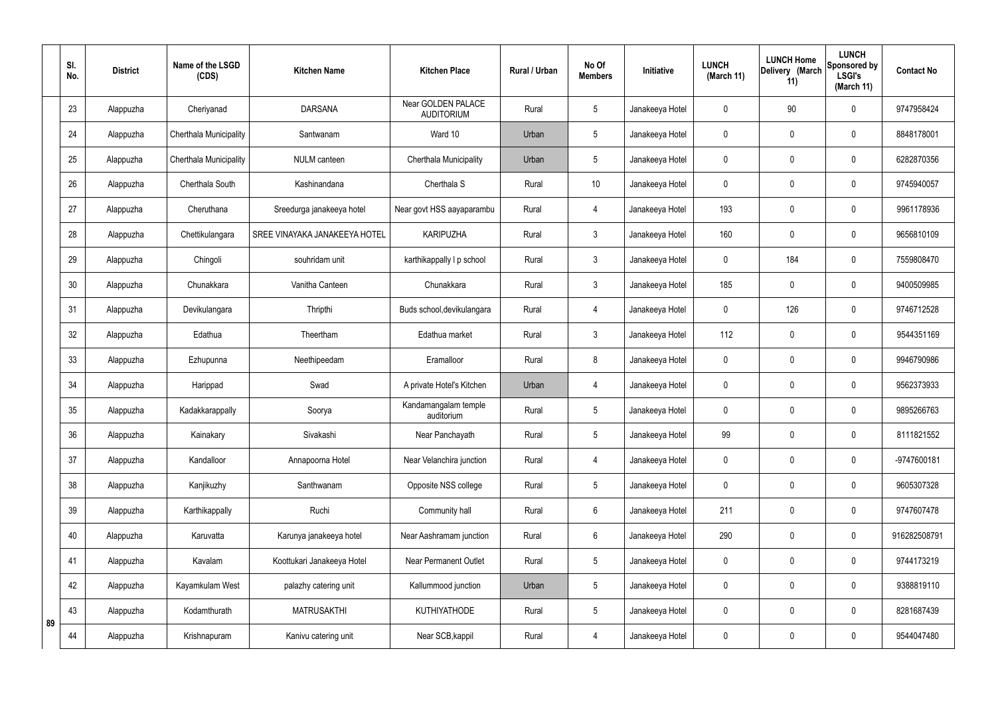|    | SI.<br>No. | <b>District</b> | Name of the LSGD<br>(CDS) | <b>Kitchen Name</b>           | <b>Kitchen Place</b>                    | <b>Rural / Urban</b> | No Of<br><b>Members</b> | Initiative      | <b>LUNCH</b><br>(March 11) | <b>LUNCH Home</b><br>Delivery (March<br>11) | <b>LUNCH</b><br>Sponsored by<br><b>LSGI's</b><br>(March 11) | <b>Contact No</b> |
|----|------------|-----------------|---------------------------|-------------------------------|-----------------------------------------|----------------------|-------------------------|-----------------|----------------------------|---------------------------------------------|-------------------------------------------------------------|-------------------|
|    | 23         | Alappuzha       | Cheriyanad                | <b>DARSANA</b>                | Near GOLDEN PALACE<br><b>AUDITORIUM</b> | Rural                | 5                       | Janakeeya Hotel | 0                          | 90                                          | $\mathbf 0$                                                 | 9747958424        |
|    | 24         | Alappuzha       | Cherthala Municipality    | Santwanam                     | Ward 10                                 | Urban                | 5                       | Janakeeya Hotel | $\mathbf 0$                | $\mathbf 0$                                 | $\mathbf 0$                                                 | 8848178001        |
|    | 25         | Alappuzha       | Cherthala Municipality    | <b>NULM</b> canteen           | Cherthala Municipality                  | Urban                | 5                       | Janakeeya Hotel | 0                          | $\mathbf 0$                                 | $\mathbf 0$                                                 | 6282870356        |
|    | 26         | Alappuzha       | Cherthala South           | Kashinandana                  | Cherthala S                             | Rural                | 10                      | Janakeeya Hotel | 0                          | $\mathbf 0$                                 | $\pmb{0}$                                                   | 9745940057        |
|    | 27         | Alappuzha       | Cheruthana                | Sreedurga janakeeya hotel     | Near govt HSS aayaparambu               | Rural                | $\overline{4}$          | Janakeeya Hotel | 193                        | $\mathbf 0$                                 | $\mathbf 0$                                                 | 9961178936        |
|    | 28         | Alappuzha       | Chettikulangara           | SREE VINAYAKA JANAKEEYA HOTEL | <b>KARIPUZHA</b>                        | Rural                | $\mathfrak{Z}$          | Janakeeya Hotel | 160                        | $\mathbf 0$                                 | $\pmb{0}$                                                   | 9656810109        |
|    | 29         | Alappuzha       | Chingoli                  | souhridam unit                | karthikappally I p school               | Rural                | $\mathbf{3}$            | Janakeeya Hotel | 0                          | 184                                         | $\mathbf 0$                                                 | 7559808470        |
|    | 30         | Alappuzha       | Chunakkara                | Vanitha Canteen               | Chunakkara                              | Rural                | $\mathfrak{Z}$          | Janakeeya Hotel | 185                        | $\mathbf 0$                                 | $\mathbf 0$                                                 | 9400509985        |
|    | 31         | Alappuzha       | Devikulangara             | Thripthi                      | Buds school, devikulangara              | Rural                | $\overline{4}$          | Janakeeya Hotel | 0                          | 126                                         | $\mathbf 0$                                                 | 9746712528        |
|    | 32         | Alappuzha       | Edathua                   | Theertham                     | Edathua market                          | Rural                | 3                       | Janakeeya Hotel | 112                        | 0                                           | $\mathbf 0$                                                 | 9544351169        |
|    | 33         | Alappuzha       | Ezhupunna                 | Neethipeedam                  | Eramalloor                              | Rural                | 8                       | Janakeeya Hotel | 0                          | $\mathbf 0$                                 | $\mathbf 0$                                                 | 9946790986        |
|    | 34         | Alappuzha       | Harippad                  | Swad                          | A private Hotel's Kitchen               | Urban                | $\overline{4}$          | Janakeeya Hotel | 0                          | 0                                           | $\mathbf 0$                                                 | 9562373933        |
|    | 35         | Alappuzha       | Kadakkarappally           | Soorya                        | Kandamangalam temple<br>auditorium      | Rural                | 5                       | Janakeeya Hotel | 0                          | $\mathbf 0$                                 | $\mathbf 0$                                                 | 9895266763        |
|    | 36         | Alappuzha       | Kainakary                 | Sivakashi                     | Near Panchayath                         | Rural                | 5                       | Janakeeya Hotel | 99                         | $\mathbf 0$                                 | $\mathbf 0$                                                 | 8111821552        |
|    | 37         | Alappuzha       | Kandalloor                | Annapoorna Hotel              | Near Velanchira junction                | Rural                | $\overline{4}$          | Janakeeya Hotel | 0                          | $\mathbf 0$                                 | $\pmb{0}$                                                   | -9747600181       |
|    | 38         | Alappuzha       | Kanjikuzhy                | Santhwanam                    | Opposite NSS college                    | Rural                | 5                       | Janakeeya Hotel | 0                          | $\mathbf 0$                                 | $\pmb{0}$                                                   | 9605307328        |
|    | 39         | Alappuzha       | Karthikappally            | Ruchi                         | Community hall                          | Rural                | $6\phantom{.}6$         | Janakeeya Hotel | 211                        | $\mathbf 0$                                 | $\pmb{0}$                                                   | 9747607478        |
|    | 40         | Alappuzha       | Karuvatta                 | Karunya janakeeya hotel       | Near Aashramam junction                 | Rural                | 6                       | Janakeeya Hotel | 290                        | $\pmb{0}$                                   | $\pmb{0}$                                                   | 916282508791      |
|    | 41         | Alappuzha       | Kavalam                   | Koottukari Janakeeya Hotel    | <b>Near Permanent Outlet</b>            | Rural                | 5                       | Janakeeya Hotel | 0                          | $\mathbf 0$                                 | $\pmb{0}$                                                   | 9744173219        |
|    | 42         | Alappuzha       | Kayamkulam West           | palazhy catering unit         | Kallummood junction                     | Urban                | 5                       | Janakeeya Hotel | $\mathbf 0$                | $\mathbf 0$                                 | $\mathbf 0$                                                 | 9388819110        |
| 89 | 43         | Alappuzha       | Kodamthurath              | <b>MATRUSAKTHI</b>            | <b>KUTHIYATHODE</b>                     | Rural                | 5                       | Janakeeya Hotel | $\mathbf 0$                | $\mathbf 0$                                 | $\pmb{0}$                                                   | 8281687439        |
|    | 44         | Alappuzha       | Krishnapuram              | Kanivu catering unit          | Near SCB, kappil                        | Rural                | $\overline{4}$          | Janakeeya Hotel | 0                          | $\boldsymbol{0}$                            | $\pmb{0}$                                                   | 9544047480        |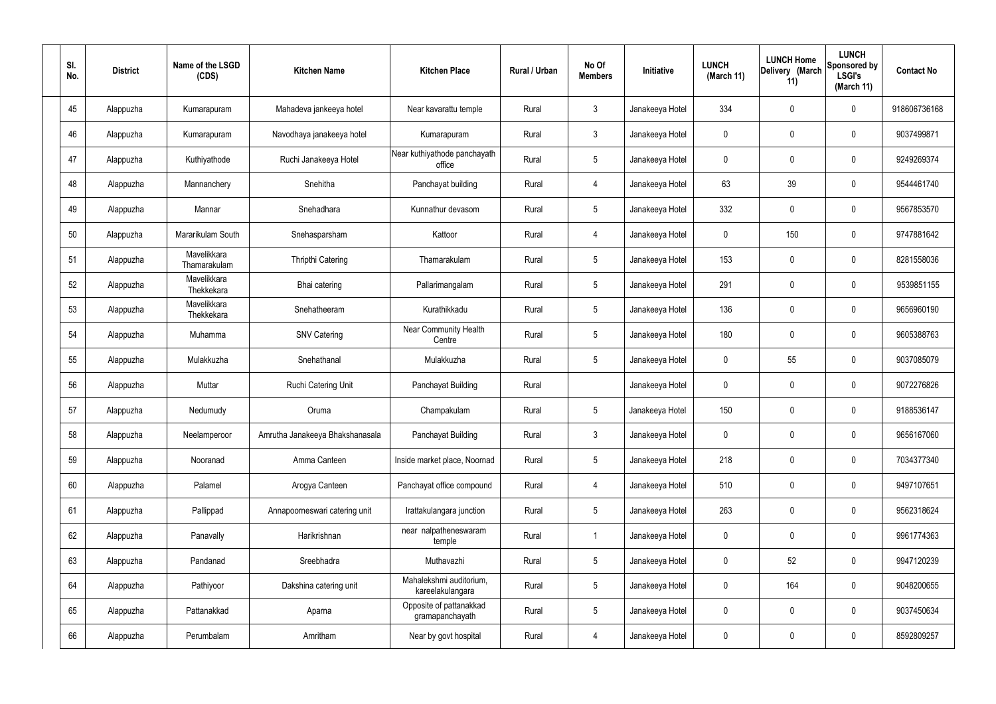| SI.<br>No. | <b>District</b> | Name of the LSGD<br>(CDS)   | <b>Kitchen Name</b>             | <b>Kitchen Place</b>                        | Rural / Urban | No Of<br><b>Members</b> | Initiative      | <b>LUNCH</b><br>(March 11) | <b>LUNCH Home</b><br>Delivery (March<br>11) | <b>LUNCH</b><br>Sponsored by<br><b>LSGI's</b><br>(March 11) | <b>Contact No</b> |
|------------|-----------------|-----------------------------|---------------------------------|---------------------------------------------|---------------|-------------------------|-----------------|----------------------------|---------------------------------------------|-------------------------------------------------------------|-------------------|
| 45         | Alappuzha       | Kumarapuram                 | Mahadeva jankeeya hotel         | Near kavarattu temple                       | Rural         | $\mathfrak{Z}$          | Janakeeya Hotel | 334                        | 0                                           | $\mathbf 0$                                                 | 918606736168      |
| 46         | Alappuzha       | Kumarapuram                 | Navodhaya janakeeya hotel       | Kumarapuram                                 | Rural         | $\mathbf{3}$            | Janakeeya Hotel | $\mathbf 0$                | 0                                           | $\boldsymbol{0}$                                            | 9037499871        |
| 47         | Alappuzha       | Kuthiyathode                | Ruchi Janakeeya Hotel           | Near kuthiyathode panchayath<br>office      | Rural         | $5\phantom{.0}$         | Janakeeya Hotel | 0                          | 0                                           | $\boldsymbol{0}$                                            | 9249269374        |
| 48         | Alappuzha       | Mannanchery                 | Snehitha                        | Panchayat building                          | Rural         | 4                       | Janakeeya Hotel | 63                         | 39                                          | $\boldsymbol{0}$                                            | 9544461740        |
| 49         | Alappuzha       | Mannar                      | Snehadhara                      | Kunnathur devasom                           | Rural         | $5\phantom{.0}$         | Janakeeya Hotel | 332                        | 0                                           | $\boldsymbol{0}$                                            | 9567853570        |
| 50         | Alappuzha       | Mararikulam South           | Snehasparsham                   | Kattoor                                     | Rural         | 4                       | Janakeeya Hotel | $\mathbf 0$                | 150                                         | $\boldsymbol{0}$                                            | 9747881642        |
| 51         | Alappuzha       | Mavelikkara<br>Thamarakulam | <b>Thripthi Catering</b>        | Thamarakulam                                | Rural         | $5\phantom{.0}$         | Janakeeya Hotel | 153                        | 0                                           | $\boldsymbol{0}$                                            | 8281558036        |
| 52         | Alappuzha       | Mavelikkara<br>Thekkekara   | Bhai catering                   | Pallarimangalam                             | Rural         | $5\phantom{.0}$         | Janakeeya Hotel | 291                        | 0                                           | $\boldsymbol{0}$                                            | 9539851155        |
| 53         | Alappuzha       | Mavelikkara<br>Thekkekara   | Snehatheeram                    | Kurathikkadu                                | Rural         | $5\phantom{.0}$         | Janakeeya Hotel | 136                        | 0                                           | $\boldsymbol{0}$                                            | 9656960190        |
| 54         | Alappuzha       | Muhamma                     | <b>SNV Catering</b>             | <b>Near Community Health</b><br>Centre      | Rural         | $5\phantom{.0}$         | Janakeeya Hotel | 180                        | 0                                           | $\boldsymbol{0}$                                            | 9605388763        |
| 55         | Alappuzha       | Mulakkuzha                  | Snehathanal                     | Mulakkuzha                                  | Rural         | $5\phantom{.0}$         | Janakeeya Hotel | 0                          | 55                                          | $\boldsymbol{0}$                                            | 9037085079        |
| 56         | Alappuzha       | Muttar                      | Ruchi Catering Unit             | Panchayat Building                          | Rural         |                         | Janakeeya Hotel | 0                          | 0                                           | $\boldsymbol{0}$                                            | 9072276826        |
| 57         | Alappuzha       | Nedumudy                    | Oruma                           | Champakulam                                 | Rural         | $5\phantom{.0}$         | Janakeeya Hotel | 150                        | 0                                           | 0                                                           | 9188536147        |
| 58         | Alappuzha       | Neelamperoor                | Amrutha Janakeeya Bhakshanasala | Panchayat Building                          | Rural         | $\mathbf{3}$            | Janakeeya Hotel | $\mathbf 0$                | $\mathbf 0$                                 | $\mathbf 0$                                                 | 9656167060        |
| 59         | Alappuzha       | Nooranad                    | Amma Canteen                    | Inside market place, Noornad                | Rural         | $5\phantom{.0}$         | Janakeeya Hotel | 218                        | 0                                           | $\mathbf 0$                                                 | 7034377340        |
| 60         | Alappuzha       | Palamel                     | Arogya Canteen                  | Panchayat office compound                   | Rural         | 4                       | Janakeeya Hotel | 510                        | 0                                           | $\mathbf 0$                                                 | 9497107651        |
| 61         | Alappuzha       | Pallippad                   | Annapoorneswari catering unit   | Irattakulangara junction                    | Rural         | $5\,$                   | Janakeeya Hotel | 263                        | 0                                           | $\mathbf 0$                                                 | 9562318624        |
| 62         | Alappuzha       | Panavally                   | Harikrishnan                    | near nalpatheneswaram<br>temple             | Rural         | $\overline{1}$          | Janakeeya Hotel | 0                          | 0                                           | $\mathbf 0$                                                 | 9961774363        |
| 63         | Alappuzha       | Pandanad                    | Sreebhadra                      | Muthavazhi                                  | Rural         | $5\,$                   | Janakeeya Hotel | $\pmb{0}$                  | 52                                          | $\mathbf 0$                                                 | 9947120239        |
| 64         | Alappuzha       | Pathiyoor                   | Dakshina catering unit          | Mahalekshmi auditorium,<br>kareelakulangara | Rural         | $5\,$                   | Janakeeya Hotel | 0                          | 164                                         | $\mathbf 0$                                                 | 9048200655        |
| 65         | Alappuzha       | Pattanakkad                 | Aparna                          | Opposite of pattanakkad<br>gramapanchayath  | Rural         | $5\phantom{.0}$         | Janakeeya Hotel | 0                          | 0                                           | $\mathbf 0$                                                 | 9037450634        |
| 66         | Alappuzha       | Perumbalam                  | Amritham                        | Near by govt hospital                       | Rural         | 4                       | Janakeeya Hotel | 0                          | 0                                           | $\pmb{0}$                                                   | 8592809257        |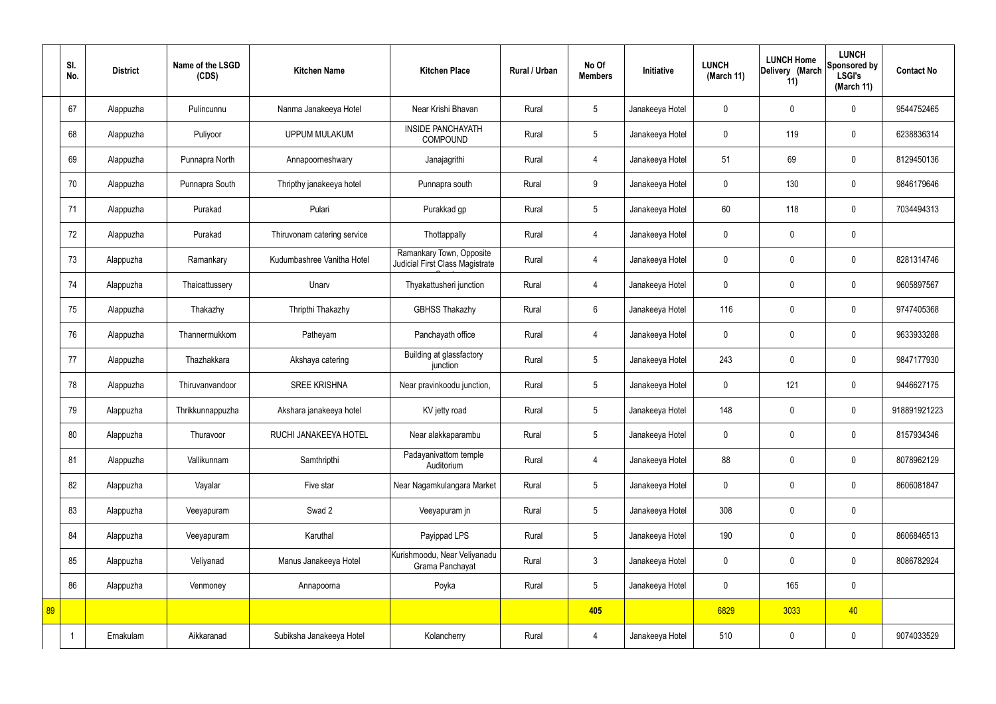|    | SI.<br>No. | <b>District</b> | Name of the LSGD<br>(CDS) | <b>Kitchen Name</b>         | <b>Kitchen Place</b>                                        | Rural / Urban | No Of<br><b>Members</b> | Initiative      | <b>LUNCH</b><br>(March 11) | <b>LUNCH Home</b><br>Delivery (March<br>11) | <b>LUNCH</b><br>Sponsored by<br><b>LSGI's</b><br>(March 11) | <b>Contact No</b> |
|----|------------|-----------------|---------------------------|-----------------------------|-------------------------------------------------------------|---------------|-------------------------|-----------------|----------------------------|---------------------------------------------|-------------------------------------------------------------|-------------------|
|    | 67         | Alappuzha       | Pulincunnu                | Nanma Janakeeya Hotel       | Near Krishi Bhavan                                          | Rural         | $5\phantom{.0}$         | Janakeeya Hotel | $\mathbf 0$                | $\mathbf 0$                                 | $\mathbf 0$                                                 | 9544752465        |
|    | 68         | Alappuzha       | Puliyoor                  | <b>UPPUM MULAKUM</b>        | <b>INSIDE PANCHAYATH</b><br><b>COMPOUND</b>                 | Rural         | $5\overline{)}$         | Janakeeya Hotel | $\mathbf 0$                | 119                                         | $\mathbf 0$                                                 | 6238836314        |
|    | 69         | Alappuzha       | Punnapra North            | Annapoorneshwary            | Janajagrithi                                                | Rural         | $\overline{4}$          | Janakeeya Hotel | 51                         | 69                                          | $\mathbf 0$                                                 | 8129450136        |
|    | 70         | Alappuzha       | Punnapra South            | Thripthy janakeeya hotel    | Punnapra south                                              | Rural         | 9                       | Janakeeya Hotel | $\mathbf 0$                | 130                                         | $\mathbf 0$                                                 | 9846179646        |
|    | 71         | Alappuzha       | Purakad                   | Pulari                      | Purakkad gp                                                 | Rural         | $5\phantom{.0}$         | Janakeeya Hotel | 60                         | 118                                         | $\mathbf 0$                                                 | 7034494313        |
|    | 72         | Alappuzha       | Purakad                   | Thiruvonam catering service | Thottappally                                                | Rural         | $\overline{4}$          | Janakeeya Hotel | $\mathbf 0$                | $\mathbf 0$                                 | $\mathbf 0$                                                 |                   |
|    | 73         | Alappuzha       | Ramankary                 | Kudumbashree Vanitha Hotel  | Ramankary Town, Opposite<br>Judicial First Class Magistrate | Rural         | $\overline{4}$          | Janakeeya Hotel | $\mathbf 0$                | $\mathbf 0$                                 | $\mathbf 0$                                                 | 8281314746        |
|    | 74         | Alappuzha       | Thaicattussery            | Unarv                       | Thyakattusheri junction                                     | Rural         | 4                       | Janakeeya Hotel | $\mathbf 0$                | $\mathbf 0$                                 | $\mathbf 0$                                                 | 9605897567        |
|    | 75         | Alappuzha       | Thakazhy                  | Thripthi Thakazhy           | <b>GBHSS Thakazhy</b>                                       | Rural         | $6\overline{6}$         | Janakeeya Hotel | 116                        | $\mathbf 0$                                 | $\mathbf 0$                                                 | 9747405368        |
|    | 76         | Alappuzha       | Thannermukkom             | Patheyam                    | Panchayath office                                           | Rural         | 4                       | Janakeeya Hotel | $\mathbf 0$                | $\mathbf 0$                                 | $\mathbf 0$                                                 | 9633933288        |
|    | 77         | Alappuzha       | Thazhakkara               | Akshaya catering            | Building at glassfactory<br>junction                        | Rural         | $5\phantom{.0}$         | Janakeeya Hotel | 243                        | $\mathbf 0$                                 | $\mathbf 0$                                                 | 9847177930        |
|    | 78         | Alappuzha       | Thiruvanvandoor           | <b>SREE KRISHNA</b>         | Near pravinkoodu junction,                                  | Rural         | $5\phantom{.0}$         | Janakeeya Hotel | $\mathbf 0$                | 121                                         | $\mathbf 0$                                                 | 9446627175        |
|    | 79         | Alappuzha       | Thrikkunnappuzha          | Akshara janakeeya hotel     | KV jetty road                                               | Rural         | 5                       | Janakeeya Hotel | 148                        | $\mathbf 0$                                 | $\mathbf 0$                                                 | 918891921223      |
|    | 80         | Alappuzha       | Thuravoor                 | RUCHI JANAKEEYA HOTEL       | Near alakkaparambu                                          | Rural         | $5\phantom{.0}$         | Janakeeya Hotel | $\mathbf 0$                | $\mathbf 0$                                 | $\mathbf 0$                                                 | 8157934346        |
|    | 81         | Alappuzha       | Vallikunnam               | Samthripthi                 | Padayanivattom temple<br>Auditorium                         | Rural         | $\overline{4}$          | Janakeeya Hotel | 88                         | $\mathbf 0$                                 | $\mathbf 0$                                                 | 8078962129        |
|    | 82         | Alappuzha       | Vayalar                   | Five star                   | Near Nagamkulangara Market                                  | Rural         | $5\overline{)}$         | Janakeeya Hotel | $\pmb{0}$                  | $\mathbf 0$                                 | $\mathbf 0$                                                 | 8606081847        |
|    | 83         | Alappuzha       | Veeyapuram                | Swad 2                      | Veeyapuram jn                                               | Rural         | $5\overline{)}$         | Janakeeya Hotel | 308                        | $\mathbf 0$                                 | $\mathbf 0$                                                 |                   |
|    | 84         | Alappuzha       | Veeyapuram                | Karuthal                    | Payippad LPS                                                | Rural         | $5\overline{)}$         | Janakeeya Hotel | 190                        | $\mathbf 0$                                 | $\mathbf 0$                                                 | 8606846513        |
|    | 85         | Alappuzha       | Veliyanad                 | Manus Janakeeya Hotel       | Kurishmoodu, Near Veliyanadu<br>Grama Panchayat             | Rural         | $\mathbf{3}$            | Janakeeya Hotel | $\pmb{0}$                  | $\mathbf 0$                                 | $\mathbf 0$                                                 | 8086782924        |
|    | 86         | Alappuzha       | Venmoney                  | Annapoorna                  | Poyka                                                       | Rural         | $5\overline{)}$         | Janakeeya Hotel | $\pmb{0}$                  | 165                                         | $\mathbf 0$                                                 |                   |
| 89 |            |                 |                           |                             |                                                             |               | 405                     |                 | 6829                       | 3033                                        | 40                                                          |                   |
|    |            | Ernakulam       | Aikkaranad                | Subiksha Janakeeya Hotel    | Kolancherry                                                 | Rural         | 4                       | Janakeeya Hotel | 510                        | $\pmb{0}$                                   | $\boldsymbol{0}$                                            | 9074033529        |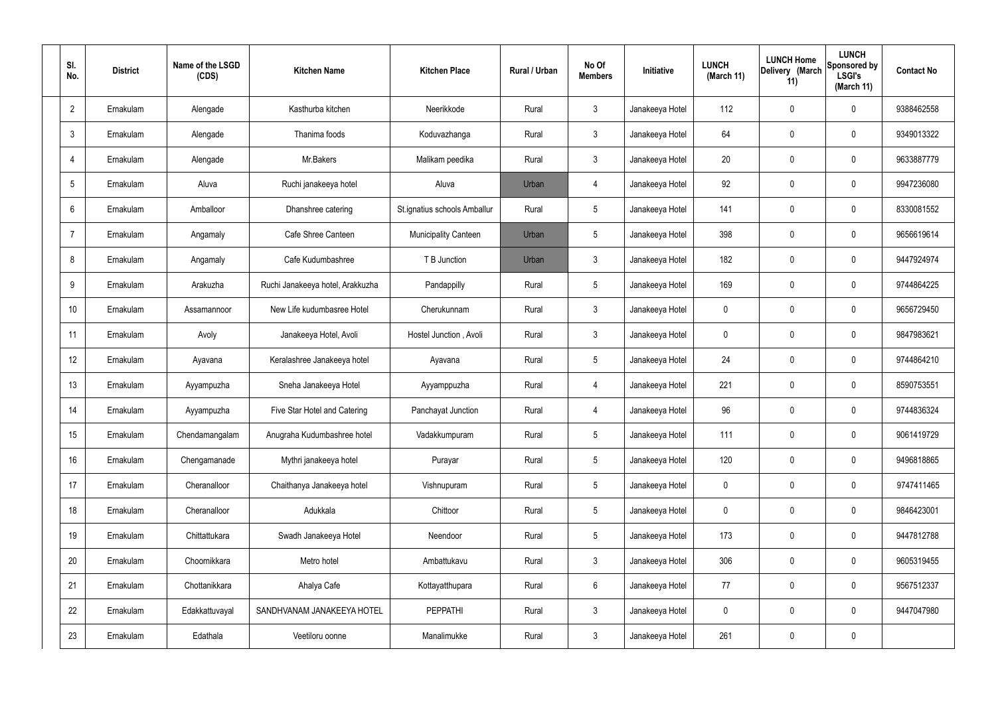| SI.<br>No.      | <b>District</b> | Name of the LSGD<br>(CDS) | <b>Kitchen Name</b>              | <b>Kitchen Place</b>         | Rural / Urban | No Of<br><b>Members</b> | Initiative      | <b>LUNCH</b><br>(March 11) | <b>LUNCH Home</b><br>Delivery (March<br>11) | <b>LUNCH</b><br>Sponsored by<br><b>LSGI's</b><br>(March 11) | <b>Contact No</b> |
|-----------------|-----------------|---------------------------|----------------------------------|------------------------------|---------------|-------------------------|-----------------|----------------------------|---------------------------------------------|-------------------------------------------------------------|-------------------|
| $\overline{2}$  | Ernakulam       | Alengade                  | Kasthurba kitchen                | Neerikkode                   | Rural         | $\mathbf{3}$            | Janakeeya Hotel | 112                        | $\mathbf 0$                                 | 0                                                           | 9388462558        |
| $\mathbf{3}$    | Ernakulam       | Alengade                  | Thanima foods                    | Koduvazhanga                 | Rural         | $\mathbf{3}$            | Janakeeya Hotel | 64                         | $\mathbf 0$                                 | 0                                                           | 9349013322        |
| $\overline{4}$  | Ernakulam       | Alengade                  | Mr.Bakers                        | Malikam peedika              | Rural         | $\mathbf{3}$            | Janakeeya Hotel | 20                         | $\mathbf 0$                                 | 0                                                           | 9633887779        |
| $5\overline{)}$ | Ernakulam       | Aluva                     | Ruchi janakeeya hotel            | Aluva                        | Urban         | $\overline{4}$          | Janakeeya Hotel | 92                         | $\mathbf 0$                                 | 0                                                           | 9947236080        |
| 6               | Ernakulam       | Amballoor                 | Dhanshree catering               | St.ignatius schools Amballur | Rural         | $5\phantom{.0}$         | Janakeeya Hotel | 141                        | $\mathbf 0$                                 | 0                                                           | 8330081552        |
| $\overline{7}$  | Ernakulam       | Angamaly                  | Cafe Shree Canteen               | <b>Municipality Canteen</b>  | Urban         | $5\phantom{.0}$         | Janakeeya Hotel | 398                        | $\mathbf 0$                                 | 0                                                           | 9656619614        |
| 8               | Ernakulam       | Angamaly                  | Cafe Kudumbashree                | T B Junction                 | Urban         | $\mathbf{3}$            | Janakeeya Hotel | 182                        | $\mathbf 0$                                 | 0                                                           | 9447924974        |
| 9               | Ernakulam       | Arakuzha                  | Ruchi Janakeeya hotel, Arakkuzha | Pandappilly                  | Rural         | $5\phantom{.0}$         | Janakeeya Hotel | 169                        | $\mathbf 0$                                 | 0                                                           | 9744864225        |
| 10              | Ernakulam       | Assamannoor               | New Life kudumbasree Hotel       | Cherukunnam                  | Rural         | $\mathbf{3}$            | Janakeeya Hotel | $\mathbf 0$                | $\mathbf 0$                                 | 0                                                           | 9656729450        |
| 11              | Ernakulam       | Avoly                     | Janakeeya Hotel, Avoli           | Hostel Junction, Avoli       | Rural         | $\mathbf{3}$            | Janakeeya Hotel | $\mathbf 0$                | $\mathbf 0$                                 | 0                                                           | 9847983621        |
| 12              | Ernakulam       | Ayavana                   | Keralashree Janakeeya hotel      | Ayavana                      | Rural         | $5\phantom{.0}$         | Janakeeya Hotel | 24                         | 0                                           | 0                                                           | 9744864210        |
| 13              | Ernakulam       | Ayyampuzha                | Sneha Janakeeya Hotel            | Ayyamppuzha                  | Rural         | $\overline{4}$          | Janakeeya Hotel | 221                        | 0                                           | 0                                                           | 8590753551        |
| 14              | Ernakulam       | Ayyampuzha                | Five Star Hotel and Catering     | Panchayat Junction           | Rural         | $\overline{4}$          | Janakeeya Hotel | 96                         | $\mathbf 0$                                 | 0                                                           | 9744836324        |
| 15              | Ernakulam       | Chendamangalam            | Anugraha Kudumbashree hotel      | Vadakkumpuram                | Rural         | $5\phantom{.0}$         | Janakeeya Hotel | 111                        | $\mathbf 0$                                 | 0                                                           | 9061419729        |
| 16              | Ernakulam       | Chengamanade              | Mythri janakeeya hotel           | Purayar                      | Rural         | $5\phantom{.0}$         | Janakeeya Hotel | 120                        | $\mathbf 0$                                 | 0                                                           | 9496818865        |
| 17              | Ernakulam       | Cheranalloor              | Chaithanya Janakeeya hotel       | Vishnupuram                  | Rural         | $5\phantom{.0}$         | Janakeeya Hotel | $\mathbf 0$                | $\mathbf 0$                                 | 0                                                           | 9747411465        |
| 18              | Ernakulam       | Cheranalloor              | Adukkala                         | Chittoor                     | Rural         | $5\phantom{.0}$         | Janakeeya Hotel | $\mathbf 0$                | $\mathbf 0$                                 | 0                                                           | 9846423001        |
| 19              | Ernakulam       | Chittattukara             | Swadh Janakeeya Hotel            | Neendoor                     | Rural         | $5\phantom{.0}$         | Janakeeya Hotel | 173                        | $\pmb{0}$                                   | 0                                                           | 9447812788        |
| 20              | Ernakulam       | Choornikkara              | Metro hotel                      | Ambattukavu                  | Rural         | $\mathbf{3}$            | Janakeeya Hotel | 306                        | $\pmb{0}$                                   | 0                                                           | 9605319455        |
| 21              | Ernakulam       | Chottanikkara             | Ahalya Cafe                      | Kottayatthupara              | Rural         | $6\phantom{.}6$         | Janakeeya Hotel | 77                         | $\mathbf 0$                                 | 0                                                           | 9567512337        |
| 22              | Ernakulam       | Edakkattuvayal            | SANDHVANAM JANAKEEYA HOTEL       | <b>PEPPATHI</b>              | Rural         | $\mathbf{3}$            | Janakeeya Hotel | $\mathbf 0$                | $\mathbf 0$                                 | $\mathbf 0$                                                 | 9447047980        |
| 23              | Ernakulam       | Edathala                  | Veetiloru oonne                  | Manalimukke                  | Rural         | $\mathbf{3}$            | Janakeeya Hotel | 261                        | $\pmb{0}$                                   | 0                                                           |                   |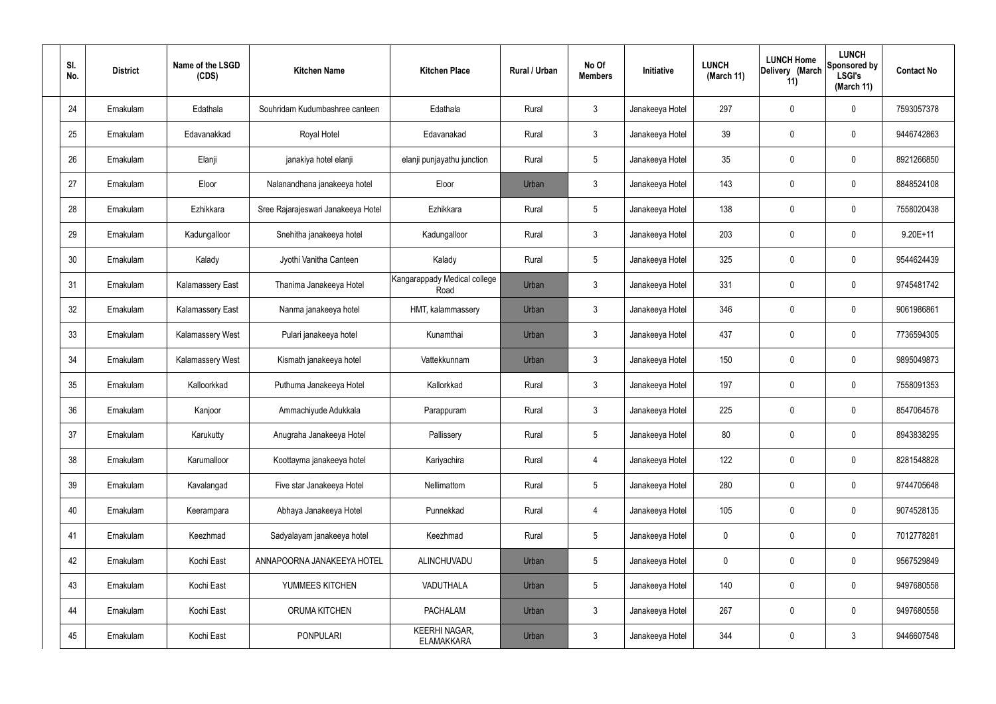| SI.<br>No. | <b>District</b> | Name of the LSGD<br>(CDS) | <b>Kitchen Name</b>                | <b>Kitchen Place</b>                      | Rural / Urban | No Of<br><b>Members</b> | Initiative      | <b>LUNCH</b><br>(March 11) | <b>LUNCH Home</b><br>Delivery (March<br>11) | <b>LUNCH</b><br>Sponsored by<br><b>LSGI's</b><br>(March 11) | <b>Contact No</b> |
|------------|-----------------|---------------------------|------------------------------------|-------------------------------------------|---------------|-------------------------|-----------------|----------------------------|---------------------------------------------|-------------------------------------------------------------|-------------------|
| 24         | Ernakulam       | Edathala                  | Souhridam Kudumbashree canteen     | Edathala                                  | Rural         | $\mathfrak{Z}$          | Janakeeya Hotel | 297                        | 0                                           | $\mathbf 0$                                                 | 7593057378        |
| 25         | Ernakulam       | Edavanakkad               | Royal Hotel                        | Edavanakad                                | Rural         | $\mathbf{3}$            | Janakeeya Hotel | 39                         | 0                                           | $\mathbf 0$                                                 | 9446742863        |
| 26         | Ernakulam       | Elanji                    | janakiya hotel elanji              | elanji punjayathu junction                | Rural         | $5\phantom{.0}$         | Janakeeya Hotel | 35                         | 0                                           | $\mathbf 0$                                                 | 8921266850        |
| 27         | Ernakulam       | Eloor                     | Nalanandhana janakeeya hotel       | Eloor                                     | Urban         | $\mathfrak{Z}$          | Janakeeya Hotel | 143                        | 0                                           | $\mathbf 0$                                                 | 8848524108        |
| 28         | Ernakulam       | Ezhikkara                 | Sree Rajarajeswari Janakeeya Hotel | Ezhikkara                                 | Rural         | $5\phantom{.0}$         | Janakeeya Hotel | 138                        | 0                                           | $\mathbf 0$                                                 | 7558020438        |
| 29         | Ernakulam       | Kadungalloor              | Snehitha janakeeya hotel           | Kadungalloor                              | Rural         | $\mathbf{3}$            | Janakeeya Hotel | 203                        | 0                                           | $\mathbf 0$                                                 | $9.20E+11$        |
| 30         | Ernakulam       | Kalady                    | Jyothi Vanitha Canteen             | Kalady                                    | Rural         | $5\phantom{.0}$         | Janakeeya Hotel | 325                        | 0                                           | $\mathbf 0$                                                 | 9544624439        |
| 31         | Ernakulam       | <b>Kalamassery East</b>   | Thanima Janakeeya Hotel            | Kangarappady Medical college<br>Road      | Urban         | $\mathfrak{Z}$          | Janakeeya Hotel | 331                        | 0                                           | $\mathbf 0$                                                 | 9745481742        |
| 32         | Ernakulam       | <b>Kalamassery East</b>   | Nanma janakeeya hotel              | HMT, kalammassery                         | Urban         | $\mathbf{3}$            | Janakeeya Hotel | 346                        | 0                                           | $\mathbf 0$                                                 | 9061986861        |
| 33         | Ernakulam       | Kalamassery West          | Pulari janakeeya hotel             | Kunamthai                                 | Urban         | $\mathbf{3}$            | Janakeeya Hotel | 437                        | 0                                           | $\mathbf 0$                                                 | 7736594305        |
| 34         | Ernakulam       | Kalamassery West          | Kismath janakeeya hotel            | Vattekkunnam                              | Urban         | $\mathfrak{Z}$          | Janakeeya Hotel | 150                        | 0                                           | $\boldsymbol{0}$                                            | 9895049873        |
| 35         | Ernakulam       | Kalloorkkad               | Puthuma Janakeeya Hotel            | Kallorkkad                                | Rural         | $\mathbf{3}$            | Janakeeya Hotel | 197                        | 0                                           | $\boldsymbol{0}$                                            | 7558091353        |
| 36         | Ernakulam       | Kanjoor                   | Ammachiyude Adukkala               | Parappuram                                | Rural         | $\mathbf{3}$            | Janakeeya Hotel | 225                        | 0                                           | 0                                                           | 8547064578        |
| 37         | Ernakulam       | Karukutty                 | Anugraha Janakeeya Hotel           | Pallissery                                | Rural         | $5\,$                   | Janakeeya Hotel | 80                         | 0                                           | $\mathbf 0$                                                 | 8943838295        |
| 38         | Ernakulam       | Karumalloor               | Koottayma janakeeya hotel          | Kariyachira                               | Rural         | $\overline{4}$          | Janakeeya Hotel | 122                        | $\mathbf 0$                                 | $\mathbf 0$                                                 | 8281548828        |
| 39         | Ernakulam       | Kavalangad                | Five star Janakeeya Hotel          | Nellimattom                               | Rural         | $5\phantom{.0}$         | Janakeeya Hotel | 280                        | $\mathbf 0$                                 | $\mathbf 0$                                                 | 9744705648        |
| 40         | Ernakulam       | Keerampara                | Abhaya Janakeeya Hotel             | Punnekkad                                 | Rural         | $\overline{4}$          | Janakeeya Hotel | 105                        | $\mathbf 0$                                 | $\mathbf 0$                                                 | 9074528135        |
| 41         | Ernakulam       | Keezhmad                  | Sadyalayam janakeeya hotel         | Keezhmad                                  | Rural         | $5\phantom{.0}$         | Janakeeya Hotel | $\mathbf 0$                | $\mathbf 0$                                 | $\mathbf 0$                                                 | 7012778281        |
| 42         | Ernakulam       | Kochi East                | ANNAPOORNA JANAKEEYA HOTEL         | ALINCHUVADU                               | Urban         | $5\phantom{.0}$         | Janakeeya Hotel | $\mathbf 0$                | 0                                           | $\mathbf 0$                                                 | 9567529849        |
| 43         | Ernakulam       | Kochi East                | YUMMEES KITCHEN                    | VADUTHALA                                 | Urban         | $5\phantom{.0}$         | Janakeeya Hotel | 140                        | 0                                           | $\mathbf 0$                                                 | 9497680558        |
| 44         | Ernakulam       | Kochi East                | ORUMA KITCHEN                      | <b>PACHALAM</b>                           | Urban         | $3\phantom{a}$          | Janakeeya Hotel | 267                        | $\mathbf 0$                                 | $\mathbf 0$                                                 | 9497680558        |
| 45         | Ernakulam       | Kochi East                | PONPULARI                          | <b>KEERHI NAGAR,</b><br><b>ELAMAKKARA</b> | Urban         | $\mathfrak{Z}$          | Janakeeya Hotel | 344                        | 0                                           | $\mathbf{3}$                                                | 9446607548        |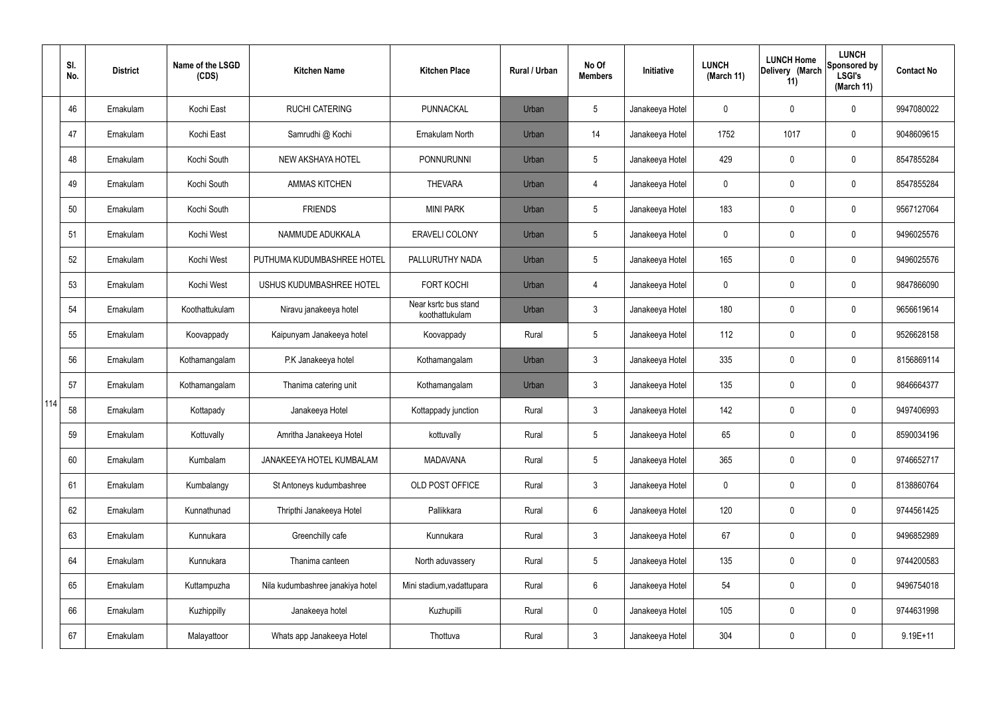|     | SI.<br>No. | <b>District</b> | Name of the LSGD<br>(CDS) | <b>Kitchen Name</b>              | <b>Kitchen Place</b>                   | <b>Rural / Urban</b> | No Of<br><b>Members</b> | Initiative      | <b>LUNCH</b><br>(March 11) | <b>LUNCH Home</b><br>Delivery (March<br>11) | <b>LUNCH</b><br>Sponsored by<br><b>LSGI's</b><br>(March 11) | <b>Contact No</b> |
|-----|------------|-----------------|---------------------------|----------------------------------|----------------------------------------|----------------------|-------------------------|-----------------|----------------------------|---------------------------------------------|-------------------------------------------------------------|-------------------|
|     | 46         | Ernakulam       | Kochi East                | <b>RUCHI CATERING</b>            | PUNNACKAL                              | Urban                | 5                       | Janakeeya Hotel | 0                          | 0                                           | $\mathbf 0$                                                 | 9947080022        |
|     | 47         | Ernakulam       | Kochi East                | Samrudhi @ Kochi                 | Ernakulam North                        | Urban                | 14                      | Janakeeya Hotel | 1752                       | 1017                                        | $\boldsymbol{0}$                                            | 9048609615        |
|     | 48         | Ernakulam       | Kochi South               | NEW AKSHAYA HOTEL                | <b>PONNURUNNI</b>                      | Urban                | 5                       | Janakeeya Hotel | 429                        | 0                                           | $\mathbf 0$                                                 | 8547855284        |
|     | 49         | Ernakulam       | Kochi South               | <b>AMMAS KITCHEN</b>             | <b>THEVARA</b>                         | Urban                | $\overline{4}$          | Janakeeya Hotel | 0                          | 0                                           | $\boldsymbol{0}$                                            | 8547855284        |
|     | 50         | Ernakulam       | Kochi South               | <b>FRIENDS</b>                   | <b>MINI PARK</b>                       | Urban                | 5                       | Janakeeya Hotel | 183                        | 0                                           | $\mathbf 0$                                                 | 9567127064        |
|     | 51         | Ernakulam       | Kochi West                | NAMMUDE ADUKKALA                 | <b>ERAVELI COLONY</b>                  | Urban                | 5                       | Janakeeya Hotel | 0                          | 0                                           | $\mathbf 0$                                                 | 9496025576        |
|     | 52         | Ernakulam       | Kochi West                | PUTHUMA KUDUMBASHREE HOTEL       | PALLURUTHY NADA                        | Urban                | 5                       | Janakeeya Hotel | 165                        | 0                                           | $\mathbf 0$                                                 | 9496025576        |
|     | 53         | Ernakulam       | Kochi West                | USHUS KUDUMBASHREE HOTEL         | <b>FORT KOCHI</b>                      | Urban                | $\overline{4}$          | Janakeeya Hotel | 0                          | 0                                           | $\mathbf 0$                                                 | 9847866090        |
|     | 54         | Ernakulam       | Koothattukulam            | Niravu janakeeya hotel           | Near ksrtc bus stand<br>koothattukulam | Urban                | $\mathfrak{Z}$          | Janakeeya Hotel | 180                        | 0                                           | $\mathbf 0$                                                 | 9656619614        |
|     | 55         | Ernakulam       | Koovappady                | Kaipunyam Janakeeya hotel        | Koovappady                             | Rural                | 5                       | Janakeeya Hotel | 112                        | 0                                           | $\pmb{0}$                                                   | 9526628158        |
|     | 56         | Ernakulam       | Kothamangalam             | P.K Janakeeya hotel              | Kothamangalam                          | Urban                | $\mathbf{3}$            | Janakeeya Hotel | 335                        | 0                                           | $\pmb{0}$                                                   | 8156869114        |
|     | 57         | Ernakulam       | Kothamangalam             | Thanima catering unit            | Kothamangalam                          | Urban                | $\mathbf{3}$            | Janakeeya Hotel | 135                        | 0                                           | $\boldsymbol{0}$                                            | 9846664377        |
| 114 | 58         | Ernakulam       | Kottapady                 | Janakeeya Hotel                  | Kottappady junction                    | Rural                | $\mathbf{3}$            | Janakeeya Hotel | 142                        | 0                                           | $\mathbf 0$                                                 | 9497406993        |
|     | 59         | Ernakulam       | Kottuvally                | Amritha Janakeeya Hotel          | kottuvally                             | Rural                | 5                       | Janakeeya Hotel | 65                         | 0                                           | $\mathbf 0$                                                 | 8590034196        |
|     | 60         | Ernakulam       | Kumbalam                  | JANAKEEYA HOTEL KUMBALAM         | <b>MADAVANA</b>                        | Rural                | 5                       | Janakeeya Hotel | 365                        | 0                                           | $\mathbf 0$                                                 | 9746652717        |
|     | 61         | Ernakulam       | Kumbalangy                | St Antoneys kudumbashree         | OLD POST OFFICE                        | Rural                | $\mathbf{3}$            | Janakeeya Hotel | 0                          | 0                                           | $\mathbf 0$                                                 | 8138860764        |
|     | 62         | Ernakulam       | Kunnathunad               | Thripthi Janakeeya Hotel         | Pallikkara                             | Rural                | 6                       | Janakeeya Hotel | 120                        | 0                                           | $\pmb{0}$                                                   | 9744561425        |
|     | 63         | Ernakulam       | Kunnukara                 | Greenchilly cafe                 | Kunnukara                              | Rural                | $\mathbf{3}$            | Janakeeya Hotel | 67                         | 0                                           | $\mathbf 0$                                                 | 9496852989        |
|     | 64         | Ernakulam       | Kunnukara                 | Thanima canteen                  | North aduvassery                       | Rural                | 5                       | Janakeeya Hotel | 135                        | 0                                           | $\pmb{0}$                                                   | 9744200583        |
|     | 65         | Ernakulam       | Kuttampuzha               | Nila kudumbashree janakiya hotel | Mini stadium, vadattupara              | Rural                | $6\phantom{.}6$         | Janakeeya Hotel | 54                         | 0                                           | $\pmb{0}$                                                   | 9496754018        |
|     | 66         | Ernakulam       | Kuzhippilly               | Janakeeya hotel                  | Kuzhupilli                             | Rural                | $\mathbf 0$             | Janakeeya Hotel | 105                        | 0                                           | $\pmb{0}$                                                   | 9744631998        |
|     | 67         | Ernakulam       | Malayattoor               | Whats app Janakeeya Hotel        | Thottuva                               | Rural                | $\mathfrak{Z}$          | Janakeeya Hotel | 304                        | 0                                           | $\pmb{0}$                                                   | $9.19E + 11$      |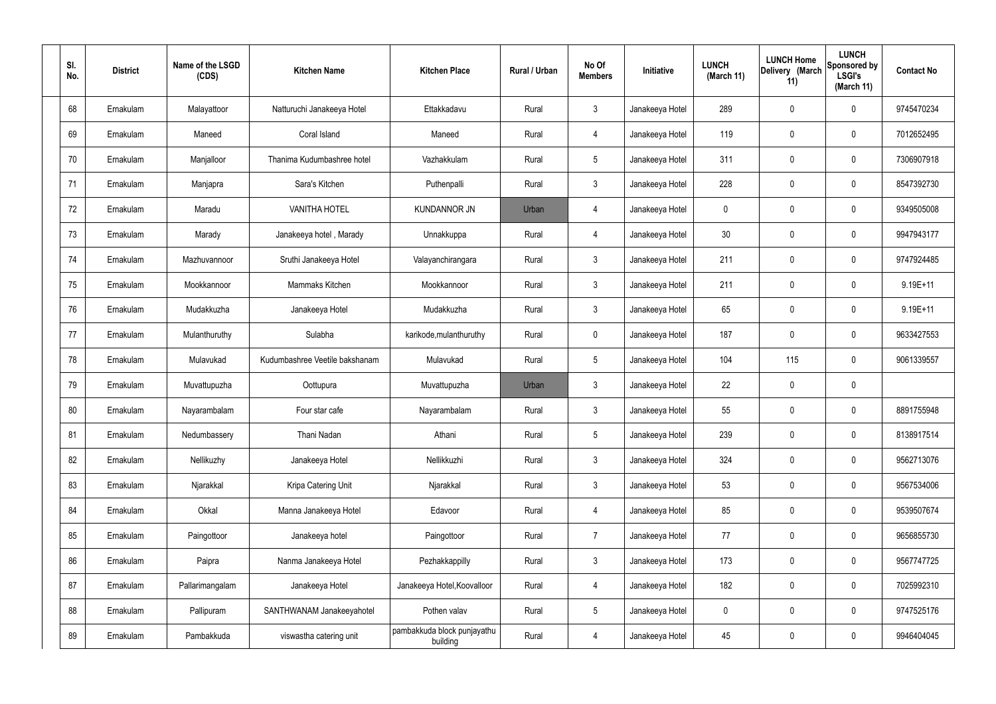| SI.<br>No. | <b>District</b> | Name of the LSGD<br>(CDS) | <b>Kitchen Name</b>            | <b>Kitchen Place</b>                    | Rural / Urban | No Of<br><b>Members</b> | Initiative      | <b>LUNCH</b><br>(March 11) | <b>LUNCH Home</b><br>Delivery (March<br>11) | <b>LUNCH</b><br>Sponsored by<br><b>LSGI's</b><br>(March 11) | <b>Contact No</b> |
|------------|-----------------|---------------------------|--------------------------------|-----------------------------------------|---------------|-------------------------|-----------------|----------------------------|---------------------------------------------|-------------------------------------------------------------|-------------------|
| 68         | Ernakulam       | Malayattoor               | Natturuchi Janakeeya Hotel     | Ettakkadavu                             | Rural         | $\mathbf{3}$            | Janakeeya Hotel | 289                        | $\mathbf 0$                                 | $\mathbf 0$                                                 | 9745470234        |
| 69         | Ernakulam       | Maneed                    | Coral Island                   | Maneed                                  | Rural         | $\overline{4}$          | Janakeeya Hotel | 119                        | 0                                           | $\pmb{0}$                                                   | 7012652495        |
| 70         | Ernakulam       | Manjalloor                | Thanima Kudumbashree hotel     | Vazhakkulam                             | Rural         | $5\phantom{.0}$         | Janakeeya Hotel | 311                        | 0                                           | $\mathbf 0$                                                 | 7306907918        |
| 71         | Ernakulam       | Manjapra                  | Sara's Kitchen                 | Puthenpalli                             | Rural         | $\mathbf{3}$            | Janakeeya Hotel | 228                        | 0                                           | $\mathbf 0$                                                 | 8547392730        |
| 72         | Ernakulam       | Maradu                    | <b>VANITHA HOTEL</b>           | <b>KUNDANNOR JN</b>                     | Urban         | $\overline{4}$          | Janakeeya Hotel | $\mathbf 0$                | 0                                           | $\mathbf 0$                                                 | 9349505008        |
| 73         | Ernakulam       | Marady                    | Janakeeya hotel, Marady        | Unnakkuppa                              | Rural         | 4                       | Janakeeya Hotel | 30 <sub>2</sub>            | 0                                           | $\mathbf 0$                                                 | 9947943177        |
| 74         | Ernakulam       | Mazhuvannoor              | Sruthi Janakeeya Hotel         | Valayanchirangara                       | Rural         | $\mathbf{3}$            | Janakeeya Hotel | 211                        | $\boldsymbol{0}$                            | $\mathbf 0$                                                 | 9747924485        |
| 75         | Ernakulam       | Mookkannoor               | Mammaks Kitchen                | Mookkannoor                             | Rural         | $\mathbf{3}$            | Janakeeya Hotel | 211                        | 0                                           | $\mathbf 0$                                                 | $9.19E + 11$      |
| 76         | Ernakulam       | Mudakkuzha                | Janakeeya Hotel                | Mudakkuzha                              | Rural         | $\mathbf{3}$            | Janakeeya Hotel | 65                         | $\boldsymbol{0}$                            | $\mathbf 0$                                                 | $9.19E + 11$      |
| 77         | Ernakulam       | Mulanthuruthy             | Sulabha                        | karikode, mulanthuruthy                 | Rural         | $\mathbf 0$             | Janakeeya Hotel | 187                        | 0                                           | $\boldsymbol{0}$                                            | 9633427553        |
| 78         | Ernakulam       | Mulavukad                 | Kudumbashree Veetile bakshanam | Mulavukad                               | Rural         | $5\phantom{.0}$         | Janakeeya Hotel | 104                        | 115                                         | $\mathbf 0$                                                 | 9061339557        |
| 79         | Ernakulam       | Muvattupuzha              | Oottupura                      | Muvattupuzha                            | Urban         | $\mathbf{3}$            | Janakeeya Hotel | 22                         | 0                                           | $\mathbf 0$                                                 |                   |
| 80         | Ernakulam       | Nayarambalam              | Four star cafe                 | Nayarambalam                            | Rural         | $\mathbf{3}$            | Janakeeya Hotel | 55                         | 0                                           | $\boldsymbol{0}$                                            | 8891755948        |
| 81         | Ernakulam       | Nedumbassery              | Thani Nadan                    | Athani                                  | Rural         | $5\phantom{.0}$         | Janakeeya Hotel | 239                        | $\mathbf 0$                                 | $\mathbf 0$                                                 | 8138917514        |
| 82         | Ernakulam       | Nellikuzhy                | Janakeeya Hotel                | Nellikkuzhi                             | Rural         | $\mathbf{3}$            | Janakeeya Hotel | 324                        | $\mathsf{0}$                                | $\mathbf 0$                                                 | 9562713076        |
| 83         | Ernakulam       | Njarakkal                 | Kripa Catering Unit            | Njarakkal                               | Rural         | $\mathbf{3}$            | Janakeeya Hotel | 53                         | $\mathbf 0$                                 | $\mathbf 0$                                                 | 9567534006        |
| 84         | Ernakulam       | Okkal                     | Manna Janakeeya Hotel          | Edavoor                                 | Rural         | $\overline{4}$          | Janakeeya Hotel | 85                         | $\mathsf{0}$                                | $\mathbf 0$                                                 | 9539507674        |
| 85         | Ernakulam       | Paingottoor               | Janakeeya hotel                | Paingottoor                             | Rural         | $\overline{7}$          | Janakeeya Hotel | 77                         | $\mathbf 0$                                 | $\mathbf 0$                                                 | 9656855730        |
| 86         | Ernakulam       | Paipra                    | Nanma Janakeeya Hotel          | Pezhakkappilly                          | Rural         | $\mathbf{3}$            | Janakeeya Hotel | 173                        | $\mathbf 0$                                 | $\mathbf 0$                                                 | 9567747725        |
| 87         | Ernakulam       | Pallarimangalam           | Janakeeya Hotel                | Janakeeya Hotel, Koovalloor             | Rural         | 4                       | Janakeeya Hotel | 182                        | $\mathbf 0$                                 | $\mathbf 0$                                                 | 7025992310        |
| 88         | Ernakulam       | Pallipuram                | SANTHWANAM Janakeeyahotel      | Pothen valav                            | Rural         | $5\,$                   | Janakeeya Hotel | $\pmb{0}$                  | 0                                           | $\mathbf 0$                                                 | 9747525176        |
| 89         | Ernakulam       | Pambakkuda                | viswastha catering unit        | pambakkuda block punjayathu<br>building | Rural         | 4                       | Janakeeya Hotel | 45                         | $\pmb{0}$                                   | $\boldsymbol{0}$                                            | 9946404045        |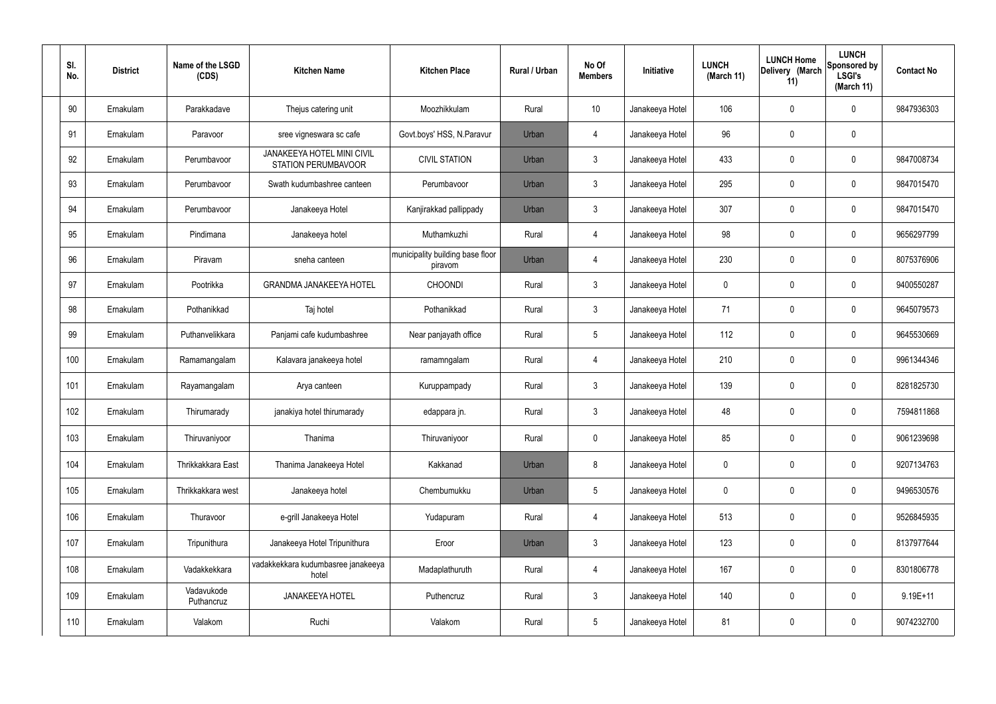| SI.<br>No. |     | <b>District</b> | Name of the LSGD<br>(CDS) | <b>Kitchen Name</b>                                      | <b>Kitchen Place</b>                        | Rural / Urban | No Of<br><b>Members</b> | Initiative      | <b>LUNCH</b><br>(March 11) | <b>LUNCH Home</b><br>Delivery (March<br>11) | <b>LUNCH</b><br>Sponsored by<br><b>LSGI's</b><br>(March 11) | <b>Contact No</b> |
|------------|-----|-----------------|---------------------------|----------------------------------------------------------|---------------------------------------------|---------------|-------------------------|-----------------|----------------------------|---------------------------------------------|-------------------------------------------------------------|-------------------|
|            | 90  | Ernakulam       | Parakkadave               | Thejus catering unit                                     | Moozhikkulam                                | Rural         | 10                      | Janakeeya Hotel | 106                        | 0                                           | 0                                                           | 9847936303        |
|            | 91  | Ernakulam       | Paravoor                  | sree vigneswara sc cafe                                  | Govt.boys' HSS, N.Paravur                   | Urban         | 4                       | Janakeeya Hotel | 96                         | $\mathbf 0$                                 | 0                                                           |                   |
|            | 92  | Ernakulam       | Perumbavoor               | <b>JANAKEEYA HOTEL MINI CIVIL</b><br>STATION PERUMBAVOOR | <b>CIVIL STATION</b>                        | Urban         | $\mathbf{3}$            | Janakeeya Hotel | 433                        | $\mathbf 0$                                 | 0                                                           | 9847008734        |
|            | 93  | Ernakulam       | Perumbavoor               | Swath kudumbashree canteen                               | Perumbavoor                                 | Urban         | $\mathbf{3}$            | Janakeeya Hotel | 295                        | $\mathbf 0$                                 | 0                                                           | 9847015470        |
|            | 94  | Ernakulam       | Perumbavoor               | Janakeeya Hotel                                          | Kanjirakkad pallippady                      | Urban         | $\mathbf{3}$            | Janakeeya Hotel | 307                        | 0                                           | 0                                                           | 9847015470        |
|            | 95  | Ernakulam       | Pindimana                 | Janakeeya hotel                                          | Muthamkuzhi                                 | Rural         | $\overline{4}$          | Janakeeya Hotel | 98                         | $\mathbf 0$                                 | 0                                                           | 9656297799        |
|            | 96  | Ernakulam       | Piravam                   | sneha canteen                                            | municipality building base floor<br>piravom | Urban         | $\overline{4}$          | Janakeeya Hotel | 230                        | 0                                           | 0                                                           | 8075376906        |
|            | 97  | Ernakulam       | Pootrikka                 | <b>GRANDMA JANAKEEYA HOTEL</b>                           | <b>CHOONDI</b>                              | Rural         | $\mathbf{3}$            | Janakeeya Hotel | $\mathbf 0$                | $\mathbf 0$                                 | 0                                                           | 9400550287        |
|            | 98  | Ernakulam       | Pothanikkad               | Taj hotel                                                | Pothanikkad                                 | Rural         | $\mathbf{3}$            | Janakeeya Hotel | 71                         | 0                                           | 0                                                           | 9645079573        |
|            | 99  | Ernakulam       | Puthanvelikkara           | Panjami cafe kudumbashree                                | Near panjayath office                       | Rural         | $5\phantom{.0}$         | Janakeeya Hotel | 112                        | $\mathbf 0$                                 | 0                                                           | 9645530669        |
|            | 100 | Ernakulam       | Ramamangalam              | Kalavara janakeeya hotel                                 | ramamngalam                                 | Rural         | $\overline{4}$          | Janakeeya Hotel | 210                        | $\boldsymbol{0}$                            | 0                                                           | 9961344346        |
|            | 101 | Ernakulam       | Rayamangalam              | Arya canteen                                             | Kuruppampady                                | Rural         | $\mathbf{3}$            | Janakeeya Hotel | 139                        | $\mathbf 0$                                 | 0                                                           | 8281825730        |
|            | 102 | Ernakulam       | Thirumarady               | janakiya hotel thirumarady                               | edappara jn.                                | Rural         | $\mathbf{3}$            | Janakeeya Hotel | 48                         | $\mathbf 0$                                 | 0                                                           | 7594811868        |
|            | 103 | Ernakulam       | Thiruvaniyoor             | Thanima                                                  | Thiruvaniyoor                               | Rural         | $\pmb{0}$               | Janakeeya Hotel | 85                         | $\pmb{0}$                                   | 0                                                           | 9061239698        |
|            | 104 | Ernakulam       | Thrikkakkara East         | Thanima Janakeeya Hotel                                  | Kakkanad                                    | Urban         | 8                       | Janakeeya Hotel | $\mathbf 0$                | $\boldsymbol{0}$                            | 0                                                           | 9207134763        |
|            | 105 | Ernakulam       | Thrikkakkara west         | Janakeeya hotel                                          | Chembumukku                                 | Urban         | $5\phantom{.0}$         | Janakeeya Hotel | $\mathbf 0$                | $\pmb{0}$                                   | 0                                                           | 9496530576        |
|            | 106 | Ernakulam       | Thuravoor                 | e-grill Janakeeya Hotel                                  | Yudapuram                                   | Rural         | $\overline{4}$          | Janakeeya Hotel | 513                        | $\pmb{0}$                                   | 0                                                           | 9526845935        |
|            | 107 | Ernakulam       | Tripunithura              | Janakeeya Hotel Tripunithura                             | Eroor                                       | Urban         | $\mathbf{3}$            | Janakeeya Hotel | 123                        | $\pmb{0}$                                   | 0                                                           | 8137977644        |
|            | 108 | Ernakulam       | Vadakkekkara              | vadakkekkara kudumbasree janakeeya<br>hotel              | Madaplathuruth                              | Rural         | $\overline{4}$          | Janakeeya Hotel | 167                        | $\mathbf 0$                                 | 0                                                           | 8301806778        |
|            | 109 | Ernakulam       | Vadavukode<br>Puthancruz  | JANAKEEYA HOTEL                                          | Puthencruz                                  | Rural         | $\mathbf{3}$            | Janakeeya Hotel | 140                        | $\boldsymbol{0}$                            | 0                                                           | $9.19E + 11$      |
|            | 110 | Ernakulam       | Valakom                   | Ruchi                                                    | Valakom                                     | Rural         | $\overline{5}$          | Janakeeya Hotel | 81                         | $\boldsymbol{0}$                            | 0                                                           | 9074232700        |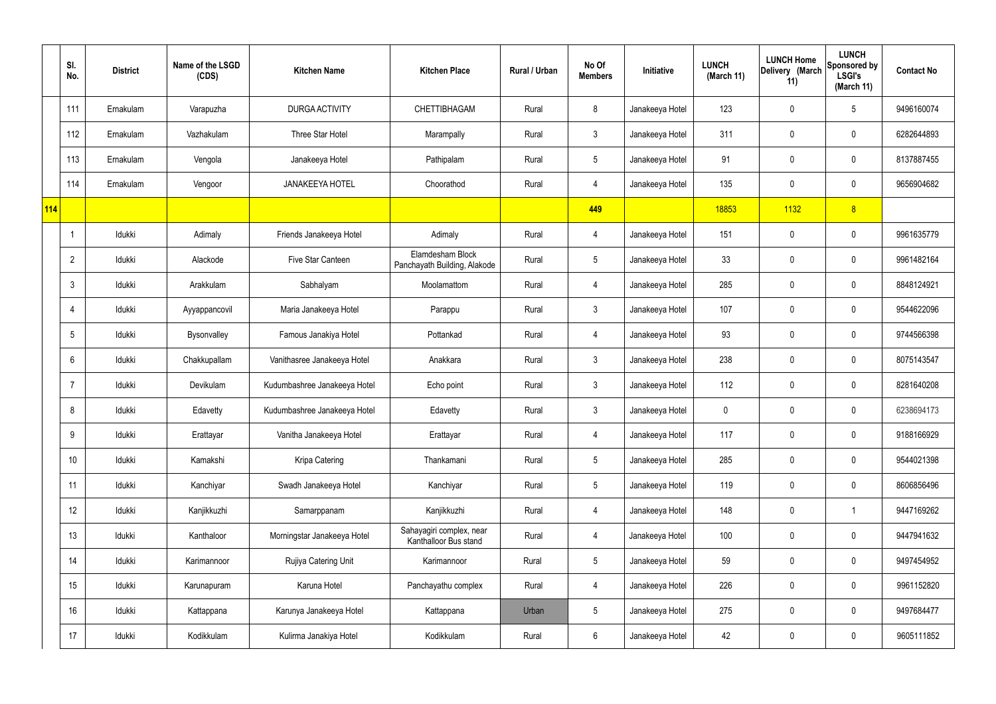|     | SI.<br>No.     | <b>District</b> | Name of the LSGD<br>(CDS) | <b>Kitchen Name</b>          | <b>Kitchen Place</b>                              | Rural / Urban | No Of<br><b>Members</b> | Initiative      | <b>LUNCH</b><br>(March 11) | <b>LUNCH Home</b><br>Delivery (March<br>11) | <b>LUNCH</b><br>Sponsored by<br><b>LSGI's</b><br>(March 11) | <b>Contact No</b> |
|-----|----------------|-----------------|---------------------------|------------------------------|---------------------------------------------------|---------------|-------------------------|-----------------|----------------------------|---------------------------------------------|-------------------------------------------------------------|-------------------|
|     | 111            | Ernakulam       | Varapuzha                 | DURGA ACTIVITY               | CHETTIBHAGAM                                      | Rural         | 8                       | Janakeeya Hotel | 123                        | 0                                           | $5\phantom{.0}$                                             | 9496160074        |
|     | 112            | Ernakulam       | Vazhakulam                | Three Star Hotel             | Marampally                                        | Rural         | $\mathbf{3}$            | Janakeeya Hotel | 311                        | $\mathbf 0$                                 | $\mathbf 0$                                                 | 6282644893        |
|     | 113            | Ernakulam       | Vengola                   | Janakeeya Hotel              | Pathipalam                                        | Rural         | $5\overline{)}$         | Janakeeya Hotel | 91                         | $\mathbf 0$                                 | $\mathbf 0$                                                 | 8137887455        |
|     | 114            | Ernakulam       | Vengoor                   | <b>JANAKEEYA HOTEL</b>       | Choorathod                                        | Rural         | $\overline{4}$          | Janakeeya Hotel | 135                        | $\mathbf 0$                                 | $\mathbf 0$                                                 | 9656904682        |
| 114 |                |                 |                           |                              |                                                   |               | 449                     |                 | 18853                      | 1132                                        | 8                                                           |                   |
|     |                | Idukki          | Adimaly                   | Friends Janakeeya Hotel      | Adimaly                                           | Rural         | $\overline{4}$          | Janakeeya Hotel | 151                        | $\mathbf 0$                                 | $\mathbf 0$                                                 | 9961635779        |
|     | $\overline{2}$ | Idukki          | Alackode                  | Five Star Canteen            | Elamdesham Block<br>Panchayath Building, Alakode  | Rural         | $5\overline{)}$         | Janakeeya Hotel | 33                         | $\mathbf 0$                                 | $\mathbf 0$                                                 | 9961482164        |
|     | 3              | Idukki          | Arakkulam                 | Sabhalyam                    | Moolamattom                                       | Rural         | $\overline{4}$          | Janakeeya Hotel | 285                        | $\mathbf 0$                                 | $\mathbf 0$                                                 | 8848124921        |
|     | $\overline{4}$ | Idukki          | Ayyappancovil             | Maria Janakeeya Hotel        | Parappu                                           | Rural         | $\mathbf{3}$            | Janakeeya Hotel | 107                        | $\mathbf 0$                                 | $\mathbf 0$                                                 | 9544622096        |
|     | 5              | Idukki          | Bysonvalley               | Famous Janakiya Hotel        | Pottankad                                         | Rural         | $\overline{4}$          | Janakeeya Hotel | 93                         | $\mathbf 0$                                 | $\mathbf 0$                                                 | 9744566398        |
|     | 6              | Idukki          | Chakkupallam              | Vanithasree Janakeeya Hotel  | Anakkara                                          | Rural         | $\mathbf{3}$            | Janakeeya Hotel | 238                        | 0                                           | $\mathbf 0$                                                 | 8075143547        |
|     |                | Idukki          | Devikulam                 | Kudumbashree Janakeeya Hotel | Echo point                                        | Rural         | $\mathbf{3}$            | Janakeeya Hotel | 112                        | $\mathbf 0$                                 | $\mathbf 0$                                                 | 8281640208        |
|     | 8              | Idukki          | Edavetty                  | Kudumbashree Janakeeya Hotel | Edavetty                                          | Rural         | $\mathbf{3}$            | Janakeeya Hotel | 0                          | 0                                           | $\mathbf 0$                                                 | 6238694173        |
|     | 9              | Idukki          | Erattayar                 | Vanitha Janakeeya Hotel      | Erattayar                                         | Rural         | $\overline{4}$          | Janakeeya Hotel | 117                        | $\mathsf{0}$                                | $\mathbf 0$                                                 | 9188166929        |
|     | 10             | Idukki          | Kamakshi                  | Kripa Catering               | Thankamani                                        | Rural         | $5\phantom{.0}$         | Janakeeya Hotel | 285                        | 0                                           | $\mathbf 0$                                                 | 9544021398        |
|     | 11             | Idukki          | Kanchiyar                 | Swadh Janakeeya Hotel        | Kanchiyar                                         | Rural         | $5\phantom{.0}$         | Janakeeya Hotel | 119                        | 0                                           | $\mathbf 0$                                                 | 8606856496        |
|     | 12             | Idukki          | Kanjikkuzhi               | Samarppanam                  | Kanjikkuzhi                                       | Rural         | $\overline{4}$          | Janakeeya Hotel | 148                        | 0                                           | $\mathbf{1}$                                                | 9447169262        |
|     | 13             | Idukki          | Kanthaloor                | Morningstar Janakeeya Hotel  | Sahayagiri complex, near<br>Kanthalloor Bus stand | Rural         | $\overline{4}$          | Janakeeya Hotel | 100                        | 0                                           | $\mathbf 0$                                                 | 9447941632        |
|     | 14             | Idukki          | Karimannoor               | Rujiya Catering Unit         | Karimannoor                                       | Rural         | $5\overline{)}$         | Janakeeya Hotel | 59                         | 0                                           | $\mathbf 0$                                                 | 9497454952        |
|     | 15             | Idukki          | Karunapuram               | Karuna Hotel                 | Panchayathu complex                               | Rural         | $\overline{4}$          | Janakeeya Hotel | 226                        | 0                                           | $\mathbf 0$                                                 | 9961152820        |
|     | 16             | Idukki          | Kattappana                | Karunya Janakeeya Hotel      | Kattappana                                        | Urban         | $5\phantom{.0}$         | Janakeeya Hotel | 275                        | 0                                           | $\mathbf 0$                                                 | 9497684477        |
|     | 17             | Idukki          | Kodikkulam                | Kulirma Janakiya Hotel       | Kodikkulam                                        | Rural         | $6\phantom{.}6$         | Janakeeya Hotel | 42                         | 0                                           | $\overline{0}$                                              | 9605111852        |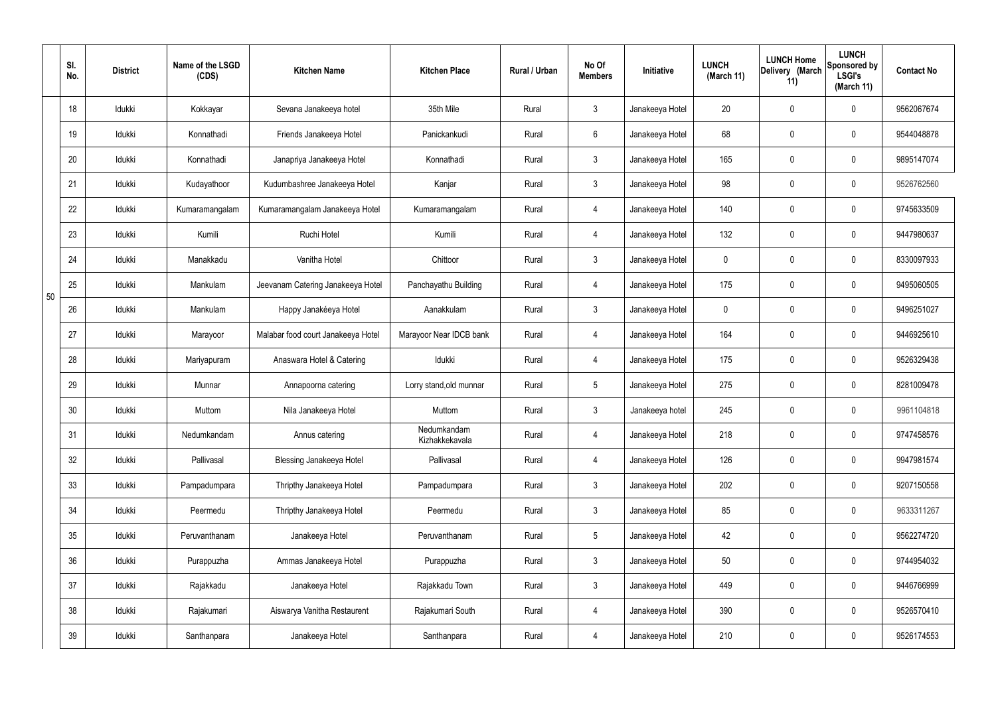|    | SI.<br>No. | <b>District</b> | Name of the LSGD<br>(CDS) | <b>Kitchen Name</b>                | <b>Kitchen Place</b>          | Rural / Urban | No Of<br><b>Members</b> | Initiative      | <b>LUNCH</b><br>(March 11) | <b>LUNCH Home</b><br>Delivery (March<br>11) | <b>LUNCH</b><br>Sponsored by<br><b>LSGI's</b><br>(March 11) | <b>Contact No</b> |
|----|------------|-----------------|---------------------------|------------------------------------|-------------------------------|---------------|-------------------------|-----------------|----------------------------|---------------------------------------------|-------------------------------------------------------------|-------------------|
|    | 18         | Idukki          | Kokkayar                  | Sevana Janakeeya hotel             | 35th Mile                     | Rural         | $\mathbf{3}$            | Janakeeya Hotel | 20                         | $\mathbf 0$                                 | $\mathbf 0$                                                 | 9562067674        |
|    | 19         | Idukki          | Konnathadi                | Friends Janakeeya Hotel            | Panickankudi                  | Rural         | $6\overline{6}$         | Janakeeya Hotel | 68                         | $\mathbf 0$                                 | $\mathbf 0$                                                 | 9544048878        |
|    | 20         | Idukki          | Konnathadi                | Janapriya Janakeeya Hotel          | Konnathadi                    | Rural         | 3                       | Janakeeya Hotel | 165                        | $\mathbf 0$                                 | $\mathbf 0$                                                 | 9895147074        |
|    | 21         | Idukki          | Kudayathoor               | Kudumbashree Janakeeya Hotel       | Kanjar                        | Rural         | $\mathbf{3}$            | Janakeeya Hotel | 98                         | $\mathbf 0$                                 | $\mathbf 0$                                                 | 9526762560        |
|    | 22         | Idukki          | Kumaramangalam            | Kumaramangalam Janakeeya Hotel     | Kumaramangalam                | Rural         | $\overline{4}$          | Janakeeya Hotel | 140                        | $\mathbf 0$                                 | $\mathbf 0$                                                 | 9745633509        |
|    | 23         | Idukki          | Kumili                    | Ruchi Hotel                        | Kumili                        | Rural         | 4                       | Janakeeya Hotel | 132                        | $\mathbf 0$                                 | $\mathbf 0$                                                 | 9447980637        |
|    | 24         | Idukki          | Manakkadu                 | Vanitha Hotel                      | Chittoor                      | Rural         | $\mathbf{3}$            | Janakeeya Hotel | $\mathbf 0$                | $\mathbf 0$                                 | $\mathbf 0$                                                 | 8330097933        |
| 50 | 25         | Idukki          | Mankulam                  | Jeevanam Catering Janakeeya Hotel  | Panchayathu Building          | Rural         | 4                       | Janakeeya Hotel | 175                        | $\mathbf 0$                                 | $\mathbf 0$                                                 | 9495060505        |
|    | 26         | Idukki          | Mankulam                  | Happy Janakéeya Hotel              | Aanakkulam                    | Rural         | $\mathbf{3}$            | Janakeeya Hotel | $\mathbf 0$                | $\mathbf 0$                                 | $\mathbf 0$                                                 | 9496251027        |
|    | 27         | Idukki          | Marayoor                  | Malabar food court Janakeeya Hotel | Marayoor Near IDCB bank       | Rural         | 4                       | Janakeeya Hotel | 164                        | $\mathbf 0$                                 | $\mathbf 0$                                                 | 9446925610        |
|    | 28         | Idukki          | Mariyapuram               | Anaswara Hotel & Catering          | Idukki                        | Rural         | $\overline{4}$          | Janakeeya Hotel | 175                        | 0                                           | $\mathbf 0$                                                 | 9526329438        |
|    | 29         | Idukki          | Munnar                    | Annapoorna catering                | Lorry stand, old munnar       | Rural         | $5\phantom{.0}$         | Janakeeya Hotel | 275                        | $\mathbf 0$                                 | $\mathbf 0$                                                 | 8281009478        |
|    | 30         | Idukki          | Muttom                    | Nila Janakeeya Hotel               | Muttom                        | Rural         | $\mathbf{3}$            | Janakeeya hotel | 245                        | $\mathbf 0$                                 | $\mathbf 0$                                                 | 9961104818        |
|    | 31         | Idukki          | Nedumkandam               | Annus catering                     | Nedumkandam<br>Kizhakkekavala | Rural         | $\overline{4}$          | Janakeeya Hotel | 218                        | $\pmb{0}$                                   | $\mathbf 0$                                                 | 9747458576        |
|    | 32         | Idukki          | Pallivasal                | <b>Blessing Janakeeya Hotel</b>    | Pallivasal                    | Rural         | $\overline{4}$          | Janakeeya Hotel | 126                        | $\pmb{0}$                                   | $\mathbf 0$                                                 | 9947981574        |
|    | 33         | Idukki          | Pampadumpara              | Thripthy Janakeeya Hotel           | Pampadumpara                  | Rural         | $\mathbf{3}$            | Janakeeya Hotel | 202                        | $\pmb{0}$                                   | $\mathbf 0$                                                 | 9207150558        |
|    | 34         | Idukki          | Peermedu                  | Thripthy Janakeeya Hotel           | Peermedu                      | Rural         | $\mathbf{3}$            | Janakeeya Hotel | 85                         | $\pmb{0}$                                   | $\mathbf 0$                                                 | 9633311267        |
|    | 35         | Idukki          | Peruvanthanam             | Janakeeya Hotel                    | Peruvanthanam                 | Rural         | $5\overline{)}$         | Janakeeya Hotel | 42                         | 0                                           | $\mathbf 0$                                                 | 9562274720        |
|    | 36         | Idukki          | Purappuzha                | Ammas Janakeeya Hotel              | Purappuzha                    | Rural         | 3                       | Janakeeya Hotel | 50                         | $\pmb{0}$                                   | $\mathbf 0$                                                 | 9744954032        |
|    | 37         | Idukki          | Rajakkadu                 | Janakeeya Hotel                    | Rajakkadu Town                | Rural         | 3                       | Janakeeya Hotel | 449                        | 0                                           | $\mathbf 0$                                                 | 9446766999        |
|    | 38         | Idukki          | Rajakumari                | Aiswarya Vanitha Restaurent        | Rajakumari South              | Rural         | $\overline{4}$          | Janakeeya Hotel | 390                        | 0                                           | $\mathbf 0$                                                 | 9526570410        |
|    | 39         | Idukki          | Santhanpara               | Janakeeya Hotel                    | Santhanpara                   | Rural         | 4                       | Janakeeya Hotel | 210                        | 0                                           | $\boldsymbol{0}$                                            | 9526174553        |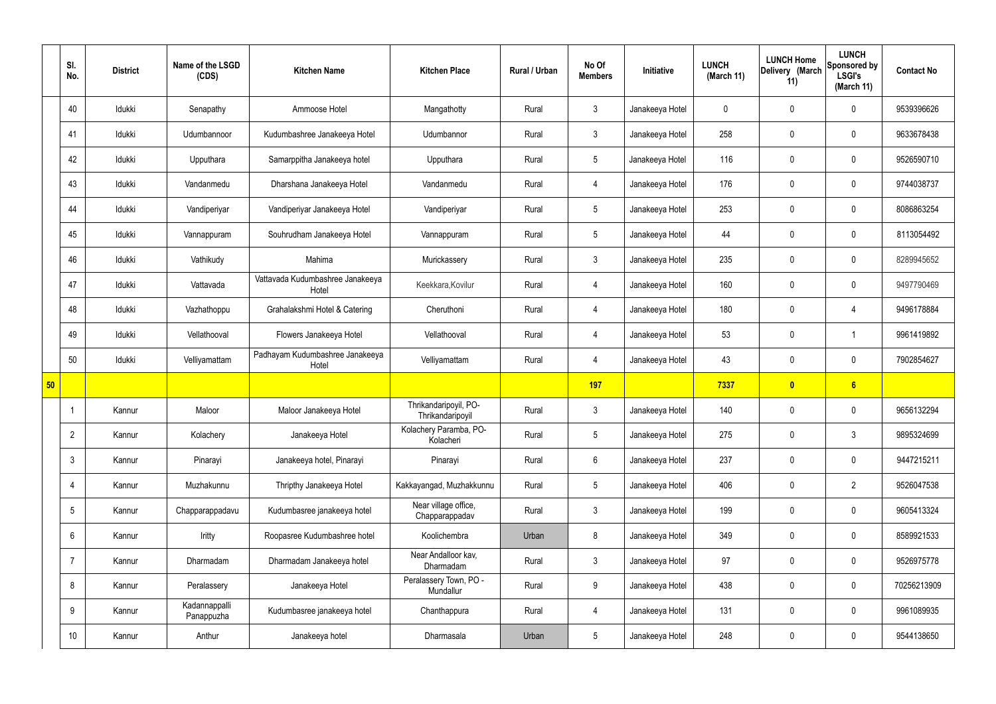|    | SI.<br>No.      | <b>District</b> | Name of the LSGD<br>(CDS)   | <b>Kitchen Name</b>                       | <b>Kitchen Place</b>                      | Rural / Urban | No Of<br><b>Members</b> | Initiative      | <b>LUNCH</b><br>(March 11) | <b>LUNCH Home</b><br>Delivery (March<br>11) | <b>LUNCH</b><br>Sponsored by<br><b>LSGI's</b><br>(March 11) | <b>Contact No</b> |
|----|-----------------|-----------------|-----------------------------|-------------------------------------------|-------------------------------------------|---------------|-------------------------|-----------------|----------------------------|---------------------------------------------|-------------------------------------------------------------|-------------------|
|    | 40              | Idukki          | Senapathy                   | Ammoose Hotel                             | Mangathotty                               | Rural         | $\mathbf{3}$            | Janakeeya Hotel | $\mathbf 0$                | $\mathbf 0$                                 | $\mathbf 0$                                                 | 9539396626        |
|    | 41              | Idukki          | Udumbannoor                 | Kudumbashree Janakeeya Hotel              | Udumbannor                                | Rural         | $\mathbf{3}$            | Janakeeya Hotel | 258                        | $\mathbf 0$                                 | $\mathbf 0$                                                 | 9633678438        |
|    | 42              | Idukki          | Upputhara                   | Samarppitha Janakeeya hotel               | Upputhara                                 | Rural         | 5 <sup>5</sup>          | Janakeeya Hotel | 116                        | $\mathbf 0$                                 | $\mathbf 0$                                                 | 9526590710        |
|    | 43              | Idukki          | Vandanmedu                  | Dharshana Janakeeya Hotel                 | Vandanmedu                                | Rural         | $\overline{4}$          | Janakeeya Hotel | 176                        | $\mathbf 0$                                 | $\mathbf 0$                                                 | 9744038737        |
|    | 44              | Idukki          | Vandiperiyar                | Vandiperiyar Janakeeya Hotel              | Vandiperiyar                              | Rural         | $5\phantom{.0}$         | Janakeeya Hotel | 253                        | $\mathbf 0$                                 | $\mathbf 0$                                                 | 8086863254        |
|    | 45              | Idukki          | Vannappuram                 | Souhrudham Janakeeya Hotel                | Vannappuram                               | Rural         | $5\overline{)}$         | Janakeeya Hotel | 44                         | $\mathbf 0$                                 | $\mathbf 0$                                                 | 8113054492        |
|    | 46              | Idukki          | Vathikudy                   | Mahima                                    | Murickassery                              | Rural         | 3                       | Janakeeya Hotel | 235                        | $\mathbf 0$                                 | $\mathbf 0$                                                 | 8289945652        |
|    | 47              | Idukki          | Vattavada                   | Vattavada Kudumbashree Janakeeya<br>Hotel | Keekkara, Kovilur                         | Rural         | $\overline{4}$          | Janakeeya Hotel | 160                        | $\mathbf 0$                                 | $\mathbf 0$                                                 | 9497790469        |
|    | 48              | Idukki          | Vazhathoppu                 | Grahalakshmi Hotel & Catering             | Cheruthoni                                | Rural         | $\overline{4}$          | Janakeeya Hotel | 180                        | $\mathbf 0$                                 | 4                                                           | 9496178884        |
|    | 49              | Idukki          | Vellathooval                | Flowers Janakeeya Hotel                   | Vellathooval                              | Rural         | $\overline{4}$          | Janakeeya Hotel | 53                         | $\mathbf 0$                                 | $\overline{\mathbf{1}}$                                     | 9961419892        |
|    | 50              | Idukki          | Velliyamattam               | Padhayam Kudumbashree Janakeeya<br>Hotel  | Velliyamattam                             | Rural         | $\overline{4}$          | Janakeeya Hotel | 43                         | $\mathbf 0$                                 | $\mathbf 0$                                                 | 7902854627        |
| 50 |                 |                 |                             |                                           |                                           |               | <b>197</b>              |                 | 7337                       | $\bullet$                                   | 6                                                           |                   |
|    |                 | Kannur          | Maloor                      | Maloor Janakeeya Hotel                    | Thrikandaripoyil, PO-<br>Thrikandaripoyil | Rural         | $\mathbf{3}$            | Janakeeya Hotel | 140                        | $\mathbf 0$                                 | $\mathbf 0$                                                 | 9656132294        |
|    | $\overline{2}$  | Kannur          | Kolachery                   | Janakeeya Hotel                           | Kolachery Paramba, PO-<br>Kolacheri       | Rural         | $5\overline{)}$         | Janakeeya Hotel | 275                        | $\pmb{0}$                                   | $\mathfrak{Z}$                                              | 9895324699        |
|    | 3               | Kannur          | Pinarayi                    | Janakeeya hotel, Pinarayi                 | Pinarayi                                  | Rural         | $6\overline{6}$         | Janakeeya Hotel | 237                        | $\pmb{0}$                                   | $\mathbf 0$                                                 | 9447215211        |
|    | 4               | Kannur          | Muzhakunnu                  | Thripthy Janakeeya Hotel                  | Kakkayangad, Muzhakkunnu                  | Rural         | 5 <sub>5</sub>          | Janakeeya Hotel | 406                        | $\mathbf 0$                                 | $\overline{2}$                                              | 9526047538        |
|    | $5\overline{)}$ | Kannur          | Chapparappadavu             | Kudumbasree janakeeya hotel               | Near village office,<br>Chapparappadav    | Rural         | $\mathbf{3}$            | Janakeeya Hotel | 199                        | $\pmb{0}$                                   | $\mathbf 0$                                                 | 9605413324        |
|    | 6               | Kannur          | Iritty                      | Roopasree Kudumbashree hotel              | Koolichembra                              | Urban         | 8                       | Janakeeya Hotel | 349                        | $\mathbf 0$                                 | $\mathbf 0$                                                 | 8589921533        |
|    | 7               | Kannur          | Dharmadam                   | Dharmadam Janakeeya hotel                 | Near Andalloor kav,<br>Dharmadam          | Rural         | $\mathbf{3}$            | Janakeeya Hotel | 97                         | $\mathbf 0$                                 | $\mathbf 0$                                                 | 9526975778        |
|    | 8               | Kannur          | Peralassery                 | Janakeeya Hotel                           | Peralassery Town, PO -<br>Mundallur       | Rural         | $9\phantom{.0}$         | Janakeeya Hotel | 438                        | $\pmb{0}$                                   | $\mathbf 0$                                                 | 70256213909       |
|    | 9               | Kannur          | Kadannappalli<br>Panappuzha | Kudumbasree janakeeya hotel               | Chanthappura                              | Rural         | $\overline{4}$          | Janakeeya Hotel | 131                        | $\pmb{0}$                                   | $\mathbf 0$                                                 | 9961089935        |
|    | 10 <sup>°</sup> | Kannur          | Anthur                      | Janakeeya hotel                           | Dharmasala                                | Urban         | 5 <sub>5</sub>          | Janakeeya Hotel | 248                        | $\pmb{0}$                                   | $\boldsymbol{0}$                                            | 9544138650        |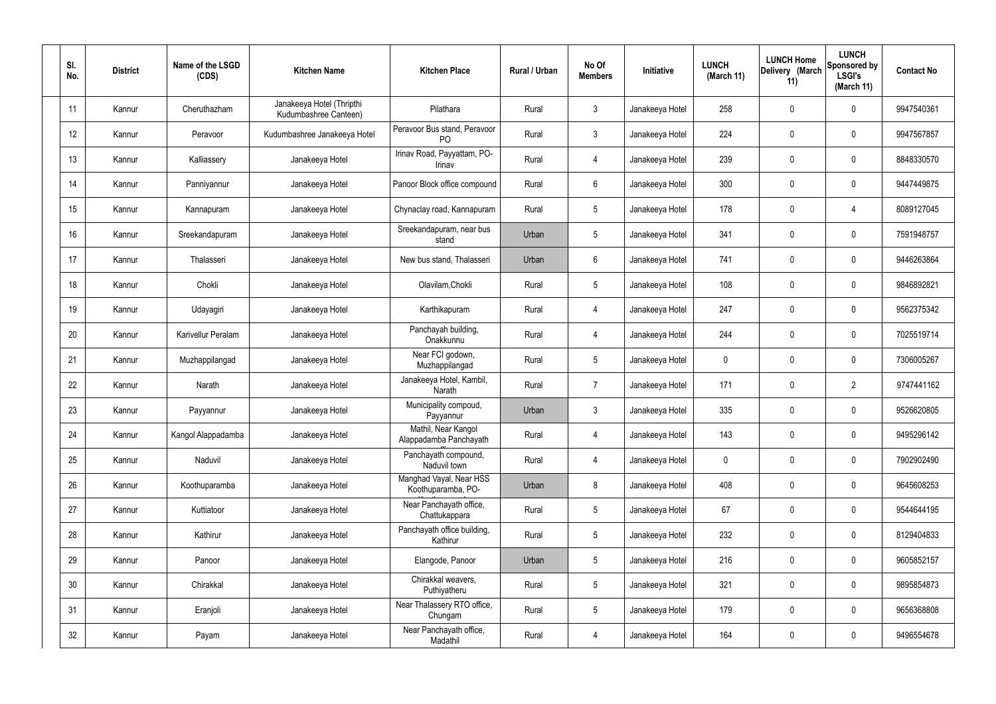| SI.<br>No. | <b>District</b> | Name of the LSGD<br>(CDS) | <b>Kitchen Name</b>                                | <b>Kitchen Place</b>                           | Rural / Urban | No Of<br><b>Members</b> | Initiative      | <b>LUNCH</b><br>(March 11) | <b>LUNCH Home</b><br>Delivery (March<br>11) | <b>LUNCH</b><br>Sponsored by<br><b>LSGI's</b><br>(March 11) | <b>Contact No</b> |
|------------|-----------------|---------------------------|----------------------------------------------------|------------------------------------------------|---------------|-------------------------|-----------------|----------------------------|---------------------------------------------|-------------------------------------------------------------|-------------------|
| 11         | Kannur          | Cheruthazham              | Janakeeya Hotel (Thripthi<br>Kudumbashree Canteen) | Pilathara                                      | Rural         | $\mathbf{3}$            | Janakeeya Hotel | 258                        | $\mathbf 0$                                 | $\mathbf 0$                                                 | 9947540361        |
| 12         | Kannur          | Peravoor                  | Kudumbashree Janakeeya Hotel                       | Peravoor Bus stand, Peravoor<br>P <sub>O</sub> | Rural         | $\mathbf{3}$            | Janakeeya Hotel | 224                        | $\mathbf 0$                                 | $\mathbf 0$                                                 | 9947567857        |
| 13         | Kannur          | Kalliassery               | Janakeeya Hotel                                    | Irinav Road, Payyattam, PO-<br>Irinav          | Rural         | $\overline{4}$          | Janakeeya Hotel | 239                        | $\mathbf 0$                                 | $\mathbf 0$                                                 | 8848330570        |
| 14         | Kannur          | Panniyannur               | Janakeeya Hotel                                    | Panoor Block office compound                   | Rural         | $6\phantom{.}6$         | Janakeeya Hotel | 300                        | $\mathbf 0$                                 | $\mathbf 0$                                                 | 9447449875        |
| 15         | Kannur          | Kannapuram                | Janakeeya Hotel                                    | Chynaclay road, Kannapuram                     | Rural         | $5\overline{)}$         | Janakeeya Hotel | 178                        | $\mathbf 0$                                 | 4                                                           | 8089127045        |
| 16         | Kannur          | Sreekandapuram            | Janakeeya Hotel                                    | Sreekandapuram, near bus<br>stand              | Urban         | $5\phantom{.0}$         | Janakeeya Hotel | 341                        | $\mathbf 0$                                 | $\mathbf 0$                                                 | 7591948757        |
| 17         | Kannur          | Thalasseri                | Janakeeya Hotel                                    | New bus stand, Thalasseri                      | Urban         | $6\phantom{.}6$         | Janakeeya Hotel | 741                        | $\mathbf 0$                                 | $\mathbf 0$                                                 | 9446263864        |
| 18         | Kannur          | Chokli                    | Janakeeya Hotel                                    | Olavilam, Chokli                               | Rural         | $5\phantom{.0}$         | Janakeeya Hotel | 108                        | $\mathbf 0$                                 | $\mathbf 0$                                                 | 9846892821        |
| 19         | Kannur          | Udayagiri                 | Janakeeya Hotel                                    | Karthikapuram                                  | Rural         | $\overline{4}$          | Janakeeya Hotel | 247                        | $\mathbf 0$                                 | $\mathbf 0$                                                 | 9562375342        |
| 20         | Kannur          | Karivellur Peralam        | Janakeeya Hotel                                    | Panchayah building,<br>Onakkunnu               | Rural         | $\overline{4}$          | Janakeeya Hotel | 244                        | $\mathbf 0$                                 | $\mathbf 0$                                                 | 7025519714        |
| 21         | Kannur          | Muzhappilangad            | Janakeeya Hotel                                    | Near FCI godown,<br>Muzhappilangad             | Rural         | $5\phantom{.0}$         | Janakeeya Hotel | 0                          | 0                                           | $\mathbf 0$                                                 | 7306005267        |
| 22         | Kannur          | Narath                    | Janakeeya Hotel                                    | Janakeeya Hotel, Kambil,<br>Narath             | Rural         | $\overline{7}$          | Janakeeya Hotel | 171                        | $\mathbf 0$                                 | $\overline{2}$                                              | 9747441162        |
| 23         | Kannur          | Payyannur                 | Janakeeya Hotel                                    | Municipality compoud,<br>Payyannur             | Urban         | $\mathbf{3}$            | Janakeeya Hotel | 335                        | $\mathbf 0$                                 | $\mathbf 0$                                                 | 9526620805        |
| 24         | Kannur          | Kangol Alappadamba        | Janakeeya Hotel                                    | Mathil, Near Kangol<br>Alappadamba Panchayath  | Rural         | $\overline{4}$          | Janakeeya Hotel | 143                        | $\mathbf 0$                                 | $\mathbf 0$                                                 | 9495296142        |
| 25         | Kannur          | Naduvil                   | Janakeeya Hotel                                    | Panchayath compound,<br>Naduvil town           | Rural         | $\overline{4}$          | Janakeeya Hotel | 0                          | $\mathbf 0$                                 | $\mathbf 0$                                                 | 7902902490        |
| 26         | Kannur          | Koothuparamba             | Janakeeya Hotel                                    | Manghad Vayal, Near HSS<br>Koothuparamba, PO-  | Urban         | 8                       | Janakeeya Hotel | 408                        | $\mathbf 0$                                 | $\mathbf 0$                                                 | 9645608253        |
| 27         | Kannur          | Kuttiatoor                | Janakeeya Hotel                                    | Near Panchayath office,<br>Chattukappara       | Rural         | $5\phantom{.0}$         | Janakeeya Hotel | 67                         | $\mathbf 0$                                 | $\mathbf 0$                                                 | 9544644195        |
| 28         | Kannur          | Kathirur                  | Janakeeya Hotel                                    | Panchayath office building,<br>Kathirur        | Rural         | $5\phantom{.0}$         | Janakeeya Hotel | 232                        | $\mathbf 0$                                 | $\mathbf 0$                                                 | 8129404833        |
| 29         | Kannur          | Panoor                    | Janakeeya Hotel                                    | Elangode, Panoor                               | Urban         | $5\phantom{.0}$         | Janakeeya Hotel | 216                        | 0                                           | $\mathbf 0$                                                 | 9605852157        |
| 30         | Kannur          | Chirakkal                 | Janakeeya Hotel                                    | Chirakkal weavers,<br>Puthiyatheru             | Rural         | $5\phantom{.0}$         | Janakeeya Hotel | 321                        | 0                                           | $\mathbf 0$                                                 | 9895854873        |
| 31         | Kannur          | Eranjoli                  | Janakeeya Hotel                                    | Near Thalassery RTO office,<br>Chungam         | Rural         | $5\phantom{.0}$         | Janakeeya Hotel | 179                        | $\mathbf 0$                                 | $\mathbf 0$                                                 | 9656368808        |
| 32         | Kannur          | Payam                     | Janakeeya Hotel                                    | Near Panchayath office,<br>Madathil            | Rural         | $\overline{4}$          | Janakeeya Hotel | 164                        | 0                                           | $\mathbf 0$                                                 | 9496554678        |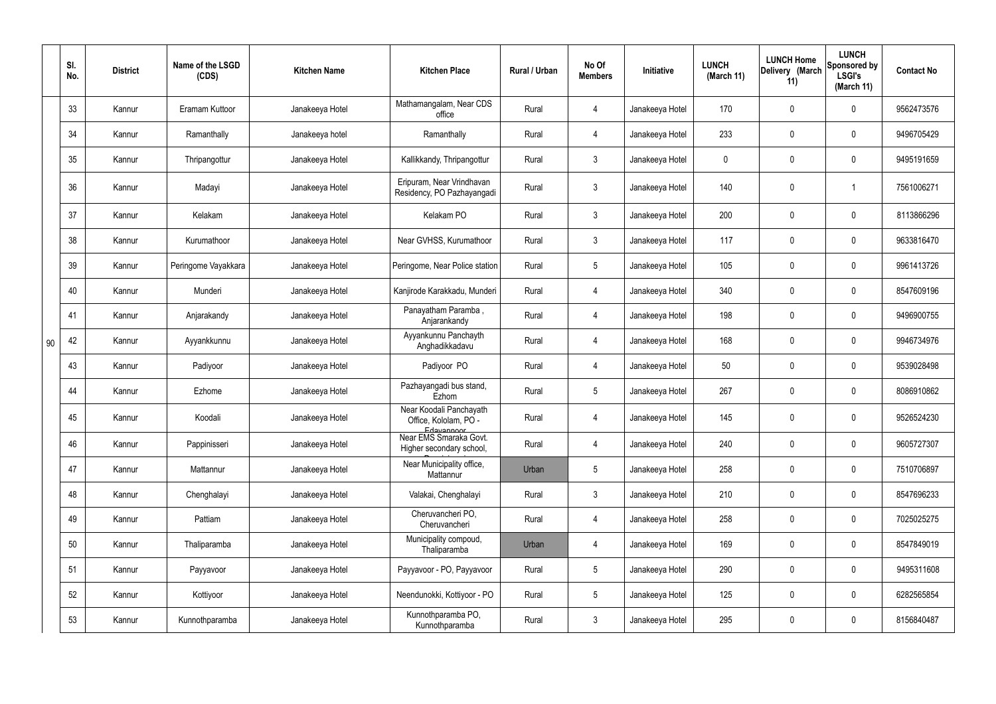|    | SI.<br>No. | <b>District</b> | Name of the LSGD<br>(CDS) | <b>Kitchen Name</b> | <b>Kitchen Place</b>                                           | Rural / Urban | No Of<br><b>Members</b> | Initiative      | <b>LUNCH</b><br>(March 11) | <b>LUNCH Home</b><br>Delivery (March<br>11) | <b>LUNCH</b><br>Sponsored by<br><b>LSGI's</b><br>(March 11) | <b>Contact No</b> |
|----|------------|-----------------|---------------------------|---------------------|----------------------------------------------------------------|---------------|-------------------------|-----------------|----------------------------|---------------------------------------------|-------------------------------------------------------------|-------------------|
|    | 33         | Kannur          | Eramam Kuttoor            | Janakeeya Hotel     | Mathamangalam, Near CDS<br>office                              | Rural         | 4                       | Janakeeya Hotel | 170                        | 0                                           | $\mathbf 0$                                                 | 9562473576        |
|    | 34         | Kannur          | Ramanthally               | Janakeeya hotel     | Ramanthally                                                    | Rural         | 4                       | Janakeeya Hotel | 233                        | $\mathbf 0$                                 | $\overline{0}$                                              | 9496705429        |
|    | 35         | Kannur          | Thripangottur             | Janakeeya Hotel     | Kallikkandy, Thripangottur                                     | Rural         | $\mathbf{3}$            | Janakeeya Hotel | 0                          | 0                                           | $\overline{0}$                                              | 9495191659        |
|    | 36         | Kannur          | Madayi                    | Janakeeya Hotel     | Eripuram, Near Vrindhavan<br>Residency, PO Pazhayangadi        | Rural         | $\mathbf{3}$            | Janakeeya Hotel | 140                        | 0                                           |                                                             | 7561006271        |
|    | 37         | Kannur          | Kelakam                   | Janakeeya Hotel     | Kelakam PO                                                     | Rural         | $\mathbf{3}$            | Janakeeya Hotel | 200                        | 0                                           | $\mathbf 0$                                                 | 8113866296        |
|    | 38         | Kannur          | Kurumathoor               | Janakeeya Hotel     | Near GVHSS, Kurumathoor                                        | Rural         | $\mathbf{3}$            | Janakeeya Hotel | 117                        | 0                                           | $\mathbf 0$                                                 | 9633816470        |
|    | 39         | Kannur          | Peringome Vayakkara       | Janakeeya Hotel     | Peringome, Near Police station                                 | Rural         | $5\phantom{.0}$         | Janakeeya Hotel | 105                        | 0                                           | $\mathbf 0$                                                 | 9961413726        |
|    | 40         | Kannur          | Munderi                   | Janakeeya Hotel     | Kanjirode Karakkadu, Munderi                                   | Rural         | $\overline{4}$          | Janakeeya Hotel | 340                        | 0                                           | $\mathbf 0$                                                 | 8547609196        |
|    | 41         | Kannur          | Anjarakandy               | Janakeeya Hotel     | Panayatham Paramba,<br>Anjarankandy                            | Rural         | 4                       | Janakeeya Hotel | 198                        | 0                                           | $\mathbf 0$                                                 | 9496900755        |
| 90 | 42         | Kannur          | Ayyankkunnu               | Janakeeya Hotel     | Ayyankunnu Panchayth<br>Anghadikkadavu                         | Rural         | $\overline{4}$          | Janakeeya Hotel | 168                        | 0                                           | $\mathbf 0$                                                 | 9946734976        |
|    | 43         | Kannur          | Padiyoor                  | Janakeeya Hotel     | Padiyoor PO                                                    | Rural         | 4                       | Janakeeya Hotel | 50                         | 0                                           | $\mathbf 0$                                                 | 9539028498        |
|    | 44         | Kannur          | Ezhome                    | Janakeeya Hotel     | Pazhayangadi bus stand,<br>Ezhom                               | Rural         | $5\phantom{.0}$         | Janakeeya Hotel | 267                        | 0                                           | $\mathbf 0$                                                 | 8086910862        |
|    | 45         | Kannur          | Koodali                   | Janakeeya Hotel     | Near Koodali Panchayath<br>Office, Kololam, PO -<br>Edavannoor | Rural         |                         | Janakeeya Hotel | 145                        | $\mathbf 0$                                 | 0                                                           | 9526524230        |
|    | 46         | Kannur          | Pappinisseri              | Janakeeya Hotel     | Near EMS Smaraka Govt.<br>Higher secondary school,             | Rural         | $\overline{4}$          | Janakeeya Hotel | 240                        | 0                                           | $\mathbf 0$                                                 | 9605727307        |
|    | 47         | Kannur          | Mattannur                 | Janakeeya Hotel     | Near Municipality office,<br>Mattannur                         | Urban         | $5\phantom{.0}$         | Janakeeya Hotel | 258                        | 0                                           | $\mathbf 0$                                                 | 7510706897        |
|    | 48         | Kannur          | Chenghalayi               | Janakeeya Hotel     | Valakai, Chenghalayi                                           | Rural         | $\mathbf{3}$            | Janakeeya Hotel | 210                        | 0                                           | $\mathbf 0$                                                 | 8547696233        |
|    | 49         | Kannur          | Pattiam                   | Janakeeya Hotel     | Cheruvancheri PO,<br>Cheruvancheri                             | Rural         | $\overline{4}$          | Janakeeya Hotel | 258                        | 0                                           | $\mathbf 0$                                                 | 7025025275        |
|    | 50         | Kannur          | Thaliparamba              | Janakeeya Hotel     | Municipality compoud,<br>Thaliparamba                          | Urban         | $\overline{4}$          | Janakeeya Hotel | 169                        | 0                                           | $\mathbf 0$                                                 | 8547849019        |
|    | 51         | Kannur          | Payyavoor                 | Janakeeya Hotel     | Payyavoor - PO, Payyavoor                                      | Rural         | $5\phantom{.0}$         | Janakeeya Hotel | 290                        | 0                                           | $\mathbf 0$                                                 | 9495311608        |
|    | 52         | Kannur          | Kottiyoor                 | Janakeeya Hotel     | Neendunokki, Kottiyoor - PO                                    | Rural         | $5\phantom{.0}$         | Janakeeya Hotel | 125                        | 0                                           | $\mathbf 0$                                                 | 6282565854        |
|    | 53         | Kannur          | Kunnothparamba            | Janakeeya Hotel     | Kunnothparamba PO,<br>Kunnothparamba                           | Rural         | $\mathbf{3}$            | Janakeeya Hotel | 295                        | 0                                           | $\boldsymbol{0}$                                            | 8156840487        |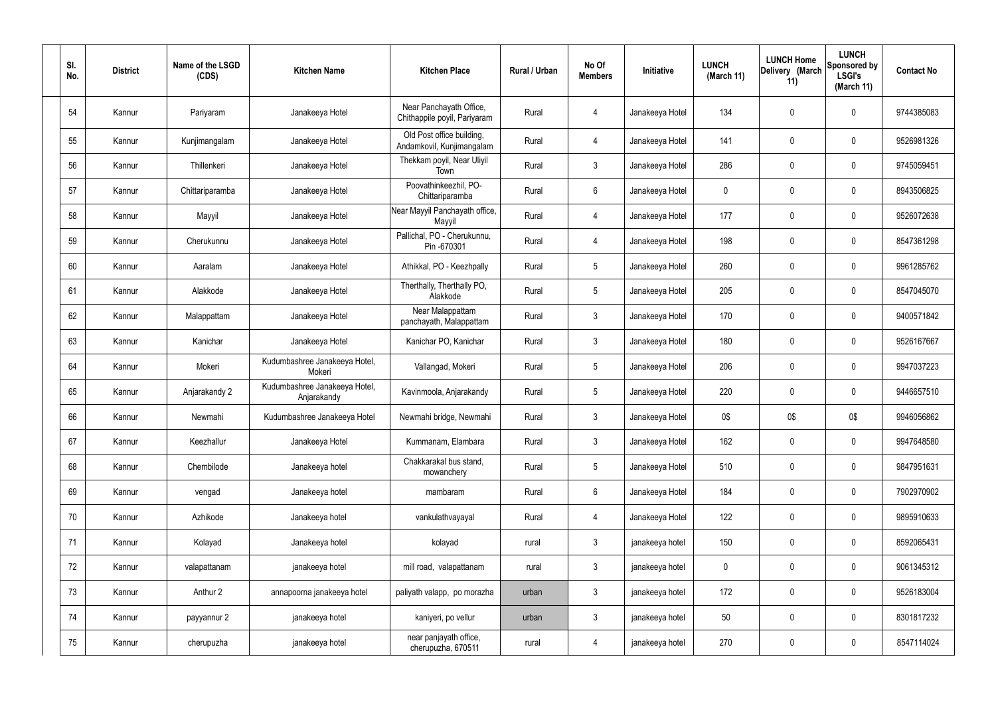| SI.<br>No. | <b>District</b> | Name of the LSGD<br>(CDS) | <b>Kitchen Name</b>                          | <b>Kitchen Place</b>                                    | Rural / Urban | No Of<br><b>Members</b> | Initiative      | <b>LUNCH</b><br>(March 11) | <b>LUNCH Home</b><br>Delivery (March<br>11) | <b>LUNCH</b><br>Sponsored by<br><b>LSGI's</b><br>(March 11) | <b>Contact No</b> |
|------------|-----------------|---------------------------|----------------------------------------------|---------------------------------------------------------|---------------|-------------------------|-----------------|----------------------------|---------------------------------------------|-------------------------------------------------------------|-------------------|
| 54         | Kannur          | Pariyaram                 | Janakeeya Hotel                              | Near Panchayath Office,<br>Chithappile poyil, Pariyaram | Rural         | 4                       | Janakeeya Hotel | 134                        | 0                                           | $\mathbf 0$                                                 | 9744385083        |
| 55         | Kannur          | Kunjimangalam             | Janakeeya Hotel                              | Old Post office building,<br>Andamkovil, Kunjimangalam  | Rural         | $\overline{4}$          | Janakeeya Hotel | 141                        | 0                                           | $\mathbf 0$                                                 | 9526981326        |
| 56         | Kannur          | Thillenkeri               | Janakeeya Hotel                              | Thekkam poyil, Near Uliyil<br>Town                      | Rural         | $\mathbf{3}$            | Janakeeya Hotel | 286                        | $\boldsymbol{0}$                            | $\overline{0}$                                              | 9745059451        |
| 57         | Kannur          | Chittariparamba           | Janakeeya Hotel                              | Poovathinkeezhil, PO-<br>Chittariparamba                | Rural         | $6\phantom{.0}$         | Janakeeya Hotel | $\mathbf 0$                | 0                                           | $\mathbf 0$                                                 | 8943506825        |
| 58         | Kannur          | Mayyil                    | Janakeeya Hotel                              | Near Mayyil Panchayath office,<br>Mayyil                | Rural         | 4                       | Janakeeya Hotel | 177                        | 0                                           | $\mathbf 0$                                                 | 9526072638        |
| 59         | Kannur          | Cherukunnu                | Janakeeya Hotel                              | Pallichal, PO - Cherukunnu,<br>Pin -670301              | Rural         | $\overline{4}$          | Janakeeya Hotel | 198                        | 0                                           | $\mathbf 0$                                                 | 8547361298        |
| 60         | Kannur          | Aaralam                   | Janakeeya Hotel                              | Athikkal, PO - Keezhpally                               | Rural         | $5\phantom{.0}$         | Janakeeya Hotel | 260                        | $\mathbf 0$                                 | $\mathbf 0$                                                 | 9961285762        |
| 61         | Kannur          | Alakkode                  | Janakeeya Hotel                              | Therthally, Therthally PO,<br>Alakkode                  | Rural         | $5\overline{)}$         | Janakeeya Hotel | 205                        | $\mathbf 0$                                 | $\mathbf 0$                                                 | 8547045070        |
| 62         | Kannur          | Malappattam               | Janakeeya Hotel                              | Near Malappattam<br>panchayath, Malappattam             | Rural         | $\mathbf{3}$            | Janakeeya Hotel | 170                        | $\mathbf 0$                                 | $\mathbf 0$                                                 | 9400571842        |
| 63         | Kannur          | Kanichar                  | Janakeeya Hotel                              | Kanichar PO, Kanichar                                   | Rural         | $\mathbf{3}$            | Janakeeya Hotel | 180                        | 0                                           | $\pmb{0}$                                                   | 9526167667        |
| 64         | Kannur          | Mokeri                    | Kudumbashree Janakeeya Hotel,<br>Mokeri      | Vallangad, Mokeri                                       | Rural         | $5\overline{)}$         | Janakeeya Hotel | 206                        | 0                                           | $\mathbf 0$                                                 | 9947037223        |
| 65         | Kannur          | Anjarakandy 2             | Kudumbashree Janakeeya Hotel,<br>Anjarakandy | Kavinmoola, Anjarakandy                                 | Rural         | $5\phantom{.0}$         | Janakeeya Hotel | 220                        | 0                                           | $\mathbf 0$                                                 | 9446657510        |
| 66         | Kannur          | Newmahi                   | Kudumbashree Janakeeya Hotel                 | Newmahi bridge, Newmahi                                 | Rural         | 3                       | Janakeeya Hotel | 0\$                        | 0\$                                         | 0\$                                                         | 9946056862        |
| 67         | Kannur          | Keezhallur                | Janakeeya Hotel                              | Kummanam, Elambara                                      | Rural         | 3                       | Janakeeya Hotel | 162                        | 0                                           | $\mathbf 0$                                                 | 9947648580        |
| 68         | Kannur          | Chembilode                | Janakeeya hotel                              | Chakkarakal bus stand,<br>mowanchery                    | Rural         | 5 <sub>5</sub>          | Janakeeya Hotel | 510                        | 0                                           | $\overline{0}$                                              | 9847951631        |
| 69         | Kannur          | vengad                    | Janakeeya hotel                              | mambaram                                                | Rural         | 6                       | Janakeeya Hotel | 184                        | 0                                           | $\overline{0}$                                              | 7902970902        |
| 70         | Kannur          | Azhikode                  | Janakeeya hotel                              | vankulathvayayal                                        | Rural         | 4                       | Janakeeya Hotel | 122                        | 0                                           | $\overline{0}$                                              | 9895910633        |
| 71         | Kannur          | Kolayad                   | Janakeeya hotel                              | kolayad                                                 | rural         | $\mathbf{3}$            | janakeeya hotel | 150                        | 0                                           | $\mathbf 0$                                                 | 8592065431        |
| 72         | Kannur          | valapattanam              | janakeeya hotel                              | mill road, valapattanam                                 | rural         | $\mathbf{3}$            | janakeeya hotel | $\mathbf 0$                | 0                                           | $\mathbf 0$                                                 | 9061345312        |
| 73         | Kannur          | Anthur 2                  | annapoorna janakeeya hotel                   | paliyath valapp, po morazha                             | urban         | $\mathbf{3}$            | janakeeya hotel | 172                        | 0                                           | $\mathbf 0$                                                 | 9526183004        |
| 74         | Kannur          | payyannur 2               | janakeeya hotel                              | kaniyeri, po vellur                                     | urban         | 3                       | janakeeya hotel | 50                         | 0                                           | $\overline{0}$                                              | 8301817232        |
| 75         | Kannur          | cherupuzha                | janakeeya hotel                              | near panjayath office,<br>cherupuzha, 670511            | rural         | $\overline{4}$          | janakeeya hotel | 270                        | 0                                           | $\overline{0}$                                              | 8547114024        |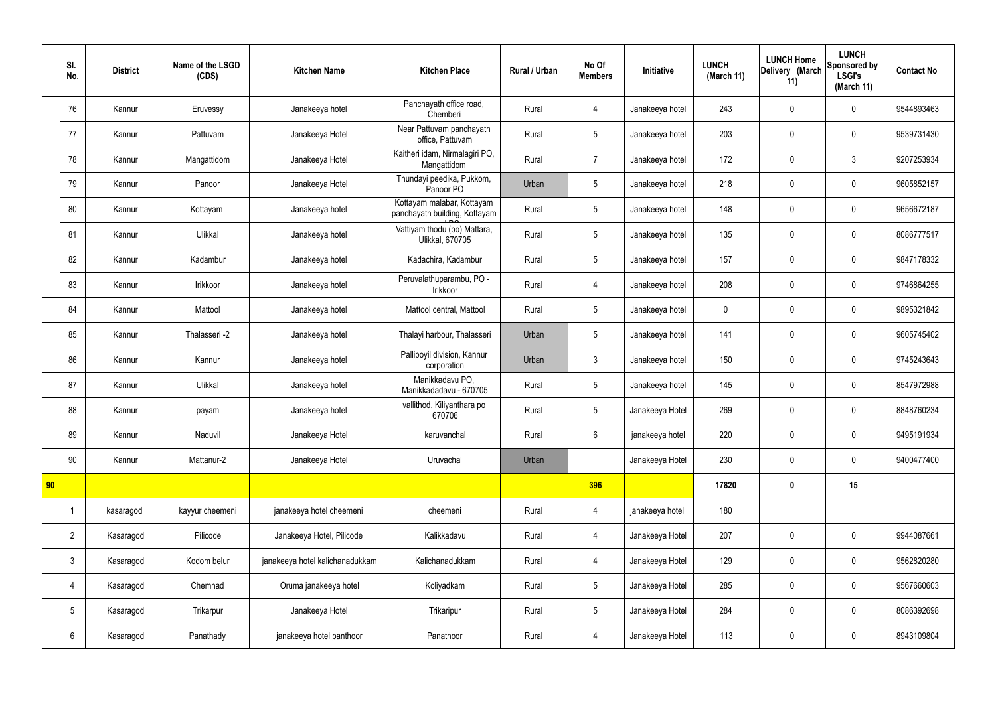|    | SI.<br>No.      | <b>District</b> | Name of the LSGD<br>(CDS) | <b>Kitchen Name</b>             | <b>Kitchen Place</b>                                        | <b>Rural / Urban</b> | No Of<br><b>Members</b> | Initiative      | <b>LUNCH</b><br>(March 11) | <b>LUNCH Home</b><br>Delivery (March<br>11) | <b>LUNCH</b><br>Sponsored by<br><b>LSGI's</b><br>(March 11) | <b>Contact No</b> |
|----|-----------------|-----------------|---------------------------|---------------------------------|-------------------------------------------------------------|----------------------|-------------------------|-----------------|----------------------------|---------------------------------------------|-------------------------------------------------------------|-------------------|
|    | 76              | Kannur          | Eruvessy                  | Janakeeya hotel                 | Panchayath office road,<br>Chemberi                         | Rural                | 4                       | Janakeeya hotel | 243                        | $\mathbf 0$                                 | $\mathbf 0$                                                 | 9544893463        |
|    | 77              | Kannur          | Pattuvam                  | Janakeeya Hotel                 | Near Pattuvam panchayath<br>office, Pattuvam                | Rural                | 5                       | Janakeeya hotel | 203                        | $\mathbf 0$                                 | $\mathbf 0$                                                 | 9539731430        |
|    | 78              | Kannur          | Mangattidom               | Janakeeya Hotel                 | Kaitheri idam, Nirmalagiri PO,<br>Mangattidom               | Rural                | $\overline{7}$          | Janakeeya hotel | 172                        | $\mathbf 0$                                 | $\mathbf{3}$                                                | 9207253934        |
|    | 79              | Kannur          | Panoor                    | Janakeeya Hotel                 | Thundayi peedika, Pukkom,<br>Panoor PO                      | Urban                | 5                       | Janakeeya hotel | 218                        | $\mathbf 0$                                 | $\mathbf 0$                                                 | 9605852157        |
|    | 80              | Kannur          | Kottayam                  | Janakeeya hotel                 | Kottayam malabar, Kottayam<br>panchayath building, Kottayam | Rural                | 5                       | Janakeeya hotel | 148                        | $\mathbf 0$                                 | $\mathbf 0$                                                 | 9656672187        |
|    | 81              | Kannur          | Ulikkal                   | Janakeeya hotel                 | Vattiyam thodu (po) Mattara,<br><b>Ulikkal, 670705</b>      | Rural                | 5                       | Janakeeya hotel | 135                        | $\mathbf 0$                                 | $\mathbf 0$                                                 | 8086777517        |
|    | 82              | Kannur          | Kadambur                  | Janakeeya hotel                 | Kadachira, Kadambur                                         | Rural                | 5                       | Janakeeya hotel | 157                        | $\mathbf 0$                                 | $\mathbf 0$                                                 | 9847178332        |
|    | 83              | Kannur          | Irikkoor                  | Janakeeya hotel                 | Peruvalathuparambu, PO -<br>Irikkoor                        | Rural                | 4                       | Janakeeya hotel | 208                        | $\mathbf 0$                                 | $\mathbf 0$                                                 | 9746864255        |
|    | 84              | Kannur          | Mattool                   | Janakeeya hotel                 | Mattool central, Mattool                                    | Rural                | 5                       | Janakeeya hotel | $\mathbf 0$                | $\mathbf 0$                                 | $\mathbf 0$                                                 | 9895321842        |
|    | 85              | Kannur          | Thalasseri -2             | Janakeeya hotel                 | Thalayi harbour, Thalasseri                                 | Urban                | 5                       | Janakeeya hotel | 141                        | $\pmb{0}$                                   | $\mathbf 0$                                                 | 9605745402        |
|    | 86              | Kannur          | Kannur                    | Janakeeya hotel                 | Pallipoyil division, Kannur<br>corporation                  | Urban                | $\mathbf{3}$            | Janakeeya hotel | 150                        | $\pmb{0}$                                   | $\mathbf 0$                                                 | 9745243643        |
|    | 87              | Kannur          | Ulikkal                   | Janakeeya hotel                 | Manikkadavu PO,<br>Manikkadadavu - 670705                   | Rural                | 5                       | Janakeeya hotel | 145                        | $\mathbf 0$                                 | $\mathbf 0$                                                 | 8547972988        |
|    | 88              | Kannur          | payam                     | Janakeeya hotel                 | vallithod, Kiliyanthara po<br>670706                        | Rural                | 5                       | Janakeeya Hotel | 269                        | $\mathbf 0$                                 | $\mathbf 0$                                                 | 8848760234        |
|    | 89              | Kannur          | Naduvil                   | Janakeeya Hotel                 | karuvanchal                                                 | Rural                | $6\overline{6}$         | janakeeya hotel | 220                        | $\pmb{0}$                                   | $\mathbf 0$                                                 | 9495191934        |
|    | 90              | Kannur          | Mattanur-2                | Janakeeya Hotel                 | Uruvachal                                                   | Urban                |                         | Janakeeya Hotel | 230                        | $\pmb{0}$                                   | $\mathbf 0$                                                 | 9400477400        |
| 90 |                 |                 |                           |                                 |                                                             |                      | 396                     |                 | 17820                      | $\pmb{0}$                                   | 15                                                          |                   |
|    |                 | kasaragod       | kayyur cheemeni           | janakeeya hotel cheemeni        | cheemeni                                                    | Rural                | $\overline{4}$          | janakeeya hotel | 180                        |                                             |                                                             |                   |
|    | $\overline{2}$  | Kasaragod       | Pilicode                  | Janakeeya Hotel, Pilicode       | Kalikkadavu                                                 | Rural                | $\overline{4}$          | Janakeeya Hotel | 207                        | $\pmb{0}$                                   | $\mathbf 0$                                                 | 9944087661        |
|    | $\mathbf{3}$    | Kasaragod       | Kodom belur               | janakeeya hotel kalichanadukkam | Kalichanadukkam                                             | Rural                | $\overline{4}$          | Janakeeya Hotel | 129                        | $\pmb{0}$                                   | $\mathbf 0$                                                 | 9562820280        |
|    | 4               | Kasaragod       | Chemnad                   | Oruma janakeeya hotel           | Koliyadkam                                                  | Rural                | $5\phantom{.0}$         | Janakeeya Hotel | 285                        | $\pmb{0}$                                   | $\mathbf 0$                                                 | 9567660603        |
|    | $5\phantom{.0}$ | Kasaragod       | Trikarpur                 | Janakeeya Hotel                 | Trikaripur                                                  | Rural                | $5\phantom{.0}$         | Janakeeya Hotel | 284                        | $\mathbf 0$                                 | $\mathbf 0$                                                 | 8086392698        |
|    | $6\phantom{.}6$ | Kasaragod       | Panathady                 | janakeeya hotel panthoor        | Panathoor                                                   | Rural                | 4                       | Janakeeya Hotel | 113                        | $\pmb{0}$                                   | $\mathbf 0$                                                 | 8943109804        |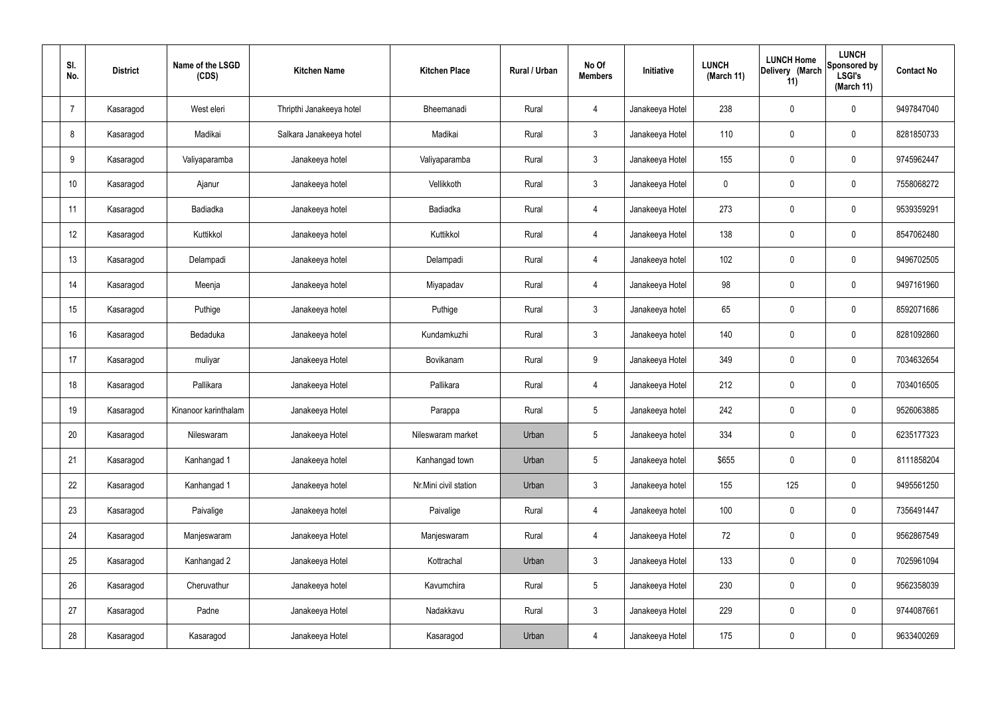| SI.<br>No.      | <b>District</b> | Name of the LSGD<br>(CDS) | <b>Kitchen Name</b>      | <b>Kitchen Place</b>  | Rural / Urban | No Of<br><b>Members</b> | Initiative      | <b>LUNCH</b><br>(March 11) | <b>LUNCH Home</b><br>Delivery (March<br>11) | <b>LUNCH</b><br>Sponsored by<br><b>LSGI's</b><br>(March 11) | <b>Contact No</b> |
|-----------------|-----------------|---------------------------|--------------------------|-----------------------|---------------|-------------------------|-----------------|----------------------------|---------------------------------------------|-------------------------------------------------------------|-------------------|
| $\overline{7}$  | Kasaragod       | West eleri                | Thripthi Janakeeya hotel | Bheemanadi            | Rural         | $\overline{4}$          | Janakeeya Hotel | 238                        | $\pmb{0}$                                   | $\mathbf 0$                                                 | 9497847040        |
| 8               | Kasaragod       | Madikai                   | Salkara Janakeeya hotel  | Madikai               | Rural         | $\mathbf{3}$            | Janakeeya Hotel | 110                        | $\pmb{0}$                                   | $\mathbf 0$                                                 | 8281850733        |
| 9               | Kasaragod       | Valiyaparamba             | Janakeeya hotel          | Valiyaparamba         | Rural         | $\mathbf{3}$            | Janakeeya Hotel | 155                        | $\pmb{0}$                                   | $\mathbf 0$                                                 | 9745962447        |
| 10 <sup>°</sup> | Kasaragod       | Ajanur                    | Janakeeya hotel          | Vellikkoth            | Rural         | $\mathbf{3}$            | Janakeeya Hotel | $\mathbf 0$                | $\pmb{0}$                                   | $\mathbf 0$                                                 | 7558068272        |
| 11              | Kasaragod       | Badiadka                  | Janakeeya hotel          | Badiadka              | Rural         | $\overline{4}$          | Janakeeya Hotel | 273                        | $\pmb{0}$                                   | $\mathbf 0$                                                 | 9539359291        |
| 12              | Kasaragod       | Kuttikkol                 | Janakeeya hotel          | Kuttikkol             | Rural         | $\overline{4}$          | Janakeeya Hotel | 138                        | $\mathbf 0$                                 | $\mathbf 0$                                                 | 8547062480        |
| 13              | Kasaragod       | Delampadi                 | Janakeeya hotel          | Delampadi             | Rural         | $\overline{4}$          | Janakeeya hotel | 102                        | $\pmb{0}$                                   | $\mathbf 0$                                                 | 9496702505        |
| 14              | Kasaragod       | Meenja                    | Janakeeya hotel          | Miyapadav             | Rural         | $\overline{4}$          | Janakeeya Hotel | 98                         | $\pmb{0}$                                   | $\mathbf 0$                                                 | 9497161960        |
| 15              | Kasaragod       | Puthige                   | Janakeeya hotel          | Puthige               | Rural         | $\mathbf{3}$            | Janakeeya hotel | 65                         | $\pmb{0}$                                   | $\mathbf 0$                                                 | 8592071686        |
| 16              | Kasaragod       | Bedaduka                  | Janakeeya hotel          | Kundamkuzhi           | Rural         | $\mathbf{3}$            | Janakeeya hotel | 140                        | $\mathbf 0$                                 | $\mathbf 0$                                                 | 8281092860        |
| 17              | Kasaragod       | muliyar                   | Janakeeya Hotel          | Bovikanam             | Rural         | 9                       | Janakeeya Hotel | 349                        | $\mathbf 0$                                 | $\mathbf 0$                                                 | 7034632654        |
| 18              | Kasaragod       | Pallikara                 | Janakeeya Hotel          | Pallikara             | Rural         | $\overline{4}$          | Janakeeya Hotel | 212                        | $\pmb{0}$                                   | $\overline{0}$                                              | 7034016505        |
| 19              | Kasaragod       | Kinanoor karinthalam      | Janakeeya Hotel          | Parappa               | Rural         | 5                       | Janakeeya hotel | 242                        | 0                                           | $\mathbf 0$                                                 | 9526063885        |
| 20              | Kasaragod       | Nileswaram                | Janakeeya Hotel          | Nileswaram market     | Urban         | 5                       | Janakeeya hotel | 334                        | $\pmb{0}$                                   | $\mathbf 0$                                                 | 6235177323        |
| 21              | Kasaragod       | Kanhangad 1               | Janakeeya hotel          | Kanhangad town        | Urban         | $5\phantom{.0}$         | Janakeeya hotel | \$655                      | $\pmb{0}$                                   | $\mathbf 0$                                                 | 8111858204        |
| 22              | Kasaragod       | Kanhangad 1               | Janakeeya hotel          | Nr.Mini civil station | Urban         | $\mathbf{3}$            | Janakeeya hotel | 155                        | 125                                         | $\mathbf 0$                                                 | 9495561250        |
| 23              | Kasaragod       | Paivalige                 | Janakeeya hotel          | Paivalige             | Rural         | $\overline{4}$          | Janakeeya hotel | 100                        | $\pmb{0}$                                   | $\mathbf 0$                                                 | 7356491447        |
| 24              | Kasaragod       | Manjeswaram               | Janakeeya Hotel          | Manjeswaram           | Rural         | $\overline{4}$          | Janakeeya Hotel | 72                         | $\pmb{0}$                                   | $\mathbf 0$                                                 | 9562867549        |
| 25              | Kasaragod       | Kanhangad 2               | Janakeeya Hotel          | Kottrachal            | Urban         | $\mathfrak{Z}$          | Janakeeya Hotel | 133                        | $\pmb{0}$                                   | $\mathbf 0$                                                 | 7025961094        |
| 26              | Kasaragod       | Cheruvathur               | Janakeeya hotel          | Kavumchira            | Rural         | $5\phantom{.0}$         | Janakeeya Hotel | 230                        | $\pmb{0}$                                   | $\mathbf 0$                                                 | 9562358039        |
| 27              | Kasaragod       | Padne                     | Janakeeya Hotel          | Nadakkavu             | Rural         | $\mathfrak{Z}$          | Janakeeya Hotel | 229                        | $\pmb{0}$                                   | $\mathbf 0$                                                 | 9744087661        |
| 28              | Kasaragod       | Kasaragod                 | Janakeeya Hotel          | Kasaragod             | Urban         | 4                       | Janakeeya Hotel | 175                        | $\pmb{0}$                                   | $\boldsymbol{0}$                                            | 9633400269        |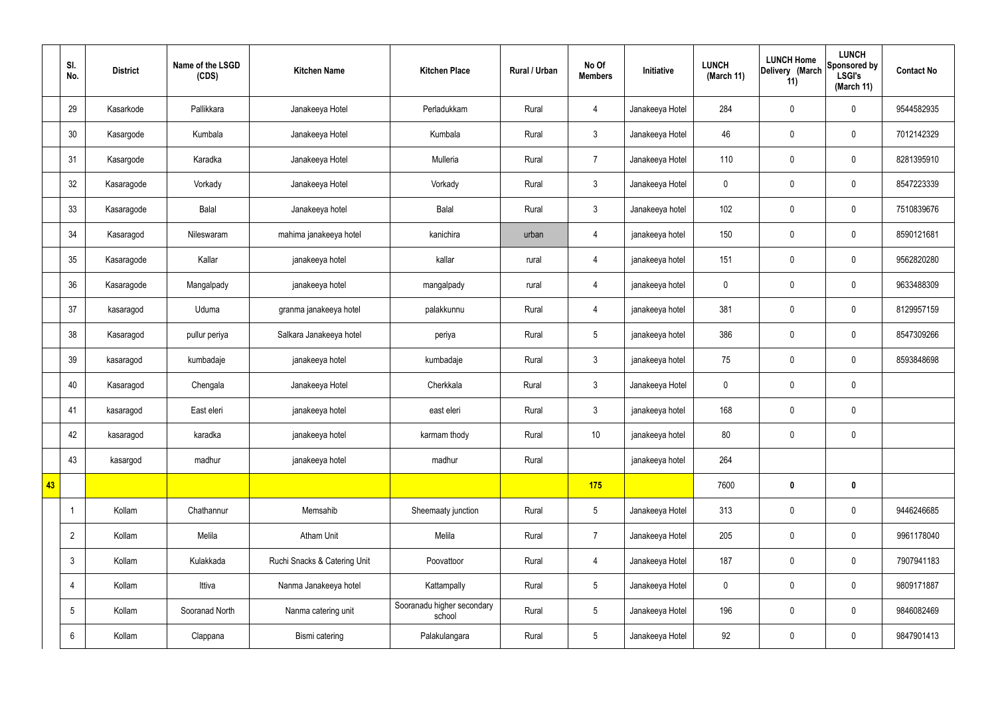|    | SI.<br>No.     | <b>District</b> | Name of the LSGD<br>(CDS) | <b>Kitchen Name</b>          | <b>Kitchen Place</b>                 | Rural / Urban | No Of<br><b>Members</b> | Initiative      | <b>LUNCH</b><br>(March 11) | <b>LUNCH Home</b><br>Delivery (March<br>11) | <b>LUNCH</b><br>Sponsored by<br><b>LSGI's</b><br>(March 11) | <b>Contact No</b> |
|----|----------------|-----------------|---------------------------|------------------------------|--------------------------------------|---------------|-------------------------|-----------------|----------------------------|---------------------------------------------|-------------------------------------------------------------|-------------------|
|    | 29             | Kasarkode       | Pallikkara                | Janakeeya Hotel              | Perladukkam                          | Rural         | $\overline{4}$          | Janakeeya Hotel | 284                        | $\pmb{0}$                                   | $\mathbf 0$                                                 | 9544582935        |
|    | 30             | Kasargode       | Kumbala                   | Janakeeya Hotel              | Kumbala                              | Rural         | $\mathbf{3}$            | Janakeeya Hotel | 46                         | $\mathbf 0$                                 | $\mathbf 0$                                                 | 7012142329        |
|    | 31             | Kasargode       | Karadka                   | Janakeeya Hotel              | Mulleria                             | Rural         | $\overline{7}$          | Janakeeya Hotel | 110                        | $\pmb{0}$                                   | $\mathbf 0$                                                 | 8281395910        |
|    | 32             | Kasaragode      | Vorkady                   | Janakeeya Hotel              | Vorkady                              | Rural         | $\mathfrak{Z}$          | Janakeeya Hotel | $\mathbf 0$                | $\pmb{0}$                                   | $\mathbf 0$                                                 | 8547223339        |
|    | 33             | Kasaragode      | Balal                     | Janakeeya hotel              | Balal                                | Rural         | $\mathfrak{Z}$          | Janakeeya hotel | 102                        | $\pmb{0}$                                   | $\mathbf 0$                                                 | 7510839676        |
|    | 34             | Kasaragod       | Nileswaram                | mahima janakeeya hotel       | kanichira                            | urban         | $\overline{4}$          | janakeeya hotel | 150                        | $\pmb{0}$                                   | $\mathbf 0$                                                 | 8590121681        |
|    | 35             | Kasaragode      | Kallar                    | janakeeya hotel              | kallar                               | rural         | $\overline{4}$          | janakeeya hotel | 151                        | $\pmb{0}$                                   | $\mathbf 0$                                                 | 9562820280        |
|    | 36             | Kasaragode      | Mangalpady                | janakeeya hotel              | mangalpady                           | rural         | $\overline{4}$          | janakeeya hotel | $\mathbf 0$                | $\mathbf 0$                                 | $\mathbf 0$                                                 | 9633488309        |
|    | 37             | kasaragod       | Uduma                     | granma janakeeya hotel       | palakkunnu                           | Rural         | $\overline{4}$          | janakeeya hotel | 381                        | $\pmb{0}$                                   | $\mathbf 0$                                                 | 8129957159        |
|    | 38             | Kasaragod       | pullur periya             | Salkara Janakeeya hotel      | periya                               | Rural         | $5\phantom{.0}$         | janakeeya hotel | 386                        | $\pmb{0}$                                   | $\mathbf 0$                                                 | 8547309266        |
|    | 39             | kasaragod       | kumbadaje                 | janakeeya hotel              | kumbadaje                            | Rural         | $\mathfrak{Z}$          | janakeeya hotel | 75                         | $\pmb{0}$                                   | $\mathbf 0$                                                 | 8593848698        |
|    | 40             | Kasaragod       | Chengala                  | Janakeeya Hotel              | Cherkkala                            | Rural         | $\mathbf{3}$            | Janakeeya Hotel | $\mathbf 0$                | $\pmb{0}$                                   | $\mathbf 0$                                                 |                   |
|    | 41             | kasaragod       | East eleri                | janakeeya hotel              | east eleri                           | Rural         | $\mathbf{3}$            | janakeeya hotel | 168                        | $\pmb{0}$                                   | $\mathbf 0$                                                 |                   |
|    | 42             | kasaragod       | karadka                   | janakeeya hotel              | karmam thody                         | Rural         | 10                      | janakeeya hotel | 80                         | $\pmb{0}$                                   | $\mathbf 0$                                                 |                   |
|    | 43             | kasargod        | madhur                    | janakeeya hotel              | madhur                               | Rural         |                         | janakeeya hotel | 264                        |                                             |                                                             |                   |
| 43 |                |                 |                           |                              |                                      |               | 175                     |                 | 7600                       | $\pmb{0}$                                   | $\mathbf 0$                                                 |                   |
|    | $\overline{1}$ | Kollam          | Chathannur                | Memsahib                     | Sheemaaty junction                   | Rural         | $5\phantom{.0}$         | Janakeeya Hotel | 313                        | $\pmb{0}$                                   | $\mathbf 0$                                                 | 9446246685        |
|    | $\overline{2}$ | Kollam          | Melila                    | <b>Atham Unit</b>            | Melila                               | Rural         | $\overline{7}$          | Janakeeya Hotel | 205                        | $\pmb{0}$                                   | $\mathbf 0$                                                 | 9961178040        |
|    | $\mathbf{3}$   | Kollam          | Kulakkada                 | Ruchi Snacks & Catering Unit | Poovattoor                           | Rural         | $\overline{4}$          | Janakeeya Hotel | 187                        | $\pmb{0}$                                   | $\mathbf 0$                                                 | 7907941183        |
|    | $\overline{4}$ | Kollam          | Ittiva                    | Nanma Janakeeya hotel        | Kattampally                          | Rural         | $5\phantom{.0}$         | Janakeeya Hotel | $\pmb{0}$                  | $\pmb{0}$                                   | $\mathbf 0$                                                 | 9809171887        |
|    | 5              | Kollam          | Sooranad North            | Nanma catering unit          | Sooranadu higher secondary<br>school | Rural         | $\overline{5}$          | Janakeeya Hotel | 196                        | $\pmb{0}$                                   | $\mathbf 0$                                                 | 9846082469        |
|    | 6              | Kollam          | Clappana                  | Bismi catering               | Palakulangara                        | Rural         | $5\phantom{.0}$         | Janakeeya Hotel | 92                         | $\pmb{0}$                                   | $\boldsymbol{0}$                                            | 9847901413        |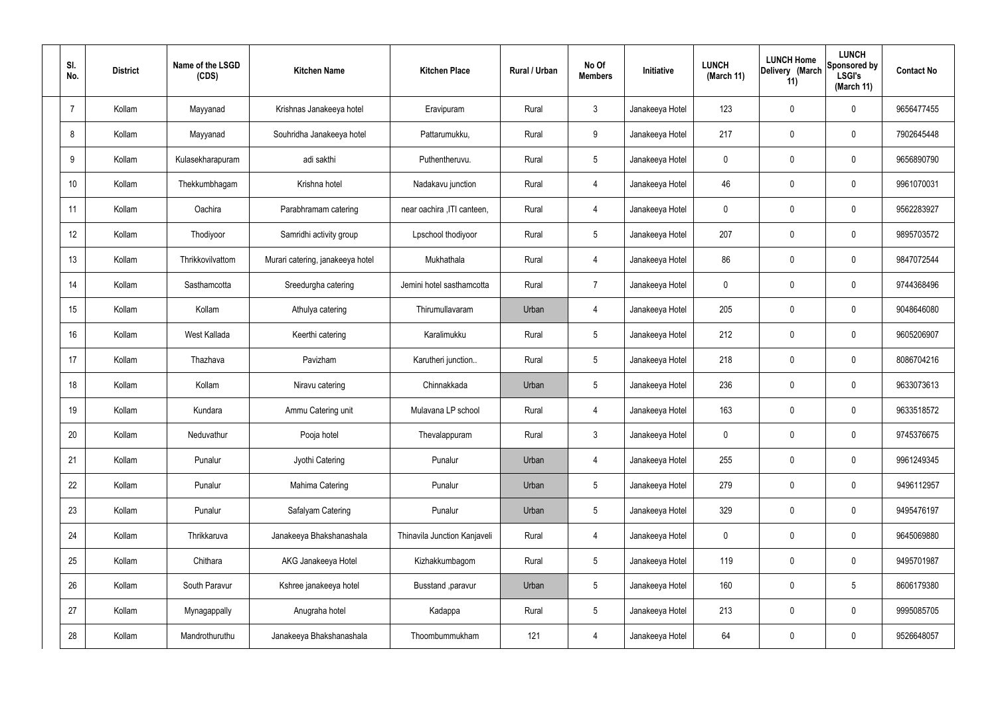| SI.<br>No.     | <b>District</b> | Name of the LSGD<br>(CDS) | <b>Kitchen Name</b>              | <b>Kitchen Place</b>         | Rural / Urban | No Of<br><b>Members</b> | Initiative      | <b>LUNCH</b><br>(March 11) | <b>LUNCH Home</b><br>Delivery (March<br>11) | <b>LUNCH</b><br>Sponsored by<br><b>LSGI's</b><br>(March 11) | <b>Contact No</b> |
|----------------|-----------------|---------------------------|----------------------------------|------------------------------|---------------|-------------------------|-----------------|----------------------------|---------------------------------------------|-------------------------------------------------------------|-------------------|
| $\overline{7}$ | Kollam          | Mayyanad                  | Krishnas Janakeeya hotel         | Eravipuram                   | Rural         | $\mathbf{3}$            | Janakeeya Hotel | 123                        | 0                                           | $\mathbf 0$                                                 | 9656477455        |
| 8              | Kollam          | Mayyanad                  | Souhridha Janakeeya hotel        | Pattarumukku,                | Rural         | 9                       | Janakeeya Hotel | 217                        | $\mathbf 0$                                 | $\mathbf 0$                                                 | 7902645448        |
| 9              | Kollam          | Kulasekharapuram          | adi sakthi                       | Puthentheruvu.               | Rural         | $5\phantom{.0}$         | Janakeeya Hotel | $\mathbf 0$                | 0                                           | $\mathbf 0$                                                 | 9656890790        |
| 10             | Kollam          | Thekkumbhagam             | Krishna hotel                    | Nadakavu junction            | Rural         | $\overline{4}$          | Janakeeya Hotel | 46                         | 0                                           | $\mathbf 0$                                                 | 9961070031        |
| 11             | Kollam          | Oachira                   | Parabhramam catering             | near oachira , ITI canteen,  | Rural         | $\overline{4}$          | Janakeeya Hotel | $\mathbf 0$                | 0                                           | $\mathbf 0$                                                 | 9562283927        |
| 12             | Kollam          | Thodiyoor                 | Samridhi activity group          | Lpschool thodiyoor           | Rural         | $5\phantom{.0}$         | Janakeeya Hotel | 207                        | 0                                           | $\mathbf 0$                                                 | 9895703572        |
| 13             | Kollam          | Thrikkovilvattom          | Murari catering, janakeeya hotel | Mukhathala                   | Rural         | $\overline{4}$          | Janakeeya Hotel | 86                         | $\mathbf 0$                                 | $\mathbf 0$                                                 | 9847072544        |
| 14             | Kollam          | Sasthamcotta              | Sreedurgha catering              | Jemini hotel sasthamcotta    | Rural         | $\overline{7}$          | Janakeeya Hotel | $\mathbf 0$                | 0                                           | $\mathbf 0$                                                 | 9744368496        |
| 15             | Kollam          | Kollam                    | Athulya catering                 | Thirumullavaram              | Urban         | 4                       | Janakeeya Hotel | 205                        | $\mathbf 0$                                 | $\mathbf 0$                                                 | 9048646080        |
| 16             | Kollam          | West Kallada              | Keerthi catering                 | Karalimukku                  | Rural         | $5\phantom{.0}$         | Janakeeya Hotel | 212                        | 0                                           | $\mathbf 0$                                                 | 9605206907        |
| 17             | Kollam          | Thazhava                  | Pavizham                         | Karutheri junction           | Rural         | $5\phantom{.0}$         | Janakeeya Hotel | 218                        | 0                                           | $\mathbf 0$                                                 | 8086704216        |
| 18             | Kollam          | Kollam                    | Niravu catering                  | Chinnakkada                  | Urban         | $5\phantom{.0}$         | Janakeeya Hotel | 236                        | 0                                           | $\mathbf 0$                                                 | 9633073613        |
| 19             | Kollam          | Kundara                   | Ammu Catering unit               | Mulavana LP school           | Rural         | 4                       | Janakeeya Hotel | 163                        | 0                                           | $\mathbf 0$                                                 | 9633518572        |
| 20             | Kollam          | Neduvathur                | Pooja hotel                      | Thevalappuram                | Rural         | $\mathbf{3}$            | Janakeeya Hotel | $\mathbf 0$                | $\mathbf 0$                                 | $\mathbf 0$                                                 | 9745376675        |
| 21             | Kollam          | Punalur                   | Jyothi Catering                  | Punalur                      | Urban         | $\overline{4}$          | Janakeeya Hotel | 255                        | $\mathbf 0$                                 | $\mathbf 0$                                                 | 9961249345        |
| 22             | Kollam          | Punalur                   | Mahima Catering                  | Punalur                      | Urban         | $5\phantom{.0}$         | Janakeeya Hotel | 279                        | 0                                           | $\mathbf 0$                                                 | 9496112957        |
| 23             | Kollam          | Punalur                   | Safalyam Catering                | Punalur                      | Urban         | $5\phantom{.0}$         | Janakeeya Hotel | 329                        | 0                                           | $\mathbf 0$                                                 | 9495476197        |
| 24             | Kollam          | Thrikkaruva               | Janakeeya Bhakshanashala         | Thinavila Junction Kanjaveli | Rural         | $\overline{4}$          | Janakeeya Hotel | $\mathbf 0$                | 0                                           | $\mathbf 0$                                                 | 9645069880        |
| 25             | Kollam          | Chithara                  | AKG Janakeeya Hotel              | Kizhakkumbagom               | Rural         | $5\phantom{.0}$         | Janakeeya Hotel | 119                        | 0                                           | $\mathbf 0$                                                 | 9495701987        |
| 26             | Kollam          | South Paravur             | Kshree janakeeya hotel           | Busstand , paravur           | Urban         | $5\phantom{.0}$         | Janakeeya Hotel | 160                        | 0                                           | $5\phantom{.0}$                                             | 8606179380        |
| 27             | Kollam          | Mynagappally              | Anugraha hotel                   | Kadappa                      | Rural         | $5\phantom{.0}$         | Janakeeya Hotel | 213                        | 0                                           | $\mathbf 0$                                                 | 9995085705        |
| 28             | Kollam          | Mandrothuruthu            | Janakeeya Bhakshanashala         | Thoombummukham               | 121           | 4                       | Janakeeya Hotel | 64                         | 0                                           | $\mathbf 0$                                                 | 9526648057        |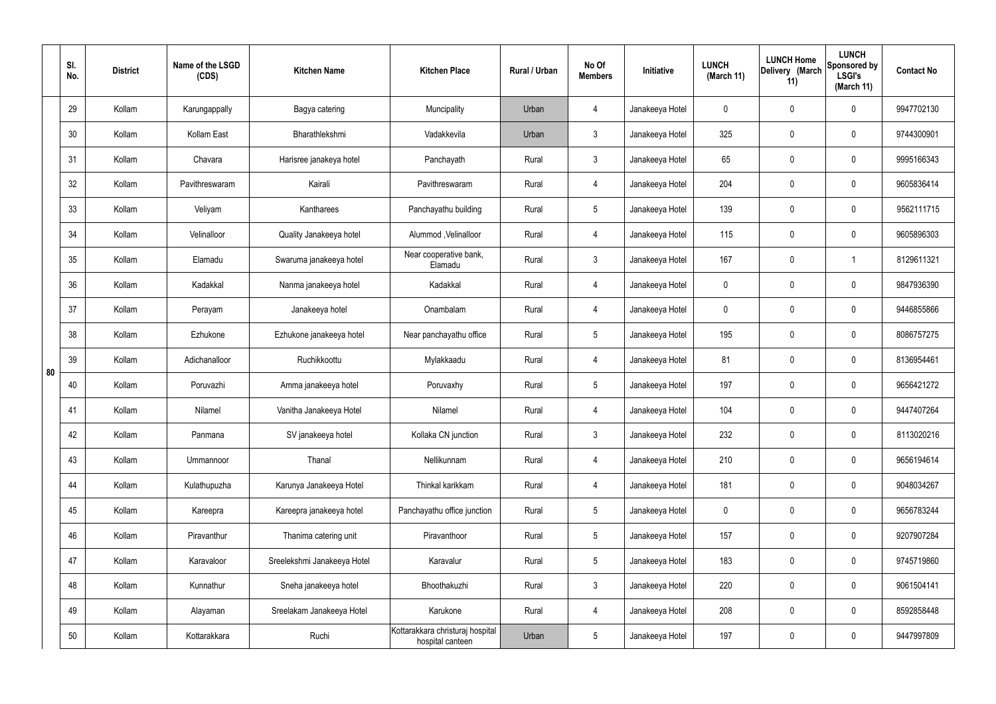|    | SI.<br>No. | <b>District</b> | Name of the LSGD<br>(CDS) | <b>Kitchen Name</b>         | <b>Kitchen Place</b>                                 | Rural / Urban | No Of<br><b>Members</b> | Initiative      | <b>LUNCH</b><br>(March 11) | <b>LUNCH Home</b><br>Delivery (March<br>11) | <b>LUNCH</b><br>Sponsored by<br><b>LSGI's</b><br>(March 11) | <b>Contact No</b> |
|----|------------|-----------------|---------------------------|-----------------------------|------------------------------------------------------|---------------|-------------------------|-----------------|----------------------------|---------------------------------------------|-------------------------------------------------------------|-------------------|
|    | 29         | Kollam          | Karungappally             | Bagya catering              | Muncipality                                          | Urban         | 4                       | Janakeeya Hotel | $\mathbf 0$                | 0                                           | $\mathbf 0$                                                 | 9947702130        |
|    | 30         | Kollam          | Kollam East               | Bharathlekshmi              | Vadakkevila                                          | Urban         | $\mathbf{3}$            | Janakeeya Hotel | 325                        | 0                                           | $\mathbf 0$                                                 | 9744300901        |
|    | 31         | Kollam          | Chavara                   | Harisree janakeya hotel     | Panchayath                                           | Rural         | $\mathbf{3}$            | Janakeeya Hotel | 65                         | 0                                           | $\mathbf 0$                                                 | 9995166343        |
|    | 32         | Kollam          | Pavithreswaram            | Kairali                     | Pavithreswaram                                       | Rural         | $\overline{4}$          | Janakeeya Hotel | 204                        | 0                                           | $\mathbf 0$                                                 | 9605836414        |
|    | 33         | Kollam          | Veliyam                   | Kantharees                  | Panchayathu building                                 | Rural         | $5\phantom{.0}$         | Janakeeya Hotel | 139                        | $\mathbf 0$                                 | $\mathbf 0$                                                 | 9562111715        |
|    | 34         | Kollam          | Velinalloor               | Quality Janakeeya hotel     | Alummod, Velinalloor                                 | Rural         | $\overline{4}$          | Janakeeya Hotel | 115                        | 0                                           | $\mathbf 0$                                                 | 9605896303        |
|    | 35         | Kollam          | Elamadu                   | Swaruma janakeeya hotel     | Near cooperative bank,<br>Elamadu                    | Rural         | $\mathbf{3}$            | Janakeeya Hotel | 167                        | $\mathbf 0$                                 | -1                                                          | 8129611321        |
|    | 36         | Kollam          | Kadakkal                  | Nanma janakeeya hotel       | Kadakkal                                             | Rural         | $\overline{4}$          | Janakeeya Hotel | $\mathbf 0$                | 0                                           | $\mathbf 0$                                                 | 9847936390        |
|    | 37         | Kollam          | Perayam                   | Janakeeya hotel             | Onambalam                                            | Rural         | $\overline{4}$          | Janakeeya Hotel | $\mathbf 0$                | 0                                           | $\mathbf 0$                                                 | 9446855866        |
|    | 38         | Kollam          | Ezhukone                  | Ezhukone janakeeya hotel    | Near panchayathu office                              | Rural         | $5\phantom{.0}$         | Janakeeya Hotel | 195                        | 0                                           | $\mathbf 0$                                                 | 8086757275        |
| 80 | 39         | Kollam          | Adichanalloor             | Ruchikkoottu                | Mylakkaadu                                           | Rural         | 4                       | Janakeeya Hotel | 81                         | 0                                           | $\mathbf 0$                                                 | 8136954461        |
|    | 40         | Kollam          | Poruvazhi                 | Amma janakeeya hotel        | Poruvaxhy                                            | Rural         | $5\phantom{.0}$         | Janakeeya Hotel | 197                        | 0                                           | $\mathbf 0$                                                 | 9656421272        |
|    | 41         | Kollam          | Nilamel                   | Vanitha Janakeeya Hotel     | Nilamel                                              | Rural         | 4                       | Janakeeya Hotel | 104                        | 0                                           | $\mathbf 0$                                                 | 9447407264        |
|    | 42         | Kollam          | Panmana                   | SV janakeeya hotel          | Kollaka CN junction                                  | Rural         | $\mathbf{3}$            | Janakeeya Hotel | 232                        | $\mathbf 0$                                 | $\mathbf 0$                                                 | 8113020216        |
|    | 43         | Kollam          | Ummannoor                 | Thanal                      | Nellikunnam                                          | Rural         | $\overline{4}$          | Janakeeya Hotel | 210                        | $\mathbf 0$                                 | $\mathbf 0$                                                 | 9656194614        |
|    | 44         | Kollam          | Kulathupuzha              | Karunya Janakeeya Hotel     | Thinkal karikkam                                     | Rural         | $\overline{4}$          | Janakeeya Hotel | 181                        | 0                                           | $\mathbf 0$                                                 | 9048034267        |
|    | 45         | Kollam          | Kareepra                  | Kareepra janakeeya hotel    | Panchayathu office junction                          | Rural         | $5\phantom{.0}$         | Janakeeya Hotel | $\mathbf 0$                | 0                                           | $\mathbf 0$                                                 | 9656783244        |
|    | 46         | Kollam          | Piravanthur               | Thanima catering unit       | Piravanthoor                                         | Rural         | $5\phantom{.0}$         | Janakeeya Hotel | 157                        | 0                                           | $\mathbf 0$                                                 | 9207907284        |
|    | 47         | Kollam          | Karavaloor                | Sreelekshmi Janakeeya Hotel | Karavalur                                            | Rural         | $5\phantom{.0}$         | Janakeeya Hotel | 183                        | 0                                           | $\mathbf 0$                                                 | 9745719860        |
|    | 48         | Kollam          | Kunnathur                 | Sneha janakeeya hotel       | Bhoothakuzhi                                         | Rural         | $\mathfrak{Z}$          | Janakeeya Hotel | 220                        | 0                                           | $\mathbf 0$                                                 | 9061504141        |
|    | 49         | Kollam          | Alayaman                  | Sreelakam Janakeeya Hotel   | Karukone                                             | Rural         | $\overline{4}$          | Janakeeya Hotel | 208                        | 0                                           | $\mathbf 0$                                                 | 8592858448        |
|    | 50         | Kollam          | Kottarakkara              | Ruchi                       | Kottarakkara christuraj hospital<br>hospital canteen | Urban         | $5\phantom{.0}$         | Janakeeya Hotel | 197                        | 0                                           | $\mathbf 0$                                                 | 9447997809        |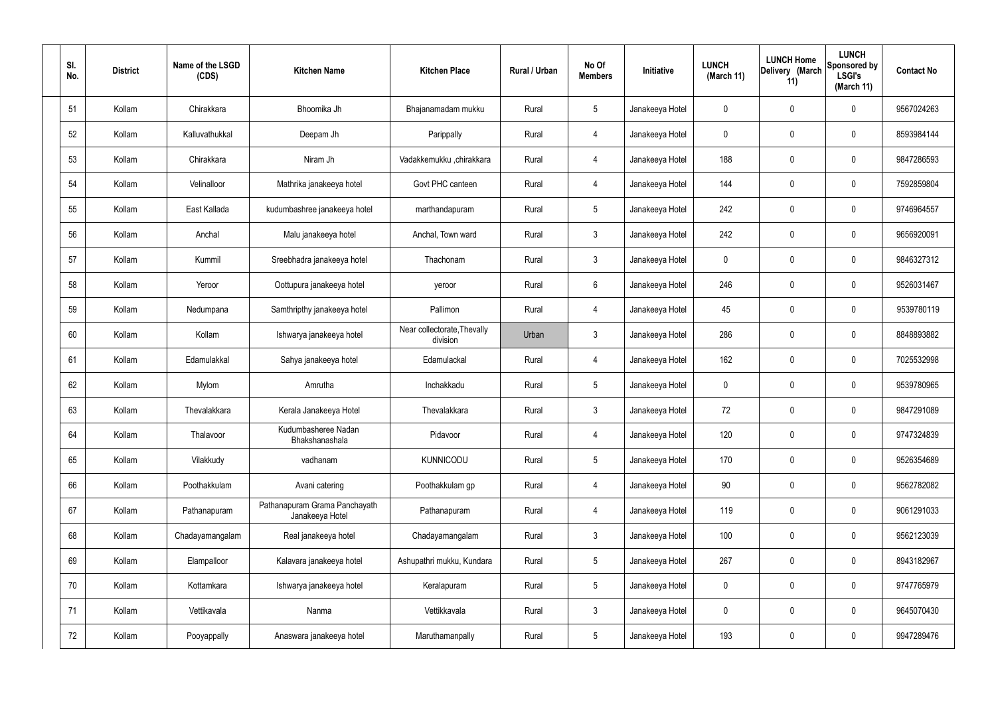| SI.<br>No. | <b>District</b> | Name of the LSGD<br>(CDS) | <b>Kitchen Name</b>                              | <b>Kitchen Place</b>                    | Rural / Urban | No Of<br><b>Members</b> | Initiative      | <b>LUNCH</b><br>(March 11) | <b>LUNCH Home</b><br>Delivery (March<br>11) | <b>LUNCH</b><br>Sponsored by<br><b>LSGI's</b><br>(March 11) | <b>Contact No</b> |
|------------|-----------------|---------------------------|--------------------------------------------------|-----------------------------------------|---------------|-------------------------|-----------------|----------------------------|---------------------------------------------|-------------------------------------------------------------|-------------------|
| 51         | Kollam          | Chirakkara                | Bhoomika Jh                                      | Bhajanamadam mukku                      | Rural         | $5\phantom{.0}$         | Janakeeya Hotel | $\mathbf 0$                | $\mathbf 0$                                 | $\mathbf 0$                                                 | 9567024263        |
| 52         | Kollam          | Kalluvathukkal            | Deepam Jh                                        | Parippally                              | Rural         | $\overline{4}$          | Janakeeya Hotel | $\mathbf 0$                | 0                                           | $\mathbf 0$                                                 | 8593984144        |
| 53         | Kollam          | Chirakkara                | Niram Jh                                         | Vadakkemukku ,chirakkara                | Rural         | $\overline{4}$          | Janakeeya Hotel | 188                        | $\mathbf 0$                                 | $\mathbf 0$                                                 | 9847286593        |
| 54         | Kollam          | Velinalloor               | Mathrika janakeeya hotel                         | Govt PHC canteen                        | Rural         | $\overline{4}$          | Janakeeya Hotel | 144                        | $\mathbf 0$                                 | $\mathbf 0$                                                 | 7592859804        |
| 55         | Kollam          | East Kallada              | kudumbashree janakeeya hotel                     | marthandapuram                          | Rural         | $5\phantom{.0}$         | Janakeeya Hotel | 242                        | $\mathbf 0$                                 | $\mathbf 0$                                                 | 9746964557        |
| 56         | Kollam          | Anchal                    | Malu janakeeya hotel                             | Anchal, Town ward                       | Rural         | $\mathbf{3}$            | Janakeeya Hotel | 242                        | 0                                           | $\mathbf 0$                                                 | 9656920091        |
| 57         | Kollam          | Kummil                    | Sreebhadra janakeeya hotel                       | Thachonam                               | Rural         | $\mathbf{3}$            | Janakeeya Hotel | $\mathbf 0$                | $\mathbf 0$                                 | $\mathbf 0$                                                 | 9846327312        |
| 58         | Kollam          | Yeroor                    | Oottupura janakeeya hotel                        | yeroor                                  | Rural         | $6\phantom{.}6$         | Janakeeya Hotel | 246                        | 0                                           | $\mathbf 0$                                                 | 9526031467        |
| 59         | Kollam          | Nedumpana                 | Samthripthy janakeeya hotel                      | Pallimon                                | Rural         | $\overline{4}$          | Janakeeya Hotel | 45                         | $\mathbf 0$                                 | $\mathbf 0$                                                 | 9539780119        |
| 60         | Kollam          | Kollam                    | Ishwarya janakeeya hotel                         | Near collectorate, Thevally<br>division | Urban         | $\mathbf{3}$            | Janakeeya Hotel | 286                        | 0                                           | $\mathbf 0$                                                 | 8848893882        |
| 61         | Kollam          | Edamulakkal               | Sahya janakeeya hotel                            | Edamulackal                             | Rural         | 4                       | Janakeeya Hotel | 162                        | 0                                           | $\mathbf 0$                                                 | 7025532998        |
| 62         | Kollam          | Mylom                     | Amrutha                                          | Inchakkadu                              | Rural         | $5\phantom{.0}$         | Janakeeya Hotel | $\mathbf 0$                | 0                                           | $\mathbf 0$                                                 | 9539780965        |
| 63         | Kollam          | Thevalakkara              | Kerala Janakeeya Hotel                           | Thevalakkara                            | Rural         | $\mathbf{3}$            | Janakeeya Hotel | 72                         | 0                                           | $\mathbf 0$                                                 | 9847291089        |
| 64         | Kollam          | Thalavoor                 | Kudumbasheree Nadan<br>Bhakshanashala            | Pidavoor                                | Rural         | $\overline{4}$          | Janakeeya Hotel | 120                        | $\mathbf 0$                                 | $\mathbf 0$                                                 | 9747324839        |
| 65         | Kollam          | Vilakkudy                 | vadhanam                                         | <b>KUNNICODU</b>                        | Rural         | $5\phantom{.0}$         | Janakeeya Hotel | 170                        | $\mathbf 0$                                 | $\mathbf 0$                                                 | 9526354689        |
| 66         | Kollam          | Poothakkulam              | Avani catering                                   | Poothakkulam gp                         | Rural         | $\overline{4}$          | Janakeeya Hotel | 90                         | $\mathbf 0$                                 | $\mathbf 0$                                                 | 9562782082        |
| 67         | Kollam          | Pathanapuram              | Pathanapuram Grama Panchayath<br>Janakeeya Hotel | Pathanapuram                            | Rural         | $\overline{4}$          | Janakeeya Hotel | 119                        | $\mathbf 0$                                 | $\mathbf 0$                                                 | 9061291033        |
| 68         | Kollam          | Chadayamangalam           | Real janakeeya hotel                             | Chadayamangalam                         | Rural         | $\mathfrak{Z}$          | Janakeeya Hotel | 100                        | 0                                           | $\mathbf 0$                                                 | 9562123039        |
| 69         | Kollam          | Elampalloor               | Kalavara janakeeya hotel                         | Ashupathri mukku, Kundara               | Rural         | $5\phantom{.0}$         | Janakeeya Hotel | 267                        | 0                                           | $\mathbf 0$                                                 | 8943182967        |
| 70         | Kollam          | Kottamkara                | Ishwarya janakeeya hotel                         | Keralapuram                             | Rural         | $5\phantom{.0}$         | Janakeeya Hotel | $\mathbf 0$                | 0                                           | $\mathbf 0$                                                 | 9747765979        |
| 71         | Kollam          | Vettikavala               | Nanma                                            | Vettikkavala                            | Rural         | $\mathfrak{Z}$          | Janakeeya Hotel | $\mathbf 0$                | $\mathbf 0$                                 | $\mathbf 0$                                                 | 9645070430        |
| 72         | Kollam          | Pooyappally               | Anaswara janakeeya hotel                         | Maruthamanpally                         | Rural         | $5\,$                   | Janakeeya Hotel | 193                        | 0                                           | $\mathbf 0$                                                 | 9947289476        |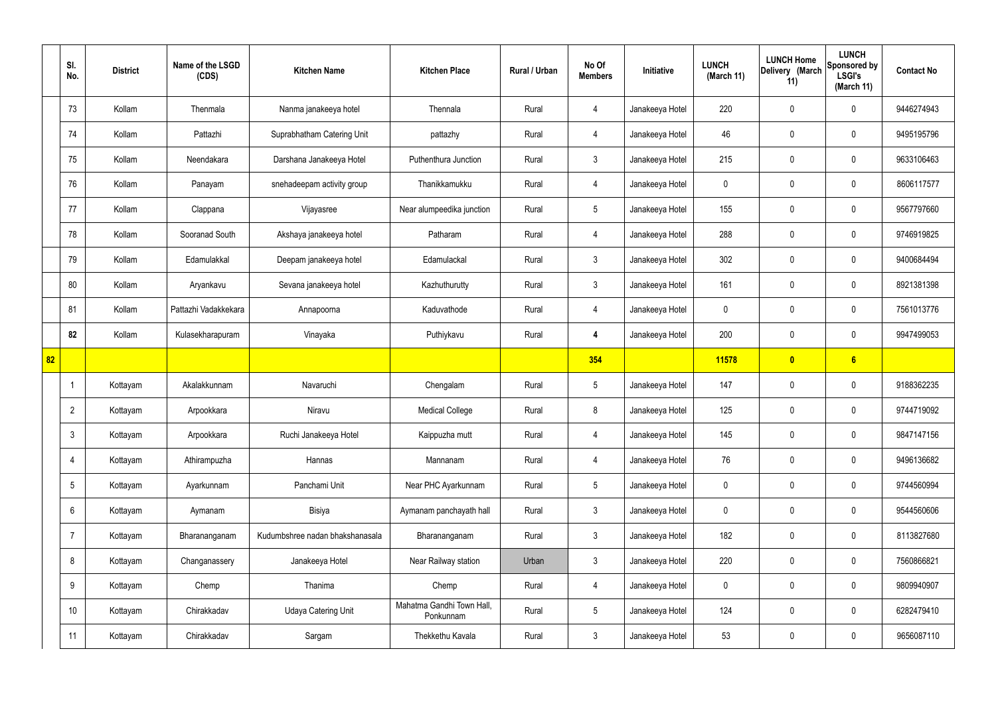|    | SI.<br>No.      | <b>District</b> | Name of the LSGD<br>(CDS) | <b>Kitchen Name</b>             | <b>Kitchen Place</b>                   | Rural / Urban | No Of<br><b>Members</b> | Initiative      | <b>LUNCH</b><br>(March 11) | <b>LUNCH Home</b><br>Delivery (March<br>11) | <b>LUNCH</b><br>Sponsored by<br><b>LSGI's</b><br>(March 11) | <b>Contact No</b> |
|----|-----------------|-----------------|---------------------------|---------------------------------|----------------------------------------|---------------|-------------------------|-----------------|----------------------------|---------------------------------------------|-------------------------------------------------------------|-------------------|
|    | 73              | Kollam          | Thenmala                  | Nanma janakeeya hotel           | Thennala                               | Rural         | 4                       | Janakeeya Hotel | 220                        | $\mathbf 0$                                 | $\mathbf 0$                                                 | 9446274943        |
|    | 74              | Kollam          | Pattazhi                  | Suprabhatham Catering Unit      | pattazhy                               | Rural         | $\overline{4}$          | Janakeeya Hotel | 46                         | $\mathbf 0$                                 | $\mathbf 0$                                                 | 9495195796        |
|    | 75              | Kollam          | Neendakara                | Darshana Janakeeya Hotel        | Puthenthura Junction                   | Rural         | $\mathbf{3}$            | Janakeeya Hotel | 215                        | $\mathbf 0$                                 | $\mathbf 0$                                                 | 9633106463        |
|    | 76              | Kollam          | Panayam                   | snehadeepam activity group      | Thanikkamukku                          | Rural         | $\overline{4}$          | Janakeeya Hotel | $\mathbf 0$                | $\mathbf 0$                                 | $\mathbf 0$                                                 | 8606117577        |
|    | 77              | Kollam          | Clappana                  | Vijayasree                      | Near alumpeedika junction              | Rural         | $5\phantom{.0}$         | Janakeeya Hotel | 155                        | $\mathbf 0$                                 | $\mathbf 0$                                                 | 9567797660        |
|    | 78              | Kollam          | Sooranad South            | Akshaya janakeeya hotel         | Patharam                               | Rural         | $\overline{4}$          | Janakeeya Hotel | 288                        | $\mathbf 0$                                 | $\mathbf 0$                                                 | 9746919825        |
|    | 79              | Kollam          | Edamulakkal               | Deepam janakeeya hotel          | Edamulackal                            | Rural         | $\mathbf{3}$            | Janakeeya Hotel | 302                        | $\mathbf 0$                                 | $\mathbf 0$                                                 | 9400684494        |
|    | 80              | Kollam          | Aryankavu                 | Sevana janakeeya hotel          | Kazhuthurutty                          | Rural         | $\mathbf{3}$            | Janakeeya Hotel | 161                        | $\mathbf 0$                                 | $\mathbf 0$                                                 | 8921381398        |
|    | 81              | Kollam          | Pattazhi Vadakkekara      | Annapoorna                      | Kaduvathode                            | Rural         | 4                       | Janakeeya Hotel | $\mathbf 0$                | $\mathbf 0$                                 | $\mathbf 0$                                                 | 7561013776        |
|    | 82              | Kollam          | Kulasekharapuram          | Vinayaka                        | Puthiykavu                             | Rural         | $\overline{4}$          | Janakeeya Hotel | 200                        | $\mathbf 0$                                 | $\mathbf 0$                                                 | 9947499053        |
| 82 |                 |                 |                           |                                 |                                        |               | 354                     |                 | 11578                      | $\boldsymbol{0}$                            | 6                                                           |                   |
|    | -1              | Kottayam        | Akalakkunnam              | Navaruchi                       | Chengalam                              | Rural         | $5\phantom{.0}$         | Janakeeya Hotel | 147                        | $\mathbf 0$                                 | $\mathbf 0$                                                 | 9188362235        |
|    | $\overline{2}$  | Kottayam        | Arpookkara                | Niravu                          | <b>Medical College</b>                 | Rural         | 8                       | Janakeeya Hotel | 125                        | $\mathbf 0$                                 | $\mathbf 0$                                                 | 9744719092        |
|    | $\mathbf{3}$    | Kottayam        | Arpookkara                | Ruchi Janakeeya Hotel           | Kaippuzha mutt                         | Rural         | $\overline{4}$          | Janakeeya Hotel | 145                        | $\pmb{0}$                                   | $\mathbf 0$                                                 | 9847147156        |
|    | $\overline{4}$  | Kottayam        | Athirampuzha              | Hannas                          | Mannanam                               | Rural         | $\overline{4}$          | Janakeeya Hotel | 76                         | $\pmb{0}$                                   | $\mathbf 0$                                                 | 9496136682        |
|    | $5\overline{)}$ | Kottayam        | Ayarkunnam                | Panchami Unit                   | Near PHC Ayarkunnam                    | Rural         | $5\phantom{.0}$         | Janakeeya Hotel | $\mathbf 0$                | $\mathbf 0$                                 | $\mathbf 0$                                                 | 9744560994        |
|    | 6               | Kottayam        | Aymanam                   | Bisiya                          | Aymanam panchayath hall                | Rural         | $\mathbf{3}$            | Janakeeya Hotel | $\mathbf 0$                | 0                                           | $\mathbf 0$                                                 | 9544560606        |
|    | 7               | Kottayam        | Bharananganam             | Kudumbshree nadan bhakshanasala | Bharananganam                          | Rural         | $\mathbf{3}$            | Janakeeya Hotel | 182                        | 0                                           | $\mathbf 0$                                                 | 8113827680        |
|    | 8               | Kottayam        | Changanassery             | Janakeeya Hotel                 | Near Railway station                   | Urban         | $\mathbf{3}$            | Janakeeya Hotel | 220                        | 0                                           | $\mathbf 0$                                                 | 7560866821        |
|    | 9               | Kottayam        | Chemp                     | Thanima                         | Chemp                                  | Rural         | $\overline{4}$          | Janakeeya Hotel | $\mathbf 0$                | 0                                           | $\mathbf 0$                                                 | 9809940907        |
|    | 10              | Kottayam        | Chirakkadav               | <b>Udaya Catering Unit</b>      | Mahatma Gandhi Town Hall,<br>Ponkunnam | Rural         | $5\phantom{.0}$         | Janakeeya Hotel | 124                        | 0                                           | $\mathbf 0$                                                 | 6282479410        |
|    | 11              | Kottayam        | Chirakkadav               | Sargam                          | Thekkethu Kavala                       | Rural         | $\mathbf{3}$            | Janakeeya Hotel | 53                         | 0                                           | $\boldsymbol{0}$                                            | 9656087110        |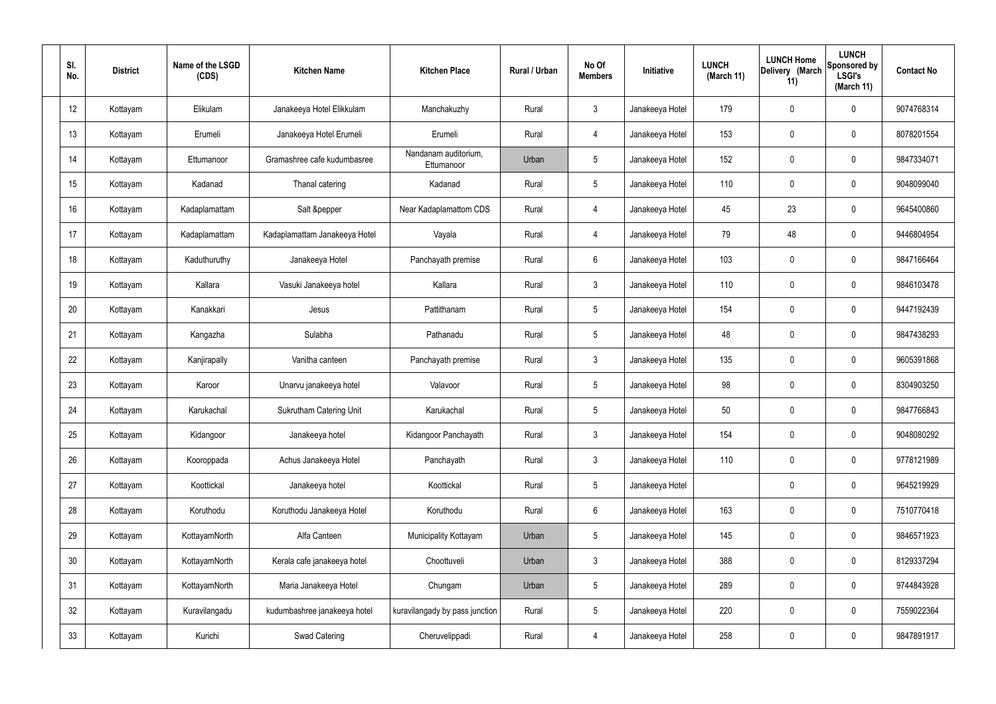| SI.<br>No.      | <b>District</b> | Name of the LSGD<br>(CDS) | <b>Kitchen Name</b>            | <b>Kitchen Place</b>               | Rural / Urban | No Of<br><b>Members</b> | Initiative      | <b>LUNCH</b><br>(March 11) | <b>LUNCH Home</b><br>Delivery (March<br>11) | <b>LUNCH</b><br><b>Sponsored by</b><br><b>LSGI's</b><br>(March 11) | <b>Contact No</b> |
|-----------------|-----------------|---------------------------|--------------------------------|------------------------------------|---------------|-------------------------|-----------------|----------------------------|---------------------------------------------|--------------------------------------------------------------------|-------------------|
| 12              | Kottayam        | Elikulam                  | Janakeeya Hotel Elikkulam      | Manchakuzhy                        | Rural         | $\mathbf{3}$            | Janakeeya Hotel | 179                        | $\mathbf 0$                                 | 0                                                                  | 9074768314        |
| 13              | Kottayam        | Erumeli                   | Janakeeya Hotel Erumeli        | Erumeli                            | Rural         | $\overline{4}$          | Janakeeya Hotel | 153                        | $\mathbf 0$                                 | 0                                                                  | 8078201554        |
| 14              | Kottayam        | Ettumanoor                | Gramashree cafe kudumbasree    | Nandanam auditorium,<br>Ettumanoor | Urban         | $5\phantom{.0}$         | Janakeeya Hotel | 152                        | $\mathbf 0$                                 | 0                                                                  | 9847334071        |
| 15              | Kottayam        | Kadanad                   | Thanal catering                | Kadanad                            | Rural         | $5\phantom{.0}$         | Janakeeya Hotel | 110                        | $\mathbf 0$                                 | 0                                                                  | 9048099040        |
| 16              | Kottayam        | Kadaplamattam             | Salt &pepper                   | Near Kadaplamattom CDS             | Rural         | $\overline{4}$          | Janakeeya Hotel | 45                         | 23                                          | 0                                                                  | 9645400860        |
| 17              | Kottayam        | Kadaplamattam             | Kadaplamattam Janakeeya Hotel  | Vayala                             | Rural         | $\overline{4}$          | Janakeeya Hotel | 79                         | 48                                          | 0                                                                  | 9446804954        |
| 18              | Kottayam        | Kaduthuruthy              | Janakeeya Hotel                | Panchayath premise                 | Rural         | 6                       | Janakeeya Hotel | 103                        | $\mathbf 0$                                 | 0                                                                  | 9847166464        |
| 19              | Kottayam        | Kallara                   | Vasuki Janakeeya hotel         | Kallara                            | Rural         | $\mathbf{3}$            | Janakeeya Hotel | 110                        | $\mathbf 0$                                 | 0                                                                  | 9846103478        |
| 20              | Kottayam        | Kanakkari                 | Jesus                          | Pattithanam                        | Rural         | $5\phantom{.0}$         | Janakeeya Hotel | 154                        | $\mathbf 0$                                 | 0                                                                  | 9447192439        |
| 21              | Kottayam        | Kangazha                  | Sulabha                        | Pathanadu                          | Rural         | $5\phantom{.0}$         | Janakeeya Hotel | 48                         | $\mathbf 0$                                 | 0                                                                  | 9847438293        |
| 22              | Kottayam        | Kanjirapally              | Vanitha canteen                | Panchayath premise                 | Rural         | $\mathbf{3}$            | Janakeeya Hotel | 135                        | 0                                           | 0                                                                  | 9605391868        |
| 23              | Kottayam        | Karoor                    | Unarvu janakeeya hotel         | Valavoor                           | Rural         | $5\phantom{.0}$         | Janakeeya Hotel | 98                         | 0                                           | 0                                                                  | 8304903250        |
| 24              | Kottayam        | Karukachal                | <b>Sukrutham Catering Unit</b> | Karukachal                         | Rural         | 5                       | Janakeeya Hotel | 50                         | $\mathbf 0$                                 | 0                                                                  | 9847766843        |
| 25              | Kottayam        | Kidangoor                 | Janakeeya hotel                | Kidangoor Panchayath               | Rural         | $\mathbf{3}$            | Janakeeya Hotel | 154                        | $\mathbf 0$                                 | 0                                                                  | 9048080292        |
| 26              | Kottayam        | Kooroppada                | Achus Janakeeya Hotel          | Panchayath                         | Rural         | $\mathbf{3}$            | Janakeeya Hotel | 110                        | $\pmb{0}$                                   | 0                                                                  | 9778121989        |
| 27              | Kottayam        | Koottickal                | Janakeeya hotel                | Koottickal                         | Rural         | $5\phantom{.0}$         | Janakeeya Hotel |                            | $\mathbf 0$                                 | 0                                                                  | 9645219929        |
| 28              | Kottayam        | Koruthodu                 | Koruthodu Janakeeya Hotel      | Koruthodu                          | Rural         | $6\overline{6}$         | Janakeeya Hotel | 163                        | $\pmb{0}$                                   | 0                                                                  | 7510770418        |
| 29              | Kottayam        | KottayamNorth             | Alfa Canteen                   | Municipality Kottayam              | Urban         | $5\phantom{.0}$         | Janakeeya Hotel | 145                        | $\mathbf 0$                                 | 0                                                                  | 9846571923        |
| 30 <sub>2</sub> | Kottayam        | KottayamNorth             | Kerala cafe janakeeya hotel    | Choottuveli                        | Urban         | $\mathbf{3}$            | Janakeeya Hotel | 388                        | $\pmb{0}$                                   | 0                                                                  | 8129337294        |
| 31              | Kottayam        | KottayamNorth             | Maria Janakeeya Hotel          | Chungam                            | Urban         | $5\phantom{.0}$         | Janakeeya Hotel | 289                        | $\mathbf 0$                                 | 0                                                                  | 9744843928        |
| 32              | Kottayam        | Kuravilangadu             | kudumbashree janakeeya hotel   | kuravilangady by pass junction     | Rural         | $5\phantom{.0}$         | Janakeeya Hotel | 220                        | $\mathbf 0$                                 | 0                                                                  | 7559022364        |
| 33              | Kottayam        | Kurichi                   | Swad Catering                  | Cheruvelippadi                     | Rural         | $\overline{4}$          | Janakeeya Hotel | 258                        | $\pmb{0}$                                   | 0                                                                  | 9847891917        |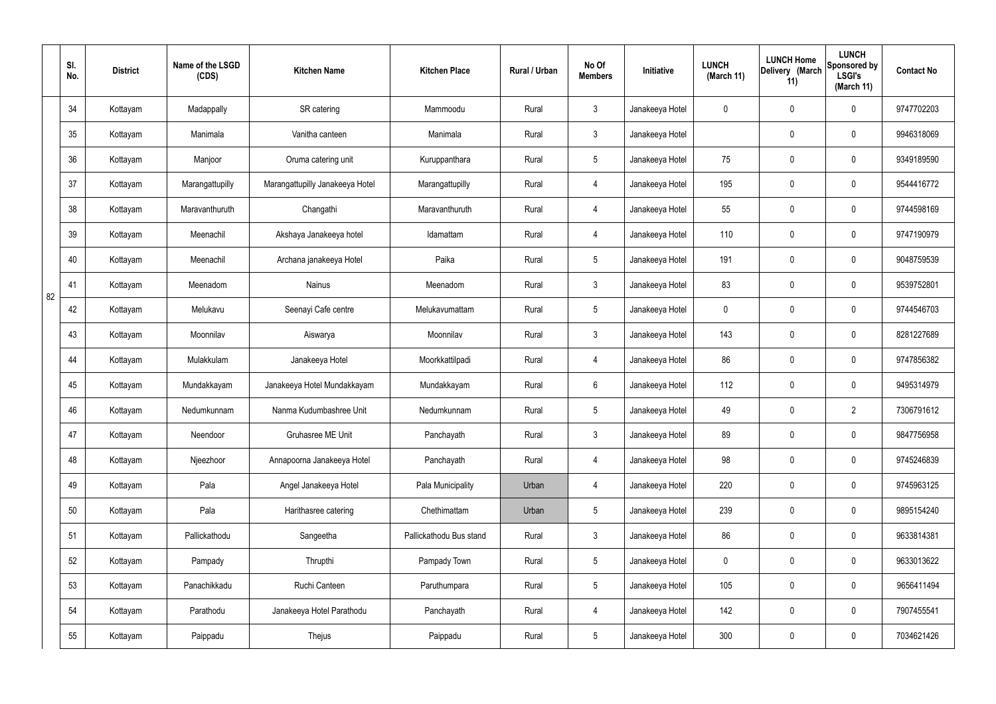|    | SI.<br>No. | <b>District</b> | Name of the LSGD<br>(CDS) | <b>Kitchen Name</b>             | <b>Kitchen Place</b>    | Rural / Urban | No Of<br><b>Members</b> | Initiative      | <b>LUNCH</b><br>(March 11) | <b>LUNCH Home</b><br>Delivery (March<br>11) | <b>LUNCH</b><br>Sponsored by<br><b>LSGI's</b><br>(March 11) | <b>Contact No</b> |
|----|------------|-----------------|---------------------------|---------------------------------|-------------------------|---------------|-------------------------|-----------------|----------------------------|---------------------------------------------|-------------------------------------------------------------|-------------------|
|    | 34         | Kottayam        | Madappally                | SR catering                     | Mammoodu                | Rural         | $\mathbf{3}$            | Janakeeya Hotel | 0                          | $\mathbf 0$                                 | $\mathbf 0$                                                 | 9747702203        |
|    | 35         | Kottayam        | Manimala                  | Vanitha canteen                 | Manimala                | Rural         | $\mathbf{3}$            | Janakeeya Hotel |                            | $\mathbf 0$                                 | $\mathbf 0$                                                 | 9946318069        |
|    | 36         | Kottayam        | Manjoor                   | Oruma catering unit             | Kuruppanthara           | Rural         | $5\overline{)}$         | Janakeeya Hotel | 75                         | 0                                           | $\mathbf 0$                                                 | 9349189590        |
|    | 37         | Kottayam        | Marangattupilly           | Marangattupilly Janakeeya Hotel | Marangattupilly         | Rural         | $\overline{4}$          | Janakeeya Hotel | 195                        | $\mathbf 0$                                 | $\mathbf 0$                                                 | 9544416772        |
|    | 38         | Kottayam        | Maravanthuruth            | Changathi                       | Maravanthuruth          | Rural         | $\overline{4}$          | Janakeeya Hotel | 55                         | $\mathbf 0$                                 | $\mathbf 0$                                                 | 9744598169        |
|    | 39         | Kottayam        | Meenachil                 | Akshaya Janakeeya hotel         | Idamattam               | Rural         | $\overline{4}$          | Janakeeya Hotel | 110                        | $\mathbf 0$                                 | $\mathbf 0$                                                 | 9747190979        |
|    | 40         | Kottayam        | Meenachil                 | Archana janakeeya Hotel         | Paika                   | Rural         | $5\overline{)}$         | Janakeeya Hotel | 191                        | $\mathbf 0$                                 | $\mathbf 0$                                                 | 9048759539        |
| 82 | 41         | Kottayam        | Meenadom                  | <b>Nainus</b>                   | Meenadom                | Rural         | $\mathbf{3}$            | Janakeeya Hotel | 83                         | $\mathbf 0$                                 | $\mathbf 0$                                                 | 9539752801        |
|    | 42         | Kottayam        | Melukavu                  | Seenayi Cafe centre             | Melukavumattam          | Rural         | $5\overline{)}$         | Janakeeya Hotel | 0                          | $\mathbf 0$                                 | $\mathbf 0$                                                 | 9744546703        |
|    | 43         | Kottayam        | Moonnilav                 | Aiswarya                        | Moonnilav               | Rural         | $\mathbf{3}$            | Janakeeya Hotel | 143                        | $\mathbf 0$                                 | $\mathbf 0$                                                 | 8281227689        |
|    | 44         | Kottayam        | Mulakkulam                | Janakeeya Hotel                 | Moorkkattilpadi         | Rural         | 4                       | Janakeeya Hotel | 86                         | 0                                           | $\mathbf 0$                                                 | 9747856382        |
|    | 45         | Kottayam        | Mundakkayam               | Janakeeya Hotel Mundakkayam     | Mundakkayam             | Rural         | $6\overline{6}$         | Janakeeya Hotel | 112                        | $\mathbf 0$                                 | $\mathbf 0$                                                 | 9495314979        |
|    | 46         | Kottayam        | Nedumkunnam               | Nanma Kudumbashree Unit         | Nedumkunnam             | Rural         | $5\phantom{.0}$         | Janakeeya Hotel | 49                         | 0                                           | $\overline{2}$                                              | 7306791612        |
|    | 47         | Kottayam        | Neendoor                  | Gruhasree ME Unit               | Panchayath              | Rural         | $\mathbf{3}$            | Janakeeya Hotel | 89                         | $\mathsf{0}$                                | $\mathbf 0$                                                 | 9847756958        |
|    | 48         | Kottayam        | Njeezhoor                 | Annapoorna Janakeeya Hotel      | Panchayath              | Rural         | $\overline{4}$          | Janakeeya Hotel | 98                         | 0                                           | $\mathbf 0$                                                 | 9745246839        |
|    | 49         | Kottayam        | Pala                      | Angel Janakeeya Hotel           | Pala Municipality       | Urban         | $\overline{4}$          | Janakeeya Hotel | 220                        | 0                                           | $\mathbf 0$                                                 | 9745963125        |
|    | 50         | Kottayam        | Pala                      | Harithasree catering            | Chethimattam            | Urban         | $5\phantom{.0}$         | Janakeeya Hotel | 239                        | 0                                           | $\mathbf 0$                                                 | 9895154240        |
|    | 51         | Kottayam        | Pallickathodu             | Sangeetha                       | Pallickathodu Bus stand | Rural         | $\mathbf{3}$            | Janakeeya Hotel | 86                         | 0                                           | $\mathbf 0$                                                 | 9633814381        |
|    | 52         | Kottayam        | Pampady                   | Thrupthi                        | Pampady Town            | Rural         | $5\overline{)}$         | Janakeeya Hotel | $\mathbf 0$                | 0                                           | $\mathbf 0$                                                 | 9633013622        |
|    | 53         | Kottayam        | Panachikkadu              | Ruchi Canteen                   | Paruthumpara            | Rural         | $5\overline{)}$         | Janakeeya Hotel | 105                        | 0                                           | $\mathbf 0$                                                 | 9656411494        |
|    | 54         | Kottayam        | Parathodu                 | Janakeeya Hotel Parathodu       | Panchayath              | Rural         | $\overline{4}$          | Janakeeya Hotel | 142                        | 0                                           | $\mathbf 0$                                                 | 7907455541        |
|    | 55         | Kottayam        | Paippadu                  | Thejus                          | Paippadu                | Rural         | $5\phantom{.0}$         | Janakeeya Hotel | 300                        | 0                                           | $\boldsymbol{0}$                                            | 7034621426        |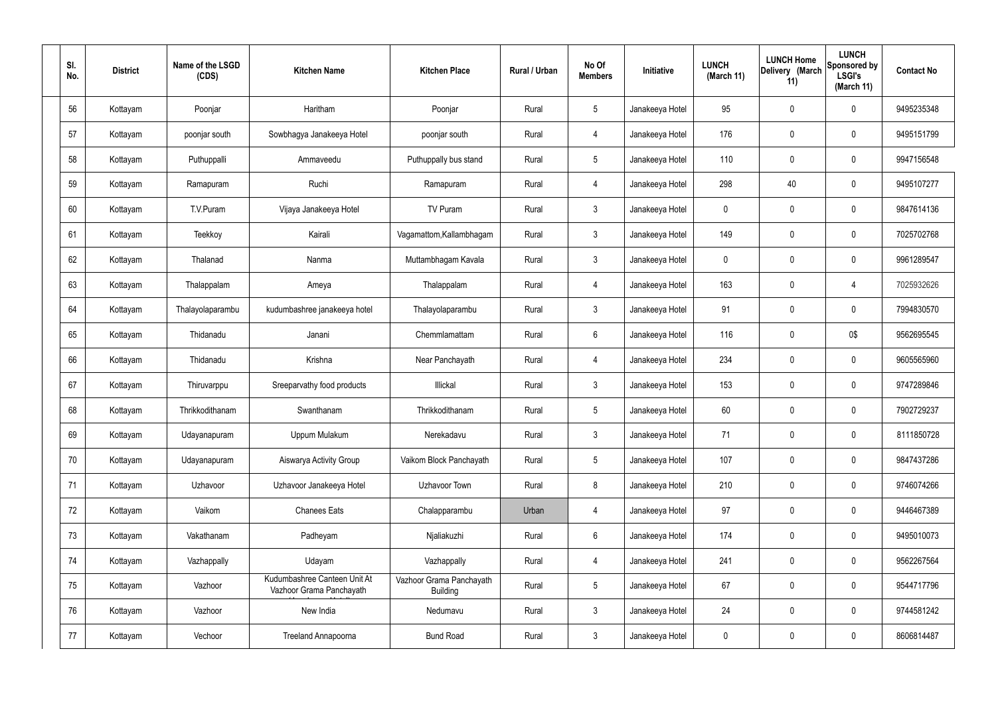| SI.<br>No. | <b>District</b> | Name of the LSGD<br>(CDS) | <b>Kitchen Name</b>                                      | <b>Kitchen Place</b>                        | Rural / Urban | No Of<br><b>Members</b> | Initiative      | <b>LUNCH</b><br>(March 11) | <b>LUNCH Home</b><br>Delivery (March<br>11) | <b>LUNCH</b><br>Sponsored by<br><b>LSGI's</b><br>(March 11) | <b>Contact No</b> |
|------------|-----------------|---------------------------|----------------------------------------------------------|---------------------------------------------|---------------|-------------------------|-----------------|----------------------------|---------------------------------------------|-------------------------------------------------------------|-------------------|
| 56         | Kottayam        | Poonjar                   | Haritham                                                 | Poonjar                                     | Rural         | $5\phantom{.0}$         | Janakeeya Hotel | 95                         | $\mathbf 0$                                 | 0                                                           | 9495235348        |
| 57         | Kottayam        | poonjar south             | Sowbhagya Janakeeya Hotel                                | poonjar south                               | Rural         | $\overline{4}$          | Janakeeya Hotel | 176                        | $\mathbf 0$                                 | 0                                                           | 9495151799        |
| 58         | Kottayam        | Puthuppalli               | Ammaveedu                                                | Puthuppally bus stand                       | Rural         | $5\overline{)}$         | Janakeeya Hotel | 110                        | $\mathbf 0$                                 | 0                                                           | 9947156548        |
| 59         | Kottayam        | Ramapuram                 | Ruchi                                                    | Ramapuram                                   | Rural         | $\overline{4}$          | Janakeeya Hotel | 298                        | 40                                          | 0                                                           | 9495107277        |
| 60         | Kottayam        | T.V.Puram                 | Vijaya Janakeeya Hotel                                   | TV Puram                                    | Rural         | $\mathbf{3}$            | Janakeeya Hotel | 0                          | 0                                           | 0                                                           | 9847614136        |
| 61         | Kottayam        | Teekkoy                   | Kairali                                                  | Vagamattom, Kallambhagam                    | Rural         | $\mathbf{3}$            | Janakeeya Hotel | 149                        | $\mathbf 0$                                 | 0                                                           | 7025702768        |
| 62         | Kottayam        | Thalanad                  | Nanma                                                    | Muttambhagam Kavala                         | Rural         | $\mathbf{3}$            | Janakeeya Hotel | 0                          | 0                                           | 0                                                           | 9961289547        |
| 63         | Kottayam        | Thalappalam               | Ameya                                                    | Thalappalam                                 | Rural         | $\overline{4}$          | Janakeeya Hotel | 163                        | $\mathbf 0$                                 | 4                                                           | 7025932626        |
| 64         | Kottayam        | Thalayolaparambu          | kudumbashree janakeeya hotel                             | Thalayolaparambu                            | Rural         | $\mathbf{3}$            | Janakeeya Hotel | 91                         | 0                                           | 0                                                           | 7994830570        |
| 65         | Kottayam        | Thidanadu                 | Janani                                                   | Chemmlamattam                               | Rural         | $6\phantom{.}6$         | Janakeeya Hotel | 116                        | 0                                           | 0\$                                                         | 9562695545        |
| 66         | Kottayam        | Thidanadu                 | Krishna                                                  | Near Panchayath                             | Rural         | $\overline{4}$          | Janakeeya Hotel | 234                        | 0                                           | 0                                                           | 9605565960        |
| 67         | Kottayam        | Thiruvarppu               | Sreeparvathy food products                               | Illickal                                    | Rural         | $\mathbf{3}$            | Janakeeya Hotel | 153                        | 0                                           | 0                                                           | 9747289846        |
| 68         | Kottayam        | Thrikkodithanam           | Swanthanam                                               | Thrikkodithanam                             | Rural         | 5                       | Janakeeya Hotel | 60                         | 0                                           | 0                                                           | 7902729237        |
| 69         | Kottayam        | Udayanapuram              | Uppum Mulakum                                            | Nerekadavu                                  | Rural         | $\mathbf{3}$            | Janakeeya Hotel | 71                         | $\mathbf 0$                                 | 0                                                           | 8111850728        |
| 70         | Kottayam        | Udayanapuram              | Aiswarya Activity Group                                  | Vaikom Block Panchayath                     | Rural         | $5\phantom{.0}$         | Janakeeya Hotel | 107                        | $\pmb{0}$                                   | $\mathbf 0$                                                 | 9847437286        |
| 71         | Kottayam        | Uzhavoor                  | Uzhavoor Janakeeya Hotel                                 | Uzhavoor Town                               | Rural         | 8                       | Janakeeya Hotel | 210                        | $\mathbf 0$                                 | 0                                                           | 9746074266        |
| 72         | Kottayam        | Vaikom                    | <b>Chanees Eats</b>                                      | Chalapparambu                               | Urban         | $\overline{4}$          | Janakeeya Hotel | 97                         | $\pmb{0}$                                   | 0                                                           | 9446467389        |
| 73         | Kottayam        | Vakathanam                | Padheyam                                                 | Njaliakuzhi                                 | Rural         | $6\phantom{.}6$         | Janakeeya Hotel | 174                        | $\mathbf 0$                                 | 0                                                           | 9495010073        |
| 74         | Kottayam        | Vazhappally               | Udayam                                                   | Vazhappally                                 | Rural         | $\overline{4}$          | Janakeeya Hotel | 241                        | $\pmb{0}$                                   | $\mathbf 0$                                                 | 9562267564        |
| 75         | Kottayam        | Vazhoor                   | Kudumbashree Canteen Unit At<br>Vazhoor Grama Panchayath | Vazhoor Grama Panchayath<br><b>Building</b> | Rural         | $5\phantom{.0}$         | Janakeeya Hotel | 67                         | $\mathbf 0$                                 | 0                                                           | 9544717796        |
| 76         | Kottayam        | Vazhoor                   | New India                                                | Nedumavu                                    | Rural         | $\mathbf{3}$            | Janakeeya Hotel | 24                         | $\mathbf 0$                                 | 0                                                           | 9744581242        |
| 77         | Kottayam        | Vechoor                   | Treeland Annapoorna                                      | <b>Bund Road</b>                            | Rural         | $\mathbf{3}$            | Janakeeya Hotel | $\pmb{0}$                  | $\boldsymbol{0}$                            | 0                                                           | 8606814487        |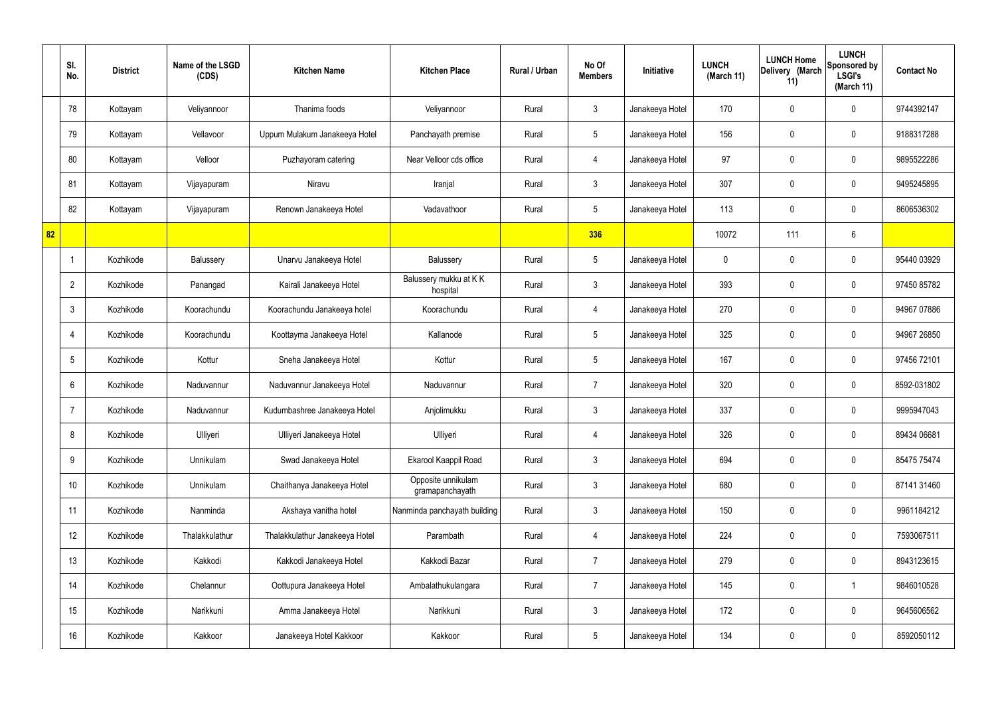|    | SI.<br>No.      | <b>District</b> | Name of the LSGD<br>(CDS) | <b>Kitchen Name</b>            | <b>Kitchen Place</b>                  | Rural / Urban | No Of<br><b>Members</b> | <b>Initiative</b> | <b>LUNCH</b><br>(March 11) | <b>LUNCH Home</b><br>Delivery (March<br>11) | <b>LUNCH</b><br>Sponsored by<br><b>LSGI's</b><br>(March 11) | <b>Contact No</b> |
|----|-----------------|-----------------|---------------------------|--------------------------------|---------------------------------------|---------------|-------------------------|-------------------|----------------------------|---------------------------------------------|-------------------------------------------------------------|-------------------|
|    | 78              | Kottayam        | Veliyannoor               | Thanima foods                  | Veliyannoor                           | Rural         | $\mathbf{3}$            | Janakeeya Hotel   | 170                        | $\mathbf 0$                                 | $\mathbf 0$                                                 | 9744392147        |
|    | 79              | Kottayam        | Vellavoor                 | Uppum Mulakum Janakeeya Hotel  | Panchayath premise                    | Rural         | $5\phantom{.0}$         | Janakeeya Hotel   | 156                        | $\mathbf 0$                                 | $\mathbf 0$                                                 | 9188317288        |
|    | 80              | Kottayam        | Velloor                   | Puzhayoram catering            | Near Velloor cds office               | Rural         | $\overline{4}$          | Janakeeya Hotel   | 97                         | $\mathbf 0$                                 | $\mathbf 0$                                                 | 9895522286        |
|    | 81              | Kottayam        | Vijayapuram               | Niravu                         | Iranjal                               | Rural         | $\mathbf{3}$            | Janakeeya Hotel   | 307                        | 0                                           | $\mathbf 0$                                                 | 9495245895        |
|    | 82              | Kottayam        | Vijayapuram               | Renown Janakeeya Hotel         | Vadavathoor                           | Rural         | $5\overline{)}$         | Janakeeya Hotel   | 113                        | $\mathbf 0$                                 | $\mathbf 0$                                                 | 8606536302        |
| 82 |                 |                 |                           |                                |                                       |               | 336                     |                   | 10072                      | 111                                         | $6\phantom{.}6$                                             |                   |
|    | -1              | Kozhikode       | Balussery                 | Unarvu Janakeeya Hotel         | Balussery                             | Rural         | $5\phantom{.0}$         | Janakeeya Hotel   | $\mathbf 0$                | $\mathbf 0$                                 | $\mathbf 0$                                                 | 95440 03929       |
|    | $\overline{2}$  | Kozhikode       | Panangad                  | Kairali Janakeeya Hotel        | Balussery mukku at KK<br>hospital     | Rural         | $\mathbf{3}$            | Janakeeya Hotel   | 393                        | 0                                           | $\mathbf 0$                                                 | 97450 85782       |
|    | $\mathbf{3}$    | Kozhikode       | Koorachundu               | Koorachundu Janakeeya hotel    | Koorachundu                           | Rural         | $\overline{4}$          | Janakeeya Hotel   | 270                        | $\mathbf 0$                                 | $\mathbf 0$                                                 | 94967 07886       |
|    | $\overline{4}$  | Kozhikode       | Koorachundu               | Koottayma Janakeeya Hotel      | Kallanode                             | Rural         | $5\phantom{.0}$         | Janakeeya Hotel   | 325                        | 0                                           | $\mathbf 0$                                                 | 94967 26850       |
|    | $5\overline{)}$ | Kozhikode       | Kottur                    | Sneha Janakeeya Hotel          | Kottur                                | Rural         | $5\phantom{.0}$         | Janakeeya Hotel   | 167                        | 0                                           | $\mathbf 0$                                                 | 97456 72101       |
|    | 6               | Kozhikode       | Naduvannur                | Naduvannur Janakeeya Hotel     | Naduvannur                            | Rural         | $\overline{7}$          | Janakeeya Hotel   | 320                        | 0                                           | $\mathbf 0$                                                 | 8592-031802       |
|    | $\overline{7}$  | Kozhikode       | Naduvannur                | Kudumbashree Janakeeya Hotel   | Anjolimukku                           | Rural         | $\mathbf{3}$            | Janakeeya Hotel   | 337                        | 0                                           | $\mathbf 0$                                                 | 9995947043        |
|    | 8               | Kozhikode       | Ulliyeri                  | Ulliyeri Janakeeya Hotel       | Ulliyeri                              | Rural         | $\overline{4}$          | Janakeeya Hotel   | 326                        | $\mathbf 0$                                 | $\mathbf 0$                                                 | 89434 06681       |
|    | 9               | Kozhikode       | Unnikulam                 | Swad Janakeeya Hotel           | Ekarool Kaappil Road                  | Rural         | $\mathbf{3}$            | Janakeeya Hotel   | 694                        | $\mathbf 0$                                 | $\mathbf 0$                                                 | 85475 75474       |
|    | 10              | Kozhikode       | Unnikulam                 | Chaithanya Janakeeya Hotel     | Opposite unnikulam<br>gramapanchayath | Rural         | $\mathfrak{Z}$          | Janakeeya Hotel   | 680                        | 0                                           | $\mathbf 0$                                                 | 87141 31460       |
|    | 11              | Kozhikode       | Nanminda                  | Akshaya vanitha hotel          | Nanminda panchayath building          | Rural         | $\mathfrak{Z}$          | Janakeeya Hotel   | 150                        | 0                                           | $\mathbf 0$                                                 | 9961184212        |
|    | 12              | Kozhikode       | Thalakkulathur            | Thalakkulathur Janakeeya Hotel | Parambath                             | Rural         | $\overline{4}$          | Janakeeya Hotel   | 224                        | 0                                           | $\mathbf 0$                                                 | 7593067511        |
|    | 13              | Kozhikode       | Kakkodi                   | Kakkodi Janakeeya Hotel        | Kakkodi Bazar                         | Rural         | $\overline{7}$          | Janakeeya Hotel   | 279                        | 0                                           | $\mathbf 0$                                                 | 8943123615        |
|    | 14              | Kozhikode       | Chelannur                 | Oottupura Janakeeya Hotel      | Ambalathukulangara                    | Rural         | $\overline{7}$          | Janakeeya Hotel   | 145                        | 0                                           | $\mathbf 1$                                                 | 9846010528        |
|    | 15              | Kozhikode       | Narikkuni                 | Amma Janakeeya Hotel           | Narikkuni                             | Rural         | $\mathfrak{Z}$          | Janakeeya Hotel   | 172                        | 0                                           | $\mathbf 0$                                                 | 9645606562        |
|    | 16              | Kozhikode       | Kakkoor                   | Janakeeya Hotel Kakkoor        | Kakkoor                               | Rural         | $5\,$                   | Janakeeya Hotel   | 134                        | 0                                           | $\mathbf 0$                                                 | 8592050112        |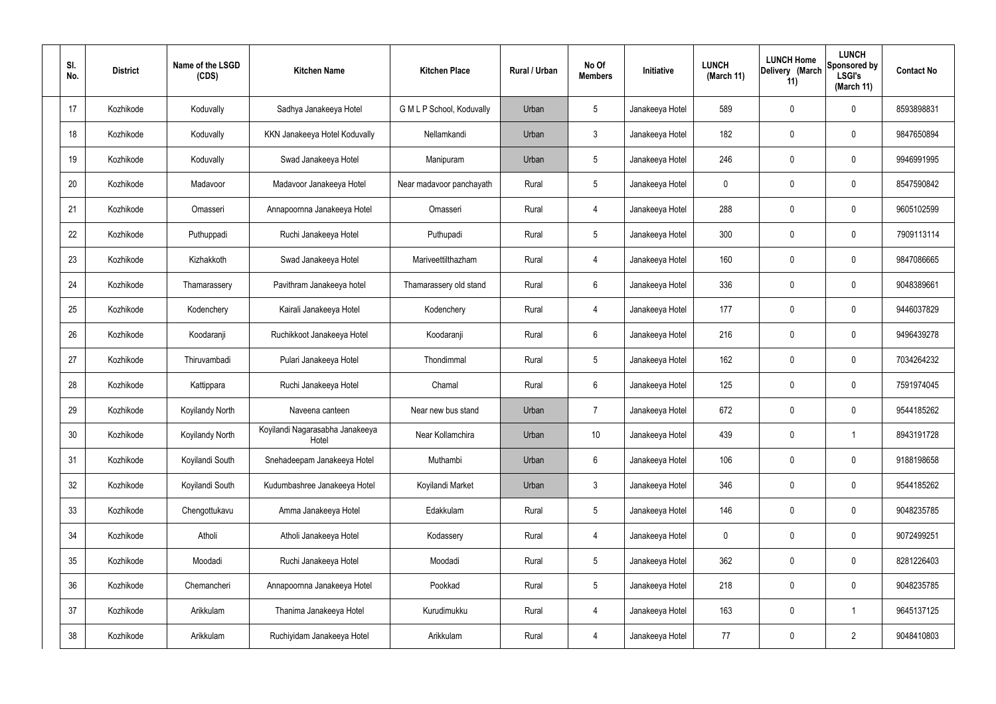| SI.<br>No. | <b>District</b> | Name of the LSGD<br>(CDS) | <b>Kitchen Name</b>                      | <b>Kitchen Place</b>      | Rural / Urban | No Of<br><b>Members</b> | <b>Initiative</b> | <b>LUNCH</b><br>(March 11) | <b>LUNCH Home</b><br>Delivery (March<br>11) | <b>LUNCH</b><br>Sponsored by<br><b>LSGI's</b><br>(March 11) | <b>Contact No</b> |
|------------|-----------------|---------------------------|------------------------------------------|---------------------------|---------------|-------------------------|-------------------|----------------------------|---------------------------------------------|-------------------------------------------------------------|-------------------|
| 17         | Kozhikode       | Koduvally                 | Sadhya Janakeeya Hotel                   | G M L P School, Koduvally | Urban         | $5\phantom{.0}$         | Janakeeya Hotel   | 589                        | 0                                           | $\mathbf 0$                                                 | 8593898831        |
| 18         | Kozhikode       | Koduvally                 | KKN Janakeeya Hotel Koduvally            | Nellamkandi               | Urban         | $\mathbf{3}$            | Janakeeya Hotel   | 182                        | 0                                           | $\mathbf 0$                                                 | 9847650894        |
| 19         | Kozhikode       | Koduvally                 | Swad Janakeeya Hotel                     | Manipuram                 | Urban         | $5\phantom{.0}$         | Janakeeya Hotel   | 246                        | 0                                           | $\mathbf 0$                                                 | 9946991995        |
| 20         | Kozhikode       | Madavoor                  | Madavoor Janakeeya Hotel                 | Near madavoor panchayath  | Rural         | $5\phantom{.0}$         | Janakeeya Hotel   | $\mathbf 0$                | 0                                           | $\mathbf 0$                                                 | 8547590842        |
| 21         | Kozhikode       | Omasseri                  | Annapoornna Janakeeya Hotel              | Omasseri                  | Rural         | $\overline{4}$          | Janakeeya Hotel   | 288                        | 0                                           | $\mathbf 0$                                                 | 9605102599        |
| 22         | Kozhikode       | Puthuppadi                | Ruchi Janakeeya Hotel                    | Puthupadi                 | Rural         | $5\phantom{.0}$         | Janakeeya Hotel   | 300                        | 0                                           | $\mathbf 0$                                                 | 7909113114        |
| 23         | Kozhikode       | Kizhakkoth                | Swad Janakeeya Hotel                     | Mariveettilthazham        | Rural         | $\overline{4}$          | Janakeeya Hotel   | 160                        | 0                                           | $\mathbf 0$                                                 | 9847086665        |
| 24         | Kozhikode       | Thamarassery              | Pavithram Janakeeya hotel                | Thamarassery old stand    | Rural         | $6\phantom{.}6$         | Janakeeya Hotel   | 336                        | 0                                           | $\mathbf 0$                                                 | 9048389661        |
| 25         | Kozhikode       | Kodenchery                | Kairali Janakeeya Hotel                  | Kodenchery                | Rural         | 4                       | Janakeeya Hotel   | 177                        | 0                                           | $\mathbf 0$                                                 | 9446037829        |
| 26         | Kozhikode       | Koodaranji                | Ruchikkoot Janakeeya Hotel               | Koodaranji                | Rural         | $6\phantom{.}6$         | Janakeeya Hotel   | 216                        | 0                                           | $\mathbf 0$                                                 | 9496439278        |
| 27         | Kozhikode       | Thiruvambadi              | Pulari Janakeeya Hotel                   | Thondimmal                | Rural         | $5\phantom{.0}$         | Janakeeya Hotel   | 162                        | 0                                           | $\mathbf 0$                                                 | 7034264232        |
| 28         | Kozhikode       | Kattippara                | Ruchi Janakeeya Hotel                    | Chamal                    | Rural         | $6\phantom{.}6$         | Janakeeya Hotel   | 125                        | 0                                           | $\mathbf 0$                                                 | 7591974045        |
| 29         | Kozhikode       | Koyilandy North           | Naveena canteen                          | Near new bus stand        | Urban         | $\overline{7}$          | Janakeeya Hotel   | 672                        | 0                                           | 0                                                           | 9544185262        |
| 30         | Kozhikode       | Koyilandy North           | Koyilandi Nagarasabha Janakeeya<br>Hotel | Near Kollamchira          | Urban         | 10 <sup>°</sup>         | Janakeeya Hotel   | 439                        | $\mathsf{0}$                                | $\mathbf 1$                                                 | 8943191728        |
| 31         | Kozhikode       | Koyilandi South           | Snehadeepam Janakeeya Hotel              | Muthambi                  | Urban         | $6\overline{6}$         | Janakeeya Hotel   | 106                        | 0                                           | $\mathbf 0$                                                 | 9188198658        |
| 32         | Kozhikode       | Koyilandi South           | Kudumbashree Janakeeya Hotel             | Koyilandi Market          | Urban         | $\mathbf{3}$            | Janakeeya Hotel   | 346                        | 0                                           | $\mathbf 0$                                                 | 9544185262        |
| 33         | Kozhikode       | Chengottukavu             | Amma Janakeeya Hotel                     | Edakkulam                 | Rural         | $5\phantom{.0}$         | Janakeeya Hotel   | 146                        | 0                                           | $\mathbf 0$                                                 | 9048235785        |
| 34         | Kozhikode       | Atholi                    | Atholi Janakeeya Hotel                   | Kodassery                 | Rural         | $\overline{4}$          | Janakeeya Hotel   | $\mathbf 0$                | 0                                           | $\mathbf 0$                                                 | 9072499251        |
| 35         | Kozhikode       | Moodadi                   | Ruchi Janakeeya Hotel                    | Moodadi                   | Rural         | $5\phantom{.0}$         | Janakeeya Hotel   | 362                        | 0                                           | $\mathbf 0$                                                 | 8281226403        |
| 36         | Kozhikode       | Chemancheri               | Annapoornna Janakeeya Hotel              | Pookkad                   | Rural         | $5\phantom{.0}$         | Janakeeya Hotel   | 218                        | 0                                           | $\mathbf 0$                                                 | 9048235785        |
| 37         | Kozhikode       | Arikkulam                 | Thanima Janakeeya Hotel                  | Kurudimukku               | Rural         | $\overline{4}$          | Janakeeya Hotel   | 163                        | 0                                           | $\overline{1}$                                              | 9645137125        |
| 38         | Kozhikode       | Arikkulam                 | Ruchiyidam Janakeeya Hotel               | Arikkulam                 | Rural         | 4                       | Janakeeya Hotel   | 77                         | 0                                           | $\overline{2}$                                              | 9048410803        |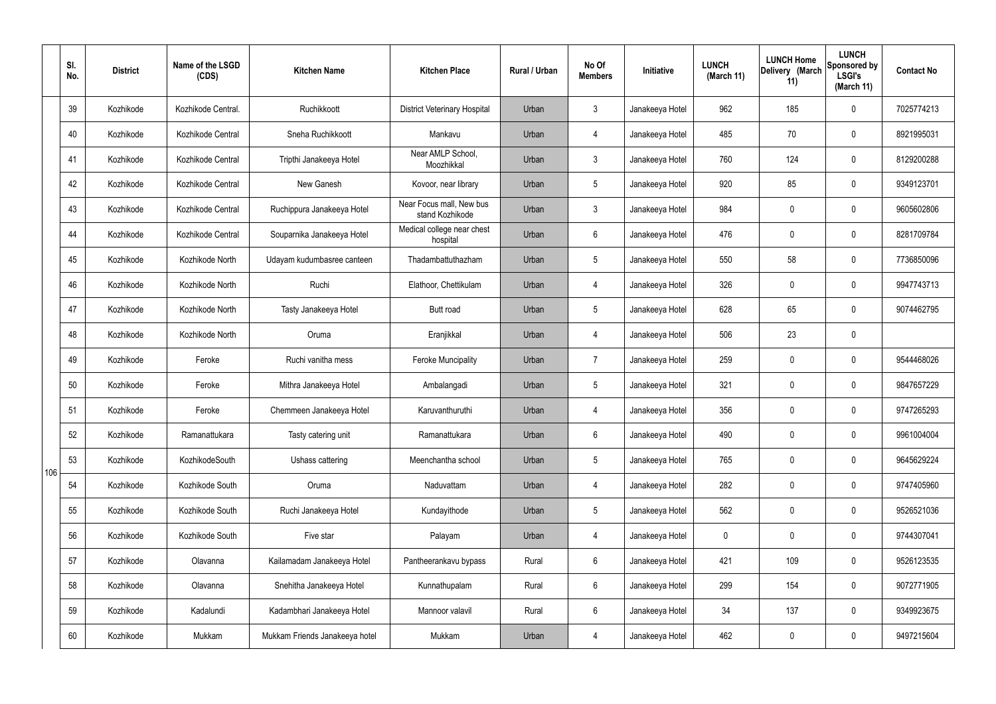|     | SI.<br>No. | <b>District</b> | Name of the LSGD<br>(CDS) | <b>Kitchen Name</b>            | <b>Kitchen Place</b>                        | <b>Rural / Urban</b> | No Of<br><b>Members</b> | Initiative      | <b>LUNCH</b><br>(March 11) | <b>LUNCH Home</b><br>Delivery (March<br>11) | <b>LUNCH</b><br>Sponsored by<br><b>LSGI's</b><br>(March 11) | <b>Contact No</b> |
|-----|------------|-----------------|---------------------------|--------------------------------|---------------------------------------------|----------------------|-------------------------|-----------------|----------------------------|---------------------------------------------|-------------------------------------------------------------|-------------------|
|     | 39         | Kozhikode       | Kozhikode Central.        | Ruchikkoott                    | <b>District Veterinary Hospital</b>         | Urban                | $\mathbf{3}$            | Janakeeya Hotel | 962                        | 185                                         | $\mathbf 0$                                                 | 7025774213        |
|     | 40         | Kozhikode       | Kozhikode Central         | Sneha Ruchikkoott              | Mankavu                                     | Urban                | 4                       | Janakeeya Hotel | 485                        | 70                                          | $\mathbf 0$                                                 | 8921995031        |
|     | 41         | Kozhikode       | Kozhikode Central         | Tripthi Janakeeya Hotel        | Near AMLP School,<br>Moozhikkal             | Urban                | $\mathbf{3}$            | Janakeeya Hotel | 760                        | 124                                         | $\mathbf 0$                                                 | 8129200288        |
|     | 42         | Kozhikode       | Kozhikode Central         | New Ganesh                     | Kovoor, near library                        | Urban                | $5\phantom{.0}$         | Janakeeya Hotel | 920                        | 85                                          | $\mathbf 0$                                                 | 9349123701        |
|     | 43         | Kozhikode       | Kozhikode Central         | Ruchippura Janakeeya Hotel     | Near Focus mall, New bus<br>stand Kozhikode | Urban                | $\mathbf{3}$            | Janakeeya Hotel | 984                        | $\mathbf 0$                                 | $\mathbf 0$                                                 | 9605602806        |
|     | 44         | Kozhikode       | Kozhikode Central         | Souparnika Janakeeya Hotel     | Medical college near chest<br>hospital      | Urban                | $6\phantom{.}6$         | Janakeeya Hotel | 476                        | $\mathbf 0$                                 | $\mathbf 0$                                                 | 8281709784        |
|     | 45         | Kozhikode       | Kozhikode North           | Udayam kudumbasree canteen     | Thadambattuthazham                          | Urban                | $5\overline{)}$         | Janakeeya Hotel | 550                        | 58                                          | $\mathbf 0$                                                 | 7736850096        |
|     | 46         | Kozhikode       | Kozhikode North           | Ruchi                          | Elathoor, Chettikulam                       | Urban                | 4                       | Janakeeya Hotel | 326                        | $\mathbf 0$                                 | $\mathbf 0$                                                 | 9947743713        |
|     | 47         | Kozhikode       | Kozhikode North           | Tasty Janakeeya Hotel          | <b>Butt road</b>                            | Urban                | $5\overline{)}$         | Janakeeya Hotel | 628                        | 65                                          | $\mathbf 0$                                                 | 9074462795        |
|     | 48         | Kozhikode       | Kozhikode North           | Oruma                          | Eranjikkal                                  | Urban                | 4                       | Janakeeya Hotel | 506                        | 23                                          | $\mathbf 0$                                                 |                   |
|     | 49         | Kozhikode       | Feroke                    | Ruchi vanitha mess             | <b>Feroke Muncipality</b>                   | Urban                | $\overline{7}$          | Janakeeya Hotel | 259                        | $\mathbf 0$                                 | $\mathbf 0$                                                 | 9544468026        |
|     | 50         | Kozhikode       | Feroke                    | Mithra Janakeeya Hotel         | Ambalangadi                                 | Urban                | $5\overline{)}$         | Janakeeya Hotel | 321                        | $\mathbf 0$                                 | $\mathbf 0$                                                 | 9847657229        |
|     | 51         | Kozhikode       | Feroke                    | Chemmeen Janakeeya Hotel       | Karuvanthuruthi                             | Urban                | 4                       | Janakeeya Hotel | 356                        | $\mathbf 0$                                 | $\mathbf 0$                                                 | 9747265293        |
|     | 52         | Kozhikode       | Ramanattukara             | Tasty catering unit            | Ramanattukara                               | Urban                | $6\phantom{.}6$         | Janakeeya Hotel | 490                        | $\mathbf 0$                                 | $\mathbf 0$                                                 | 9961004004        |
| 106 | 53         | Kozhikode       | KozhikodeSouth            | Ushass cattering               | Meenchantha school                          | Urban                | $5\phantom{.0}$         | Janakeeya Hotel | 765                        | 0                                           | $\mathbf 0$                                                 | 9645629224        |
|     | 54         | Kozhikode       | Kozhikode South           | Oruma                          | Naduvattam                                  | Urban                | 4                       | Janakeeya Hotel | 282                        | 0                                           | $\mathbf 0$                                                 | 9747405960        |
|     | 55         | Kozhikode       | Kozhikode South           | Ruchi Janakeeya Hotel          | Kundayithode                                | Urban                | $5\phantom{.0}$         | Janakeeya Hotel | 562                        | 0                                           | $\mathbf 0$                                                 | 9526521036        |
|     | 56         | Kozhikode       | Kozhikode South           | Five star                      | Palayam                                     | Urban                | 4                       | Janakeeya Hotel | $\mathbf 0$                | 0                                           | $\mathbf 0$                                                 | 9744307041        |
|     | 57         | Kozhikode       | Olavanna                  | Kailamadam Janakeeya Hotel     | Pantheerankavu bypass                       | Rural                | $6\overline{6}$         | Janakeeya Hotel | 421                        | 109                                         | $\mathbf 0$                                                 | 9526123535        |
|     | 58         | Kozhikode       | Olavanna                  | Snehitha Janakeeya Hotel       | Kunnathupalam                               | Rural                | $6\overline{6}$         | Janakeeya Hotel | 299                        | 154                                         | $\mathbf 0$                                                 | 9072771905        |
|     | 59         | Kozhikode       | Kadalundi                 | Kadambhari Janakeeya Hotel     | Mannoor valavil                             | Rural                | $6\overline{6}$         | Janakeeya Hotel | 34                         | 137                                         | $\mathbf 0$                                                 | 9349923675        |
|     | 60         | Kozhikode       | Mukkam                    | Mukkam Friends Janakeeya hotel | Mukkam                                      | Urban                | 4                       | Janakeeya Hotel | 462                        | 0                                           | $\overline{0}$                                              | 9497215604        |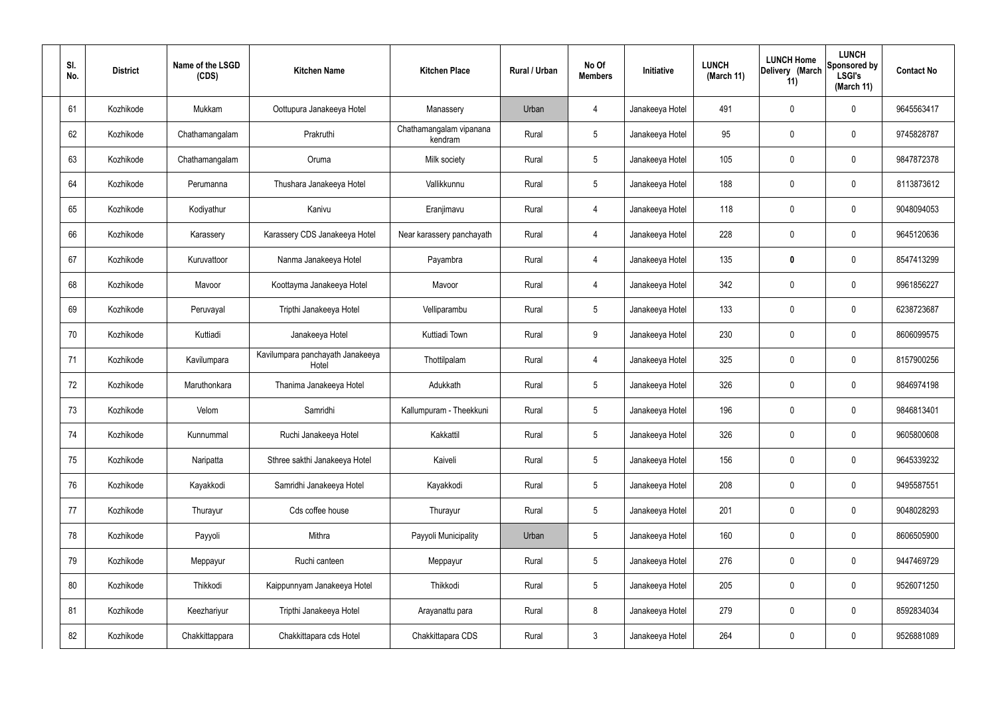| SI.<br>No. | <b>District</b> | Name of the LSGD<br>(CDS) | <b>Kitchen Name</b>                       | <b>Kitchen Place</b>               | Rural / Urban | No Of<br><b>Members</b> | Initiative      | <b>LUNCH</b><br>(March 11) | <b>LUNCH Home</b><br>Delivery (March<br>11) | <b>LUNCH</b><br>Sponsored by<br><b>LSGI's</b><br>(March 11) | <b>Contact No</b> |
|------------|-----------------|---------------------------|-------------------------------------------|------------------------------------|---------------|-------------------------|-----------------|----------------------------|---------------------------------------------|-------------------------------------------------------------|-------------------|
| 61         | Kozhikode       | Mukkam                    | Oottupura Janakeeya Hotel                 | Manassery                          | Urban         | 4                       | Janakeeya Hotel | 491                        | $\mathbf 0$                                 | 0                                                           | 9645563417        |
| 62         | Kozhikode       | Chathamangalam            | Prakruthi                                 | Chathamangalam vipanana<br>kendram | Rural         | $5\phantom{.0}$         | Janakeeya Hotel | 95                         | $\mathbf 0$                                 | 0                                                           | 9745828787        |
| 63         | Kozhikode       | Chathamangalam            | Oruma                                     | Milk society                       | Rural         | $5\phantom{.0}$         | Janakeeya Hotel | 105                        | $\mathbf 0$                                 | 0                                                           | 9847872378        |
| 64         | Kozhikode       | Perumanna                 | Thushara Janakeeya Hotel                  | Vallikkunnu                        | Rural         | $5\phantom{.0}$         | Janakeeya Hotel | 188                        | $\mathbf 0$                                 | 0                                                           | 8113873612        |
| 65         | Kozhikode       | Kodiyathur                | Kanivu                                    | Eranjimavu                         | Rural         | 4                       | Janakeeya Hotel | 118                        | $\mathbf 0$                                 | 0                                                           | 9048094053        |
| 66         | Kozhikode       | Karassery                 | Karassery CDS Janakeeya Hotel             | Near karassery panchayath          | Rural         | 4                       | Janakeeya Hotel | 228                        | $\mathbf 0$                                 | 0                                                           | 9645120636        |
| 67         | Kozhikode       | Kuruvattoor               | Nanma Janakeeya Hotel                     | Payambra                           | Rural         | $\overline{4}$          | Janakeeya Hotel | 135                        | $\boldsymbol{0}$                            | 0                                                           | 8547413299        |
| 68         | Kozhikode       | Mavoor                    | Koottayma Janakeeya Hotel                 | Mavoor                             | Rural         | $\overline{4}$          | Janakeeya Hotel | 342                        | $\mathbf 0$                                 | 0                                                           | 9961856227        |
| 69         | Kozhikode       | Peruvayal                 | Tripthi Janakeeya Hotel                   | Velliparambu                       | Rural         | $5\phantom{.0}$         | Janakeeya Hotel | 133                        | $\mathbf 0$                                 | 0                                                           | 6238723687        |
| 70         | Kozhikode       | Kuttiadi                  | Janakeeya Hotel                           | Kuttiadi Town                      | Rural         | 9                       | Janakeeya Hotel | 230                        | 0                                           | 0                                                           | 8606099575        |
| 71         | Kozhikode       | Kavilumpara               | Kavilumpara panchayath Janakeeya<br>Hotel | Thottilpalam                       | Rural         | $\overline{4}$          | Janakeeya Hotel | 325                        | 0                                           | 0                                                           | 8157900256        |
| 72         | Kozhikode       | Maruthonkara              | Thanima Janakeeya Hotel                   | Adukkath                           | Rural         | $5\phantom{.0}$         | Janakeeya Hotel | 326                        | 0                                           | 0                                                           | 9846974198        |
| 73         | Kozhikode       | Velom                     | Samridhi                                  | Kallumpuram - Theekkuni            | Rural         | 5                       | Janakeeya Hotel | 196                        | 0                                           | 0                                                           | 9846813401        |
| 74         | Kozhikode       | Kunnummal                 | Ruchi Janakeeya Hotel                     | Kakkattil                          | Rural         | $5\phantom{.0}$         | Janakeeya Hotel | 326                        | $\mathbf 0$                                 | 0                                                           | 9605800608        |
| 75         | Kozhikode       | Naripatta                 | Sthree sakthi Janakeeya Hotel             | Kaiveli                            | Rural         | $5\phantom{.0}$         | Janakeeya Hotel | 156                        | $\mathbf 0$                                 | 0                                                           | 9645339232        |
| 76         | Kozhikode       | Kayakkodi                 | Samridhi Janakeeya Hotel                  | Kayakkodi                          | Rural         | $5\phantom{.0}$         | Janakeeya Hotel | 208                        | $\mathbf 0$                                 | 0                                                           | 9495587551        |
| 77         | Kozhikode       | Thurayur                  | Cds coffee house                          | Thurayur                           | Rural         | $5\phantom{.0}$         | Janakeeya Hotel | 201                        | $\mathbf 0$                                 | 0                                                           | 9048028293        |
| 78         | Kozhikode       | Payyoli                   | Mithra                                    | Payyoli Municipality               | Urban         | $5\phantom{.0}$         | Janakeeya Hotel | 160                        | $\boldsymbol{0}$                            | 0                                                           | 8606505900        |
| 79         | Kozhikode       | Meppayur                  | Ruchi canteen                             | Meppayur                           | Rural         | $5\phantom{.0}$         | Janakeeya Hotel | 276                        | $\pmb{0}$                                   | 0                                                           | 9447469729        |
| 80         | Kozhikode       | Thikkodi                  | Kaippunnyam Janakeeya Hotel               | Thikkodi                           | Rural         | $5\phantom{.0}$         | Janakeeya Hotel | 205                        | $\boldsymbol{0}$                            | 0                                                           | 9526071250        |
| 81         | Kozhikode       | Keezhariyur               | Tripthi Janakeeya Hotel                   | Arayanattu para                    | Rural         | $\,8\,$                 | Janakeeya Hotel | 279                        | $\mathbf 0$                                 | 0                                                           | 8592834034        |
| 82         | Kozhikode       | Chakkittappara            | Chakkittapara cds Hotel                   | Chakkittapara CDS                  | Rural         | $\mathbf{3}$            | Janakeeya Hotel | 264                        | 0                                           | 0                                                           | 9526881089        |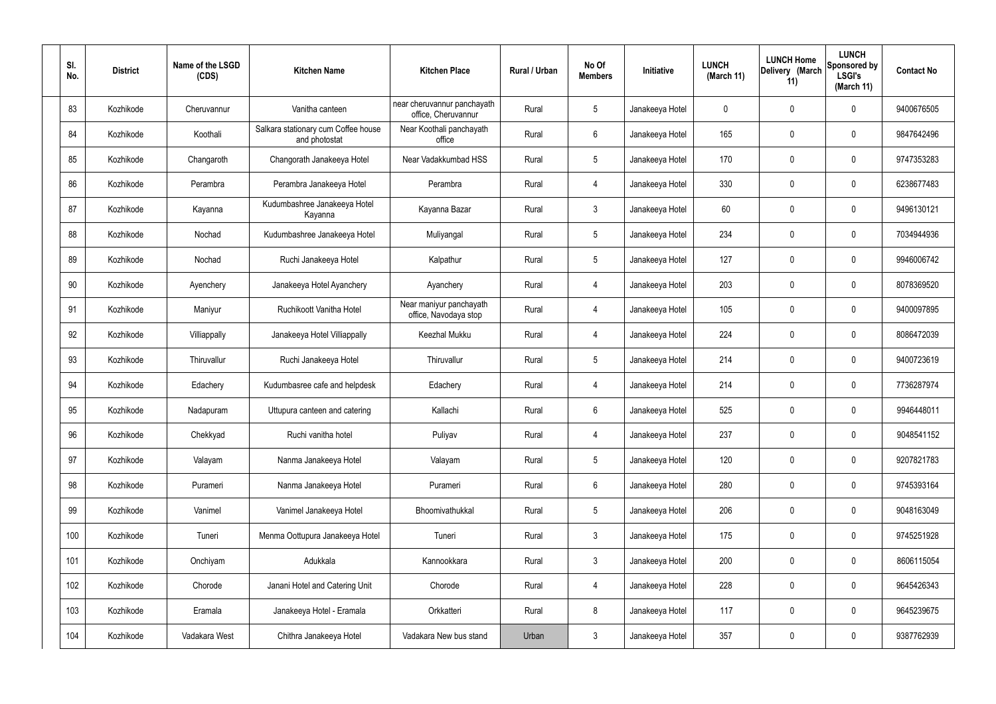| SI.<br>No. | <b>District</b> | Name of the LSGD<br>(CDS) | <b>Kitchen Name</b>                                  | <b>Kitchen Place</b>                               | Rural / Urban | No Of<br><b>Members</b> | Initiative      | <b>LUNCH</b><br>(March 11) | <b>LUNCH Home</b><br>Delivery (March<br>11) | <b>LUNCH</b><br>Sponsored by<br><b>LSGI's</b><br>(March 11) | <b>Contact No</b> |
|------------|-----------------|---------------------------|------------------------------------------------------|----------------------------------------------------|---------------|-------------------------|-----------------|----------------------------|---------------------------------------------|-------------------------------------------------------------|-------------------|
| 83         | Kozhikode       | Cheruvannur               | Vanitha canteen                                      | near cheruvannur panchayath<br>office, Cheruvannur | Rural         | $5\phantom{.0}$         | Janakeeya Hotel | $\mathbf 0$                | 0                                           | $\mathbf 0$                                                 | 9400676505        |
| 84         | Kozhikode       | Koothali                  | Salkara stationary cum Coffee house<br>and photostat | Near Koothali panchayath<br>office                 | Rural         | $6\phantom{.}6$         | Janakeeya Hotel | 165                        | 0                                           | $\mathbf 0$                                                 | 9847642496        |
| 85         | Kozhikode       | Changaroth                | Changorath Janakeeya Hotel                           | Near Vadakkumbad HSS                               | Rural         | $5\phantom{.0}$         | Janakeeya Hotel | 170                        | 0                                           | $\mathbf 0$                                                 | 9747353283        |
| 86         | Kozhikode       | Perambra                  | Perambra Janakeeya Hotel                             | Perambra                                           | Rural         | $\overline{4}$          | Janakeeya Hotel | 330                        | 0                                           | $\mathbf 0$                                                 | 6238677483        |
| 87         | Kozhikode       | Kayanna                   | Kudumbashree Janakeeya Hotel<br>Kayanna              | Kayanna Bazar                                      | Rural         | $\mathbf{3}$            | Janakeeya Hotel | 60                         | 0                                           | $\mathbf 0$                                                 | 9496130121        |
| 88         | Kozhikode       | Nochad                    | Kudumbashree Janakeeya Hotel                         | Muliyangal                                         | Rural         | $5\phantom{.0}$         | Janakeeya Hotel | 234                        | 0                                           | $\mathbf 0$                                                 | 7034944936        |
| 89         | Kozhikode       | Nochad                    | Ruchi Janakeeya Hotel                                | Kalpathur                                          | Rural         | $5\phantom{.0}$         | Janakeeya Hotel | 127                        | 0                                           | $\mathbf 0$                                                 | 9946006742        |
| 90         | Kozhikode       | Ayenchery                 | Janakeeya Hotel Ayanchery                            | Ayanchery                                          | Rural         | $\overline{4}$          | Janakeeya Hotel | 203                        | 0                                           | $\mathbf 0$                                                 | 8078369520        |
| 91         | Kozhikode       | Maniyur                   | Ruchikoott Vanitha Hotel                             | Near maniyur panchayath<br>office, Navodaya stop   | Rural         | $\overline{4}$          | Janakeeya Hotel | 105                        | 0                                           | $\mathbf 0$                                                 | 9400097895        |
| 92         | Kozhikode       | Villiappally              | Janakeeya Hotel Villiappally                         | <b>Keezhal Mukku</b>                               | Rural         | 4                       | Janakeeya Hotel | 224                        | 0                                           | $\mathbf 0$                                                 | 8086472039        |
| 93         | Kozhikode       | Thiruvallur               | Ruchi Janakeeya Hotel                                | Thiruvallur                                        | Rural         | $5\,$                   | Janakeeya Hotel | 214                        | 0                                           | $\mathbf 0$                                                 | 9400723619        |
| 94         | Kozhikode       | Edachery                  | Kudumbasree cafe and helpdesk                        | Edachery                                           | Rural         | 4                       | Janakeeya Hotel | 214                        | 0                                           | $\mathbf 0$                                                 | 7736287974        |
| 95         | Kozhikode       | Nadapuram                 | Uttupura canteen and catering                        | Kallachi                                           | Rural         | $6\phantom{.}6$         | Janakeeya Hotel | 525                        | 0                                           | 0                                                           | 9946448011        |
| 96         | Kozhikode       | Chekkyad                  | Ruchi vanitha hotel                                  | Puliyav                                            | Rural         | $\overline{4}$          | Janakeeya Hotel | 237                        | 0                                           | $\mathbf 0$                                                 | 9048541152        |
| 97         | Kozhikode       | Valayam                   | Nanma Janakeeya Hotel                                | Valayam                                            | Rural         | $5\phantom{.0}$         | Janakeeya Hotel | 120                        | 0                                           | $\mathbf 0$                                                 | 9207821783        |
| 98         | Kozhikode       | Purameri                  | Nanma Janakeeya Hotel                                | Purameri                                           | Rural         | $6\overline{6}$         | Janakeeya Hotel | 280                        | 0                                           | $\mathbf 0$                                                 | 9745393164        |
| 99         | Kozhikode       | Vanimel                   | Vanimel Janakeeya Hotel                              | Bhoomivathukkal                                    | Rural         | $5\phantom{.0}$         | Janakeeya Hotel | 206                        | 0                                           | $\mathbf 0$                                                 | 9048163049        |
| 100        | Kozhikode       | Tuneri                    | Menma Oottupura Janakeeya Hotel                      | Tuneri                                             | Rural         | $\mathbf{3}$            | Janakeeya Hotel | 175                        | 0                                           | $\mathbf 0$                                                 | 9745251928        |
| 101        | Kozhikode       | Onchiyam                  | Adukkala                                             | Kannookkara                                        | Rural         | $\mathbf{3}$            | Janakeeya Hotel | 200                        | 0                                           | $\mathbf 0$                                                 | 8606115054        |
| 102        | Kozhikode       | Chorode                   | Janani Hotel and Catering Unit                       | Chorode                                            | Rural         | $\overline{4}$          | Janakeeya Hotel | 228                        | 0                                           | $\mathbf 0$                                                 | 9645426343        |
| 103        | Kozhikode       | Eramala                   | Janakeeya Hotel - Eramala                            | Orkkatteri                                         | Rural         | $\bf 8$                 | Janakeeya Hotel | 117                        | $\pmb{0}$                                   | $\mathbf 0$                                                 | 9645239675        |
| 104        | Kozhikode       | Vadakara West             | Chithra Janakeeya Hotel                              | Vadakara New bus stand                             | Urban         | $\mathbf{3}$            | Janakeeya Hotel | 357                        | $\pmb{0}$                                   | $\bm{0}$                                                    | 9387762939        |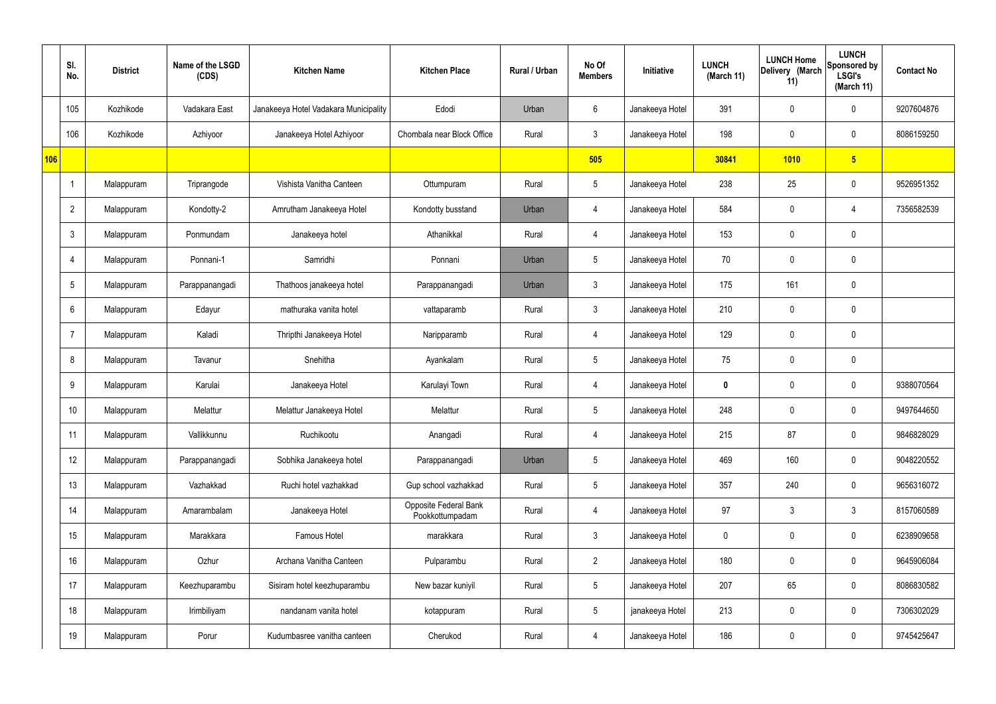|     | SI.<br>No.      | <b>District</b> | Name of the LSGD<br>(CDS) | <b>Kitchen Name</b>                   | <b>Kitchen Place</b>                            | Rural / Urban | No Of<br><b>Members</b> | Initiative      | <b>LUNCH</b><br>(March 11) | <b>LUNCH Home</b><br>Delivery (March<br>11) | <b>LUNCH</b><br>Sponsored by<br><b>LSGI's</b><br>(March 11) | <b>Contact No</b> |
|-----|-----------------|-----------------|---------------------------|---------------------------------------|-------------------------------------------------|---------------|-------------------------|-----------------|----------------------------|---------------------------------------------|-------------------------------------------------------------|-------------------|
|     | 105             | Kozhikode       | Vadakara East             | Janakeeya Hotel Vadakara Municipality | Edodi                                           | Urban         | 6                       | Janakeeya Hotel | 391                        | $\mathbf 0$                                 | $\mathbf 0$                                                 | 9207604876        |
|     | 106             | Kozhikode       | Azhiyoor                  | Janakeeya Hotel Azhiyoor              | Chombala near Block Office                      | Rural         | 3                       | Janakeeya Hotel | 198                        | $\mathbf 0$                                 | $\mathbf 0$                                                 | 8086159250        |
| 106 |                 |                 |                           |                                       |                                                 |               | 505                     |                 | 30841                      | 1010                                        | $5\overline{)}$                                             |                   |
|     |                 | Malappuram      | Triprangode               | Vishista Vanitha Canteen              | Ottumpuram                                      | Rural         | $5\overline{)}$         | Janakeeya Hotel | 238                        | 25                                          | $\mathbf 0$                                                 | 9526951352        |
|     | $\overline{2}$  | Malappuram      | Kondotty-2                | Amrutham Janakeeya Hotel              | Kondotty busstand                               | Urban         | $\overline{4}$          | Janakeeya Hotel | 584                        | $\mathbf 0$                                 | 4                                                           | 7356582539        |
|     | $\mathbf{3}$    | Malappuram      | Ponmundam                 | Janakeeya hotel                       | Athanikkal                                      | Rural         | 4                       | Janakeeya Hotel | 153                        | $\mathbf 0$                                 | $\mathbf 0$                                                 |                   |
|     | $\overline{4}$  | Malappuram      | Ponnani-1                 | Samridhi                              | Ponnani                                         | Urban         | $5\overline{)}$         | Janakeeya Hotel | 70                         | $\mathbf 0$                                 | $\mathbf 0$                                                 |                   |
|     | $5\phantom{.0}$ | Malappuram      | Parappanangadi            | Thathoos janakeeya hotel              | Parappanangadi                                  | Urban         | $\mathbf{3}$            | Janakeeya Hotel | 175                        | 161                                         | $\mathbf 0$                                                 |                   |
|     | 6               | Malappuram      | Edayur                    | mathuraka vanita hotel                | vattaparamb                                     | Rural         | 3                       | Janakeeya Hotel | 210                        | $\mathbf 0$                                 | $\mathbf 0$                                                 |                   |
|     | $\overline{7}$  | Malappuram      | Kaladi                    | Thripthi Janakeeya Hotel              | Naripparamb                                     | Rural         | 4                       | Janakeeya Hotel | 129                        | $\mathbf 0$                                 | $\mathbf 0$                                                 |                   |
|     | 8               | Malappuram      | Tavanur                   | Snehitha                              | Ayankalam                                       | Rural         | $5\overline{)}$         | Janakeeya Hotel | 75                         | $\mathbf 0$                                 | $\mathbf 0$                                                 |                   |
|     | 9               | Malappuram      | Karulai                   | Janakeeya Hotel                       | Karulayi Town                                   | Rural         | 4                       | Janakeeya Hotel | $\mathbf 0$                | $\mathbf 0$                                 | $\mathbf 0$                                                 | 9388070564        |
|     | 10              | Malappuram      | Melattur                  | Melattur Janakeeya Hotel              | Melattur                                        | Rural         | 5                       | Janakeeya Hotel | 248                        | $\mathbf 0$                                 | $\mathbf 0$                                                 | 9497644650        |
|     | 11              | Malappuram      | Vallikkunnu               | Ruchikootu                            | Anangadi                                        | Rural         | $\overline{4}$          | Janakeeya Hotel | 215                        | 87                                          | $\mathbf 0$                                                 | 9846828029        |
|     | 12              | Malappuram      | Parappanangadi            | Sobhika Janakeeya hotel               | Parappanangadi                                  | Urban         | $5\overline{)}$         | Janakeeya Hotel | 469                        | 160                                         | $\mathbf 0$                                                 | 9048220552        |
|     | 13              | Malappuram      | Vazhakkad                 | Ruchi hotel vazhakkad                 | Gup school vazhakkad                            | Rural         | 5 <sup>5</sup>          | Janakeeya Hotel | 357                        | 240                                         | $\mathbf 0$                                                 | 9656316072        |
|     | 14              | Malappuram      | Amarambalam               | Janakeeya Hotel                       | <b>Opposite Federal Bank</b><br>Pookkottumpadam | Rural         | $\overline{4}$          | Janakeeya Hotel | 97                         | $\mathfrak{Z}$                              | $\mathbf{3}$                                                | 8157060589        |
|     | 15              | Malappuram      | Marakkara                 | Famous Hotel                          | marakkara                                       | Rural         | 3                       | Janakeeya Hotel | $\mathbf 0$                | 0                                           | $\mathbf 0$                                                 | 6238909658        |
|     | 16              | Malappuram      | Ozhur                     | Archana Vanitha Canteen               | Pulparambu                                      | Rural         | $\overline{2}$          | Janakeeya Hotel | 180                        | 0                                           | $\mathbf 0$                                                 | 9645906084        |
|     | 17              | Malappuram      | Keezhuparambu             | Sisiram hotel keezhuparambu           | New bazar kuniyil                               | Rural         | 5 <sup>5</sup>          | Janakeeya Hotel | 207                        | 65                                          | $\mathbf 0$                                                 | 8086830582        |
|     | 18              | Malappuram      | Irimbiliyam               | nandanam vanita hotel                 | kotappuram                                      | Rural         | $5\phantom{.0}$         | janakeeya Hotel | 213                        | 0                                           | $\mathbf 0$                                                 | 7306302029        |
|     | 19              | Malappuram      | Porur                     | Kudumbasree vanitha canteen           | Cherukod                                        | Rural         | 4                       | Janakeeya Hotel | 186                        | 0                                           | $\overline{0}$                                              | 9745425647        |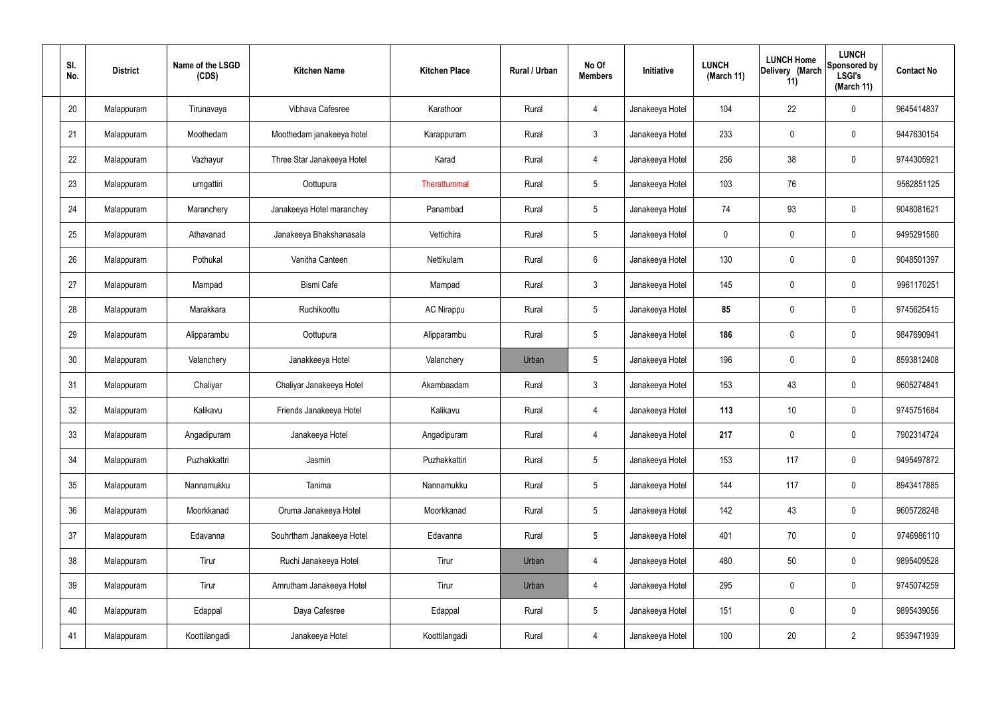| SI.<br>No. | <b>District</b> | Name of the LSGD<br>(CDS) | <b>Kitchen Name</b>        | <b>Kitchen Place</b> | Rural / Urban | No Of<br><b>Members</b> | Initiative      | <b>LUNCH</b><br>(March 11) | <b>LUNCH Home</b><br>Delivery (March<br>11) | <b>LUNCH</b><br>Sponsored by<br><b>LSGI's</b><br>(March 11) | <b>Contact No</b> |
|------------|-----------------|---------------------------|----------------------------|----------------------|---------------|-------------------------|-----------------|----------------------------|---------------------------------------------|-------------------------------------------------------------|-------------------|
| 20         | Malappuram      | Tirunavaya                | Vibhava Cafesree           | Karathoor            | Rural         | $\overline{4}$          | Janakeeya Hotel | 104                        | 22                                          | $\mathbf 0$                                                 | 9645414837        |
| 21         | Malappuram      | Moothedam                 | Moothedam janakeeya hotel  | Karappuram           | Rural         | $\mathbf{3}$            | Janakeeya Hotel | 233                        | $\mathsf{0}$                                | $\mathbf 0$                                                 | 9447630154        |
| 22         | Malappuram      | Vazhayur                  | Three Star Janakeeya Hotel | Karad                | Rural         | 4                       | Janakeeya Hotel | 256                        | 38                                          | $\mathbf 0$                                                 | 9744305921        |
| 23         | Malappuram      | urngattiri                | Oottupura                  | Therattummal         | Rural         | $5\phantom{.0}$         | Janakeeya Hotel | 103                        | 76                                          |                                                             | 9562851125        |
| 24         | Malappuram      | Maranchery                | Janakeeya Hotel maranchey  | Panambad             | Rural         | $5\phantom{.0}$         | Janakeeya Hotel | 74                         | 93                                          | $\mathbf 0$                                                 | 9048081621        |
| 25         | Malappuram      | Athavanad                 | Janakeeya Bhakshanasala    | Vettichira           | Rural         | $5\phantom{.0}$         | Janakeeya Hotel | $\mathbf 0$                | $\mathbf 0$                                 | $\mathbf 0$                                                 | 9495291580        |
| 26         | Malappuram      | Pothukal                  | Vanitha Canteen            | Nettikulam           | Rural         | $6\phantom{.}6$         | Janakeeya Hotel | 130                        | 0                                           | $\mathbf 0$                                                 | 9048501397        |
| 27         | Malappuram      | Mampad                    | <b>Bismi Cafe</b>          | Mampad               | Rural         | $\mathbf{3}$            | Janakeeya Hotel | 145                        | $\mathbf 0$                                 | $\mathbf 0$                                                 | 9961170251        |
| 28         | Malappuram      | Marakkara                 | Ruchikoottu                | <b>AC Nirappu</b>    | Rural         | $5\phantom{.0}$         | Janakeeya Hotel | 85                         | $\boldsymbol{0}$                            | $\mathbf 0$                                                 | 9745625415        |
| 29         | Malappuram      | Alipparambu               | Oottupura                  | Alipparambu          | Rural         | $5\phantom{.0}$         | Janakeeya Hotel | 186                        | 0                                           | $\mathbf 0$                                                 | 9847690941        |
| 30         | Malappuram      | Valanchery                | Janakkeeya Hotel           | Valanchery           | Urban         | $5\phantom{.0}$         | Janakeeya Hotel | 196                        | $\mathbf 0$                                 | $\mathbf 0$                                                 | 8593812408        |
| 31         | Malappuram      | Chaliyar                  | Chaliyar Janakeeya Hotel   | Akambaadam           | Rural         | $\mathbf{3}$            | Janakeeya Hotel | 153                        | 43                                          | $\mathbf 0$                                                 | 9605274841        |
| 32         | Malappuram      | Kalikavu                  | Friends Janakeeya Hotel    | Kalikavu             | Rural         | $\overline{4}$          | Janakeeya Hotel | 113                        | 10                                          | $\boldsymbol{0}$                                            | 9745751684        |
| 33         | Malappuram      | Angadipuram               | Janakeeya Hotel            | Angadipuram          | Rural         | $\overline{4}$          | Janakeeya Hotel | 217                        | $\mathsf{0}$                                | $\mathbf 0$                                                 | 7902314724        |
| 34         | Malappuram      | Puzhakkattri              | Jasmin                     | Puzhakkattiri        | Rural         | $5\phantom{.0}$         | Janakeeya Hotel | 153                        | 117                                         | $\mathbf 0$                                                 | 9495497872        |
| 35         | Malappuram      | Nannamukku                | Tanima                     | Nannamukku           | Rural         | $5\phantom{.0}$         | Janakeeya Hotel | 144                        | 117                                         | $\mathbf 0$                                                 | 8943417885        |
| 36         | Malappuram      | Moorkkanad                | Oruma Janakeeya Hotel      | Moorkkanad           | Rural         | $5\phantom{.0}$         | Janakeeya Hotel | 142                        | 43                                          | $\mathbf 0$                                                 | 9605728248        |
| 37         | Malappuram      | Edavanna                  | Souhrtham Janakeeya Hotel  | Edavanna             | Rural         | $5\phantom{.0}$         | Janakeeya Hotel | 401                        | 70                                          | $\mathbf 0$                                                 | 9746986110        |
| 38         | Malappuram      | Tirur                     | Ruchi Janakeeya Hotel      | Tirur                | Urban         | $\overline{4}$          | Janakeeya Hotel | 480                        | 50                                          | $\mathbf 0$                                                 | 9895409528        |
| 39         | Malappuram      | Tirur                     | Amrutham Janakeeya Hotel   | Tirur                | Urban         | $\overline{4}$          | Janakeeya Hotel | 295                        | $\mathbf 0$                                 | $\mathbf 0$                                                 | 9745074259        |
| 40         | Malappuram      | Edappal                   | Daya Cafesree              | Edappal              | Rural         | $5\,$                   | Janakeeya Hotel | 151                        | 0                                           | $\mathbf 0$                                                 | 9895439056        |
| 41         | Malappuram      | Koottilangadi             | Janakeeya Hotel            | Koottilangadi        | Rural         | 4                       | Janakeeya Hotel | 100                        | $20\,$                                      | $\overline{2}$                                              | 9539471939        |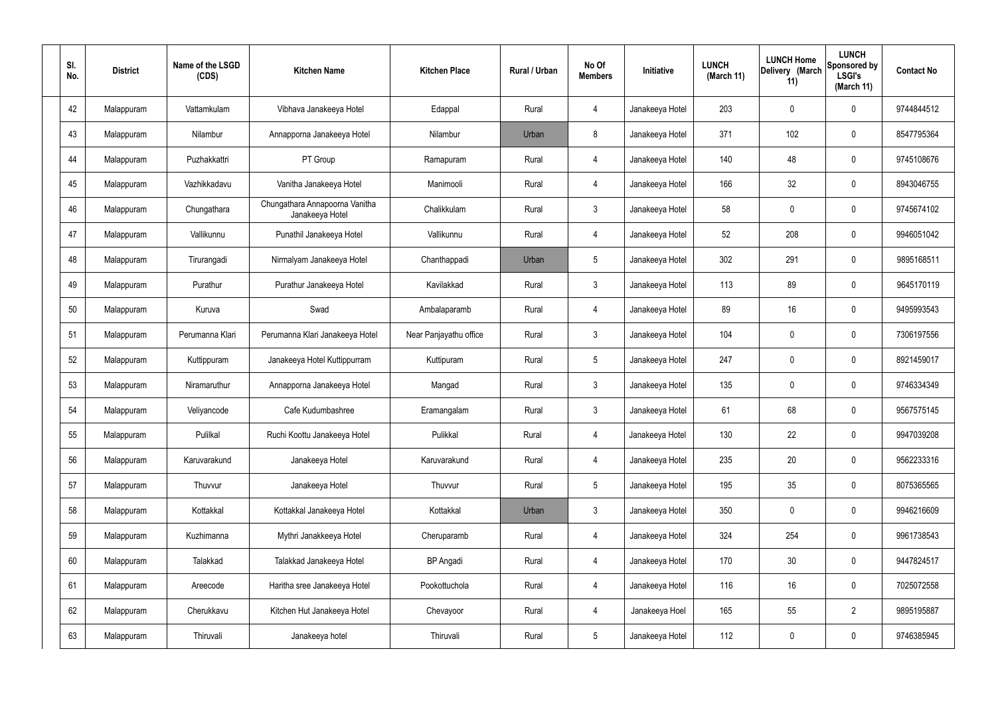| SI.<br>No. | <b>District</b> | Name of the LSGD<br>(CDS) | <b>Kitchen Name</b>                               | <b>Kitchen Place</b>   | Rural / Urban | No Of<br><b>Members</b> | Initiative      | <b>LUNCH</b><br>(March 11) | <b>LUNCH Home</b><br>Delivery (March<br>11) | <b>LUNCH</b><br>Sponsored by<br><b>LSGI's</b><br>(March 11) | <b>Contact No</b> |
|------------|-----------------|---------------------------|---------------------------------------------------|------------------------|---------------|-------------------------|-----------------|----------------------------|---------------------------------------------|-------------------------------------------------------------|-------------------|
| 42         | Malappuram      | Vattamkulam               | Vibhava Janakeeya Hotel                           | Edappal                | Rural         | 4                       | Janakeeya Hotel | 203                        | $\mathbf 0$                                 | 0                                                           | 9744844512        |
| 43         | Malappuram      | Nilambur                  | Annapporna Janakeeya Hotel                        | Nilambur               | Urban         | 8                       | Janakeeya Hotel | 371                        | 102                                         | 0                                                           | 8547795364        |
| 44         | Malappuram      | Puzhakkattri              | PT Group                                          | Ramapuram              | Rural         | 4                       | Janakeeya Hotel | 140                        | 48                                          | 0                                                           | 9745108676        |
| 45         | Malappuram      | Vazhikkadavu              | Vanitha Janakeeya Hotel                           | Manimooli              | Rural         | 4                       | Janakeeya Hotel | 166                        | 32                                          | 0                                                           | 8943046755        |
| 46         | Malappuram      | Chungathara               | Chungathara Annapoorna Vanitha<br>Janakeeya Hotel | Chalikkulam            | Rural         | $\mathbf{3}$            | Janakeeya Hotel | 58                         | $\mathbf 0$                                 | 0                                                           | 9745674102        |
| 47         | Malappuram      | Vallikunnu                | Punathil Janakeeya Hotel                          | Vallikunnu             | Rural         | 4                       | Janakeeya Hotel | 52                         | 208                                         | 0                                                           | 9946051042        |
| 48         | Malappuram      | Tirurangadi               | Nirmalyam Janakeeya Hotel                         | Chanthappadi           | Urban         | $5\phantom{.0}$         | Janakeeya Hotel | 302                        | 291                                         | 0                                                           | 9895168511        |
| 49         | Malappuram      | Purathur                  | Purathur Janakeeya Hotel                          | Kavilakkad             | Rural         | $\mathbf{3}$            | Janakeeya Hotel | 113                        | 89                                          | 0                                                           | 9645170119        |
| 50         | Malappuram      | Kuruva                    | Swad                                              | Ambalaparamb           | Rural         | 4                       | Janakeeya Hotel | 89                         | 16                                          | 0                                                           | 9495993543        |
| 51         | Malappuram      | Perumanna Klari           | Perumanna Klari Janakeeya Hotel                   | Near Panjayathu office | Rural         | $\mathbf{3}$            | Janakeeya Hotel | 104                        | 0                                           | 0                                                           | 7306197556        |
| 52         | Malappuram      | Kuttippuram               | Janakeeya Hotel Kuttippurram                      | Kuttipuram             | Rural         | $5\phantom{.0}$         | Janakeeya Hotel | 247                        | 0                                           | 0                                                           | 8921459017        |
| 53         | Malappuram      | Niramaruthur              | Annapporna Janakeeya Hotel                        | Mangad                 | Rural         | $\mathbf{3}$            | Janakeeya Hotel | 135                        | 0                                           | 0                                                           | 9746334349        |
| 54         | Malappuram      | Veliyancode               | Cafe Kudumbashree                                 | Eramangalam            | Rural         | $\mathbf{3}$            | Janakeeya Hotel | 61                         | 68                                          | 0                                                           | 9567575145        |
| 55         | Malappuram      | Pulilkal                  | Ruchi Koottu Janakeeya Hotel                      | Pulikkal               | Rural         | $\overline{4}$          | Janakeeya Hotel | 130                        | 22                                          | 0                                                           | 9947039208        |
| 56         | Malappuram      | Karuvarakund              | Janakeeya Hotel                                   | Karuvarakund           | Rural         | $\overline{4}$          | Janakeeya Hotel | 235                        | 20                                          | 0                                                           | 9562233316        |
| 57         | Malappuram      | Thuvvur                   | Janakeeya Hotel                                   | Thuvvur                | Rural         | $5\phantom{.0}$         | Janakeeya Hotel | 195                        | 35                                          | 0                                                           | 8075365565        |
| 58         | Malappuram      | Kottakkal                 | Kottakkal Janakeeya Hotel                         | Kottakkal              | Urban         | $\mathbf{3}$            | Janakeeya Hotel | 350                        | $\pmb{0}$                                   | 0                                                           | 9946216609        |
| 59         | Malappuram      | Kuzhimanna                | Mythri Janakkeeya Hotel                           | Cheruparamb            | Rural         | $\overline{4}$          | Janakeeya Hotel | 324                        | 254                                         | 0                                                           | 9961738543        |
| 60         | Malappuram      | Talakkad                  | Talakkad Janakeeya Hotel                          | <b>BP</b> Angadi       | Rural         | $\overline{4}$          | Janakeeya Hotel | 170                        | 30 <sub>2</sub>                             | 0                                                           | 9447824517        |
| 61         | Malappuram      | Areecode                  | Haritha sree Janakeeya Hotel                      | Pookottuchola          | Rural         | $\overline{4}$          | Janakeeya Hotel | 116                        | 16                                          | 0                                                           | 7025072558        |
| 62         | Malappuram      | Cherukkavu                | Kitchen Hut Janakeeya Hotel                       | Chevayoor              | Rural         | $\overline{4}$          | Janakeeya Hoel  | 165                        | 55                                          | $\overline{2}$                                              | 9895195887        |
| 63         | Malappuram      | Thiruvali                 | Janakeeya hotel                                   | Thiruvali              | Rural         | $5\phantom{.0}$         | Janakeeya Hotel | 112                        | $\pmb{0}$                                   | 0                                                           | 9746385945        |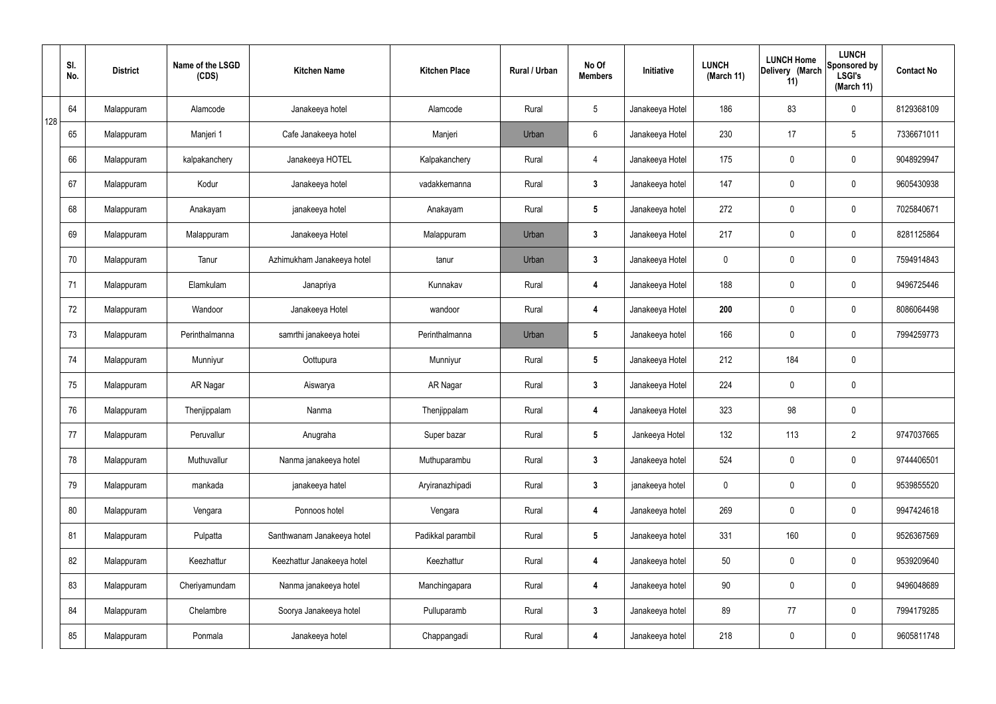|     | SI.<br>No. | <b>District</b> | Name of the LSGD<br>(CDS) | <b>Kitchen Name</b>        | <b>Kitchen Place</b> | Rural / Urban | No Of<br><b>Members</b> | Initiative      | <b>LUNCH</b><br>(March 11) | <b>LUNCH Home</b><br>Delivery (March<br>11) | <b>LUNCH</b><br>Sponsored by<br><b>LSGI's</b><br>(March 11) | <b>Contact No</b> |
|-----|------------|-----------------|---------------------------|----------------------------|----------------------|---------------|-------------------------|-----------------|----------------------------|---------------------------------------------|-------------------------------------------------------------|-------------------|
| 128 | 64         | Malappuram      | Alamcode                  | Janakeeya hotel            | Alamcode             | Rural         | $5\phantom{.0}$         | Janakeeya Hotel | 186                        | 83                                          | $\mathbf 0$                                                 | 8129368109        |
|     | 65         | Malappuram      | Manjeri 1                 | Cafe Janakeeya hotel       | Manjeri              | Urban         | $6\phantom{.}6$         | Janakeeya Hotel | 230                        | 17                                          | $5\phantom{.0}$                                             | 7336671011        |
|     | 66         | Malappuram      | kalpakanchery             | Janakeeya HOTEL            | Kalpakanchery        | Rural         | $\overline{4}$          | Janakeeya Hotel | 175                        | 0                                           | $\mathbf 0$                                                 | 9048929947        |
|     | 67         | Malappuram      | Kodur                     | Janakeeya hotel            | vadakkemanna         | Rural         | $\mathbf{3}$            | Janakeeya hotel | 147                        | 0                                           | $\mathbf 0$                                                 | 9605430938        |
|     | 68         | Malappuram      | Anakayam                  | janakeeya hotel            | Anakayam             | Rural         | $5\phantom{.0}$         | Janakeeya hotel | 272                        | 0                                           | $\mathbf 0$                                                 | 7025840671        |
|     | 69         | Malappuram      | Malappuram                | Janakeeya Hotel            | Malappuram           | Urban         | $\mathbf{3}$            | Janakeeya Hotel | 217                        | $\mathbf 0$                                 | $\mathbf 0$                                                 | 8281125864        |
|     | 70         | Malappuram      | Tanur                     | Azhimukham Janakeeya hotel | tanur                | Urban         | $\mathbf{3}$            | Janakeeya Hotel | $\mathbf 0$                | $\mathbf 0$                                 | $\mathbf 0$                                                 | 7594914843        |
|     | 71         | Malappuram      | Elamkulam                 | Janapriya                  | Kunnakav             | Rural         | 4                       | Janakeeya Hotel | 188                        | $\mathbf 0$                                 | $\mathbf 0$                                                 | 9496725446        |
|     | 72         | Malappuram      | Wandoor                   | Janakeeya Hotel            | wandoor              | Rural         | 4                       | Janakeeya Hotel | 200                        | 0                                           | $\mathbf 0$                                                 | 8086064498        |
|     | 73         | Malappuram      | Perinthalmanna            | samrthi janakeeya hotei    | Perinthalmanna       | Urban         | $5\phantom{.0}$         | Janakeeya hotel | 166                        | 0                                           | $\mathbf 0$                                                 | 7994259773        |
|     | 74         | Malappuram      | Munniyur                  | Oottupura                  | Munniyur             | Rural         | $5\phantom{.0}$         | Janakeeya Hotel | 212                        | 184                                         | $\mathbf 0$                                                 |                   |
|     | 75         | Malappuram      | AR Nagar                  | Aiswarya                   | AR Nagar             | Rural         | $\mathbf{3}$            | Janakeeya Hotel | 224                        | 0                                           | $\mathbf 0$                                                 |                   |
|     | 76         | Malappuram      | Thenjippalam              | Nanma                      | Thenjippalam         | Rural         | 4                       | Janakeeya Hotel | 323                        | 98                                          | $\mathbf 0$                                                 |                   |
|     | 77         | Malappuram      | Peruvallur                | Anugraha                   | Super bazar          | Rural         | $5\overline{)}$         | Jankeeya Hotel  | 132                        | 113                                         | $\overline{2}$                                              | 9747037665        |
|     | 78         | Malappuram      | Muthuvallur               | Nanma janakeeya hotel      | Muthuparambu         | Rural         | $3\phantom{a}$          | Janakeeya hotel | 524                        | $\mathsf{0}$                                | $\mathbf 0$                                                 | 9744406501        |
|     | 79         | Malappuram      | mankada                   | janakeeya hatel            | Aryiranazhipadi      | Rural         | $\mathbf{3}$            | janakeeya hotel | $\mathbf 0$                | $\mathbf 0$                                 | $\mathbf 0$                                                 | 9539855520        |
|     | 80         | Malappuram      | Vengara                   | Ponnoos hotel              | Vengara              | Rural         | 4                       | Janakeeya hotel | 269                        | 0                                           | $\mathbf 0$                                                 | 9947424618        |
|     | 81         | Malappuram      | Pulpatta                  | Santhwanam Janakeeya hotel | Padikkal parambil    | Rural         | $5\phantom{.0}$         | Janakeeya hotel | 331                        | 160                                         | $\mathbf 0$                                                 | 9526367569        |
|     | 82         | Malappuram      | Keezhattur                | Keezhattur Janakeeya hotel | Keezhattur           | Rural         | 4                       | Janakeeya hotel | 50                         | 0                                           | $\mathbf 0$                                                 | 9539209640        |
|     | 83         | Malappuram      | Cheriyamundam             | Nanma janakeeya hotel      | Manchingapara        | Rural         | 4                       | Janakeeya hotel | 90                         | 0                                           | $\mathbf 0$                                                 | 9496048689        |
|     | 84         | Malappuram      | Chelambre                 | Soorya Janakeeya hotel     | Pulluparamb          | Rural         | $\mathbf{3}$            | Janakeeya hotel | 89                         | 77                                          | $\mathbf 0$                                                 | 7994179285        |
|     | 85         | Malappuram      | Ponmala                   | Janakeeya hotel            | Chappangadi          | Rural         | 4                       | Janakeeya hotel | 218                        | 0                                           | $\mathbf 0$                                                 | 9605811748        |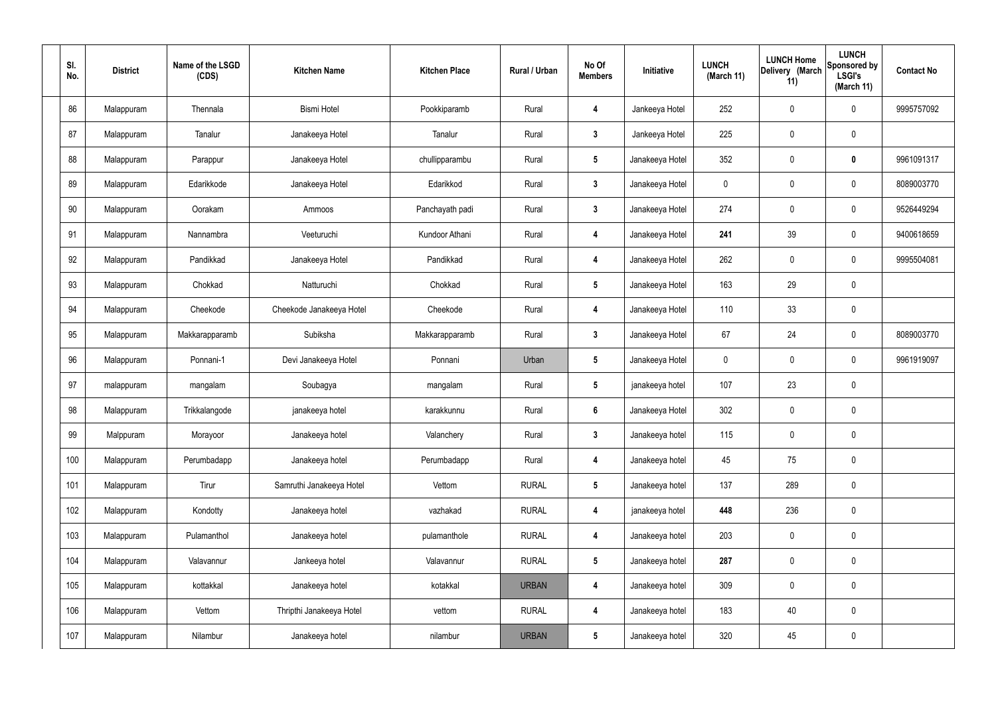| SI.<br>No. | <b>District</b> | Name of the LSGD<br>(CDS) | <b>Kitchen Name</b>      | <b>Kitchen Place</b> | Rural / Urban | No Of<br><b>Members</b> | Initiative      | <b>LUNCH</b><br>(March 11) | <b>LUNCH Home</b><br>Delivery (March<br>11) | <b>LUNCH</b><br>Sponsored by<br><b>LSGI's</b><br>(March 11) | <b>Contact No</b> |
|------------|-----------------|---------------------------|--------------------------|----------------------|---------------|-------------------------|-----------------|----------------------------|---------------------------------------------|-------------------------------------------------------------|-------------------|
| 86         | Malappuram      | Thennala                  | <b>Bismi Hotel</b>       | Pookkiparamb         | Rural         | 4                       | Jankeeya Hotel  | 252                        | 0                                           | $\mathbf 0$                                                 | 9995757092        |
| 87         | Malappuram      | Tanalur                   | Janakeeya Hotel          | Tanalur              | Rural         | $\mathbf{3}$            | Jankeeya Hotel  | 225                        | 0                                           | $\pmb{0}$                                                   |                   |
| 88         | Malappuram      | Parappur                  | Janakeeya Hotel          | chullipparambu       | Rural         | $5\phantom{.0}$         | Janakeeya Hotel | 352                        | 0                                           | $\mathbf 0$                                                 | 9961091317        |
| 89         | Malappuram      | Edarikkode                | Janakeeya Hotel          | Edarikkod            | Rural         | $\mathbf{3}$            | Janakeeya Hotel | $\mathbf 0$                | 0                                           | $\mathbf 0$                                                 | 8089003770        |
| 90         | Malappuram      | Oorakam                   | Ammoos                   | Panchayath padi      | Rural         | $3\phantom{a}$          | Janakeeya Hotel | 274                        | 0                                           | $\mathbf 0$                                                 | 9526449294        |
| 91         | Malappuram      | Nannambra                 | Veeturuchi               | Kundoor Athani       | Rural         | 4                       | Janakeeya Hotel | 241                        | 39                                          | $\mathbf 0$                                                 | 9400618659        |
| 92         | Malappuram      | Pandikkad                 | Janakeeya Hotel          | Pandikkad            | Rural         | 4                       | Janakeeya Hotel | 262                        | $\mathbf 0$                                 | $\mathbf 0$                                                 | 9995504081        |
| 93         | Malappuram      | Chokkad                   | Natturuchi               | Chokkad              | Rural         | $5\phantom{.0}$         | Janakeeya Hotel | 163                        | 29                                          | $\mathbf 0$                                                 |                   |
| 94         | Malappuram      | Cheekode                  | Cheekode Janakeeya Hotel | Cheekode             | Rural         | 4                       | Janakeeya Hotel | 110                        | 33                                          | $\mathbf 0$                                                 |                   |
| 95         | Malappuram      | Makkarapparamb            | Subiksha                 | Makkarapparamb       | Rural         | $\mathbf{3}$            | Janakeeya Hotel | 67                         | 24                                          | $\mathbf 0$                                                 | 8089003770        |
| 96         | Malappuram      | Ponnani-1                 | Devi Janakeeya Hotel     | Ponnani              | Urban         | $5\phantom{.0}$         | Janakeeya Hotel | $\mathbf 0$                | 0                                           | $\mathbf 0$                                                 | 9961919097        |
| 97         | malappuram      | mangalam                  | Soubagya                 | mangalam             | Rural         | $5\phantom{.0}$         | janakeeya hotel | 107                        | 23                                          | $\mathbf 0$                                                 |                   |
| 98         | Malappuram      | Trikkalangode             | janakeeya hotel          | karakkunnu           | Rural         | $6\phantom{1}$          | Janakeeya Hotel | 302                        | $\mathbf 0$                                 | $\mathbf 0$                                                 |                   |
| 99         | Malppuram       | Morayoor                  | Janakeeya hotel          | Valanchery           | Rural         | $\mathbf{3}$            | Janakeeya hotel | 115                        | $\mathsf{0}$                                | $\mathbf 0$                                                 |                   |
| 100        | Malappuram      | Perumbadapp               | Janakeeya hotel          | Perumbadapp          | Rural         | $\overline{\mathbf{4}}$ | Janakeeya hotel | 45                         | 75                                          | $\mathbf 0$                                                 |                   |
| 101        | Malappuram      | Tirur                     | Samruthi Janakeeya Hotel | Vettom               | <b>RURAL</b>  | $5\phantom{.0}$         | Janakeeya hotel | 137                        | 289                                         | $\mathbf 0$                                                 |                   |
| 102        | Malappuram      | Kondotty                  | Janakeeya hotel          | vazhakad             | <b>RURAL</b>  | 4                       | janakeeya hotel | 448                        | 236                                         | $\mathbf 0$                                                 |                   |
| 103        | Malappuram      | Pulamanthol               | Janakeeya hotel          | pulamanthole         | <b>RURAL</b>  | 4                       | Janakeeya hotel | 203                        | 0                                           | $\mathbf 0$                                                 |                   |
| 104        | Malappuram      | Valavannur                | Jankeeya hotel           | Valavannur           | <b>RURAL</b>  | $5\phantom{.0}$         | Janakeeya hotel | 287                        | 0                                           | $\mathbf 0$                                                 |                   |
| 105        | Malappuram      | kottakkal                 | Janakeeya hotel          | kotakkal             | <b>URBAN</b>  | 4                       | Janakeeya hotel | 309                        | $\pmb{0}$                                   | $\mathbf 0$                                                 |                   |
| 106        | Malappuram      | Vettom                    | Thripthi Janakeeya Hotel | vettom               | <b>RURAL</b>  | $\overline{\mathbf{4}}$ | Janakeeya hotel | 183                        | 40                                          | $\mathbf 0$                                                 |                   |
| 107        | Malappuram      | Nilambur                  | Janakeeya hotel          | nilambur             | <b>URBAN</b>  | $5\phantom{.0}$         | Janakeeya hotel | 320                        | 45                                          | $\pmb{0}$                                                   |                   |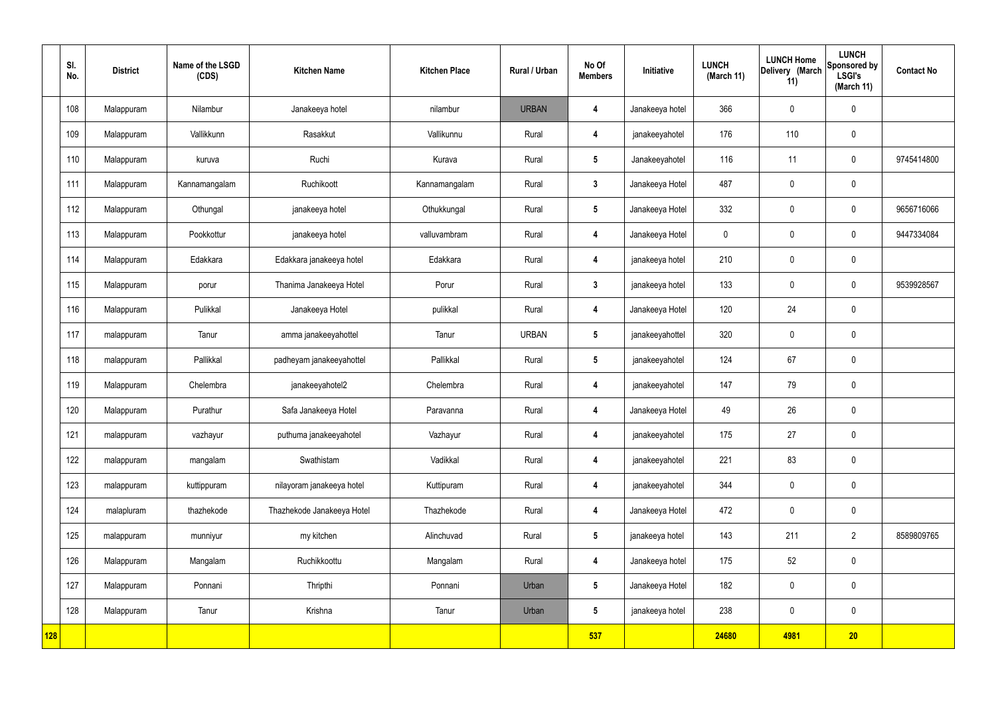|            | SI.<br>No. | <b>District</b> | Name of the LSGD<br>(CDS) | <b>Kitchen Name</b>        | <b>Kitchen Place</b> | <b>Rural / Urban</b> | No Of<br><b>Members</b> | Initiative      | <b>LUNCH</b><br>(March 11) | <b>LUNCH Home</b><br>Delivery (March<br>11) | <b>LUNCH</b><br>Sponsored by<br><b>LSGI's</b><br>(March 11) | <b>Contact No</b> |
|------------|------------|-----------------|---------------------------|----------------------------|----------------------|----------------------|-------------------------|-----------------|----------------------------|---------------------------------------------|-------------------------------------------------------------|-------------------|
|            | 108        | Malappuram      | Nilambur                  | Janakeeya hotel            | nilambur             | <b>URBAN</b>         | $\boldsymbol{4}$        | Janakeeya hotel | 366                        | $\mathbf 0$                                 | $\mathbf 0$                                                 |                   |
|            | 109        | Malappuram      | Vallikkunn                | Rasakkut                   | Vallikunnu           | Rural                | 4                       | janakeeyahotel  | 176                        | 110                                         | $\mathbf 0$                                                 |                   |
|            | 110        | Malappuram      | kuruva                    | Ruchi                      | Kurava               | Rural                | $5\overline{)}$         | Janakeeyahotel  | 116                        | 11                                          | $\mathbf 0$                                                 | 9745414800        |
|            | 111        | Malappuram      | Kannamangalam             | Ruchikoott                 | Kannamangalam        | Rural                | $\mathbf{3}$            | Janakeeya Hotel | 487                        | $\mathbf 0$                                 | $\mathbf 0$                                                 |                   |
|            | 112        | Malappuram      | Othungal                  | janakeeya hotel            | Othukkungal          | Rural                | $5\overline{)}$         | Janakeeya Hotel | 332                        | $\mathbf 0$                                 | $\mathbf 0$                                                 | 9656716066        |
|            | 113        | Malappuram      | Pookkottur                | janakeeya hotel            | valluvambram         | Rural                | 4                       | Janakeeya Hotel | $\mathbf 0$                | $\mathbf 0$                                 | $\mathbf 0$                                                 | 9447334084        |
|            | 114        | Malappuram      | Edakkara                  | Edakkara janakeeya hotel   | Edakkara             | Rural                | $\overline{\mathbf{4}}$ | janakeeya hotel | 210                        | $\mathbf 0$                                 | $\mathbf 0$                                                 |                   |
|            | 115        | Malappuram      | porur                     | Thanima Janakeeya Hotel    | Porur                | Rural                | $\mathbf{3}$            | janakeeya hotel | 133                        | $\mathbf 0$                                 | $\mathbf 0$                                                 | 9539928567        |
|            | 116        | Malappuram      | Pulikkal                  | Janakeeya Hotel            | pulikkal             | Rural                | $\overline{\mathbf{4}}$ | Janakeeya Hotel | 120                        | 24                                          | $\mathbf 0$                                                 |                   |
|            | 117        | malappuram      | Tanur                     | amma janakeeyahottel       | Tanur                | <b>URBAN</b>         | $5\phantom{.0}$         | janakeeyahottel | 320                        | $\pmb{0}$                                   | $\mathbf 0$                                                 |                   |
|            | 118        | malappuram      | Pallikkal                 | padheyam janakeeyahottel   | Pallikkal            | Rural                | $5\phantom{.0}$         | janakeeyahotel  | 124                        | 67                                          | $\mathbf 0$                                                 |                   |
|            | 119        | Malappuram      | Chelembra                 | janakeeyahotel2            | Chelembra            | Rural                | 4                       | janakeeyahotel  | 147                        | 79                                          | $\mathbf 0$                                                 |                   |
|            | 120        | Malappuram      | Purathur                  | Safa Janakeeya Hotel       | Paravanna            | Rural                | 4                       | Janakeeya Hotel | 49                         | 26                                          | $\mathbf 0$                                                 |                   |
|            | 121        | malappuram      | vazhayur                  | puthuma janakeeyahotel     | Vazhayur             | Rural                | $\overline{\mathbf{4}}$ | janakeeyahotel  | 175                        | 27                                          | $\mathbf 0$                                                 |                   |
|            | 122        | malappuram      | mangalam                  | Swathistam                 | Vadikkal             | Rural                | $\overline{\mathbf{4}}$ | janakeeyahotel  | 221                        | 83                                          | $\mathbf 0$                                                 |                   |
|            | 123        | malappuram      | kuttippuram               | nilayoram janakeeya hotel  | Kuttipuram           | Rural                | $\overline{\mathbf{4}}$ | janakeeyahotel  | 344                        | $\mathbf 0$                                 | $\pmb{0}$                                                   |                   |
|            | 124        | malapluram      | thazhekode                | Thazhekode Janakeeya Hotel | Thazhekode           | Rural                | $\overline{\mathbf{4}}$ | Janakeeya Hotel | 472                        | $\mathbf 0$                                 | $\pmb{0}$                                                   |                   |
|            | 125        | malappuram      | munniyur                  | my kitchen                 | Alinchuvad           | Rural                | $5\phantom{.0}$         | janakeeya hotel | 143                        | 211                                         | $\overline{2}$                                              | 8589809765        |
|            | 126        | Malappuram      | Mangalam                  | Ruchikkoottu               | Mangalam             | Rural                | $\overline{\mathbf{4}}$ | Janakeeya hotel | 175                        | 52                                          | $\mathbf 0$                                                 |                   |
|            | 127        | Malappuram      | Ponnani                   | Thripthi                   | Ponnani              | Urban                | $5\overline{)}$         | Janakeeya Hotel | 182                        | $\mathbf 0$                                 | $\mathbf 0$                                                 |                   |
|            | 128        | Malappuram      | Tanur                     | Krishna                    | Tanur                | Urban                | $5\overline{)}$         | janakeeya hotel | 238                        | $\pmb{0}$                                   | $\mathbf 0$                                                 |                   |
| <b>128</b> |            |                 |                           |                            |                      |                      | 537                     |                 | 24680                      | 4981                                        | 20                                                          |                   |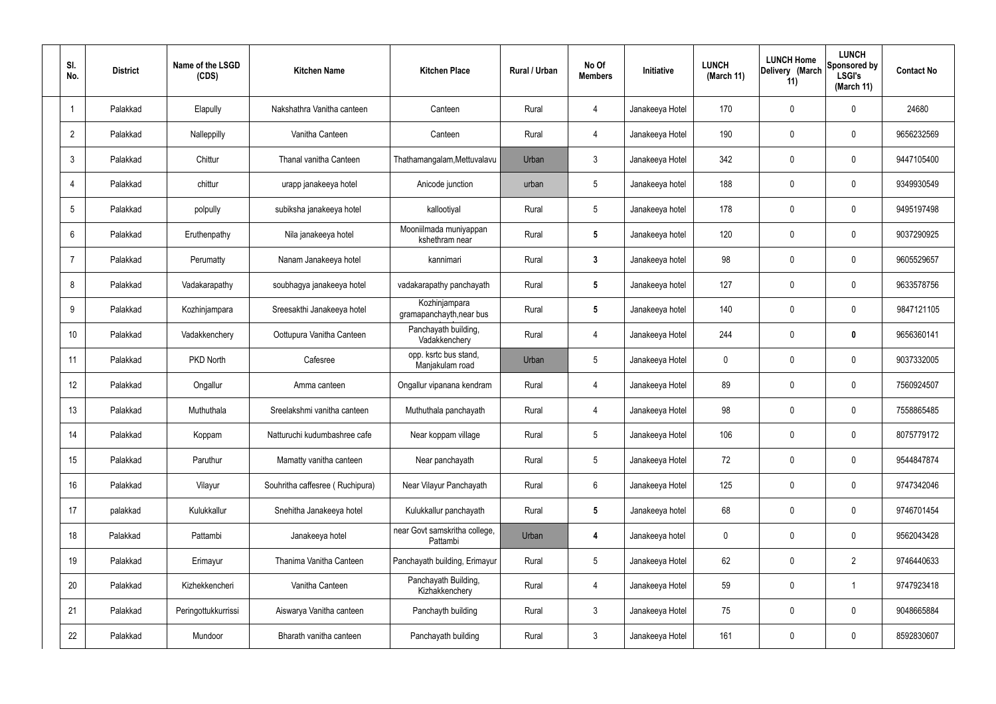| SI.<br>No.      | <b>District</b> | Name of the LSGD<br>(CDS) | <b>Kitchen Name</b>             | <b>Kitchen Place</b>                      | Rural / Urban | No Of<br><b>Members</b> | Initiative      | <b>LUNCH</b><br>(March 11) | <b>LUNCH Home</b><br>Delivery (March<br>11) | <b>LUNCH</b><br>Sponsored by<br><b>LSGI's</b><br>(March 11) | <b>Contact No</b> |
|-----------------|-----------------|---------------------------|---------------------------------|-------------------------------------------|---------------|-------------------------|-----------------|----------------------------|---------------------------------------------|-------------------------------------------------------------|-------------------|
|                 | Palakkad        | Elapully                  | Nakshathra Vanitha canteen      | Canteen                                   | Rural         | 4                       | Janakeeya Hotel | 170                        | 0                                           | $\mathbf 0$                                                 | 24680             |
| $\overline{2}$  | Palakkad        | Nalleppilly               | Vanitha Canteen                 | Canteen                                   | Rural         | $\overline{4}$          | Janakeeya Hotel | 190                        | 0                                           | $\mathbf 0$                                                 | 9656232569        |
| 3               | Palakkad        | Chittur                   | Thanal vanitha Canteen          | Thathamangalam, Mettuvalavu               | Urban         | $\mathbf{3}$            | Janakeeya Hotel | 342                        | 0                                           | $\mathbf 0$                                                 | 9447105400        |
| 4               | Palakkad        | chittur                   | urapp janakeeya hotel           | Anicode junction                          | urban         | $5\phantom{.0}$         | Janakeeya hotel | 188                        | 0                                           | $\mathbf 0$                                                 | 9349930549        |
| 5               | Palakkad        | polpully                  | subiksha janakeeya hotel        | kallootiyal                               | Rural         | $5\phantom{.0}$         | Janakeeya hotel | 178                        | 0                                           | $\mathbf 0$                                                 | 9495197498        |
| 6               | Palakkad        | Eruthenpathy              | Nila janakeeya hotel            | Mooniilmada muniyappan<br>kshethram near  | Rural         | $5\phantom{.0}$         | Janakeeya hotel | 120                        | 0                                           | $\mathbf 0$                                                 | 9037290925        |
| $\overline{7}$  | Palakkad        | Perumatty                 | Nanam Janakeeya hotel           | kannimari                                 | Rural         | $\mathbf{3}$            | Janakeeya hotel | 98                         | 0                                           | $\mathbf 0$                                                 | 9605529657        |
| 8               | Palakkad        | Vadakarapathy             | soubhagya janakeeya hotel       | vadakarapathy panchayath                  | Rural         | $5\phantom{.0}$         | Janakeeya hotel | 127                        | 0                                           | $\mathbf 0$                                                 | 9633578756        |
| 9               | Palakkad        | Kozhinjampara             | Sreesakthi Janakeeya hotel      | Kozhinjampara<br>gramapanchayth, near bus | Rural         | $5\phantom{.0}$         | Janakeeya hotel | 140                        | 0                                           | $\mathbf 0$                                                 | 9847121105        |
| 10 <sup>°</sup> | Palakkad        | Vadakkenchery             | Oottupura Vanitha Canteen       | Panchayath building,<br>Vadakkenchery     | Rural         | 4                       | Janakeeya Hotel | 244                        | 0                                           | $\mathbf 0$                                                 | 9656360141        |
| 11              | Palakkad        | PKD North                 | Cafesree                        | opp. ksrtc bus stand,<br>Manjakulam road  | Urban         | $5\phantom{.0}$         | Janakeeya Hotel | 0                          | 0                                           | $\mathbf 0$                                                 | 9037332005        |
| 12              | Palakkad        | Ongallur                  | Amma canteen                    | Ongallur vipanana kendram                 | Rural         | 4                       | Janakeeya Hotel | 89                         | 0                                           | $\boldsymbol{0}$                                            | 7560924507        |
| 13              | Palakkad        | Muthuthala                | Sreelakshmi vanitha canteen     | Muthuthala panchayath                     | Rural         | 4                       | Janakeeya Hotel | 98                         | 0                                           | 0                                                           | 7558865485        |
| 14              | Palakkad        | Koppam                    | Natturuchi kudumbashree cafe    | Near koppam village                       | Rural         | $5\phantom{.0}$         | Janakeeya Hotel | 106                        | $\mathbf 0$                                 | $\mathbf 0$                                                 | 8075779172        |
| 15              | Palakkad        | Paruthur                  | Mamatty vanitha canteen         | Near panchayath                           | Rural         | $5\phantom{.0}$         | Janakeeya Hotel | 72                         | $\mathbf 0$                                 | $\mathbf 0$                                                 | 9544847874        |
| 16              | Palakkad        | Vilayur                   | Souhritha caffesree (Ruchipura) | Near Vilayur Panchayath                   | Rural         | $6\phantom{.}6$         | Janakeeya Hotel | 125                        | $\mathbf 0$                                 | $\mathbf 0$                                                 | 9747342046        |
| 17              | palakkad        | Kulukkallur               | Snehitha Janakeeya hotel        | Kulukkallur panchayath                    | Rural         | $5\phantom{.0}$         | Janakeeya hotel | 68                         | $\mathbf 0$                                 | $\mathbf 0$                                                 | 9746701454        |
| 18              | Palakkad        | Pattambi                  | Janakeeya hotel                 | near Govt samskritha college,<br>Pattambi | Urban         | 4                       | Janakeeya hotel | $\mathbf 0$                | 0                                           | $\mathbf 0$                                                 | 9562043428        |
| 19              | Palakkad        | Erimayur                  | Thanima Vanitha Canteen         | Panchayath building, Erimayur             | Rural         | $5\,$                   | Janakeeya Hotel | 62                         | $\mathbf 0$                                 | $\overline{2}$                                              | 9746440633        |
| 20              | Palakkad        | Kizhekkencheri            | Vanitha Canteen                 | Panchayath Building,<br>Kizhakkenchery    | Rural         | 4                       | Janakeeya Hotel | 59                         | $\mathbf 0$                                 | $\mathbf 1$                                                 | 9747923418        |
| 21              | Palakkad        | Peringottukkurrissi       | Aiswarya Vanitha canteen        | Panchayth building                        | Rural         | $\mathfrak{Z}$          | Janakeeya Hotel | 75                         | 0                                           | $\mathbf 0$                                                 | 9048665884        |
| 22              | Palakkad        | Mundoor                   | Bharath vanitha canteen         | Panchayath building                       | Rural         | $\mathfrak{Z}$          | Janakeeya Hotel | 161                        | $\pmb{0}$                                   | $\boldsymbol{0}$                                            | 8592830607        |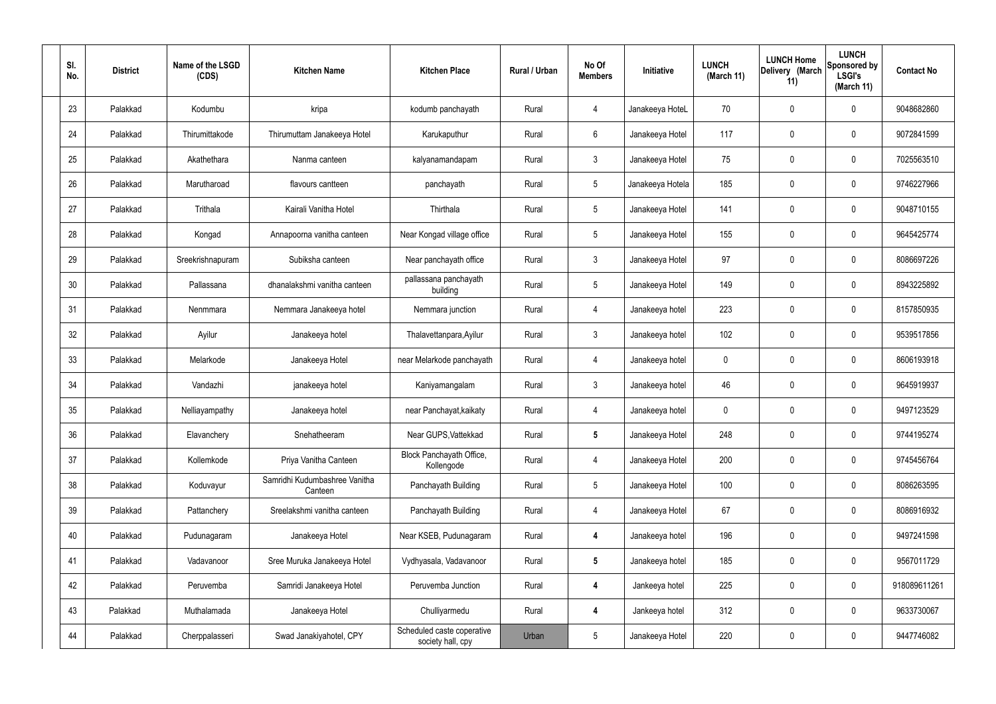| SI.<br>No. | <b>District</b> | Name of the LSGD<br>(CDS) | <b>Kitchen Name</b>                      | <b>Kitchen Place</b>                            | Rural / Urban | No Of<br><b>Members</b> | Initiative       | <b>LUNCH</b><br>(March 11) | <b>LUNCH Home</b><br>Delivery (March<br>11) | <b>LUNCH</b><br>Sponsored by<br><b>LSGI's</b><br>(March 11) | <b>Contact No</b> |
|------------|-----------------|---------------------------|------------------------------------------|-------------------------------------------------|---------------|-------------------------|------------------|----------------------------|---------------------------------------------|-------------------------------------------------------------|-------------------|
| 23         | Palakkad        | Kodumbu                   | kripa                                    | kodumb panchayath                               | Rural         | 4                       | Janakeeya HoteL  | 70                         | $\mathbf 0$                                 | 0                                                           | 9048682860        |
| 24         | Palakkad        | Thirumittakode            | Thirumuttam Janakeeya Hotel              | Karukaputhur                                    | Rural         | 6                       | Janakeeya Hotel  | 117                        | $\mathbf 0$                                 | 0                                                           | 9072841599        |
| 25         | Palakkad        | Akathethara               | Nanma canteen                            | kalyanamandapam                                 | Rural         | $\mathbf{3}$            | Janakeeya Hotel  | 75                         | 0                                           | 0                                                           | 7025563510        |
| 26         | Palakkad        | Marutharoad               | flavours cantteen                        | panchayath                                      | Rural         | $5\phantom{.0}$         | Janakeeya Hotela | 185                        | $\mathbf 0$                                 | 0                                                           | 9746227966        |
| 27         | Palakkad        | Trithala                  | Kairali Vanitha Hotel                    | Thirthala                                       | Rural         | $5\phantom{.0}$         | Janakeeya Hotel  | 141                        | 0                                           | 0                                                           | 9048710155        |
| 28         | Palakkad        | Kongad                    | Annapoorna vanitha canteen               | Near Kongad village office                      | Rural         | $5\phantom{.0}$         | Janakeeya Hotel  | 155                        | $\mathbf 0$                                 | 0                                                           | 9645425774        |
| 29         | Palakkad        | Sreekrishnapuram          | Subiksha canteen                         | Near panchayath office                          | Rural         | $\mathbf{3}$            | Janakeeya Hotel  | 97                         | $\mathbf 0$                                 | 0                                                           | 8086697226        |
| 30         | Palakkad        | Pallassana                | dhanalakshmi vanitha canteen             | pallassana panchayath<br>building               | Rural         | $5\phantom{.0}$         | Janakeeya Hotel  | 149                        | $\mathbf 0$                                 | 0                                                           | 8943225892        |
| 31         | Palakkad        | Nenmmara                  | Nemmara Janakeeya hotel                  | Nemmara junction                                | Rural         | 4                       | Janakeeya hotel  | 223                        | $\mathbf 0$                                 | 0                                                           | 8157850935        |
| 32         | Palakkad        | Ayilur                    | Janakeeya hotel                          | Thalavettanpara, Ayilur                         | Rural         | $\mathbf{3}$            | Janakeeya hotel  | 102                        | 0                                           | 0                                                           | 9539517856        |
| 33         | Palakkad        | Melarkode                 | Janakeeya Hotel                          | near Melarkode panchayath                       | Rural         | $\overline{4}$          | Janakeeya hotel  | $\mathbf 0$                | 0                                           | 0                                                           | 8606193918        |
| 34         | Palakkad        | Vandazhi                  | janakeeya hotel                          | Kaniyamangalam                                  | Rural         | $\mathbf{3}$            | Janakeeya hotel  | 46                         | 0                                           | 0                                                           | 9645919937        |
| 35         | Palakkad        | Nelliayampathy            | Janakeeya hotel                          | near Panchayat, kaikaty                         | Rural         | 4                       | Janakeeya hotel  | 0                          | 0                                           | 0                                                           | 9497123529        |
| 36         | Palakkad        | Elavanchery               | Snehatheeram                             | Near GUPS, Vattekkad                            | Rural         | $\sqrt{5}$              | Janakeeya Hotel  | 248                        | $\mathbf 0$                                 | 0                                                           | 9744195274        |
| 37         | Palakkad        | Kollemkode                | Priya Vanitha Canteen                    | Block Panchayath Office,<br>Kollengode          | Rural         | $\overline{4}$          | Janakeeya Hotel  | 200                        | $\mathbf 0$                                 | 0                                                           | 9745456764        |
| 38         | Palakkad        | Koduvayur                 | Samridhi Kudumbashree Vanitha<br>Canteen | Panchayath Building                             | Rural         | $5\phantom{.0}$         | Janakeeya Hotel  | 100                        | $\mathbf 0$                                 | 0                                                           | 8086263595        |
| 39         | Palakkad        | Pattanchery               | Sreelakshmi vanitha canteen              | Panchayath Building                             | Rural         | $\overline{4}$          | Janakeeya Hotel  | 67                         | $\mathbf 0$                                 | 0                                                           | 8086916932        |
| 40         | Palakkad        | Pudunagaram               | Janakeeya Hotel                          | Near KSEB, Pudunagaram                          | Rural         | $\overline{4}$          | Janakeeya hotel  | 196                        | $\mathbf 0$                                 | 0                                                           | 9497241598        |
| 41         | Palakkad        | Vadavanoor                | Sree Muruka Janakeeya Hotel              | Vydhyasala, Vadavanoor                          | Rural         | $5\phantom{.0}$         | Janakeeya hotel  | 185                        | $\mathbf 0$                                 | 0                                                           | 9567011729        |
| 42         | Palakkad        | Peruvemba                 | Samridi Janakeeya Hotel                  | Peruvemba Junction                              | Rural         | 4                       | Jankeeya hotel   | 225                        | $\mathbf 0$                                 | 0                                                           | 918089611261      |
| 43         | Palakkad        | Muthalamada               | Janakeeya Hotel                          | Chulliyarmedu                                   | Rural         | 4                       | Jankeeya hotel   | 312                        | $\mathbf 0$                                 | 0                                                           | 9633730067        |
| 44         | Palakkad        | Cherppalasseri            | Swad Janakiyahotel, CPY                  | Scheduled caste coperative<br>society hall, cpy | Urban         | $5\phantom{.0}$         | Janakeeya Hotel  | 220                        | 0                                           | 0                                                           | 9447746082        |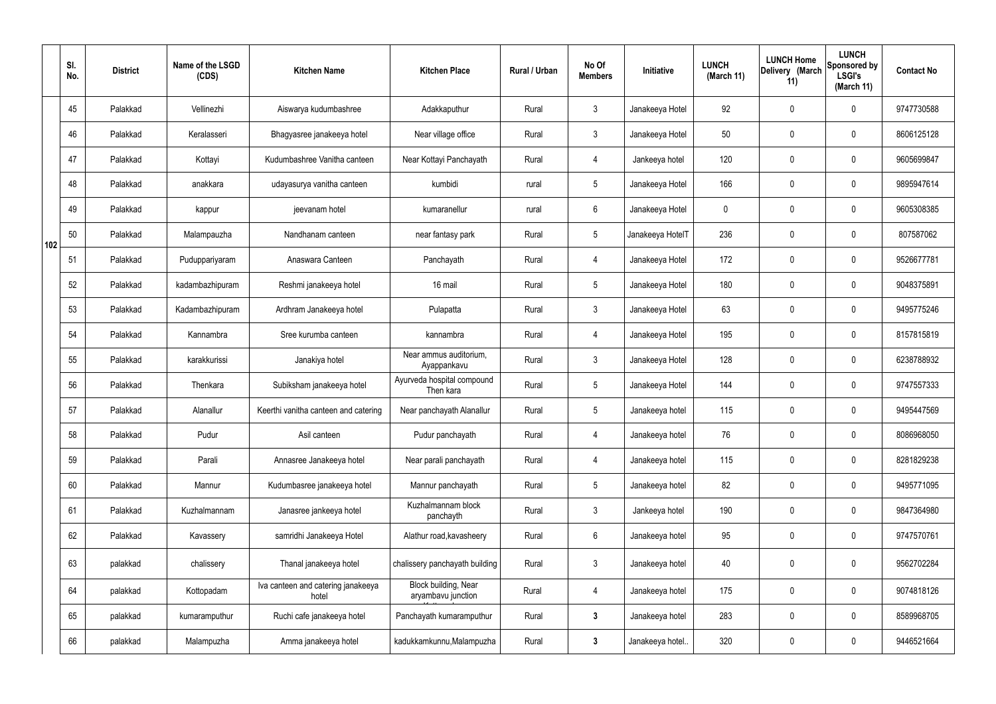|     | SI.<br>No. | <b>District</b> | Name of the LSGD<br>(CDS) | <b>Kitchen Name</b>                         | <b>Kitchen Place</b>                       | Rural / Urban | No Of<br><b>Members</b> | Initiative       | <b>LUNCH</b><br>(March 11) | <b>LUNCH Home</b><br>Delivery (March<br>11) | <b>LUNCH</b><br>Sponsored by<br><b>LSGI's</b><br>(March 11) | <b>Contact No</b> |
|-----|------------|-----------------|---------------------------|---------------------------------------------|--------------------------------------------|---------------|-------------------------|------------------|----------------------------|---------------------------------------------|-------------------------------------------------------------|-------------------|
|     | 45         | Palakkad        | Vellinezhi                | Aiswarya kudumbashree                       | Adakkaputhur                               | Rural         | $\mathbf{3}$            | Janakeeya Hotel  | 92                         | $\mathbf 0$                                 | $\mathbf 0$                                                 | 9747730588        |
|     | 46         | Palakkad        | Keralasseri               | Bhagyasree janakeeya hotel                  | Near village office                        | Rural         | $\mathbf{3}$            | Janakeeya Hotel  | 50                         | $\mathbf 0$                                 | $\mathbf 0$                                                 | 8606125128        |
|     | 47         | Palakkad        | Kottayi                   | Kudumbashree Vanitha canteen                | Near Kottayi Panchayath                    | Rural         | $\overline{4}$          | Jankeeya hotel   | 120                        | $\mathbf 0$                                 | $\mathbf 0$                                                 | 9605699847        |
|     | 48         | Palakkad        | anakkara                  | udayasurya vanitha canteen                  | kumbidi                                    | rural         | $5\phantom{.0}$         | Janakeeya Hotel  | 166                        | $\mathbf 0$                                 | $\mathbf 0$                                                 | 9895947614        |
|     | 49         | Palakkad        | kappur                    | jeevanam hotel                              | kumaranellur                               | rural         | $6\overline{6}$         | Janakeeya Hotel  | 0                          | 0                                           | $\mathbf 0$                                                 | 9605308385        |
| 102 | 50         | Palakkad        | Malampauzha               | Nandhanam canteen                           | near fantasy park                          | Rural         | $5\phantom{.0}$         | Janakeeya HotelT | 236                        | $\mathbf 0$                                 | $\mathbf 0$                                                 | 807587062         |
|     | 51         | Palakkad        | Puduppariyaram            | Anaswara Canteen                            | Panchayath                                 | Rural         | $\overline{4}$          | Janakeeya Hotel  | 172                        | $\mathbf 0$                                 | $\mathbf 0$                                                 | 9526677781        |
|     | 52         | Palakkad        | kadambazhipuram           | Reshmi janakeeya hotel                      | 16 mail                                    | Rural         | $5\phantom{.0}$         | Janakeeya Hotel  | 180                        | 0                                           | $\mathbf 0$                                                 | 9048375891        |
|     | 53         | Palakkad        | Kadambazhipuram           | Ardhram Janakeeya hotel                     | Pulapatta                                  | Rural         | $\mathbf{3}$            | Janakeeya Hotel  | 63                         | $\mathbf 0$                                 | $\mathbf 0$                                                 | 9495775246        |
|     | 54         | Palakkad        | Kannambra                 | Sree kurumba canteen                        | kannambra                                  | Rural         | 4                       | Janakeeya Hotel  | 195                        | 0                                           | $\mathbf 0$                                                 | 8157815819        |
|     | 55         | Palakkad        | karakkurissi              | Janakiya hotel                              | Near ammus auditorium,<br>Ayappankavu      | Rural         | $\mathbf{3}$            | Janakeeya Hotel  | 128                        | 0                                           | $\mathbf 0$                                                 | 6238788932        |
|     | 56         | Palakkad        | Thenkara                  | Subiksham janakeeya hotel                   | Ayurveda hospital compound<br>Then kara    | Rural         | $5\phantom{.0}$         | Janakeeya Hotel  | 144                        | 0                                           | $\mathbf 0$                                                 | 9747557333        |
|     | 57         | Palakkad        | Alanallur                 | Keerthi vanitha canteen and catering        | Near panchayath Alanallur                  | Rural         | $5\phantom{.0}$         | Janakeeya hotel  | 115                        | 0                                           | $\mathbf 0$                                                 | 9495447569        |
|     | 58         | Palakkad        | Pudur                     | Asil canteen                                | Pudur panchayath                           | Rural         | 4                       | Janakeeya hotel  | 76                         | $\mathbf 0$                                 | $\mathbf 0$                                                 | 8086968050        |
|     | 59         | Palakkad        | Parali                    | Annasree Janakeeya hotel                    | Near parali panchayath                     | Rural         | $\overline{4}$          | Janakeeya hotel  | 115                        | $\mathbf 0$                                 | $\mathbf 0$                                                 | 8281829238        |
|     | 60         | Palakkad        | Mannur                    | Kudumbasree janakeeya hotel                 | Mannur panchayath                          | Rural         | $5\phantom{.0}$         | Janakeeya hotel  | 82                         | $\mathbf 0$                                 | $\mathbf 0$                                                 | 9495771095        |
|     | 61         | Palakkad        | Kuzhalmannam              | Janasree jankeeya hotel                     | Kuzhalmannam block<br>panchayth            | Rural         | $\mathbf{3}$            | Jankeeya hotel   | 190                        | 0                                           | $\mathbf 0$                                                 | 9847364980        |
|     | 62         | Palakkad        | Kavassery                 | samridhi Janakeeya Hotel                    | Alathur road, kavasheery                   | Rural         | $6\overline{6}$         | Janakeeya hotel  | 95                         | 0                                           | $\mathbf 0$                                                 | 9747570761        |
|     | 63         | palakkad        | chalissery                | Thanal janakeeya hotel                      | chalissery panchayath building             | Rural         | $\mathfrak{Z}$          | Janakeeya hotel  | 40                         | 0                                           | $\mathbf 0$                                                 | 9562702284        |
|     | 64         | palakkad        | Kottopadam                | Iva canteen and catering janakeeya<br>hotel | Block building, Near<br>aryambavu junction | Rural         | $\overline{4}$          | Janakeeya hotel  | 175                        | 0                                           | $\mathbf 0$                                                 | 9074818126        |
|     | 65         | palakkad        | kumaramputhur             | Ruchi cafe janakeeya hotel                  | Panchayath kumaramputhur                   | Rural         | $\mathbf{3}$            | Janakeeya hotel  | 283                        | 0                                           | $\mathbf 0$                                                 | 8589968705        |
|     | 66         | palakkad        | Malampuzha                | Amma janakeeya hotel                        | kadukkamkunnu, Malampuzha                  | Rural         | $\mathbf{3}$            | Janakeeya hotel. | 320                        | 0                                           | $\overline{0}$                                              | 9446521664        |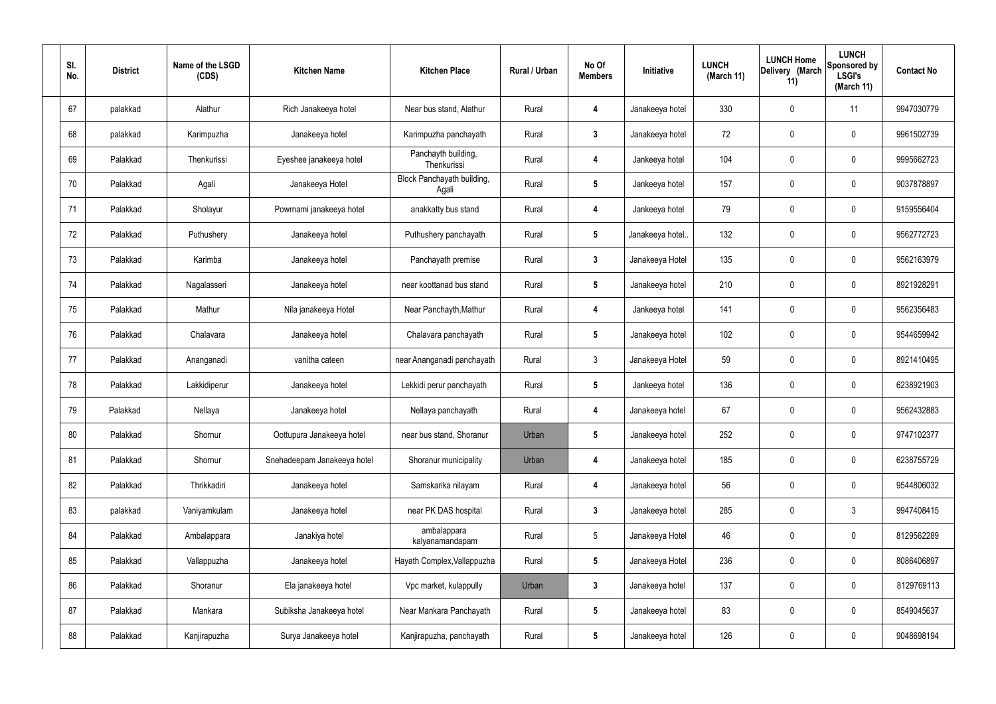| SI.<br>No. | <b>District</b> | Name of the LSGD<br>(CDS) | <b>Kitchen Name</b>         | <b>Kitchen Place</b>                | Rural / Urban | No Of<br><b>Members</b> | Initiative       | <b>LUNCH</b><br>(March 11) | <b>LUNCH Home</b><br>Delivery (March<br>11) | <b>LUNCH</b><br>Sponsored by<br><b>LSGI's</b><br>(March 11) | <b>Contact No</b> |
|------------|-----------------|---------------------------|-----------------------------|-------------------------------------|---------------|-------------------------|------------------|----------------------------|---------------------------------------------|-------------------------------------------------------------|-------------------|
| 67         | palakkad        | Alathur                   | Rich Janakeeya hotel        | Near bus stand, Alathur             | Rural         | 4                       | Janakeeya hotel  | 330                        | 0                                           | 11                                                          | 9947030779        |
| 68         | palakkad        | Karimpuzha                | Janakeeya hotel             | Karimpuzha panchayath               | Rural         | $\mathbf{3}$            | Janakeeya hotel  | 72                         | $\mathbf 0$                                 | $\mathbf 0$                                                 | 9961502739        |
| 69         | Palakkad        | Thenkurissi               | Eyeshee janakeeya hotel     | Panchayth building,<br>Thenkurissi  | Rural         | 4                       | Jankeeya hotel   | 104                        | 0                                           | $\mathbf 0$                                                 | 9995662723        |
| 70         | Palakkad        | Agali                     | Janakeeya Hotel             | Block Panchayath building,<br>Agali | Rural         | $5\phantom{.0}$         | Jankeeya hotel   | 157                        | $\mathbf 0$                                 | $\mathbf 0$                                                 | 9037878897        |
| 71         | Palakkad        | Sholayur                  | Powrnami janakeeya hotel    | anakkatty bus stand                 | Rural         | 4                       | Jankeeya hotel   | 79                         | $\mathbf 0$                                 | $\mathbf 0$                                                 | 9159556404        |
| 72         | Palakkad        | Puthushery                | Janakeeya hotel             | Puthushery panchayath               | Rural         | $5\phantom{.0}$         | Janakeeya hotel. | 132                        | $\mathbf 0$                                 | $\mathbf 0$                                                 | 9562772723        |
| 73         | Palakkad        | Karimba                   | Janakeeya hotel             | Panchayath premise                  | Rural         | $\mathbf{3}$            | Janakeeya Hotel  | 135                        | $\mathbf 0$                                 | $\mathbf 0$                                                 | 9562163979        |
| 74         | Palakkad        | Nagalasseri               | Janakeeya hotel             | near koottanad bus stand            | Rural         | $5\phantom{.0}$         | Janakeeya hotel  | 210                        | $\mathbf 0$                                 | $\mathbf 0$                                                 | 8921928291        |
| 75         | Palakkad        | Mathur                    | Nila janakeeya Hotel        | Near Panchayth, Mathur              | Rural         | 4                       | Jankeeya hotel   | 141                        | $\mathbf 0$                                 | $\mathbf 0$                                                 | 9562356483        |
| 76         | Palakkad        | Chalavara                 | Janakeeya hotel             | Chalavara panchayath                | Rural         | $5\phantom{.0}$         | Janakeeya hotel  | 102                        | 0                                           | $\mathbf 0$                                                 | 9544659942        |
| 77         | Palakkad        | Ananganadi                | vanitha cateen              | near Ananganadi panchayath          | Rural         | $\mathbf{3}$            | Janakeeya Hotel  | 59                         | 0                                           | $\mathbf 0$                                                 | 8921410495        |
| 78         | Palakkad        | Lakkidiperur              | Janakeeya hotel             | Lekkidi perur panchayath            | Rural         | $5\phantom{.0}$         | Jankeeya hotel   | 136                        | $\mathbf 0$                                 | $\mathbf 0$                                                 | 6238921903        |
| 79         | Palakkad        | Nellaya                   | Janakeeya hotel             | Nellaya panchayath                  | Rural         | 4                       | Janakeeya hotel  | 67                         | 0                                           | $\mathbf 0$                                                 | 9562432883        |
| 80         | Palakkad        | Shornur                   | Oottupura Janakeeya hotel   | near bus stand, Shoranur            | Urban         | $5\phantom{.0}$         | Janakeeya hotel  | 252                        | $\mathbf 0$                                 | $\mathbf 0$                                                 | 9747102377        |
| 81         | Palakkad        | Shornur                   | Snehadeepam Janakeeya hotel | Shoranur municipality               | Urban         | $\overline{4}$          | Janakeeya hotel  | 185                        | 0                                           | $\mathbf 0$                                                 | 6238755729        |
| 82         | Palakkad        | Thrikkadiri               | Janakeeya hotel             | Samskarika nilayam                  | Rural         | 4                       | Janakeeya hotel  | 56                         | 0                                           | $\mathbf 0$                                                 | 9544806032        |
| 83         | palakkad        | Vaniyamkulam              | Janakeeya hotel             | near PK DAS hospital                | Rural         | $\mathbf{3}$            | Janakeeya hotel  | 285                        | 0                                           | $\mathbf{3}$                                                | 9947408415        |
| 84         | Palakkad        | Ambalappara               | Janakiya hotel              | ambalappara<br>kalyanamandapam      | Rural         | $5\phantom{.0}$         | Janakeeya Hotel  | 46                         | 0                                           | $\mathbf 0$                                                 | 8129562289        |
| 85         | Palakkad        | Vallappuzha               | Janakeeya hotel             | Hayath Complex, Vallappuzha         | Rural         | $5\overline{)}$         | Janakeeya Hotel  | 236                        | 0                                           | $\mathbf 0$                                                 | 8086406897        |
| 86         | Palakkad        | Shoranur                  | Ela janakeeya hotel         | Vpc market, kulappully              | Urban         | $\mathbf{3}$            | Janakeeya hotel  | 137                        | 0                                           | $\mathbf 0$                                                 | 8129769113        |
| 87         | Palakkad        | Mankara                   | Subiksha Janakeeya hotel    | Near Mankara Panchayath             | Rural         | $5\phantom{.0}$         | Janakeeya hotel  | 83                         | 0                                           | $\mathbf 0$                                                 | 8549045637        |
| 88         | Palakkad        | Kanjirapuzha              | Surya Janakeeya hotel       | Kanjirapuzha, panchayath            | Rural         | $5\overline{)}$         | Janakeeya hotel  | 126                        | 0                                           | $\overline{0}$                                              | 9048698194        |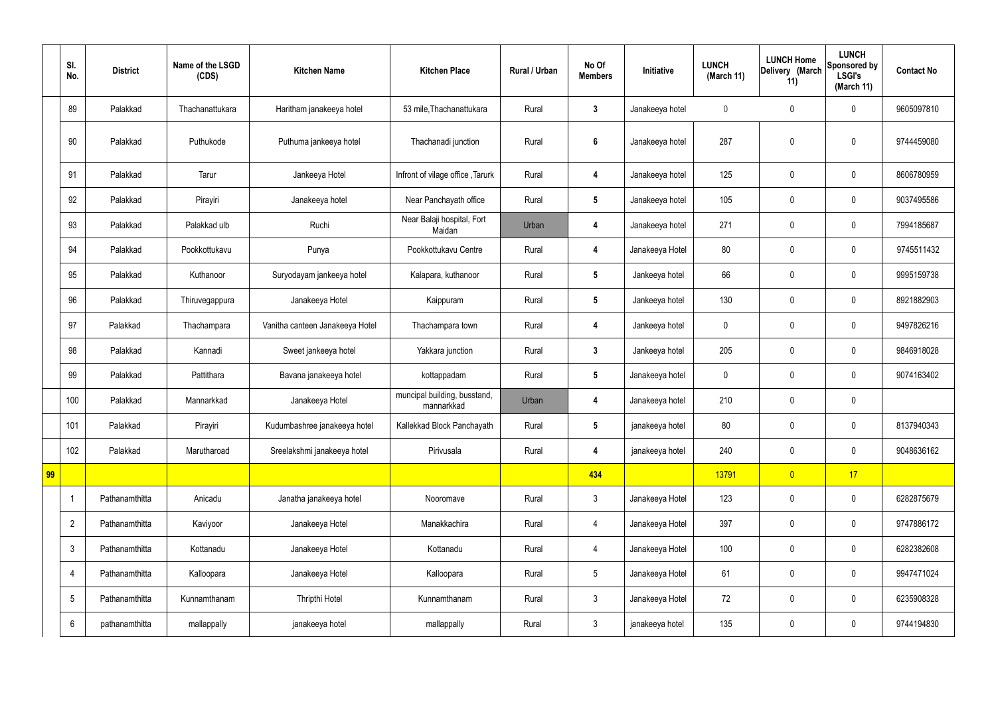|    | SI.<br>No.              | <b>District</b> | Name of the LSGD<br>(CDS) | <b>Kitchen Name</b>             | <b>Kitchen Place</b>                       | Rural / Urban | No Of<br><b>Members</b> | Initiative      | <b>LUNCH</b><br>(March 11) | <b>LUNCH Home</b><br>Delivery (March<br>11) | <b>LUNCH</b><br>Sponsored by<br><b>LSGI's</b><br>(March 11) | <b>Contact No</b> |
|----|-------------------------|-----------------|---------------------------|---------------------------------|--------------------------------------------|---------------|-------------------------|-----------------|----------------------------|---------------------------------------------|-------------------------------------------------------------|-------------------|
|    | 89                      | Palakkad        | Thachanattukara           | Haritham janakeeya hotel        | 53 mile, Thachanattukara                   | Rural         | $\mathbf{3}$            | Janakeeya hotel | $\mathbf 0$                | $\mathbf 0$                                 | $\mathbf 0$                                                 | 9605097810        |
|    | 90                      | Palakkad        | Puthukode                 | Puthuma jankeeya hotel          | Thachanadi junction                        | Rural         | $\boldsymbol{6}$        | Janakeeya hotel | 287                        | $\mathbf 0$                                 | $\mathbf 0$                                                 | 9744459080        |
|    | 91                      | Palakkad        | Tarur                     | Jankeeya Hotel                  | Infront of vilage office, Tarurk           | Rural         | $\overline{\mathbf{4}}$ | Janakeeya hotel | 125                        | $\mathbf 0$                                 | $\mathbf 0$                                                 | 8606780959        |
|    | 92                      | Palakkad        | Pirayiri                  | Janakeeya hotel                 | Near Panchayath office                     | Rural         | $5\phantom{.0}$         | Janakeeya hotel | 105                        | $\pmb{0}$                                   | $\mathbf 0$                                                 | 9037495586        |
|    | 93                      | Palakkad        | Palakkad ulb              | Ruchi                           | Near Balaji hospital, Fort<br>Maidan       | Urban         | 4                       | Janakeeya hotel | 271                        | $\mathbf 0$                                 | $\mathbf 0$                                                 | 7994185687        |
|    | 94                      | Palakkad        | Pookkottukavu             | Punya                           | Pookkottukavu Centre                       | Rural         | 4                       | Janakeeya Hotel | 80                         | $\pmb{0}$                                   | $\mathbf 0$                                                 | 9745511432        |
|    | 95                      | Palakkad        | Kuthanoor                 | Suryodayam jankeeya hotel       | Kalapara, kuthanoor                        | Rural         | $5\phantom{.0}$         | Jankeeya hotel  | 66                         | $\mathbf 0$                                 | $\mathbf 0$                                                 | 9995159738        |
|    | 96                      | Palakkad        | Thiruvegappura            | Janakeeya Hotel                 | Kaippuram                                  | Rural         | $5\phantom{.0}$         | Jankeeya hotel  | 130                        | $\pmb{0}$                                   | $\mathbf 0$                                                 | 8921882903        |
|    | 97                      | Palakkad        | Thachampara               | Vanitha canteen Janakeeya Hotel | Thachampara town                           | Rural         | 4                       | Jankeeya hotel  | $\mathbf 0$                | $\mathbf 0$                                 | $\mathbf 0$                                                 | 9497826216        |
|    | 98                      | Palakkad        | Kannadi                   | Sweet jankeeya hotel            | Yakkara junction                           | Rural         | $\mathbf{3}$            | Jankeeya hotel  | 205                        | $\pmb{0}$                                   | $\mathbf 0$                                                 | 9846918028        |
|    | 99                      | Palakkad        | Pattithara                | Bavana janakeeya hotel          | kottappadam                                | Rural         | $5\phantom{.0}$         | Janakeeya hotel | $\mathbf 0$                | $\mathbf 0$                                 | $\mathbf 0$                                                 | 9074163402        |
|    | 100                     | Palakkad        | Mannarkkad                | Janakeeya Hotel                 | muncipal building, busstand,<br>mannarkkad | Urban         | 4                       | Janakeeya hotel | 210                        | $\pmb{0}$                                   | $\mathbf 0$                                                 |                   |
|    | 101                     | Palakkad        | Pirayiri                  | Kudumbashree janakeeya hotel    | Kallekkad Block Panchayath                 | Rural         | $5\phantom{.0}$         | janakeeya hotel | 80                         | $\pmb{0}$                                   | $\mathbf 0$                                                 | 8137940343        |
|    | 102                     | Palakkad        | Marutharoad               | Sreelakshmi janakeeya hotel     | Pirivusala                                 | Rural         | $\overline{\mathbf{4}}$ | janakeeya hotel | 240                        | $\pmb{0}$                                   | $\mathbf 0$                                                 | 9048636162        |
| 99 |                         |                 |                           |                                 |                                            |               | 434                     |                 | 13791                      | $\overline{0}$                              | 17                                                          |                   |
|    | $\overline{\mathbf{1}}$ | Pathanamthitta  | Anicadu                   | Janatha janakeeya hotel         | Nooromave                                  | Rural         | $\mathbf{3}$            | Janakeeya Hotel | 123                        | $\pmb{0}$                                   | $\mathbf 0$                                                 | 6282875679        |
|    | $\overline{2}$          | Pathanamthitta  | Kaviyoor                  | Janakeeya Hotel                 | Manakkachira                               | Rural         | $\overline{4}$          | Janakeeya Hotel | 397                        | $\pmb{0}$                                   | $\mathbf 0$                                                 | 9747886172        |
|    | $\mathfrak{Z}$          | Pathanamthitta  | Kottanadu                 | Janakeeya Hotel                 | Kottanadu                                  | Rural         | $\overline{4}$          | Janakeeya Hotel | 100                        | $\pmb{0}$                                   | $\pmb{0}$                                                   | 6282382608        |
|    | $\overline{4}$          | Pathanamthitta  | Kalloopara                | Janakeeya Hotel                 | Kalloopara                                 | Rural         | $5\phantom{.0}$         | Janakeeya Hotel | 61                         | $\pmb{0}$                                   | $\mathbf 0$                                                 | 9947471024        |
|    | $\sqrt{5}$              | Pathanamthitta  | Kunnamthanam              | Thripthi Hotel                  | Kunnamthanam                               | Rural         | $\mathbf{3}$            | Janakeeya Hotel | 72                         | $\pmb{0}$                                   | $\mathbf 0$                                                 | 6235908328        |
|    | $6\phantom{.}6$         | pathanamthitta  | mallappally               | janakeeya hotel                 | mallappally                                | Rural         | $\mathbf{3}$            | janakeeya hotel | 135                        | $\pmb{0}$                                   | $\boldsymbol{0}$                                            | 9744194830        |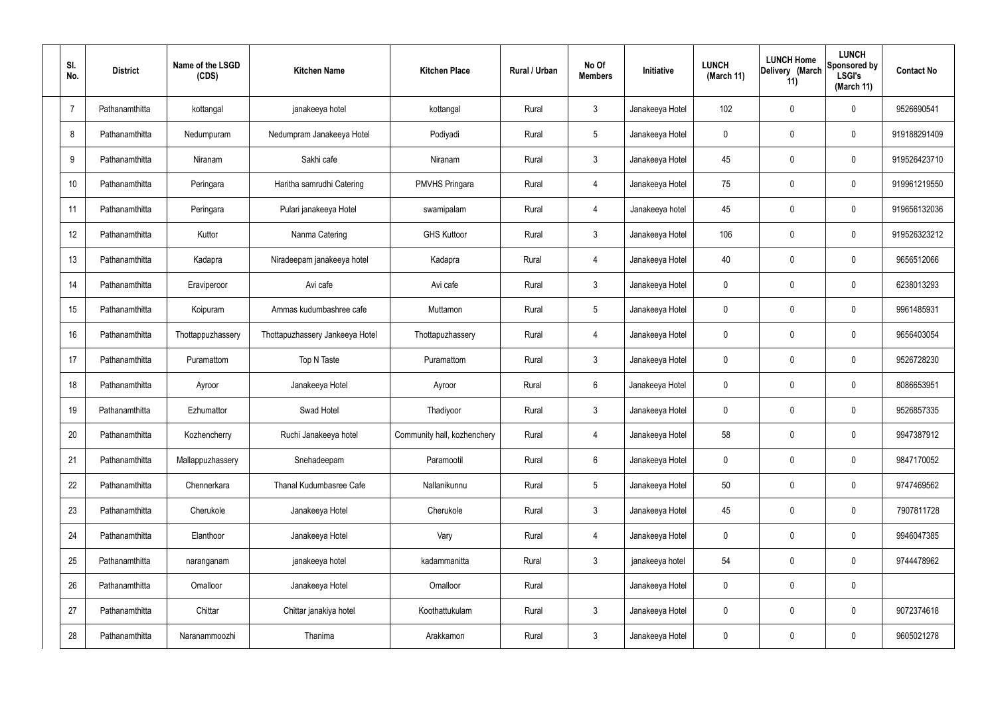| SI.<br>No.     | <b>District</b> | Name of the LSGD<br>(CDS) | <b>Kitchen Name</b>             | <b>Kitchen Place</b>        | Rural / Urban | No Of<br><b>Members</b> | Initiative      | <b>LUNCH</b><br>(March 11) | <b>LUNCH Home</b><br>Delivery (March<br>11) | <b>LUNCH</b><br>Sponsored by<br><b>LSGI's</b><br>(March 11) | <b>Contact No</b> |
|----------------|-----------------|---------------------------|---------------------------------|-----------------------------|---------------|-------------------------|-----------------|----------------------------|---------------------------------------------|-------------------------------------------------------------|-------------------|
| $\overline{7}$ | Pathanamthitta  | kottangal                 | janakeeya hotel                 | kottangal                   | Rural         | $\mathbf{3}$            | Janakeeya Hotel | 102                        | 0                                           | $\mathbf 0$                                                 | 9526690541        |
| 8              | Pathanamthitta  | Nedumpuram                | Nedumpram Janakeeya Hotel       | Podiyadi                    | Rural         | $5\phantom{.0}$         | Janakeeya Hotel | $\mathbf 0$                | 0                                           | $\mathbf 0$                                                 | 919188291409      |
| 9              | Pathanamthitta  | Niranam                   | Sakhi cafe                      | Niranam                     | Rural         | $\mathbf{3}$            | Janakeeya Hotel | 45                         | 0                                           | $\mathbf 0$                                                 | 919526423710      |
| 10             | Pathanamthitta  | Peringara                 | Haritha samrudhi Catering       | <b>PMVHS Pringara</b>       | Rural         | $\overline{4}$          | Janakeeya Hotel | 75                         | 0                                           | $\mathbf 0$                                                 | 919961219550      |
| 11             | Pathanamthitta  | Peringara                 | Pulari janakeeya Hotel          | swamipalam                  | Rural         | $\overline{4}$          | Janakeeya hotel | 45                         | 0                                           | $\mathbf 0$                                                 | 919656132036      |
| 12             | Pathanamthitta  | Kuttor                    | Nanma Catering                  | <b>GHS Kuttoor</b>          | Rural         | $\mathbf{3}$            | Janakeeya Hotel | 106                        | 0                                           | $\mathbf 0$                                                 | 919526323212      |
| 13             | Pathanamthitta  | Kadapra                   | Niradeepam janakeeya hotel      | Kadapra                     | Rural         | $\overline{4}$          | Janakeeya Hotel | 40                         | 0                                           | $\mathbf 0$                                                 | 9656512066        |
| 14             | Pathanamthitta  | Eraviperoor               | Avi cafe                        | Avi cafe                    | Rural         | $\mathbf{3}$            | Janakeeya Hotel | $\mathbf 0$                | 0                                           | $\mathbf 0$                                                 | 6238013293        |
| 15             | Pathanamthitta  | Koipuram                  | Ammas kudumbashree cafe         | Muttamon                    | Rural         | $5\phantom{.0}$         | Janakeeya Hotel | $\mathbf 0$                | 0                                           | $\mathbf 0$                                                 | 9961485931        |
| 16             | Pathanamthitta  | Thottappuzhassery         | Thottapuzhassery Jankeeya Hotel | Thottapuzhassery            | Rural         | 4                       | Janakeeya Hotel | $\mathbf 0$                | 0                                           | $\mathbf 0$                                                 | 9656403054        |
| 17             | Pathanamthitta  | Puramattom                | Top N Taste                     | Puramattom                  | Rural         | $\mathbf{3}$            | Janakeeya Hotel | $\mathbf 0$                | 0                                           | $\boldsymbol{0}$                                            | 9526728230        |
| 18             | Pathanamthitta  | Ayroor                    | Janakeeya Hotel                 | Ayroor                      | Rural         | $6\phantom{.}6$         | Janakeeya Hotel | $\mathbf 0$                | 0                                           | $\boldsymbol{0}$                                            | 8086653951        |
| 19             | Pathanamthitta  | Ezhumattor                | Swad Hotel                      | Thadiyoor                   | Rural         | $\mathfrak{Z}$          | Janakeeya Hotel | 0                          | 0                                           | $\boldsymbol{0}$                                            | 9526857335        |
| 20             | Pathanamthitta  | Kozhencherry              | Ruchi Janakeeya hotel           | Community hall, kozhenchery | Rural         | 4                       | Janakeeya Hotel | 58                         | $\mathbf 0$                                 | $\mathbf 0$                                                 | 9947387912        |
| 21             | Pathanamthitta  | Mallappuzhassery          | Snehadeepam                     | Paramootil                  | Rural         | $6\phantom{.}6$         | Janakeeya Hotel | $\mathbf 0$                | $\mathbf 0$                                 | $\mathbf 0$                                                 | 9847170052        |
| 22             | Pathanamthitta  | Chennerkara               | Thanal Kudumbasree Cafe         | Nallanikunnu                | Rural         | $5\phantom{.0}$         | Janakeeya Hotel | 50                         | $\mathbf 0$                                 | $\mathbf 0$                                                 | 9747469562        |
| 23             | Pathanamthitta  | Cherukole                 | Janakeeya Hotel                 | Cherukole                   | Rural         | $\mathbf{3}$            | Janakeeya Hotel | 45                         | $\mathbf 0$                                 | $\mathbf 0$                                                 | 7907811728        |
| 24             | Pathanamthitta  | Elanthoor                 | Janakeeya Hotel                 | Vary                        | Rural         | $\overline{4}$          | Janakeeya Hotel | $\mathbf 0$                | $\mathbf 0$                                 | $\mathbf 0$                                                 | 9946047385        |
| 25             | Pathanamthitta  | naranganam                | janakeeya hotel                 | kadammanitta                | Rural         | $\mathbf{3}$            | janakeeya hotel | 54                         | $\mathbf 0$                                 | $\mathbf 0$                                                 | 9744478962        |
| 26             | Pathanamthitta  | Omalloor                  | Janakeeya Hotel                 | Omalloor                    | Rural         |                         | Janakeeya Hotel | $\mathbf 0$                | 0                                           | $\pmb{0}$                                                   |                   |
| 27             | Pathanamthitta  | Chittar                   | Chittar janakiya hotel          | Koothattukulam              | Rural         | $\mathfrak{Z}$          | Janakeeya Hotel | 0                          | 0                                           | $\mathbf 0$                                                 | 9072374618        |
| 28             | Pathanamthitta  | Naranammoozhi             | Thanima                         | Arakkamon                   | Rural         | $\mathfrak{Z}$          | Janakeeya Hotel | 0                          | $\pmb{0}$                                   | $\boldsymbol{0}$                                            | 9605021278        |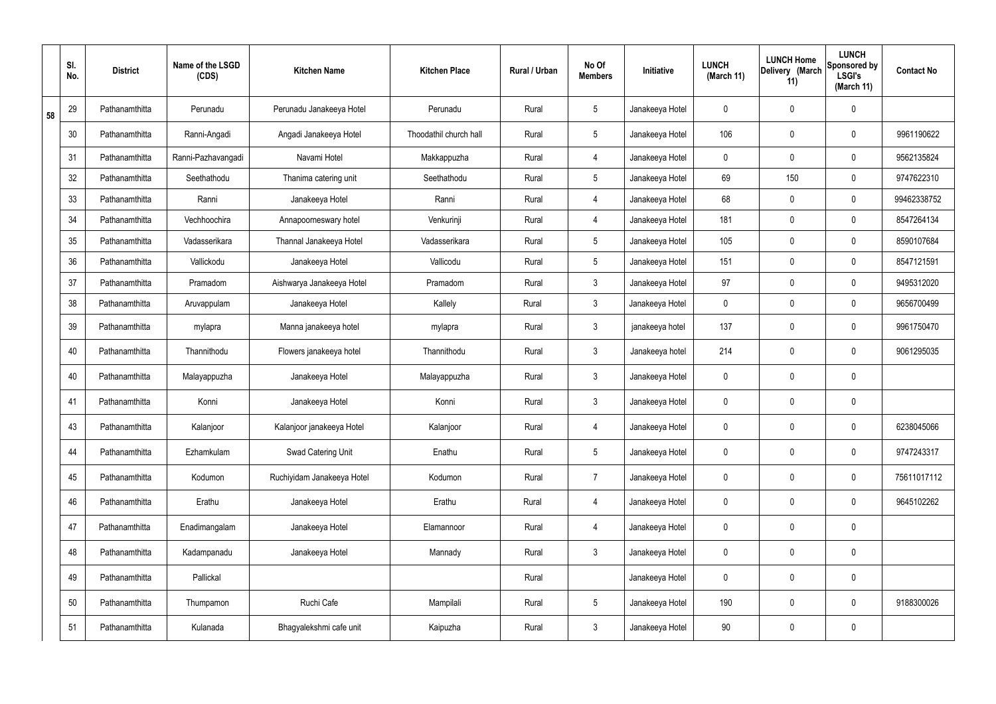|    | SI.<br>No. | <b>District</b> | Name of the LSGD<br>(CDS) | <b>Kitchen Name</b>        | <b>Kitchen Place</b>   | Rural / Urban | No Of<br><b>Members</b> | Initiative      | <b>LUNCH</b><br>(March 11) | <b>LUNCH Home</b><br>Delivery (March<br>11) | <b>LUNCH</b><br>Sponsored by<br><b>LSGI's</b><br>(March 11) | <b>Contact No</b> |
|----|------------|-----------------|---------------------------|----------------------------|------------------------|---------------|-------------------------|-----------------|----------------------------|---------------------------------------------|-------------------------------------------------------------|-------------------|
| 58 | 29         | Pathanamthitta  | Perunadu                  | Perunadu Janakeeya Hotel   | Perunadu               | Rural         | $5\phantom{.0}$         | Janakeeya Hotel | 0                          | 0                                           | $\mathbf 0$                                                 |                   |
|    | 30         | Pathanamthitta  | Ranni-Angadi              | Angadi Janakeeya Hotel     | Thoodathil church hall | Rural         | $5\phantom{.0}$         | Janakeeya Hotel | 106                        | 0                                           | $\mathbf 0$                                                 | 9961190622        |
|    | 31         | Pathanamthitta  | Ranni-Pazhavangadi        | Navami Hotel               | Makkappuzha            | Rural         | $\overline{4}$          | Janakeeya Hotel | $\mathbf 0$                | 0                                           | $\boldsymbol{0}$                                            | 9562135824        |
|    | 32         | Pathanamthitta  | Seethathodu               | Thanima catering unit      | Seethathodu            | Rural         | $5\overline{)}$         | Janakeeya Hotel | 69                         | 150                                         | $\boldsymbol{0}$                                            | 9747622310        |
|    | 33         | Pathanamthitta  | Ranni                     | Janakeeya Hotel            | Ranni                  | Rural         | $\overline{4}$          | Janakeeya Hotel | 68                         | $\mathbf 0$                                 | $\mathbf 0$                                                 | 99462338752       |
|    | 34         | Pathanamthitta  | Vechhoochira              | Annapoorneswary hotel      | Venkurinji             | Rural         | 4                       | Janakeeya Hotel | 181                        | $\mathbf 0$                                 | $\boldsymbol{0}$                                            | 8547264134        |
|    | 35         | Pathanamthitta  | Vadasserikara             | Thannal Janakeeya Hotel    | Vadasserikara          | Rural         | $5\overline{)}$         | Janakeeya Hotel | 105                        | 0                                           | $\boldsymbol{0}$                                            | 8590107684        |
|    | 36         | Pathanamthitta  | Vallickodu                | Janakeeya Hotel            | Vallicodu              | Rural         | $5\overline{)}$         | Janakeeya Hotel | 151                        | $\mathbf 0$                                 | $\mathbf 0$                                                 | 8547121591        |
|    | 37         | Pathanamthitta  | Pramadom                  | Aishwarya Janakeeya Hotel  | Pramadom               | Rural         | 3 <sup>1</sup>          | Janakeeya Hotel | 97                         | $\mathsf{0}$                                | $\mathbf 0$                                                 | 9495312020        |
|    | 38         | Pathanamthitta  | Aruvappulam               | Janakeeya Hotel            | Kallely                | Rural         | $\mathbf{3}$            | Janakeeya Hotel | $\mathbf 0$                | $\boldsymbol{0}$                            | $\boldsymbol{0}$                                            | 9656700499        |
|    | 39         | Pathanamthitta  | mylapra                   | Manna janakeeya hotel      | mylapra                | Rural         | $\mathbf{3}$            | janakeeya hotel | 137                        | 0                                           | $\boldsymbol{0}$                                            | 9961750470        |
|    | 40         | Pathanamthitta  | Thannithodu               | Flowers janakeeya hotel    | Thannithodu            | Rural         | $\mathbf{3}$            | Janakeeya hotel | 214                        | 0                                           | $\boldsymbol{0}$                                            | 9061295035        |
|    | 40         | Pathanamthitta  | Malayappuzha              | Janakeeya Hotel            | Malayappuzha           | Rural         | $\mathbf{3}$            | Janakeeya Hotel | 0                          | 0                                           | $\boldsymbol{0}$                                            |                   |
|    | 41         | Pathanamthitta  | Konni                     | Janakeeya Hotel            | Konni                  | Rural         | $\mathbf{3}$            | Janakeeya Hotel | 0                          | 0                                           | $\boldsymbol{0}$                                            |                   |
|    | 43         | Pathanamthitta  | Kalanjoor                 | Kalanjoor janakeeya Hotel  | Kalanjoor              | Rural         | $\overline{4}$          | Janakeeya Hotel | 0                          | 0                                           | $\mathbf 0$                                                 | 6238045066        |
|    | 44         | Pathanamthitta  | Ezhamkulam                | Swad Catering Unit         | Enathu                 | Rural         | $5\phantom{.0}$         | Janakeeya Hotel | 0                          | 0                                           | $\mathbf 0$                                                 | 9747243317        |
|    | 45         | Pathanamthitta  | Kodumon                   | Ruchiyidam Janakeeya Hotel | Kodumon                | Rural         | $\overline{7}$          | Janakeeya Hotel | 0                          | 0                                           | $\pmb{0}$                                                   | 75611017112       |
|    | 46         | Pathanamthitta  | Erathu                    | Janakeeya Hotel            | Erathu                 | Rural         | $\overline{4}$          | Janakeeya Hotel | 0                          | 0                                           | $\mathbf 0$                                                 | 9645102262        |
|    | 47         | Pathanamthitta  | Enadimangalam             | Janakeeya Hotel            | Elamannoor             | Rural         | $\overline{4}$          | Janakeeya Hotel | 0                          | $\pmb{0}$                                   | $\pmb{0}$                                                   |                   |
|    | 48         | Pathanamthitta  | Kadampanadu               | Janakeeya Hotel            | Mannady                | Rural         | 3 <sup>1</sup>          | Janakeeya Hotel | 0                          | $\boldsymbol{0}$                            | $\pmb{0}$                                                   |                   |
|    | 49         | Pathanamthitta  | Pallickal                 |                            |                        | Rural         |                         | Janakeeya Hotel | 0                          | $\pmb{0}$                                   | $\pmb{0}$                                                   |                   |
|    | 50         | Pathanamthitta  | Thumpamon                 | Ruchi Cafe                 | Mampilali              | Rural         | $5\phantom{.0}$         | Janakeeya Hotel | 190                        | $\boldsymbol{0}$                            | $\pmb{0}$                                                   | 9188300026        |
|    | 51         | Pathanamthitta  | Kulanada                  | Bhagyalekshmi cafe unit    | Kaipuzha               | Rural         | $\mathfrak{Z}$          | Janakeeya Hotel | 90                         | 0                                           | $\pmb{0}$                                                   |                   |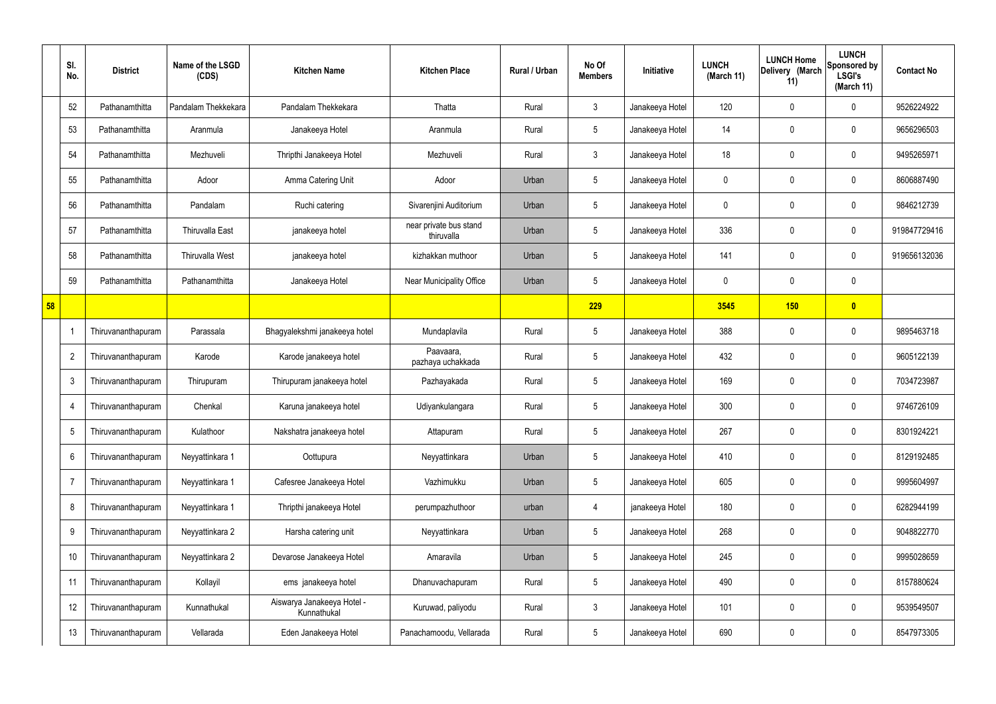|    | SI.<br>No.      | <b>District</b>    | Name of the LSGD<br>(CDS) | <b>Kitchen Name</b>                       | <b>Kitchen Place</b>                 | Rural / Urban | No Of<br><b>Members</b> | Initiative      | <b>LUNCH</b><br>(March 11) | <b>LUNCH Home</b><br>Delivery (March<br>11) | <b>LUNCH</b><br>Sponsored by<br><b>LSGI's</b><br>(March 11) | <b>Contact No</b> |
|----|-----------------|--------------------|---------------------------|-------------------------------------------|--------------------------------------|---------------|-------------------------|-----------------|----------------------------|---------------------------------------------|-------------------------------------------------------------|-------------------|
|    | 52              | Pathanamthitta     | Pandalam Thekkekara       | Pandalam Thekkekara                       | Thatta                               | Rural         | $\mathbf{3}$            | Janakeeya Hotel | 120                        | 0                                           | $\mathbf 0$                                                 | 9526224922        |
|    | 53              | Pathanamthitta     | Aranmula                  | Janakeeya Hotel                           | Aranmula                             | Rural         | $5\phantom{.0}$         | Janakeeya Hotel | 14                         | 0                                           | $\boldsymbol{0}$                                            | 9656296503        |
|    | 54              | Pathanamthitta     | Mezhuveli                 | Thripthi Janakeeya Hotel                  | Mezhuveli                            | Rural         | $\mathbf{3}$            | Janakeeya Hotel | 18                         | 0                                           | $\boldsymbol{0}$                                            | 9495265971        |
|    | 55              | Pathanamthitta     | Adoor                     | Amma Catering Unit                        | Adoor                                | Urban         | $5\phantom{.0}$         | Janakeeya Hotel | 0                          | 0                                           | $\boldsymbol{0}$                                            | 8606887490        |
|    | 56              | Pathanamthitta     | Pandalam                  | Ruchi catering                            | Sivarenjini Auditorium               | Urban         | $5\phantom{.0}$         | Janakeeya Hotel | 0                          | 0                                           | $\boldsymbol{0}$                                            | 9846212739        |
|    | 57              | Pathanamthitta     | <b>Thiruvalla East</b>    | janakeeya hotel                           | near private bus stand<br>thiruvalla | Urban         | $5\,$                   | Janakeeya Hotel | 336                        | 0                                           | $\pmb{0}$                                                   | 919847729416      |
|    | 58              | Pathanamthitta     | <b>Thiruvalla West</b>    | janakeeya hotel                           | kizhakkan muthoor                    | Urban         | $5\phantom{.0}$         | Janakeeya Hotel | 141                        | 0                                           | $\pmb{0}$                                                   | 919656132036      |
|    | 59              | Pathanamthitta     | Pathanamthitta            | Janakeeya Hotel                           | Near Municipality Office             | Urban         | $5\,$                   | Janakeeya Hotel | 0                          | $\mathbf 0$                                 | $\pmb{0}$                                                   |                   |
| 58 |                 |                    |                           |                                           |                                      |               | 229                     |                 | 3545                       | 150                                         | $\bullet$                                                   |                   |
|    |                 | Thiruvananthapuram | Parassala                 | Bhagyalekshmi janakeeya hotel             | Mundaplavila                         | Rural         | $5\,$                   | Janakeeya Hotel | 388                        | $\mathbf 0$                                 | $\pmb{0}$                                                   | 9895463718        |
|    | $\overline{2}$  | Thiruvananthapuram | Karode                    | Karode janakeeya hotel                    | Paavaara,<br>pazhaya uchakkada       | Rural         | $\sqrt{5}$              | Janakeeya Hotel | 432                        | 0                                           | $\boldsymbol{0}$                                            | 9605122139        |
|    | -3              | Thiruvananthapuram | Thirupuram                | Thirupuram janakeeya hotel                | Pazhayakada                          | Rural         | $5\,$                   | Janakeeya Hotel | 169                        | 0                                           | $\boldsymbol{0}$                                            | 7034723987        |
|    | $\overline{4}$  | Thiruvananthapuram | Chenkal                   | Karuna janakeeya hotel                    | Udiyankulangara                      | Rural         | $5\phantom{.0}$         | Janakeeya Hotel | 300                        | 0                                           | $\mathbf 0$                                                 | 9746726109        |
|    | $5\phantom{.0}$ | Thiruvananthapuram | Kulathoor                 | Nakshatra janakeeya hotel                 | Attapuram                            | Rural         | $\sqrt{5}$              | Janakeeya Hotel | 267                        | 0                                           | $\boldsymbol{0}$                                            | 8301924221        |
|    | 6               | Thiruvananthapuram | Neyyattinkara 1           | Oottupura                                 | Neyyattinkara                        | Urban         | $\sqrt{5}$              | Janakeeya Hotel | 410                        | 0                                           | $\pmb{0}$                                                   | 8129192485        |
|    | -7              | Thiruvananthapuram | Neyyattinkara 1           | Cafesree Janakeeya Hotel                  | Vazhimukku                           | Urban         | $\sqrt{5}$              | Janakeeya Hotel | 605                        | 0                                           | $\mathbf 0$                                                 | 9995604997        |
|    | 8               | Thiruvananthapuram | Neyyattinkara 1           | Thripthi janakeeya Hotel                  | perumpazhuthoor                      | urban         | 4                       | janakeeya Hotel | 180                        | 0                                           | $\pmb{0}$                                                   | 6282944199        |
|    | 9               | Thiruvananthapuram | Neyyattinkara 2           | Harsha catering unit                      | Neyyattinkara                        | Urban         | $\sqrt{5}$              | Janakeeya Hotel | 268                        | 0                                           | $\boldsymbol{0}$                                            | 9048822770        |
|    | 10              | Thiruvananthapuram | Neyyattinkara 2           | Devarose Janakeeya Hotel                  | Amaravila                            | Urban         | $\sqrt{5}$              | Janakeeya Hotel | 245                        | 0                                           | $\pmb{0}$                                                   | 9995028659        |
|    | 11              | Thiruvananthapuram | Kollayil                  | ems janakeeya hotel                       | Dhanuvachapuram                      | Rural         | $\sqrt{5}$              | Janakeeya Hotel | 490                        | 0                                           | $\boldsymbol{0}$                                            | 8157880624        |
|    | 12              | Thiruvananthapuram | Kunnathukal               | Aiswarya Janakeeya Hotel -<br>Kunnathukal | Kuruwad, paliyodu                    | Rural         | $\mathbf{3}$            | Janakeeya Hotel | 101                        | 0                                           | $\boldsymbol{0}$                                            | 9539549507        |
|    | 13              | Thiruvananthapuram | Vellarada                 | Eden Janakeeya Hotel                      | Panachamoodu, Vellarada              | Rural         | $\sqrt{5}$              | Janakeeya Hotel | 690                        | 0                                           | $\boldsymbol{0}$                                            | 8547973305        |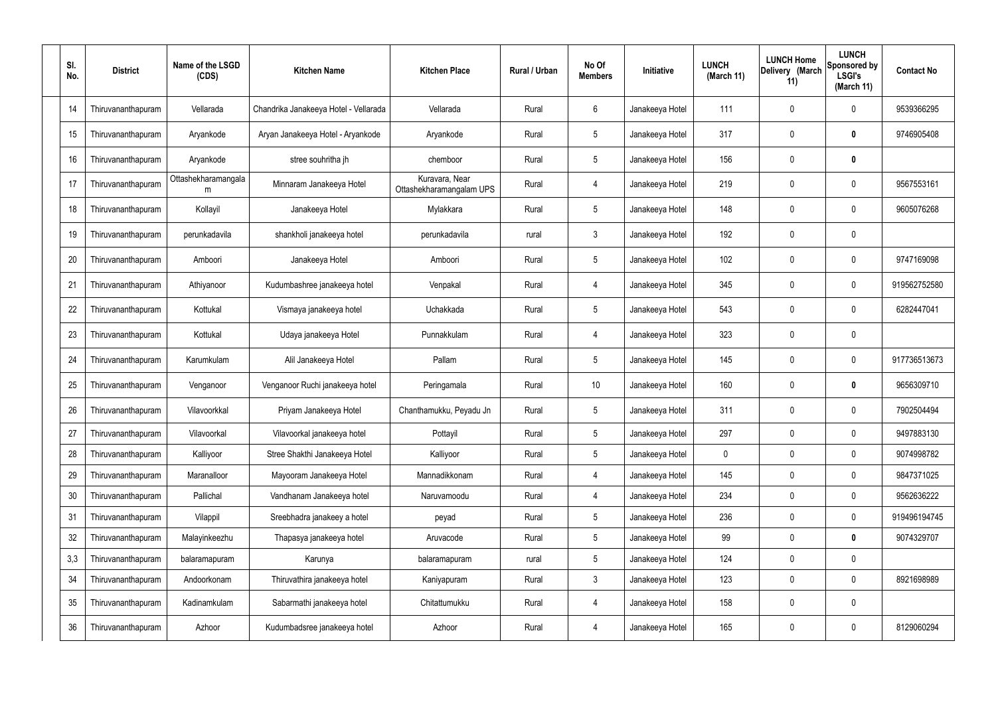| SI.<br>No. | <b>District</b>    | Name of the LSGD<br>(CDS) | <b>Kitchen Name</b>                   | <b>Kitchen Place</b>                       | Rural / Urban | No Of<br><b>Members</b> | Initiative      | <b>LUNCH</b><br>(March 11) | <b>LUNCH Home</b><br>Delivery (March<br>11) | <b>LUNCH</b><br>Sponsored by<br><b>LSGI's</b><br>(March 11) | <b>Contact No</b> |
|------------|--------------------|---------------------------|---------------------------------------|--------------------------------------------|---------------|-------------------------|-----------------|----------------------------|---------------------------------------------|-------------------------------------------------------------|-------------------|
| 14         | Thiruvananthapuram | Vellarada                 | Chandrika Janakeeya Hotel - Vellarada | Vellarada                                  | Rural         | 6                       | Janakeeya Hotel | 111                        | 0                                           | $\mathbf 0$                                                 | 9539366295        |
| 15         | Thiruvananthapuram | Aryankode                 | Aryan Janakeeya Hotel - Aryankode     | Aryankode                                  | Rural         | $5\phantom{.0}$         | Janakeeya Hotel | 317                        | 0                                           | $\bm{0}$                                                    | 9746905408        |
| 16         | Thiruvananthapuram | Aryankode                 | stree souhritha jh                    | chemboor                                   | Rural         | $5\phantom{.0}$         | Janakeeya Hotel | 156                        | 0                                           | $\mathbf 0$                                                 |                   |
| 17         | Thiruvananthapuram | Ottashekharamangala<br>m  | Minnaram Janakeeya Hotel              | Kuravara, Near<br>Ottashekharamangalam UPS | Rural         | $\overline{4}$          | Janakeeya Hotel | 219                        | 0                                           | $\pmb{0}$                                                   | 9567553161        |
| 18         | Thiruvananthapuram | Kollayil                  | Janakeeya Hotel                       | Mylakkara                                  | Rural         | $5\phantom{.0}$         | Janakeeya Hotel | 148                        | 0                                           | $\mathbf 0$                                                 | 9605076268        |
| 19         | Thiruvananthapuram | perunkadavila             | shankholi janakeeya hotel             | perunkadavila                              | rural         | $\mathbf{3}$            | Janakeeya Hotel | 192                        | 0                                           | $\mathbf 0$                                                 |                   |
| 20         | Thiruvananthapuram | Amboori                   | Janakeeya Hotel                       | Amboori                                    | Rural         | $5\phantom{.0}$         | Janakeeya Hotel | 102                        | 0                                           | $\mathbf 0$                                                 | 9747169098        |
| 21         | Thiruvananthapuram | Athiyanoor                | Kudumbashree janakeeya hotel          | Venpakal                                   | Rural         | $\overline{4}$          | Janakeeya Hotel | 345                        | 0                                           | $\mathbf 0$                                                 | 919562752580      |
| 22         | Thiruvananthapuram | Kottukal                  | Vismaya janakeeya hotel               | Uchakkada                                  | Rural         | $5\phantom{.0}$         | Janakeeya Hotel | 543                        | 0                                           | $\mathbf 0$                                                 | 6282447041        |
| 23         | Thiruvananthapuram | Kottukal                  | Udaya janakeeya Hotel                 | Punnakkulam                                | Rural         | 4                       | Janakeeya Hotel | 323                        | 0                                           | $\mathbf 0$                                                 |                   |
| 24         | Thiruvananthapuram | Karumkulam                | Alil Janakeeya Hotel                  | Pallam                                     | Rural         | $5\phantom{.0}$         | Janakeeya Hotel | 145                        | 0                                           | $\boldsymbol{0}$                                            | 917736513673      |
| 25         | Thiruvananthapuram | Venganoor                 | Venganoor Ruchi janakeeya hotel       | Peringamala                                | Rural         | 10                      | Janakeeya Hotel | 160                        | 0                                           | $\boldsymbol{0}$                                            | 9656309710        |
| 26         | Thiruvananthapuram | Vilavoorkkal              | Priyam Janakeeya Hotel                | Chanthamukku, Peyadu Jn                    | Rural         | $5\phantom{.0}$         | Janakeeya Hotel | 311                        | 0                                           | 0                                                           | 7902504494        |
| 27         | Thiruvananthapuram | Vilavoorkal               | Vilavoorkal janakeeya hotel           | Pottayil                                   | Rural         | $5\phantom{.0}$         | Janakeeya Hotel | 297                        | $\mathbf 0$                                 | $\mathbf 0$                                                 | 9497883130        |
| 28         | Thiruvananthapuram | Kalliyoor                 | Stree Shakthi Janakeeya Hotel         | Kalliyoor                                  | Rural         | $5\phantom{.0}$         | Janakeeya Hotel | $\pmb{0}$                  | 0                                           | $\mathbf 0$                                                 | 9074998782        |
| 29         | Thiruvananthapuram | Maranalloor               | Mayooram Janakeeya Hotel              | Mannadikkonam                              | Rural         | $\overline{4}$          | Janakeeya Hotel | 145                        | $\mathbf 0$                                 | $\mathbf 0$                                                 | 9847371025        |
| 30         | Thiruvananthapuram | Pallichal                 | Vandhanam Janakeeya hotel             | Naruvamoodu                                | Rural         | $\overline{4}$          | Janakeeya Hotel | 234                        | $\mathbf 0$                                 | $\mathbf 0$                                                 | 9562636222        |
| 31         | Thiruvananthapuram | Vilappil                  | Sreebhadra janakeey a hotel           | peyad                                      | Rural         | $5\phantom{.0}$         | Janakeeya Hotel | 236                        | $\mathbf 0$                                 | $\mathbf 0$                                                 | 919496194745      |
| 32         | Thiruvananthapuram | Malayinkeezhu             | Thapasya janakeeya hotel              | Aruvacode                                  | Rural         | $5\phantom{.0}$         | Janakeeya Hotel | 99                         | $\mathbf 0$                                 | $\mathbf 0$                                                 | 9074329707        |
| 3,3        | Thiruvananthapuram | balaramapuram             | Karunya                               | balaramapuram                              | rural         | $5\phantom{.0}$         | Janakeeya Hotel | 124                        | $\mathsf{0}$                                | $\mathbf 0$                                                 |                   |
| 34         | Thiruvananthapuram | Andoorkonam               | Thiruvathira janakeeya hotel          | Kaniyapuram                                | Rural         | $\mathbf{3}$            | Janakeeya Hotel | 123                        | 0                                           | $\mathbf 0$                                                 | 8921698989        |
| 35         | Thiruvananthapuram | Kadinamkulam              | Sabarmathi janakeeya hotel            | Chitattumukku                              | Rural         | $\overline{4}$          | Janakeeya Hotel | 158                        | 0                                           | $\pmb{0}$                                                   |                   |
| 36         | Thiruvananthapuram | Azhoor                    | Kudumbadsree janakeeya hotel          | Azhoor                                     | Rural         | 4                       | Janakeeya Hotel | 165                        | $\boldsymbol{0}$                            | $\pmb{0}$                                                   | 8129060294        |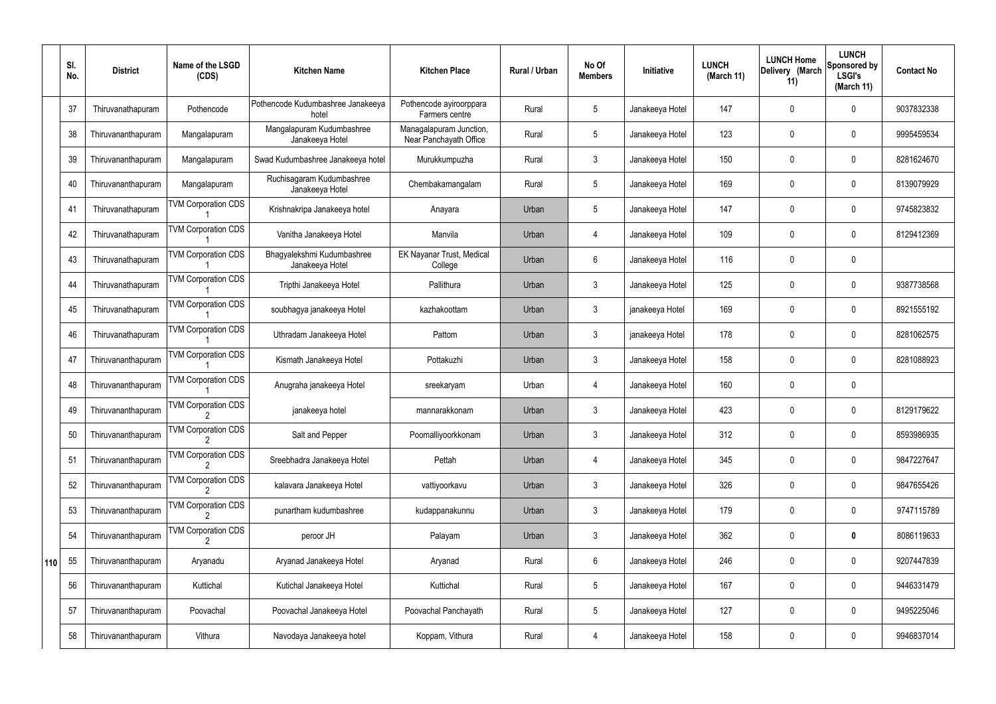|     | SI.<br>No. | <b>District</b>    | Name of the LSGD<br>(CDS)  | <b>Kitchen Name</b>                           | <b>Kitchen Place</b>                              | <b>Rural / Urban</b> | No Of<br><b>Members</b> | Initiative      | <b>LUNCH</b><br>(March 11) | <b>LUNCH Home</b><br>Delivery (March<br>11) | <b>LUNCH</b><br>Sponsored by<br><b>LSGI's</b><br>(March 11) | <b>Contact No</b> |
|-----|------------|--------------------|----------------------------|-----------------------------------------------|---------------------------------------------------|----------------------|-------------------------|-----------------|----------------------------|---------------------------------------------|-------------------------------------------------------------|-------------------|
|     | 37         | Thiruvanathapuram  | Pothencode                 | Pothencode Kudumbashree Janakeeya<br>hotel    | Pothencode ayiroorppara<br>Farmers centre         | Rural                | 5                       | Janakeeya Hotel | 147                        | 0                                           | $\mathbf{0}$                                                | 9037832338        |
|     | 38         | Thiruvananthapuram | Mangalapuram               | Mangalapuram Kudumbashree<br>Janakeeya Hotel  | Managalapuram Junction,<br>Near Panchayath Office | Rural                | 5                       | Janakeeya Hotel | 123                        | 0                                           | $\mathbf 0$                                                 | 9995459534        |
|     | 39         | Thiruvananthapuram | Mangalapuram               | Swad Kudumbashree Janakeeya hotel             | Murukkumpuzha                                     | Rural                | $\mathbf{3}$            | Janakeeya Hotel | 150                        | 0                                           | $\mathbf 0$                                                 | 8281624670        |
|     | 40         | Thiruvananthapuram | Mangalapuram               | Ruchisagaram Kudumbashree<br>Janakeeya Hotel  | Chembakamangalam                                  | Rural                | 5                       | Janakeeya Hotel | 169                        | 0                                           | $\mathbf 0$                                                 | 8139079929        |
|     | 41         | Thiruvanathapuram  | <b>TVM Corporation CDS</b> | Krishnakripa Janakeeya hotel                  | Anayara                                           | Urban                | $\sqrt{5}$              | Janakeeya Hotel | 147                        | 0                                           | $\mathbf 0$                                                 | 9745823832        |
|     | 42         | Thiruvanathapuram  | <b>TVM Corporation CDS</b> | Vanitha Janakeeya Hotel                       | Manvila                                           | Urban                | $\overline{4}$          | Janakeeya Hotel | 109                        | 0                                           | $\mathbf 0$                                                 | 8129412369        |
|     | 43         | Thiruvanathapuram  | <b>TVM Corporation CDS</b> | Bhagyalekshmi Kudumbashree<br>Janakeeya Hotel | <b>EK Nayanar Trust, Medical</b><br>College       | Urban                | 6                       | Janakeeya Hotel | 116                        | 0                                           | $\mathbf 0$                                                 |                   |
|     | 44         | Thiruvanathapuram  | <b>TVM Corporation CDS</b> | Tripthi Janakeeya Hotel                       | Pallithura                                        | Urban                | $\mathbf{3}$            | Janakeeya Hotel | 125                        | 0                                           | $\mathbf 0$                                                 | 9387738568        |
|     | 45         | Thiruvanathapuram  | <b>TVM Corporation CDS</b> | soubhagya janakeeya Hotel                     | kazhakoottam                                      | Urban                | $\mathbf{3}$            | janakeeya Hotel | 169                        | 0                                           | $\mathbf 0$                                                 | 8921555192        |
|     | 46         | Thiruvanathapuram  | <b>TVM Corporation CDS</b> | Uthradam Janakeeya Hotel                      | Pattom                                            | Urban                | $\mathbf{3}$            | janakeeya Hotel | 178                        | 0                                           | $\mathbf 0$                                                 | 8281062575        |
|     | 47         | Thiruvananthapuram | <b>TVM Corporation CDS</b> | Kismath Janakeeya Hotel                       | Pottakuzhi                                        | Urban                | $\mathbf{3}$            | Janakeeya Hotel | 158                        | 0                                           | $\mathbf 0$                                                 | 8281088923        |
|     | 48         | Thiruvananthapuram | <b>TVM Corporation CDS</b> | Anugraha janakeeya Hotel                      | sreekaryam                                        | Urban                | 4                       | Janakeeya Hotel | 160                        | 0                                           | $\mathbf 0$                                                 |                   |
|     | 49         | Thiruvananthapuram | <b>TVM Corporation CDS</b> | janakeeya hotel                               | mannarakkonam                                     | Urban                | $\mathbf{3}$            | Janakeeya Hotel | 423                        | 0                                           | $\mathbf 0$                                                 | 8129179622        |
|     | 50         | Thiruvananthapuram | <b>TVM Corporation CDS</b> | Salt and Pepper                               | Poomalliyoorkkonam                                | Urban                | $\mathbf{3}$            | Janakeeya Hotel | 312                        | $\mathbf 0$                                 | $\mathbf 0$                                                 | 8593986935        |
|     | 51         | Thiruvananthapuram | <b>TVM Corporation CDS</b> | Sreebhadra Janakeeya Hotel                    | Pettah                                            | Urban                | $\overline{4}$          | Janakeeya Hotel | 345                        | $\mathbf 0$                                 | $\mathbf 0$                                                 | 9847227647        |
|     | 52         | Thiruvananthapuram | <b>TVM Corporation CDS</b> | kalavara Janakeeya Hotel                      | vattiyoorkavu                                     | Urban                | $\mathbf{3}$            | Janakeeya Hotel | 326                        | 0                                           | $\mathbf 0$                                                 | 9847655426        |
|     | 53         | Thiruvananthapuram | <b>TVM Corporation CDS</b> | punartham kudumbashree                        | kudappanakunnu                                    | Urban                | $\mathbf{3}$            | Janakeeya Hotel | 179                        | $\pmb{0}$                                   | $\mathbf 0$                                                 | 9747115789        |
|     | 54         | Thiruvananthapuram | <b>TVM Corporation CDS</b> | peroor JH                                     | Palayam                                           | Urban                | $\mathbf{3}$            | Janakeeya Hotel | 362                        | 0                                           | $\bf{0}$                                                    | 8086119633        |
| 110 | 55         | Thiruvananthapuram | Aryanadu                   | Aryanad Janakeeya Hotel                       | Aryanad                                           | Rural                | $6\phantom{.}6$         | Janakeeya Hotel | 246                        | 0                                           | $\mathbf 0$                                                 | 9207447839        |
|     | 56         | Thiruvananthapuram | Kuttichal                  | Kutichal Janakeeya Hotel                      | Kuttichal                                         | Rural                | $5\phantom{.0}$         | Janakeeya Hotel | 167                        | 0                                           | $\mathbf 0$                                                 | 9446331479        |
|     | 57         | Thiruvananthapuram | Poovachal                  | Poovachal Janakeeya Hotel                     | Poovachal Panchayath                              | Rural                | $5\phantom{.0}$         | Janakeeya Hotel | 127                        | 0                                           | $\mathbf 0$                                                 | 9495225046        |
|     | 58         | Thiruvananthapuram | Vithura                    | Navodaya Janakeeya hotel                      | Koppam, Vithura                                   | Rural                | 4                       | Janakeeya Hotel | 158                        | 0                                           | $\overline{0}$                                              | 9946837014        |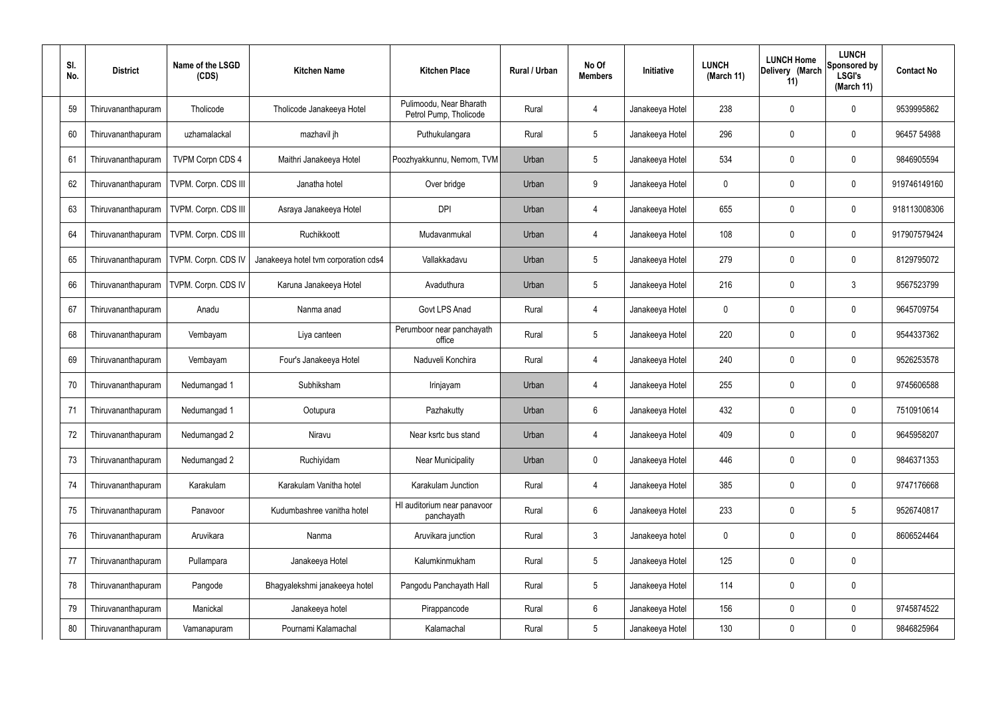| SI.<br>No. | <b>District</b>    | Name of the LSGD<br>(CDS) | <b>Kitchen Name</b>                  | <b>Kitchen Place</b>                              | Rural / Urban | No Of<br><b>Members</b> | Initiative      | <b>LUNCH</b><br>(March 11) | <b>LUNCH Home</b><br>Delivery (March<br>11) | <b>LUNCH</b><br>Sponsored by<br><b>LSGI's</b><br>(March 11) | <b>Contact No</b> |
|------------|--------------------|---------------------------|--------------------------------------|---------------------------------------------------|---------------|-------------------------|-----------------|----------------------------|---------------------------------------------|-------------------------------------------------------------|-------------------|
| 59         | Thiruvananthapuram | Tholicode                 | Tholicode Janakeeya Hotel            | Pulimoodu, Near Bharath<br>Petrol Pump, Tholicode | Rural         | 4                       | Janakeeya Hotel | 238                        | 0                                           | 0                                                           | 9539995862        |
| 60         | Thiruvananthapuram | uzhamalackal              | mazhavil jh                          | Puthukulangara                                    | Rural         | $5\phantom{.0}$         | Janakeeya Hotel | 296                        | 0                                           | $\boldsymbol{0}$                                            | 96457 54988       |
| 61         | Thiruvananthapuram | <b>TVPM Corpn CDS 4</b>   | Maithri Janakeeya Hotel              | Poozhyakkunnu, Nemom, TVM                         | Urban         | $5\phantom{.0}$         | Janakeeya Hotel | 534                        | 0                                           | 0                                                           | 9846905594        |
| 62         | Thiruvananthapuram | TVPM. Corpn. CDS III      | Janatha hotel                        | Over bridge                                       | Urban         | 9                       | Janakeeya Hotel | 0                          | 0                                           | $\boldsymbol{0}$                                            | 919746149160      |
| 63         | Thiruvananthapuram | TVPM. Corpn. CDS III      | Asraya Janakeeya Hotel               | <b>DPI</b>                                        | Urban         | 4                       | Janakeeya Hotel | 655                        | 0                                           | 0                                                           | 918113008306      |
| 64         | Thiruvananthapuram | TVPM. Corpn. CDS III      | Ruchikkoott                          | Mudavanmukal                                      | Urban         | 4                       | Janakeeya Hotel | 108                        | 0                                           | $\boldsymbol{0}$                                            | 917907579424      |
| 65         | Thiruvananthapuram | TVPM. Corpn. CDS IV       | Janakeeya hotel tvm corporation cds4 | Vallakkadavu                                      | Urban         | $5\phantom{.0}$         | Janakeeya Hotel | 279                        | 0                                           | 0                                                           | 8129795072        |
| 66         | Thiruvananthapuram | TVPM. Corpn. CDS IV       | Karuna Janakeeya Hotel               | Avaduthura                                        | Urban         | $5\phantom{.0}$         | Janakeeya Hotel | 216                        | 0                                           | 3                                                           | 9567523799        |
| 67         | Thiruvananthapuram | Anadu                     | Nanma anad                           | Govt LPS Anad                                     | Rural         | $\overline{4}$          | Janakeeya Hotel | 0                          | 0                                           | 0                                                           | 9645709754        |
| 68         | Thiruvananthapuram | Vembayam                  | Liya canteen                         | Perumboor near panchayath<br>office               | Rural         | $5\phantom{.0}$         | Janakeeya Hotel | 220                        | 0                                           | $\boldsymbol{0}$                                            | 9544337362        |
| 69         | Thiruvananthapuram | Vembayam                  | Four's Janakeeya Hotel               | Naduveli Konchira                                 | Rural         | 4                       | Janakeeya Hotel | 240                        | 0                                           | 0                                                           | 9526253578        |
| 70         | Thiruvananthapuram | Nedumangad 1              | Subhiksham                           | Irinjayam                                         | Urban         | 4                       | Janakeeya Hotel | 255                        | 0                                           | $\boldsymbol{0}$                                            | 9745606588        |
| 71         | Thiruvananthapuram | Nedumangad 1              | Ootupura                             | Pazhakutty                                        | Urban         | 6                       | Janakeeya Hotel | 432                        | 0                                           | 0                                                           | 7510910614        |
| 72         | Thiruvananthapuram | Nedumangad 2              | Niravu                               | Near ksrtc bus stand                              | Urban         | 4                       | Janakeeya Hotel | 409                        | 0                                           | $\mathbf 0$                                                 | 9645958207        |
| 73         | Thiruvananthapuram | Nedumangad 2              | Ruchiyidam                           | <b>Near Municipality</b>                          | Urban         | $\pmb{0}$               | Janakeeya Hotel | 446                        | $\boldsymbol{0}$                            | $\mathbf 0$                                                 | 9846371353        |
| 74         | Thiruvananthapuram | Karakulam                 | Karakulam Vanitha hotel              | Karakulam Junction                                | Rural         | 4                       | Janakeeya Hotel | 385                        | 0                                           | $\pmb{0}$                                                   | 9747176668        |
| 75         | Thiruvananthapuram | Panavoor                  | Kudumbashree vanitha hotel           | HI auditorium near panavoor<br>panchayath         | Rural         | $6\phantom{.}$          | Janakeeya Hotel | 233                        | $\boldsymbol{0}$                            | $5\phantom{.0}$                                             | 9526740817        |
| 76         | Thiruvananthapuram | Aruvikara                 | Nanma                                | Aruvikara junction                                | Rural         | $\mathfrak{Z}$          | Janakeeya hotel | 0                          | 0                                           | $\pmb{0}$                                                   | 8606524464        |
| 77         | Thiruvananthapuram | Pullampara                | Janakeeya Hotel                      | Kalumkinmukham                                    | Rural         | $5\phantom{.0}$         | Janakeeya Hotel | 125                        | $\boldsymbol{0}$                            | $\pmb{0}$                                                   |                   |
| 78         | Thiruvananthapuram | Pangode                   | Bhagyalekshmi janakeeya hotel        | Pangodu Panchayath Hall                           | Rural         | $5\phantom{.0}$         | Janakeeya Hotel | 114                        | 0                                           | $\pmb{0}$                                                   |                   |
| 79         | Thiruvananthapuram | Manickal                  | Janakeeya hotel                      | Pirappancode                                      | Rural         | $6\phantom{.}$          | Janakeeya Hotel | 156                        | 0                                           | $\pmb{0}$                                                   | 9745874522        |
| 80         | Thiruvananthapuram | Vamanapuram               | Pournami Kalamachal                  | Kalamachal                                        | Rural         | $5\,$                   | Janakeeya Hotel | 130                        | 0                                           | $\pmb{0}$                                                   | 9846825964        |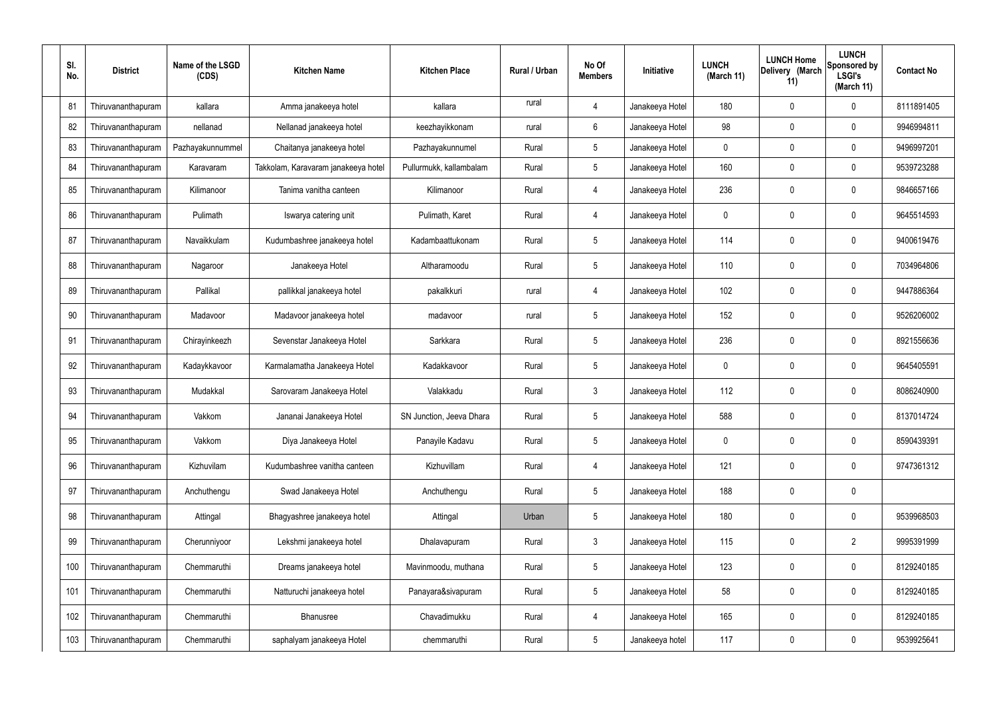| SI.<br>No. | <b>District</b>    | Name of the LSGD<br>(CDS) | <b>Kitchen Name</b>                 | <b>Kitchen Place</b>     | Rural / Urban | No Of<br><b>Members</b> | Initiative      | <b>LUNCH</b><br>(March 11) | <b>LUNCH Home</b><br>Delivery (March<br>11) | <b>LUNCH</b><br>Sponsored by<br><b>LSGI's</b><br>(March 11) | <b>Contact No</b> |
|------------|--------------------|---------------------------|-------------------------------------|--------------------------|---------------|-------------------------|-----------------|----------------------------|---------------------------------------------|-------------------------------------------------------------|-------------------|
| 81         | Thiruvananthapuram | kallara                   | Amma janakeeya hotel                | kallara                  | rural         | 4                       | Janakeeya Hotel | 180                        | 0                                           | $\mathbf 0$                                                 | 8111891405        |
| 82         | Thiruvananthapuram | nellanad                  | Nellanad janakeeya hotel            | keezhayikkonam           | rural         | 6                       | Janakeeya Hotel | 98                         | 0                                           | $\mathbf 0$                                                 | 9946994811        |
| 83         | Thiruvananthapuram | Pazhayakunnummel          | Chaitanya janakeeya hotel           | Pazhayakunnumel          | Rural         | 5                       | Janakeeya Hotel | 0                          | 0                                           | $\boldsymbol{0}$                                            | 9496997201        |
| 84         | Thiruvananthapuram | Karavaram                 | Takkolam, Karavaram janakeeya hotel | Pullurmukk, kallambalam  | Rural         | 5                       | Janakeeya Hotel | 160                        | 0                                           | $\pmb{0}$                                                   | 9539723288        |
| 85         | Thiruvananthapuram | Kilimanoor                | Tanima vanitha canteen              | Kilimanoor               | Rural         | 4                       | Janakeeya Hotel | 236                        | 0                                           | 0                                                           | 9846657166        |
| 86         | Thiruvananthapuram | Pulimath                  | Iswarya catering unit               | Pulimath, Karet          | Rural         | 4                       | Janakeeya Hotel | 0                          | 0                                           | $\boldsymbol{0}$                                            | 9645514593        |
| 87         | Thiruvananthapuram | Navaikkulam               | Kudumbashree janakeeya hotel        | Kadambaattukonam         | Rural         | 5                       | Janakeeya Hotel | 114                        | 0                                           | 0                                                           | 9400619476        |
| 88         | Thiruvananthapuram | Nagaroor                  | Janakeeya Hotel                     | Altharamoodu             | Rural         | 5                       | Janakeeya Hotel | 110                        | 0                                           | $\boldsymbol{0}$                                            | 7034964806        |
| 89         | Thiruvananthapuram | Pallikal                  | pallikkal janakeeya hotel           | pakalkkuri               | rural         | 4                       | Janakeeya Hotel | 102                        | 0                                           | 0                                                           | 9447886364        |
| 90         | Thiruvananthapuram | Madavoor                  | Madavoor janakeeya hotel            | madavoor                 | rural         | 5                       | Janakeeya Hotel | 152                        | 0                                           | $\boldsymbol{0}$                                            | 9526206002        |
| 91         | Thiruvananthapuram | Chirayinkeezh             | Sevenstar Janakeeya Hotel           | Sarkkara                 | Rural         | 5                       | Janakeeya Hotel | 236                        | 0                                           | 0                                                           | 8921556636        |
| 92         | Thiruvananthapuram | Kadaykkavoor              | Karmalamatha Janakeeya Hotel        | Kadakkavoor              | Rural         | 5                       | Janakeeya Hotel | 0                          | 0                                           | $\boldsymbol{0}$                                            | 9645405591        |
| 93         | Thiruvananthapuram | Mudakkal                  | Sarovaram Janakeeya Hotel           | Valakkadu                | Rural         | $\mathfrak{Z}$          | Janakeeya Hotel | 112                        | 0                                           | 0                                                           | 8086240900        |
| 94         | Thiruvananthapuram | Vakkom                    | Jananai Janakeeya Hotel             | SN Junction, Jeeva Dhara | Rural         |                         | Janakeeya Hotel | 588                        |                                             | 0                                                           | 8137014724        |
| 95         | Thiruvananthapuram | Vakkom                    | Diya Janakeeya Hotel                | Panayile Kadavu          | Rural         | 5                       | Janakeeya Hotel | 0                          | 0                                           | $\pmb{0}$                                                   | 8590439391        |
| 96         | Thiruvananthapuram | Kizhuvilam                | Kudumbashree vanitha canteen        | Kizhuvillam              | Rural         | 4                       | Janakeeya Hotel | 121                        | 0                                           | $\pmb{0}$                                                   | 9747361312        |
| 97         | Thiruvananthapuram | Anchuthengu               | Swad Janakeeya Hotel                | Anchuthengu              | Rural         | $\sqrt{5}$              | Janakeeya Hotel | 188                        | 0                                           | $\pmb{0}$                                                   |                   |
| 98         | Thiruvananthapuram | Attingal                  | Bhagyashree janakeeya hotel         | Attingal                 | Urban         | $\sqrt{5}$              | Janakeeya Hotel | 180                        | 0                                           | $\pmb{0}$                                                   | 9539968503        |
| 99         | Thiruvananthapuram | Cherunniyoor              | Lekshmi janakeeya hotel             | Dhalavapuram             | Rural         | $\mathfrak{Z}$          | Janakeeya Hotel | 115                        | 0                                           | $\overline{2}$                                              | 9995391999        |
| 100        | Thiruvananthapuram | Chemmaruthi               | Dreams janakeeya hotel              | Mavinmoodu, muthana      | Rural         | $\sqrt{5}$              | Janakeeya Hotel | 123                        | 0                                           | $\pmb{0}$                                                   | 8129240185        |
| 101        | Thiruvananthapuram | Chemmaruthi               | Natturuchi janakeeya hotel          | Panayara&sivapuram       | Rural         | 5                       | Janakeeya Hotel | 58                         | 0                                           | $\mathbf 0$                                                 | 8129240185        |
| 102        | Thiruvananthapuram | Chemmaruthi               | Bhanusree                           | Chavadimukku             | Rural         | 4                       | Janakeeya Hotel | 165                        | 0                                           | $\pmb{0}$                                                   | 8129240185        |
| 103        | Thiruvananthapuram | Chemmaruthi               | saphalyam janakeeya Hotel           | chemmaruthi              | Rural         | $\sqrt{5}$              | Janakeeya hotel | 117                        | 0                                           | $\boldsymbol{0}$                                            | 9539925641        |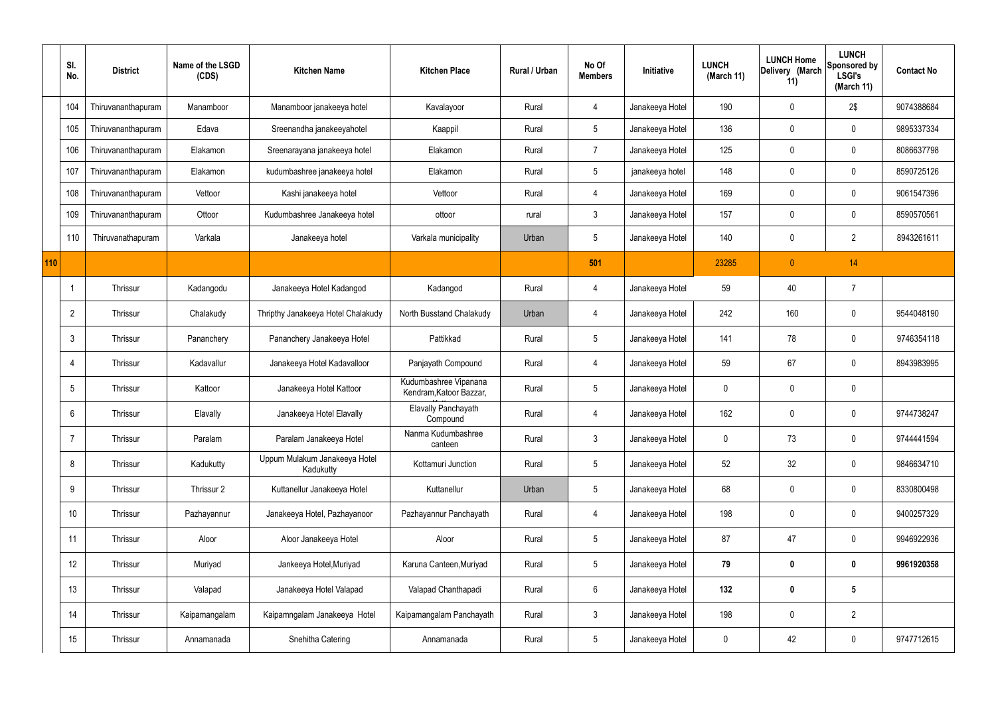|     | SI.<br>No.      | <b>District</b>    | Name of the LSGD<br>(CDS) | <b>Kitchen Name</b>                        | <b>Kitchen Place</b>                             | Rural / Urban | No Of<br><b>Members</b> | Initiative      | <b>LUNCH</b><br>(March 11) | <b>LUNCH Home</b><br>Delivery (March<br>11) | <b>LUNCH</b><br>Sponsored by<br><b>LSGI's</b><br>(March 11) | <b>Contact No</b> |
|-----|-----------------|--------------------|---------------------------|--------------------------------------------|--------------------------------------------------|---------------|-------------------------|-----------------|----------------------------|---------------------------------------------|-------------------------------------------------------------|-------------------|
|     | 104             | Thiruvananthapuram | Manamboor                 | Manamboor janakeeya hotel                  | Kavalayoor                                       | Rural         | $\overline{4}$          | Janakeeya Hotel | 190                        | $\mathbf 0$                                 | 2\$                                                         | 9074388684        |
|     | 105             | Thiruvananthapuram | Edava                     | Sreenandha janakeeyahotel                  | Kaappil                                          | Rural         | 5 <sup>5</sup>          | Janakeeya Hotel | 136                        | $\pmb{0}$                                   | $\mathbf 0$                                                 | 9895337334        |
|     | 106             | Thiruvananthapuram | Elakamon                  | Sreenarayana janakeeya hotel               | Elakamon                                         | Rural         | $\overline{7}$          | Janakeeya Hotel | 125                        | $\mathbf 0$                                 | $\mathbf 0$                                                 | 8086637798        |
|     | 107             | Thiruvananthapuram | Elakamon                  | kudumbashree janakeeya hotel               | Elakamon                                         | Rural         | $5\overline{)}$         | janakeeya hotel | 148                        | $\mathbf 0$                                 | $\mathbf 0$                                                 | 8590725126        |
|     | 108             | Thiruvananthapuram | Vettoor                   | Kashi janakeeya hotel                      | Vettoor                                          | Rural         | 4                       | Janakeeya Hotel | 169                        | 0                                           | $\mathbf 0$                                                 | 9061547396        |
|     | 109             | Thiruvananthapuram | Ottoor                    | Kudumbashree Janakeeya hotel               | ottoor                                           | rural         | 3                       | Janakeeya Hotel | 157                        | $\mathbf 0$                                 | $\mathbf 0$                                                 | 8590570561        |
|     | 110             | Thiruvanathapuram  | Varkala                   | Janakeeya hotel                            | Varkala municipality                             | Urban         | $5\overline{)}$         | Janakeeya Hotel | 140                        | 0                                           | $\overline{2}$                                              | 8943261611        |
| 110 |                 |                    |                           |                                            |                                                  |               | 501                     |                 | 23285                      | $\pmb{0}$                                   | 14                                                          |                   |
|     |                 | Thrissur           | Kadangodu                 | Janakeeya Hotel Kadangod                   | Kadangod                                         | Rural         | $\overline{4}$          | Janakeeya Hotel | 59                         | 40                                          | $\overline{7}$                                              |                   |
|     | $\overline{2}$  | Thrissur           | Chalakudy                 | Thripthy Janakeeya Hotel Chalakudy         | North Busstand Chalakudy                         | Urban         | $\overline{4}$          | Janakeeya Hotel | 242                        | 160                                         | $\mathbf 0$                                                 | 9544048190        |
|     | $\mathbf{3}$    | Thrissur           | Pananchery                | Pananchery Janakeeya Hotel                 | Pattikkad                                        | Rural         | $5\overline{)}$         | Janakeeya Hotel | 141                        | 78                                          | $\mathbf 0$                                                 | 9746354118        |
|     | 4               | Thrissur           | Kadavallur                | Janakeeya Hotel Kadavalloor                | Panjayath Compound                               | Rural         | 4                       | Janakeeya Hotel | 59                         | 67                                          | $\mathbf 0$                                                 | 8943983995        |
|     | 5               | Thrissur           | Kattoor                   | Janakeeya Hotel Kattoor                    | Kudumbashree Vipanana<br>Kendram, Katoor Bazzar, | Rural         | $5\overline{)}$         | Janakeeya Hotel | $\mathbf 0$                | 0                                           | $\mathbf 0$                                                 |                   |
|     | 6               | Thrissur           | Elavally                  | Janakeeya Hotel Elavally                   | Elavally Panchayath<br>Compound                  | Rural         |                         | Janakeeya Hotel | 162                        | 0                                           | 0                                                           | 9744738247        |
|     | $\overline{7}$  | Thrissur           | Paralam                   | Paralam Janakeeya Hotel                    | Nanma Kudumbashree<br>canteen                    | Rural         | $\mathbf{3}$            | Janakeeya Hotel | $\mathbf 0$                | 73                                          | $\mathbf 0$                                                 | 9744441594        |
|     | 8               | Thrissur           | Kadukutty                 | Uppum Mulakum Janakeeya Hotel<br>Kadukutty | Kottamuri Junction                               | Rural         | $5\overline{)}$         | Janakeeya Hotel | 52                         | 32                                          | $\mathbf 0$                                                 | 9846634710        |
|     | 9               | Thrissur           | Thrissur 2                | Kuttanellur Janakeeya Hotel                | Kuttanellur                                      | Urban         | 5 <sup>5</sup>          | Janakeeya Hotel | 68                         | $\pmb{0}$                                   | $\mathbf 0$                                                 | 8330800498        |
|     | 10 <sup>°</sup> | Thrissur           | Pazhayannur               | Janakeeya Hotel, Pazhayanoor               | Pazhayannur Panchayath                           | Rural         | $\overline{4}$          | Janakeeya Hotel | 198                        | $\pmb{0}$                                   | $\mathbf 0$                                                 | 9400257329        |
|     | 11              | Thrissur           | Aloor                     | Aloor Janakeeya Hotel                      | Aloor                                            | Rural         | $5\overline{)}$         | Janakeeya Hotel | 87                         | 47                                          | $\mathbf 0$                                                 | 9946922936        |
|     | 12              | Thrissur           | Muriyad                   | Jankeeya Hotel, Muriyad                    | Karuna Canteen, Muriyad                          | Rural         | $5\overline{)}$         | Janakeeya Hotel | 79                         | $\pmb{0}$                                   | $\mathbf 0$                                                 | 9961920358        |
|     | 13              | Thrissur           | Valapad                   | Janakeeya Hotel Valapad                    | Valapad Chanthapadi                              | Rural         | $6\phantom{.}6$         | Janakeeya Hotel | 132                        | $\pmb{0}$                                   | $5\phantom{.0}$                                             |                   |
|     | 14              | Thrissur           | Kaipamangalam             | Kaipamngalam Janakeeya Hotel               | Kaipamangalam Panchayath                         | Rural         | $\mathbf{3}$            | Janakeeya Hotel | 198                        | $\pmb{0}$                                   | $\overline{2}$                                              |                   |
|     | 15              | Thrissur           | Annamanada                | Snehitha Catering                          | Annamanada                                       | Rural         | 5 <sub>5</sub>          | Janakeeya Hotel | $\pmb{0}$                  | 42                                          | $\pmb{0}$                                                   | 9747712615        |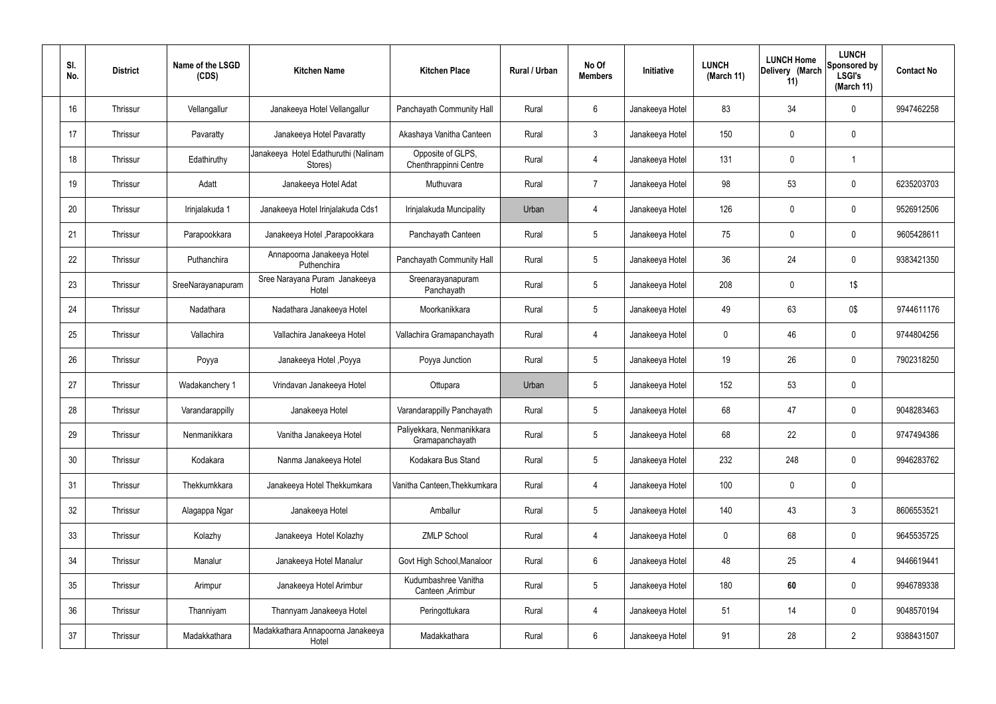| SI.<br>No. | <b>District</b> | Name of the LSGD<br>(CDS) | <b>Kitchen Name</b>                             | <b>Kitchen Place</b>                         | Rural / Urban | No Of<br><b>Members</b> | Initiative      | <b>LUNCH</b><br>(March 11) | <b>LUNCH Home</b><br>Delivery (March<br>11) | <b>LUNCH</b><br>Sponsored by<br><b>LSGI's</b><br>(March 11) | <b>Contact No</b> |
|------------|-----------------|---------------------------|-------------------------------------------------|----------------------------------------------|---------------|-------------------------|-----------------|----------------------------|---------------------------------------------|-------------------------------------------------------------|-------------------|
| 16         | Thrissur        | Vellangallur              | Janakeeya Hotel Vellangallur                    | Panchayath Community Hall                    | Rural         | $6\phantom{.}6$         | Janakeeya Hotel | 83                         | 34                                          | $\mathbf 0$                                                 | 9947462258        |
| 17         | Thrissur        | Pavaratty                 | Janakeeya Hotel Pavaratty                       | Akashaya Vanitha Canteen                     | Rural         | $\mathbf{3}$            | Janakeeya Hotel | 150                        | 0                                           | $\mathbf 0$                                                 |                   |
| 18         | Thrissur        | Edathiruthy               | Janakeeya Hotel Edathuruthi (Nalinam<br>Stores) | Opposite of GLPS,<br>Chenthrappinni Centre   | Rural         | $\overline{4}$          | Janakeeya Hotel | 131                        | 0                                           |                                                             |                   |
| 19         | Thrissur        | Adatt                     | Janakeeya Hotel Adat                            | Muthuvara                                    | Rural         | $\overline{7}$          | Janakeeya Hotel | 98                         | 53                                          | $\mathbf 0$                                                 | 6235203703        |
| 20         | Thrissur        | Irinjalakuda 1            | Janakeeya Hotel Irinjalakuda Cds1               | Irinjalakuda Muncipality                     | Urban         | 4                       | Janakeeya Hotel | 126                        | 0                                           | $\mathbf 0$                                                 | 9526912506        |
| 21         | Thrissur        | Parapookkara              | Janakeeya Hotel, Parapookkara                   | Panchayath Canteen                           | Rural         | $5\phantom{.0}$         | Janakeeya Hotel | 75                         | 0                                           | $\mathbf 0$                                                 | 9605428611        |
| 22         | Thrissur        | Puthanchira               | Annapoorna Janakeeya Hotel<br>Puthenchira       | Panchayath Community Hall                    | Rural         | $5\phantom{.0}$         | Janakeeya Hotel | 36                         | 24                                          | $\mathbf 0$                                                 | 9383421350        |
| 23         | Thrissur        | SreeNarayanapuram         | Sree Narayana Puram Janakeeya<br>Hotel          | Sreenarayanapuram<br>Panchayath              | Rural         | $5\phantom{.0}$         | Janakeeya Hotel | 208                        | 0                                           | 1\$                                                         |                   |
| 24         | Thrissur        | Nadathara                 | Nadathara Janakeeya Hotel                       | Moorkanikkara                                | Rural         | $5\phantom{.0}$         | Janakeeya Hotel | 49                         | 63                                          | 0\$                                                         | 9744611176        |
| 25         | Thrissur        | Vallachira                | Vallachira Janakeeya Hotel                      | Vallachira Gramapanchayath                   | Rural         | 4                       | Janakeeya Hotel | $\mathbf 0$                | 46                                          | $\mathbf 0$                                                 | 9744804256        |
| 26         | Thrissur        | Poyya                     | Janakeeya Hotel , Poyya                         | Poyya Junction                               | Rural         | $5\,$                   | Janakeeya Hotel | 19                         | 26                                          | $\mathbf 0$                                                 | 7902318250        |
| 27         | Thrissur        | Wadakanchery 1            | Vrindavan Janakeeya Hotel                       | Ottupara                                     | Urban         | $5\phantom{.0}$         | Janakeeya Hotel | 152                        | 53                                          | $\mathbf 0$                                                 |                   |
| 28         | Thrissur        | Varandarappilly           | Janakeeya Hotel                                 | Varandarappilly Panchayath                   | Rural         | $5\phantom{.0}$         | Janakeeya Hotel | 68                         | 47                                          | 0                                                           | 9048283463        |
| 29         | Thrissur        | Nenmanikkara              | Vanitha Janakeeya Hotel                         | Paliyekkara, Nenmanikkara<br>Gramapanchayath | Rural         | $5\phantom{.0}$         | Janakeeya Hotel | 68                         | 22                                          | $\mathbf 0$                                                 | 9747494386        |
| 30         | Thrissur        | Kodakara                  | Nanma Janakeeya Hotel                           | Kodakara Bus Stand                           | Rural         | $5\phantom{.0}$         | Janakeeya Hotel | 232                        | 248                                         | $\mathbf 0$                                                 | 9946283762        |
| 31         | Thrissur        | Thekkumkkara              | Janakeeya Hotel Thekkumkara                     | Vanitha Canteen, Thekkumkara                 | Rural         | $\overline{4}$          | Janakeeya Hotel | 100                        | 0                                           | $\mathbf 0$                                                 |                   |
| 32         | Thrissur        | Alagappa Ngar             | Janakeeya Hotel                                 | Amballur                                     | Rural         | $5\phantom{.0}$         | Janakeeya Hotel | 140                        | 43                                          | $\mathbf{3}$                                                | 8606553521        |
| 33         | Thrissur        | Kolazhy                   | Janakeeya Hotel Kolazhy                         | <b>ZMLP School</b>                           | Rural         | $\overline{4}$          | Janakeeya Hotel | $\mathbf 0$                | 68                                          | $\mathbf 0$                                                 | 9645535725        |
| 34         | Thrissur        | Manalur                   | Janakeeya Hotel Manalur                         | Govt High School, Manaloor                   | Rural         | $6\overline{6}$         | Janakeeya Hotel | 48                         | 25                                          | 4                                                           | 9446619441        |
| 35         | Thrissur        | Arimpur                   | Janakeeya Hotel Arimbur                         | Kudumbashree Vanitha<br>Canteen , Arimbur    | Rural         | $5\phantom{.0}$         | Janakeeya Hotel | 180                        | 60                                          | $\mathbf 0$                                                 | 9946789338        |
| 36         | Thrissur        | Thanniyam                 | Thannyam Janakeeya Hotel                        | Peringottukara                               | Rural         | $\overline{4}$          | Janakeeya Hotel | 51                         | 14                                          | $\mathbf 0$                                                 | 9048570194        |
| 37         | Thrissur        | Madakkathara              | Madakkathara Annapoorna Janakeeya<br>Hotel      | Madakkathara                                 | Rural         | $6\,$                   | Janakeeya Hotel | 91                         | 28                                          | $\overline{2}$                                              | 9388431507        |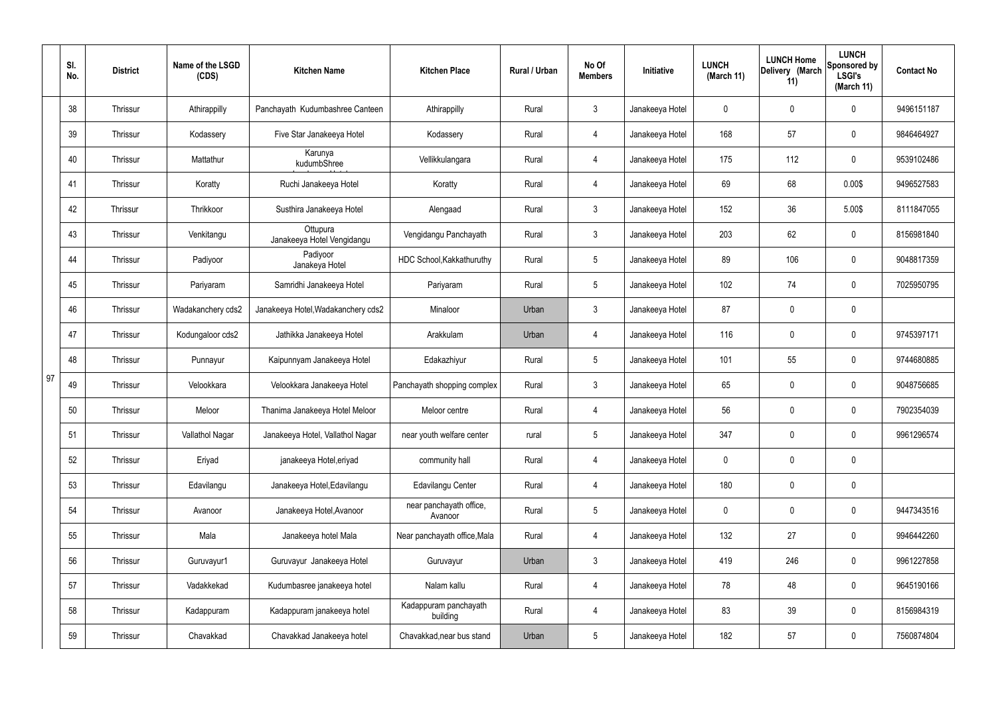|    | SI.<br>No. | <b>District</b> | Name of the LSGD<br>(CDS) | <b>Kitchen Name</b>                    | <b>Kitchen Place</b>               | Rural / Urban | No Of<br><b>Members</b> | Initiative      | <b>LUNCH</b><br>(March 11) | <b>LUNCH Home</b><br>Delivery (March<br>11) | <b>LUNCH</b><br>Sponsored by<br><b>LSGI's</b><br>(March 11) | <b>Contact No</b> |
|----|------------|-----------------|---------------------------|----------------------------------------|------------------------------------|---------------|-------------------------|-----------------|----------------------------|---------------------------------------------|-------------------------------------------------------------|-------------------|
|    | 38         | Thrissur        | Athirappilly              | Panchayath Kudumbashree Canteen        | Athirappilly                       | Rural         | $\mathbf{3}$            | Janakeeya Hotel | 0                          | 0                                           | $\mathbf 0$                                                 | 9496151187        |
|    | 39         | Thrissur        | Kodassery                 | Five Star Janakeeya Hotel              | Kodassery                          | Rural         | $\overline{4}$          | Janakeeya Hotel | 168                        | 57                                          | $\mathbf 0$                                                 | 9846464927        |
|    | 40         | Thrissur        | Mattathur                 | Karunya<br>kudumbShree                 | Vellikkulangara                    | Rural         | $\overline{4}$          | Janakeeya Hotel | 175                        | 112                                         | $\mathbf 0$                                                 | 9539102486        |
|    | 41         | Thrissur        | Koratty                   | Ruchi Janakeeya Hotel                  | Koratty                            | Rural         | $\overline{4}$          | Janakeeya Hotel | 69                         | 68                                          | 0.00\$                                                      | 9496527583        |
|    | 42         | Thrissur        | Thrikkoor                 | Susthira Janakeeya Hotel               | Alengaad                           | Rural         | $\mathbf{3}$            | Janakeeya Hotel | 152                        | 36                                          | 5.00\$                                                      | 8111847055        |
|    | 43         | Thrissur        | Venkitangu                | Ottupura<br>Janakeeya Hotel Vengidangu | Vengidangu Panchayath              | Rural         | $\mathbf{3}$            | Janakeeya Hotel | 203                        | 62                                          | $\mathbf 0$                                                 | 8156981840        |
|    | 44         | Thrissur        | Padiyoor                  | Padiyoor<br>Janakeya Hotel             | HDC School, Kakkathuruthy          | Rural         | $5\phantom{.0}$         | Janakeeya Hotel | 89                         | 106                                         | $\mathbf 0$                                                 | 9048817359        |
|    | 45         | Thrissur        | Pariyaram                 | Samridhi Janakeeya Hotel               | Pariyaram                          | Rural         | $5\phantom{.0}$         | Janakeeya Hotel | 102                        | 74                                          | $\mathbf 0$                                                 | 7025950795        |
|    | 46         | Thrissur        | Wadakanchery cds2         | Janakeeya Hotel, Wadakanchery cds2     | Minaloor                           | Urban         | $\mathbf{3}$            | Janakeeya Hotel | 87                         | $\boldsymbol{0}$                            | $\mathbf 0$                                                 |                   |
|    | 47         | Thrissur        | Kodungaloor cds2          | Jathikka Janakeeya Hotel               | Arakkulam                          | Urban         | $\overline{4}$          | Janakeeya Hotel | 116                        | 0                                           | $\boldsymbol{0}$                                            | 9745397171        |
|    | 48         | Thrissur        | Punnayur                  | Kaipunnyam Janakeeya Hotel             | Edakazhiyur                        | Rural         | $5\phantom{.0}$         | Janakeeya Hotel | 101                        | 55                                          | $\boldsymbol{0}$                                            | 9744680885        |
| 97 | 49         | Thrissur        | Velookkara                | Velookkara Janakeeya Hotel             | Panchayath shopping complex        | Rural         | $\mathfrak{Z}$          | Janakeeya Hotel | 65                         | 0                                           | $\boldsymbol{0}$                                            | 9048756685        |
|    | 50         | Thrissur        | Meloor                    | Thanima Janakeeya Hotel Meloor         | Meloor centre                      | Rural         | 4                       | Janakeeya Hotel | 56                         | 0                                           | 0                                                           | 7902354039        |
|    | 51         | Thrissur        | Vallathol Nagar           | Janakeeya Hotel, Vallathol Nagar       | near youth welfare center          | rural         | $5\phantom{.0}$         | Janakeeya Hotel | 347                        | $\mathbf 0$                                 | $\mathbf 0$                                                 | 9961296574        |
|    | 52         | Thrissur        | Eriyad                    | janakeeya Hotel, eriyad                | community hall                     | Rural         | $\overline{4}$          | Janakeeya Hotel | $\mathbf 0$                | $\mathbf 0$                                 | $\mathbf 0$                                                 |                   |
|    | 53         | Thrissur        | Edavilangu                | Janakeeya Hotel, Edavilangu            | Edavilangu Center                  | Rural         | $\overline{4}$          | Janakeeya Hotel | 180                        | $\mathbf 0$                                 | $\mathbf 0$                                                 |                   |
|    | 54         | Thrissur        | Avanoor                   | Janakeeya Hotel, Avanoor               | near panchayath office,<br>Avanoor | Rural         | $5\phantom{.0}$         | Janakeeya Hotel | $\mathbf 0$                | $\mathbf 0$                                 | $\mathbf 0$                                                 | 9447343516        |
|    | 55         | Thrissur        | Mala                      | Janakeeya hotel Mala                   | Near panchayath office, Mala       | Rural         | $\overline{4}$          | Janakeeya Hotel | 132                        | 27                                          | $\mathbf 0$                                                 | 9946442260        |
|    | 56         | Thrissur        | Guruvayur1                | Guruvayur Janakeeya Hotel              | Guruvayur                          | Urban         | $\mathbf{3}$            | Janakeeya Hotel | 419                        | 246                                         | $\mathbf 0$                                                 | 9961227858        |
|    | 57         | Thrissur        | Vadakkekad                | Kudumbasree janakeeya hotel            | Nalam kallu                        | Rural         | $\overline{4}$          | Janakeeya Hotel | 78                         | 48                                          | $\mathbf 0$                                                 | 9645190166        |
|    | 58         | Thrissur        | Kadappuram                | Kadappuram janakeeya hotel             | Kadappuram panchayath<br>building  | Rural         | $\overline{4}$          | Janakeeya Hotel | 83                         | 39                                          | $\mathbf 0$                                                 | 8156984319        |
|    | 59         | Thrissur        | Chavakkad                 | Chavakkad Janakeeya hotel              | Chavakkad, near bus stand          | Urban         | $\sqrt{5}$              | Janakeeya Hotel | 182                        | 57                                          | $\pmb{0}$                                                   | 7560874804        |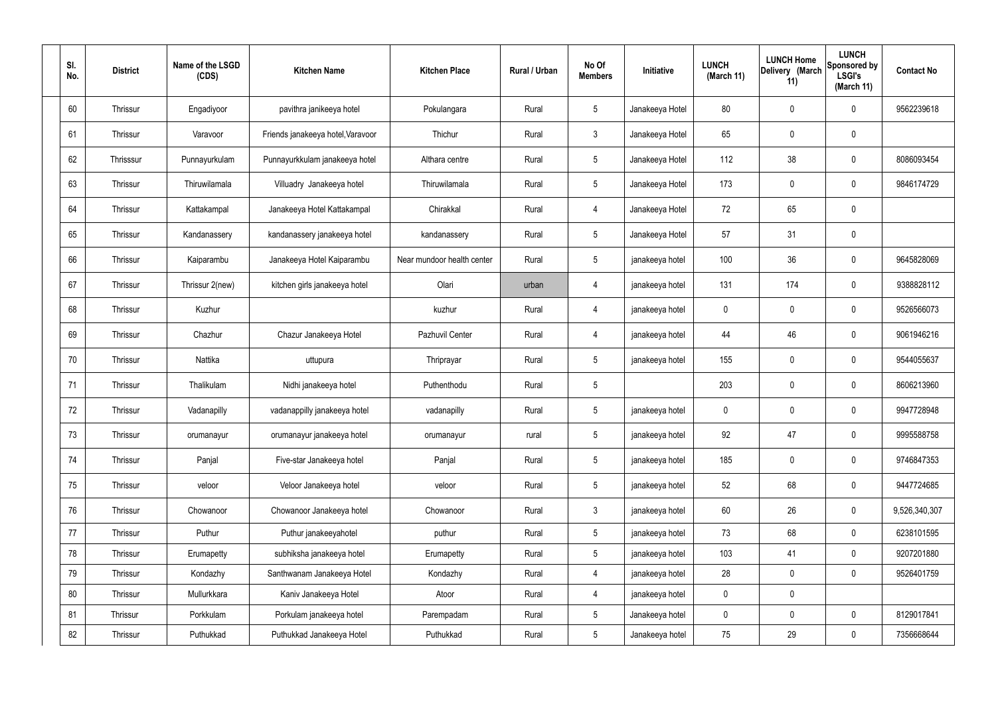| SI.<br>No. | <b>District</b> | Name of the LSGD<br>(CDS) | <b>Kitchen Name</b>               | <b>Kitchen Place</b>       | Rural / Urban | No Of<br><b>Members</b> | Initiative      | <b>LUNCH</b><br>(March 11) | <b>LUNCH Home</b><br>Delivery (March<br>11) | <b>LUNCH</b><br>Sponsored by<br><b>LSGI's</b><br>(March 11) | <b>Contact No</b> |
|------------|-----------------|---------------------------|-----------------------------------|----------------------------|---------------|-------------------------|-----------------|----------------------------|---------------------------------------------|-------------------------------------------------------------|-------------------|
| 60         | Thrissur        | Engadiyoor                | pavithra janikeeya hotel          | Pokulangara                | Rural         | $5\phantom{.0}$         | Janakeeya Hotel | 80                         | 0                                           | $\mathbf 0$                                                 | 9562239618        |
| 61         | Thrissur        | Varavoor                  | Friends janakeeya hotel, Varavoor | Thichur                    | Rural         | $\mathbf{3}$            | Janakeeya Hotel | 65                         | $\mathbf 0$                                 | $\mathbf 0$                                                 |                   |
| 62         | Thrisssur       | Punnayurkulam             | Punnayurkkulam janakeeya hotel    | Althara centre             | Rural         | $5\overline{)}$         | Janakeeya Hotel | 112                        | 38                                          | $\mathbf 0$                                                 | 8086093454        |
| 63         | Thrissur        | Thiruwilamala             | Villuadry Janakeeya hotel         | Thiruwilamala              | Rural         | $5\overline{)}$         | Janakeeya Hotel | 173                        | $\mathbf 0$                                 | $\mathbf 0$                                                 | 9846174729        |
| 64         | Thrissur        | Kattakampal               | Janakeeya Hotel Kattakampal       | Chirakkal                  | Rural         | $\overline{4}$          | Janakeeya Hotel | 72                         | 65                                          | $\mathbf 0$                                                 |                   |
| 65         | Thrissur        | Kandanassery              | kandanassery janakeeya hotel      | kandanassery               | Rural         | $5\overline{)}$         | Janakeeya Hotel | 57                         | 31                                          | $\mathbf 0$                                                 |                   |
| 66         | Thrissur        | Kaiparambu                | Janakeeya Hotel Kaiparambu        | Near mundoor health center | Rural         | $5\overline{)}$         | janakeeya hotel | 100                        | 36                                          | $\mathbf 0$                                                 | 9645828069        |
| 67         | Thrissur        | Thrissur 2(new)           | kitchen girls janakeeya hotel     | Olari                      | urban         | $\overline{4}$          | janakeeya hotel | 131                        | 174                                         | $\mathbf 0$                                                 | 9388828112        |
| 68         | Thrissur        | Kuzhur                    |                                   | kuzhur                     | Rural         | $\overline{4}$          | janakeeya hotel | 0                          | $\mathbf 0$                                 | $\mathbf 0$                                                 | 9526566073        |
| 69         | Thrissur        | Chazhur                   | Chazur Janakeeya Hotel            | Pazhuvil Center            | Rural         | 4                       | janakeeya hotel | 44                         | 46                                          | $\mathbf 0$                                                 | 9061946216        |
| 70         | Thrissur        | Nattika                   | uttupura                          | Thriprayar                 | Rural         | $5\phantom{.0}$         | janakeeya hotel | 155                        | 0                                           | $\mathbf 0$                                                 | 9544055637        |
| 71         | Thrissur        | Thalikulam                | Nidhi janakeeya hotel             | Puthenthodu                | Rural         | $5\phantom{.0}$         |                 | 203                        | $\mathbf 0$                                 | $\mathbf 0$                                                 | 8606213960        |
| 72         | Thrissur        | Vadanapilly               | vadanappilly janakeeya hotel      | vadanapilly                | Rural         | $5\phantom{.0}$         | janakeeya hotel | 0                          | 0                                           | $\mathbf 0$                                                 | 9947728948        |
| 73         | Thrissur        | orumanayur                | orumanayur janakeeya hotel        | orumanayur                 | rural         | $5\phantom{.0}$         | janakeeya hotel | 92                         | 47                                          | $\mathbf 0$                                                 | 9995588758        |
| 74         | Thrissur        | Panjal                    | Five-star Janakeeya hotel         | Panjal                     | Rural         | $5\phantom{.0}$         | janakeeya hotel | 185                        | $\mathbf 0$                                 | $\mathbf 0$                                                 | 9746847353        |
| 75         | Thrissur        | veloor                    | Veloor Janakeeya hotel            | veloor                     | Rural         | $5\overline{)}$         | janakeeya hotel | 52                         | 68                                          | $\mathbf 0$                                                 | 9447724685        |
| 76         | Thrissur        | Chowanoor                 | Chowanoor Janakeeya hotel         | Chowanoor                  | Rural         | $\mathbf{3}$            | janakeeya hotel | 60                         | 26                                          | $\mathbf 0$                                                 | 9,526,340,307     |
| 77         | Thrissur        | Puthur                    | Puthur janakeeyahotel             | puthur                     | Rural         | $5\overline{)}$         | janakeeya hotel | 73                         | 68                                          | $\mathbf 0$                                                 | 6238101595        |
| 78         | Thrissur        | Erumapetty                | subhiksha janakeeya hotel         | Erumapetty                 | Rural         | $5\overline{)}$         | janakeeya hotel | 103                        | 41                                          | $\mathbf 0$                                                 | 9207201880        |
| 79         | Thrissur        | Kondazhy                  | Santhwanam Janakeeya Hotel        | Kondazhy                   | Rural         | 4                       | janakeeya hotel | 28                         | $\mathbf 0$                                 | $\mathbf 0$                                                 | 9526401759        |
| 80         | Thrissur        | Mullurkkara               | Kaniv Janakeeya Hotel             | Atoor                      | Rural         | $\overline{4}$          | janakeeya hotel | 0                          | 0                                           |                                                             |                   |
| 81         | Thrissur        | Porkkulam                 | Porkulam janakeeya hotel          | Parempadam                 | Rural         | $5\overline{)}$         | Janakeeya hotel | $\pmb{0}$                  | 0                                           | $\mathbf 0$                                                 | 8129017841        |
| 82         | Thrissur        | Puthukkad                 | Puthukkad Janakeeya Hotel         | Puthukkad                  | Rural         | $5\phantom{.0}$         | Janakeeya hotel | 75                         | 29                                          | $\mathbf 0$                                                 | 7356668644        |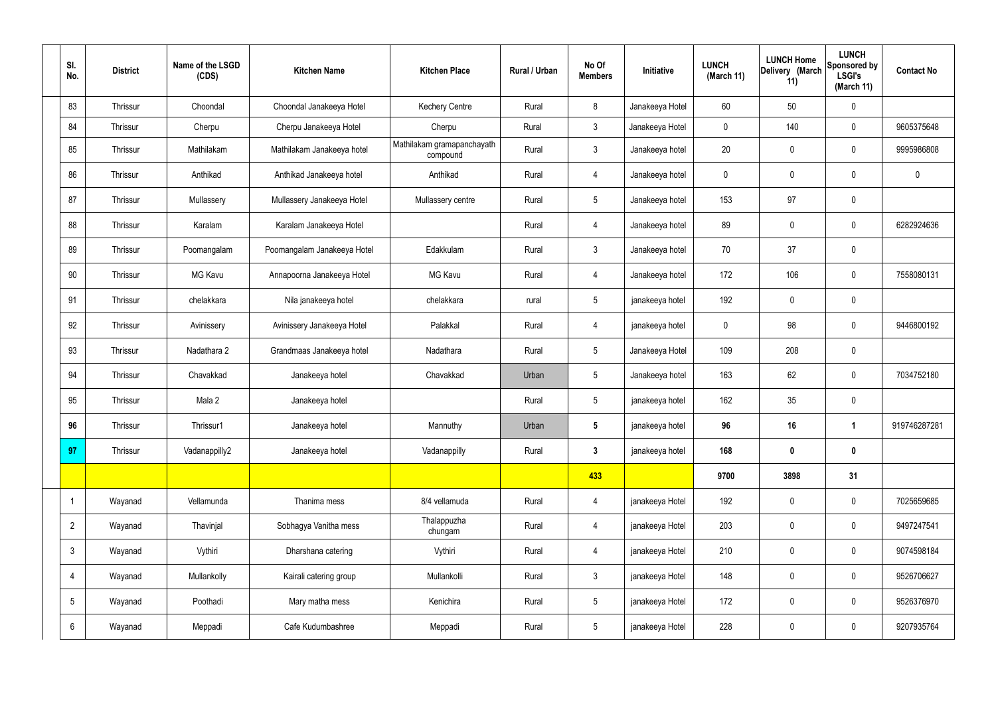| SI.<br>No.      | <b>District</b> | Name of the LSGD<br>(CDS) | <b>Kitchen Name</b>         | <b>Kitchen Place</b>                   | Rural / Urban | No Of<br><b>Members</b> | Initiative      | <b>LUNCH</b><br>(March 11) | <b>LUNCH Home</b><br>Delivery (March<br>11) | <b>LUNCH</b><br>Sponsored by<br><b>LSGI's</b><br>(March 11) | <b>Contact No</b> |
|-----------------|-----------------|---------------------------|-----------------------------|----------------------------------------|---------------|-------------------------|-----------------|----------------------------|---------------------------------------------|-------------------------------------------------------------|-------------------|
| 83              | Thrissur        | Choondal                  | Choondal Janakeeya Hotel    | <b>Kechery Centre</b>                  | Rural         | 8                       | Janakeeya Hotel | 60                         | 50                                          | $\mathbf 0$                                                 |                   |
| 84              | Thrissur        | Cherpu                    | Cherpu Janakeeya Hotel      | Cherpu                                 | Rural         | $\mathbf{3}$            | Janakeeya Hotel | $\mathbf 0$                | 140                                         | $\mathbf 0$                                                 | 9605375648        |
| 85              | Thrissur        | Mathilakam                | Mathilakam Janakeeya hotel  | Mathilakam gramapanchayath<br>compound | Rural         | 3                       | Janakeeya hotel | 20                         | $\pmb{0}$                                   | $\mathbf 0$                                                 | 9995986808        |
| 86              | Thrissur        | Anthikad                  | Anthikad Janakeeya hotel    | Anthikad                               | Rural         | $\overline{4}$          | Janakeeya hotel | $\mathbf 0$                | $\mathbf 0$                                 | $\mathbf 0$                                                 | $\mathbf 0$       |
| 87              | Thrissur        | Mullassery                | Mullassery Janakeeya Hotel  | Mullassery centre                      | Rural         | 5 <sup>5</sup>          | Janakeeya hotel | 153                        | 97                                          | $\mathbf 0$                                                 |                   |
| 88              | Thrissur        | Karalam                   | Karalam Janakeeya Hotel     |                                        | Rural         | 4                       | Janakeeya hotel | 89                         | $\mathbf 0$                                 | $\mathbf 0$                                                 | 6282924636        |
| 89              | Thrissur        | Poomangalam               | Poomangalam Janakeeya Hotel | Edakkulam                              | Rural         | 3                       | Janakeeya hotel | 70                         | 37                                          | $\mathbf 0$                                                 |                   |
| 90              | Thrissur        | MG Kavu                   | Annapoorna Janakeeya Hotel  | <b>MG Kavu</b>                         | Rural         | 4                       | Janakeeya hotel | 172                        | 106                                         | $\mathbf 0$                                                 | 7558080131        |
| 91              | Thrissur        | chelakkara                | Nila janakeeya hotel        | chelakkara                             | rural         | $5\overline{)}$         | janakeeya hotel | 192                        | 0                                           | $\mathbf 0$                                                 |                   |
| 92              | Thrissur        | Avinissery                | Avinissery Janakeeya Hotel  | Palakkal                               | Rural         | 4                       | janakeeya hotel | $\mathbf 0$                | 98                                          | $\mathbf 0$                                                 | 9446800192        |
| 93              | Thrissur        | Nadathara 2               | Grandmaas Janakeeya hotel   | Nadathara                              | Rural         | 5 <sub>5</sub>          | Janakeeya Hotel | 109                        | 208                                         | $\mathbf 0$                                                 |                   |
| 94              | Thrissur        | Chavakkad                 | Janakeeya hotel             | Chavakkad                              | Urban         | 5                       | Janakeeya hotel | 163                        | 62                                          | $\mathbf 0$                                                 | 7034752180        |
| 95              | Thrissur        | Mala 2                    | Janakeeya hotel             |                                        | Rural         | $5\overline{)}$         | janakeeya hotel | 162                        | 35                                          | $\mathbf 0$                                                 |                   |
| 96              | Thrissur        | Thrissur1                 | Janakeeya hotel             | Mannuthy                               | Urban         | 5                       | janakeeya hotel | 96                         | 16                                          | 1                                                           | 919746287281      |
| 97              | Thrissur        | Vadanappilly2             | Janakeeya hotel             | Vadanappilly                           | Rural         | $\mathbf{3}$            | janakeeya hotel | 168                        | $\pmb{0}$                                   | $\mathbf 0$                                                 |                   |
|                 |                 |                           |                             |                                        |               | 433                     |                 | 9700                       | 3898                                        | 31                                                          |                   |
|                 | Wayanad         | Vellamunda                | Thanima mess                | 8/4 vellamuda                          | Rural         | $\overline{4}$          | janakeeya Hotel | 192                        | $\pmb{0}$                                   | $\mathbf 0$                                                 | 7025659685        |
| $\overline{2}$  | Wayanad         | Thavinjal                 | Sobhagya Vanitha mess       | Thalappuzha<br>chungam                 | Rural         | $\overline{4}$          | janakeeya Hotel | 203                        | $\pmb{0}$                                   | $\mathbf 0$                                                 | 9497247541        |
| $\mathfrak{Z}$  | Wayanad         | Vythiri                   | Dharshana catering          | Vythiri                                | Rural         | $\overline{4}$          | janakeeya Hotel | 210                        | $\pmb{0}$                                   | $\mathbf 0$                                                 | 9074598184        |
| 4               | Wayanad         | Mullankolly               | Kairali catering group      | Mullankolli                            | Rural         | 3 <sup>1</sup>          | janakeeya Hotel | 148                        | $\pmb{0}$                                   | $\boldsymbol{0}$                                            | 9526706627        |
| $5\phantom{.0}$ | Wayanad         | Poothadi                  | Mary matha mess             | Kenichira                              | Rural         | $5\phantom{.0}$         | janakeeya Hotel | 172                        | $\pmb{0}$                                   | $\mathbf 0$                                                 | 9526376970        |
| 6               | Wayanad         | Meppadi                   | Cafe Kudumbashree           | Meppadi                                | Rural         | 5 <sub>5</sub>          | janakeeya Hotel | 228                        | $\pmb{0}$                                   | $\pmb{0}$                                                   | 9207935764        |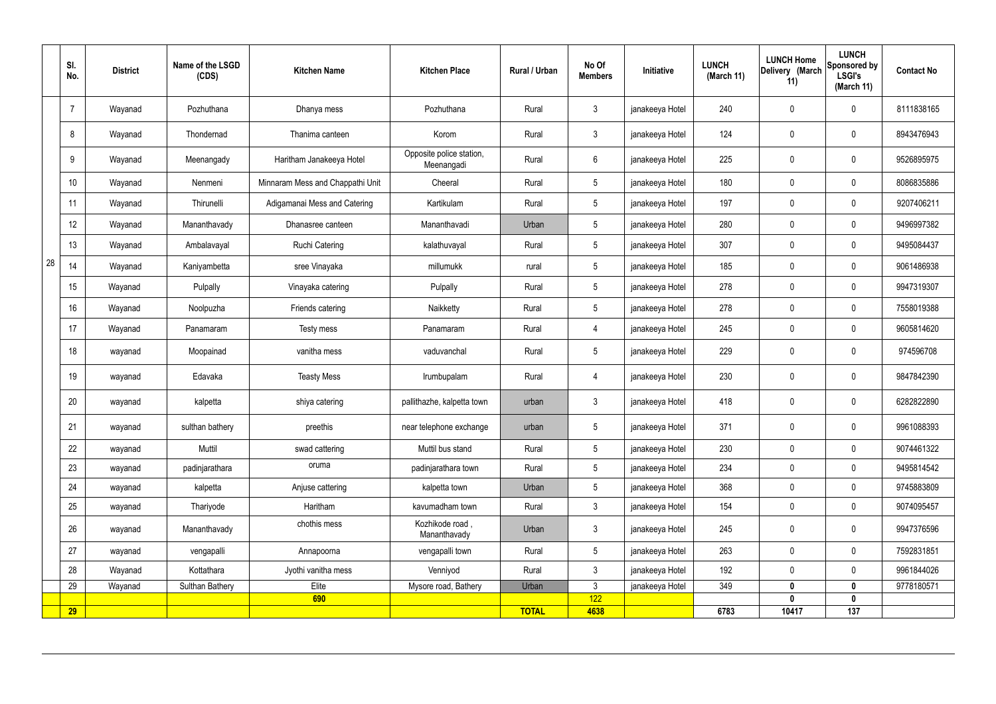|    | SI.<br>No.      | <b>District</b> | Name of the LSGD<br>(CDS) | <b>Kitchen Name</b>              | <b>Kitchen Place</b>                   | Rural / Urban | No Of<br><b>Members</b> | Initiative      | <b>LUNCH</b><br>(March 11) | <b>LUNCH Home</b><br>Delivery (March<br>11) | <b>LUNCH</b><br>Sponsored by<br><b>LSGI's</b><br>(March 11) | <b>Contact No</b> |
|----|-----------------|-----------------|---------------------------|----------------------------------|----------------------------------------|---------------|-------------------------|-----------------|----------------------------|---------------------------------------------|-------------------------------------------------------------|-------------------|
|    | -7              | Wayanad         | Pozhuthana                | Dhanya mess                      | Pozhuthana                             | Rural         | $\mathbf{3}$            | janakeeya Hotel | 240                        | $\mathbf 0$                                 | $\mathbf 0$                                                 | 8111838165        |
|    | 8               | Wayanad         | Thondernad                | Thanima canteen                  | Korom                                  | Rural         | $\mathbf{3}$            | janakeeya Hotel | 124                        | $\mathbf 0$                                 | $\mathbf 0$                                                 | 8943476943        |
|    | 9               | Wayanad         | Meenangady                | Haritham Janakeeya Hotel         | Opposite police station,<br>Meenangadi | Rural         | $6\overline{6}$         | janakeeya Hotel | 225                        | $\mathbf 0$                                 | $\mathbf 0$                                                 | 9526895975        |
|    | 10 <sup>°</sup> | Wayanad         | Nenmeni                   | Minnaram Mess and Chappathi Unit | Cheeral                                | Rural         | $5\overline{)}$         | janakeeya Hotel | 180                        | $\mathbf 0$                                 | $\mathbf 0$                                                 | 8086835886        |
|    | 11              | Wayanad         | Thirunelli                | Adigamanai Mess and Catering     | Kartikulam                             | Rural         | $5\phantom{.0}$         | janakeeya Hotel | 197                        | $\pmb{0}$                                   | $\mathbf 0$                                                 | 9207406211        |
|    | 12              | Wayanad         | Mananthavady              | Dhanasree canteen                | Mananthavadi                           | Urban         | $5\overline{)}$         | janakeeya Hotel | 280                        | $\mathbf 0$                                 | $\mathbf 0$                                                 | 9496997382        |
|    | 13              | Wayanad         | Ambalavayal               | <b>Ruchi Catering</b>            | kalathuvayal                           | Rural         | $5\overline{)}$         | janakeeya Hotel | 307                        | $\mathbf 0$                                 | $\mathbf 0$                                                 | 9495084437        |
| 28 | 14              | Wayanad         | Kaniyambetta              | sree Vinayaka                    | millumukk                              | rural         | $5\overline{)}$         | janakeeya Hotel | 185                        | $\mathbf 0$                                 | $\mathbf 0$                                                 | 9061486938        |
|    | 15              | Wayanad         | Pulpally                  | Vinayaka catering                | Pulpally                               | Rural         | $5\overline{)}$         | janakeeya Hotel | 278                        | $\mathbf 0$                                 | $\mathbf 0$                                                 | 9947319307        |
|    | 16              | Wayanad         | Noolpuzha                 | Friends catering                 | Naikketty                              | Rural         | $5\overline{)}$         | janakeeya Hotel | 278                        | $\mathbf 0$                                 | $\mathbf 0$                                                 | 7558019388        |
|    | 17              | Wayanad         | Panamaram                 | Testy mess                       | Panamaram                              | Rural         | 4                       | janakeeya Hotel | 245                        | $\mathbf 0$                                 | $\mathbf 0$                                                 | 9605814620        |
|    | 18              | wayanad         | Moopainad                 | vanitha mess                     | vaduvanchal                            | Rural         | $5\phantom{.0}$         | janakeeya Hotel | 229                        | $\mathbf 0$                                 | $\mathbf 0$                                                 | 974596708         |
|    | 19              | wayanad         | Edavaka                   | <b>Teasty Mess</b>               | Irumbupalam                            | Rural         | 4                       | janakeeya Hotel | 230                        | $\mathbf 0$                                 | $\mathbf 0$                                                 | 9847842390        |
|    | 20              | wayanad         | kalpetta                  | shiya catering                   | pallithazhe, kalpetta town             | urban         | $\mathbf{3}$            | janakeeya Hotel | 418                        | $\mathbf 0$                                 | $\mathbf 0$                                                 | 6282822890        |
|    | 21              | wayanad         | sulthan bathery           | preethis                         | near telephone exchange                | urban         | $5\phantom{.0}$         | janakeeya Hotel | 371                        | $\pmb{0}$                                   | $\mathbf 0$                                                 | 9961088393        |
|    | 22              | wayanad         | Muttil                    | swad cattering                   | Muttil bus stand                       | Rural         | 5 <sub>5</sub>          | janakeeya Hotel | 230                        | $\pmb{0}$                                   | $\mathbf 0$                                                 | 9074461322        |
|    | 23              | wayanad         | padinjarathara            | oruma                            | padinjarathara town                    | Rural         | $5\overline{)}$         | janakeeya Hotel | 234                        | $\pmb{0}$                                   | $\mathbf 0$                                                 | 9495814542        |
|    | 24              | wayanad         | kalpetta                  | Anjuse cattering                 | kalpetta town                          | Urban         | $5\overline{)}$         | janakeeya Hotel | 368                        | $\pmb{0}$                                   | $\mathbf 0$                                                 | 9745883809        |
|    | 25              | wayanad         | Thariyode                 | Haritham                         | kavumadham town                        | Rural         | $\mathbf{3}$            | janakeeya Hotel | 154                        | $\pmb{0}$                                   | $\mathbf 0$                                                 | 9074095457        |
|    | 26              | wayanad         | Mananthavady              | chothis mess                     | Kozhikode road,<br>Mananthavady        | Urban         | $\mathbf{3}$            | janakeeya Hotel | 245                        | $\pmb{0}$                                   | $\mathbf 0$                                                 | 9947376596        |
|    | 27              | wayanad         | vengapalli                | Annapoorna                       | vengapalli town                        | Rural         | $5\overline{)}$         | janakeeya Hotel | 263                        | $\pmb{0}$                                   | $\mathbf 0$                                                 | 7592831851        |
|    | 28              | Wayanad         | Kottathara                | Jyothi vanitha mess              | Venniyod                               | Rural         | $\mathbf{3}$            | janakeeya Hotel | 192                        | $\mathbf 0$                                 | $\mathbf 0$                                                 | 9961844026        |
|    | 29              | Wayanad         | Sulthan Bathery           | Elite                            | Mysore road, Bathery                   | Urban         | $\mathbf{3}$            | janakeeya Hotel | 349                        | 0                                           | $\mathbf 0$                                                 | 9778180571        |
|    | <b>29</b>       |                 |                           | 690                              |                                        | <b>TOTAL</b>  | 122<br>4638             |                 | 6783                       | $\mathbf{0}$<br>10417                       | $\mathbf 0$<br>137                                          |                   |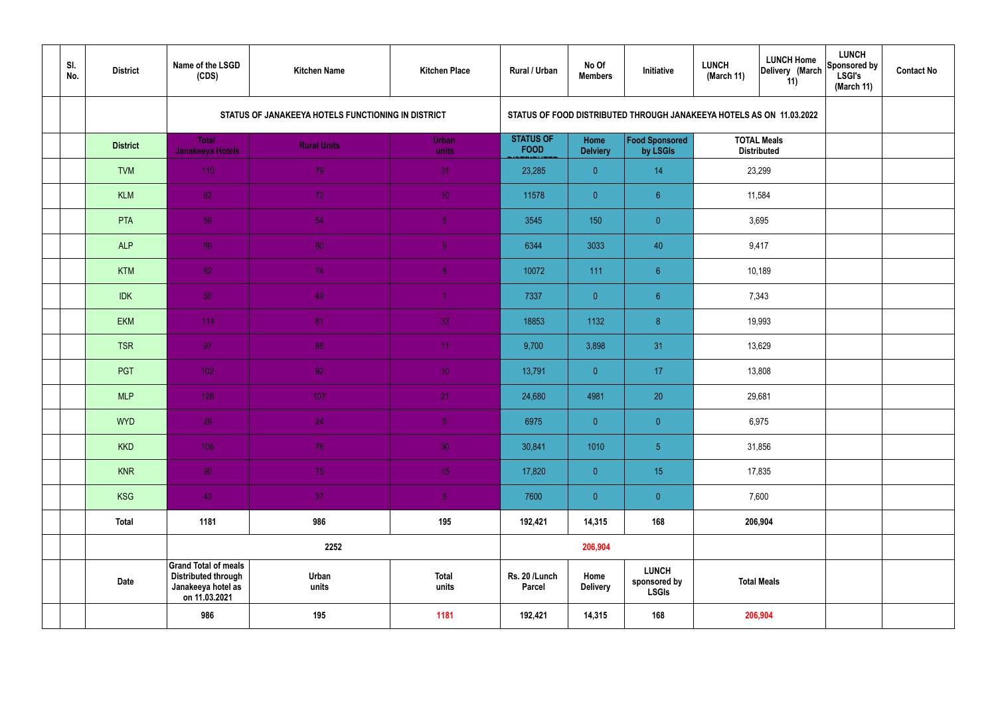| SI.<br>No. | <b>District</b> | Name of the LSGD<br>(CDS)                                                                        | <b>Kitchen Name</b>                                | <b>Kitchen Place</b>  | Rural / Urban                   | No Of<br><b>Members</b> | Initiative                                                           | <b>LUNCH Home</b><br><b>LUNCH</b><br>Delivery (March<br>(March 11)<br>11) |                                          | <b>LUNCH</b><br>Sponsored by<br><b>LSGI's</b><br>(March 11) | <b>Contact No</b> |
|------------|-----------------|--------------------------------------------------------------------------------------------------|----------------------------------------------------|-----------------------|---------------------------------|-------------------------|----------------------------------------------------------------------|---------------------------------------------------------------------------|------------------------------------------|-------------------------------------------------------------|-------------------|
|            |                 |                                                                                                  | STATUS OF JANAKEEYA HOTELS FUNCTIONING IN DISTRICT |                       |                                 |                         | STATUS OF FOOD DISTRIBUTED THROUGH JANAKEEYA HOTELS AS ON 11.03.2022 |                                                                           |                                          |                                                             |                   |
|            | <b>District</b> | <b>Total</b><br><b>Janakeeya Hotels</b>                                                          | <b>Rural Units</b>                                 | <b>Urban</b><br>units | <b>STATUS OF</b><br><b>FOOD</b> | Home<br><b>Delviery</b> | Food Sponsored<br>by LSGIs                                           |                                                                           | <b>TOTAL Meals</b><br><b>Distributed</b> |                                                             |                   |
|            | <b>TVM</b>      | 110                                                                                              | 79                                                 | 31                    | 23,285                          | $\overline{0}$          | 14                                                                   |                                                                           | 23,299                                   |                                                             |                   |
|            | <b>KLM</b>      | 82                                                                                               | 72                                                 | 10 <sub>1</sub>       | 11578                           | $\overline{0}$          | 6 <sup>°</sup>                                                       |                                                                           | 11,584                                   |                                                             |                   |
|            | PTA             | 59                                                                                               | 54                                                 | $\sqrt{5}$            | 3545                            | 150                     | $\overline{0}$                                                       |                                                                           | 3,695                                    |                                                             |                   |
|            | <b>ALP</b>      | 89                                                                                               | 80                                                 | $\overline{9}$        | 6344                            | 3033                    | 40                                                                   |                                                                           | 9,417                                    |                                                             |                   |
|            | <b>KTM</b>      | 82                                                                                               | 74                                                 | 8 <sup>°</sup>        | 10072                           | 111                     | $6\phantom{.}6$                                                      |                                                                           | 10,189                                   |                                                             |                   |
|            | <b>IDK</b>      | 50                                                                                               | 49                                                 | $\blacktriangleleft$  | 7337                            | $\overline{0}$          | 6 <sup>°</sup>                                                       | 7,343                                                                     |                                          |                                                             |                   |
|            | <b>EKM</b>      | 114                                                                                              | 81                                                 | 33                    | 18853                           | 1132                    | 8 <sup>°</sup>                                                       | 19,993                                                                    |                                          |                                                             |                   |
|            | <b>TSR</b>      | 97                                                                                               | 86                                                 | 11                    | 9,700                           | 3,898                   | 31                                                                   |                                                                           | 13,629                                   |                                                             |                   |
|            | PGT             | $102$                                                                                            | 92                                                 | 10 <sup>°</sup>       | 13,791                          | $\overline{0}$          | 17                                                                   |                                                                           | 13,808                                   |                                                             |                   |
|            | <b>MLP</b>      | 128                                                                                              | 107                                                | 21                    | 24,680                          | 4981                    | 20                                                                   |                                                                           | 29,681                                   |                                                             |                   |
|            | <b>WYD</b>      | 29                                                                                               | 24                                                 | 5 <sub>1</sub>        | 6975                            | $\mathbf{0}$            | $\overline{0}$                                                       |                                                                           | 6,975                                    |                                                             |                   |
|            | <b>KKD</b>      | 106                                                                                              | 76                                                 | 30 <sup>°</sup>       | 30,841                          | 1010                    | $\sqrt{5}$                                                           |                                                                           | 31,856                                   |                                                             |                   |
|            | <b>KNR</b>      | 90 <sub>1</sub>                                                                                  | 75                                                 | 15 <sub>1</sub>       | 17,820                          | $\overline{0}$          | 15 <sub>15</sub>                                                     |                                                                           | 17,835                                   |                                                             |                   |
|            | <b>KSG</b>      | 43                                                                                               | 37                                                 | 6 <sup>1</sup>        | 7600                            | $\overline{0}$          | $\pmb{0}$                                                            |                                                                           | 7,600                                    |                                                             |                   |
|            | <b>Total</b>    | 1181                                                                                             | 986                                                | 195                   | 192,421                         | 14,315                  | 168                                                                  | 206,904                                                                   |                                          |                                                             |                   |
|            |                 |                                                                                                  | 2252                                               |                       |                                 | 206,904                 |                                                                      |                                                                           |                                          |                                                             |                   |
|            | <b>Date</b>     | <b>Grand Total of meals</b><br><b>Distributed through</b><br>Janakeeya hotel as<br>on 11.03.2021 | Urban<br>units                                     | <b>Total</b><br>units | Rs. 20 /Lunch<br><b>Parcel</b>  | Home<br><b>Delivery</b> | <b>LUNCH</b><br>sponsored by<br><b>LSGIs</b>                         | <b>Total Meals</b>                                                        |                                          |                                                             |                   |
|            |                 | 986                                                                                              | 195                                                | 1181                  | 192,421                         | 14,315                  | 168                                                                  | 206,904                                                                   |                                          |                                                             |                   |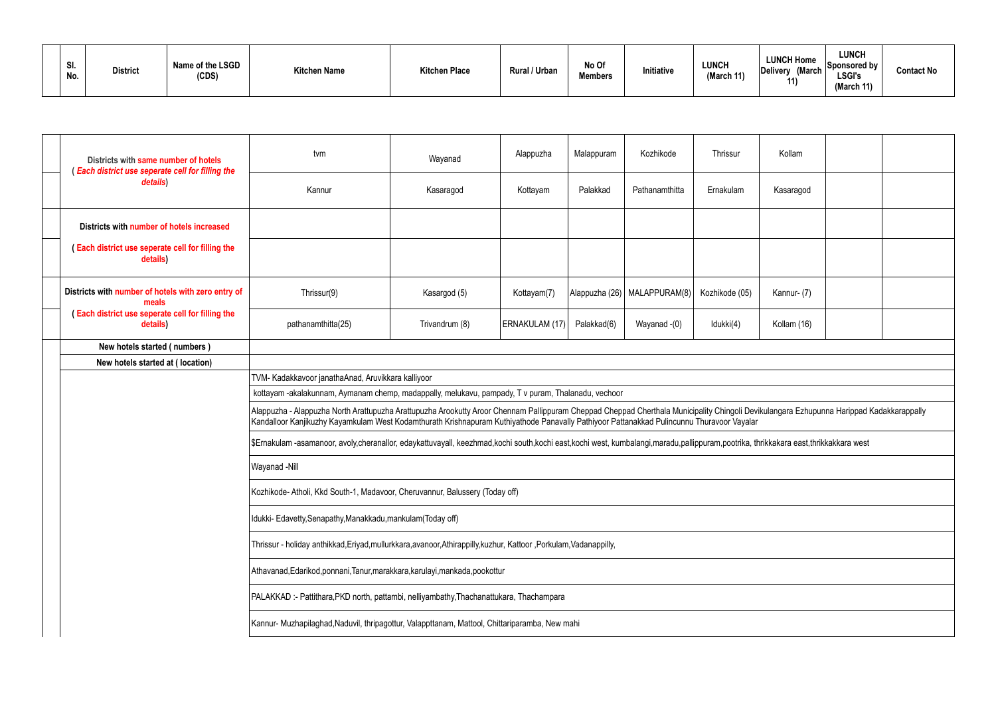| SI.<br>No. | <b>District</b> | Name of the LSGD<br>(CDS) | <b>Kitchen Name</b> | <b>Kitchen Place</b> | <b>Rural / Urban</b> | No Of<br><b>Members</b> | Initiative | LUNCH<br>(March 11) | <b>LUNCH Home</b><br>Delivery (March<br>11 | LUNCH<br>Sponsored by<br>LSGI's<br>(March 11) | <b>Contact No</b> |
|------------|-----------------|---------------------------|---------------------|----------------------|----------------------|-------------------------|------------|---------------------|--------------------------------------------|-----------------------------------------------|-------------------|
|------------|-----------------|---------------------------|---------------------|----------------------|----------------------|-------------------------|------------|---------------------|--------------------------------------------|-----------------------------------------------|-------------------|

|                                                                                                                    | Districts with same number of hotels                         | tvm                                                                                                                                                                                                                                                                                                                                   | Wayanad        | Alappuzha      | Malappuram  | Kozhikode                      | Thrissur       | Kollam      |  |  |
|--------------------------------------------------------------------------------------------------------------------|--------------------------------------------------------------|---------------------------------------------------------------------------------------------------------------------------------------------------------------------------------------------------------------------------------------------------------------------------------------------------------------------------------------|----------------|----------------|-------------|--------------------------------|----------------|-------------|--|--|
|                                                                                                                    | (Each district use seperate cell for filling the<br>details) | Kannur                                                                                                                                                                                                                                                                                                                                | Kasaragod      | Kottayam       | Palakkad    | Pathanamthitta                 | Ernakulam      | Kasaragod   |  |  |
|                                                                                                                    | Districts with number of hotels increased                    |                                                                                                                                                                                                                                                                                                                                       |                |                |             |                                |                |             |  |  |
|                                                                                                                    | (Each district use seperate cell for filling the<br>details) |                                                                                                                                                                                                                                                                                                                                       |                |                |             |                                |                |             |  |  |
|                                                                                                                    | Districts with number of hotels with zero entry of<br>meals  | Thrissur(9)                                                                                                                                                                                                                                                                                                                           | Kasargod (5)   | Kottayam(7)    |             | Alappuzha (26)   MALAPPURAM(8) | Kozhikode (05) | Kannur- (7) |  |  |
|                                                                                                                    | (Each district use seperate cell for filling the<br>details) | pathanamthitta(25)                                                                                                                                                                                                                                                                                                                    | Trivandrum (8) | ERNAKULAM (17) | Palakkad(6) | Wayanad -(0)                   | Idukki(4)      | Kollam (16) |  |  |
|                                                                                                                    | New hotels started (numbers)                                 |                                                                                                                                                                                                                                                                                                                                       |                |                |             |                                |                |             |  |  |
|                                                                                                                    | New hotels started at (location)                             |                                                                                                                                                                                                                                                                                                                                       |                |                |             |                                |                |             |  |  |
|                                                                                                                    |                                                              | TVM- Kadakkavoor janathaAnad, Aruvikkara kalliyoor                                                                                                                                                                                                                                                                                    |                |                |             |                                |                |             |  |  |
|                                                                                                                    |                                                              | kottayam -akalakunnam, Aymanam chemp, madappally, melukavu, pampady, T v puram, Thalanadu, vechoor                                                                                                                                                                                                                                    |                |                |             |                                |                |             |  |  |
|                                                                                                                    |                                                              | Alappuzha - Alappuzha North Arattupuzha Arattupuzha Arookutty Aroor Chennam Pallippuram Cheppad Cheppad Cherthala Municipality Chingoli Devikulangara Ezhupunna Harippad Kadakkarappally<br>Kandalloor Kanjikuzhy Kayamkulam West Kodamthurath Krishnapuram Kuthiyathode Panavally Pathiyoor Pattanakkad Pulincunnu Thuravoor Vayalar |                |                |             |                                |                |             |  |  |
|                                                                                                                    |                                                              | \$Ernakulam-asamanoor, avoly,cheranallor, edaykattuvayall, keezhmad,kochi south,kochi east,kochi west, kumbalangi,maradu,pallippuram,pootrika, thrikkakara east,thrikkakkara west                                                                                                                                                     |                |                |             |                                |                |             |  |  |
|                                                                                                                    |                                                              | Wayanad -Nill                                                                                                                                                                                                                                                                                                                         |                |                |             |                                |                |             |  |  |
|                                                                                                                    |                                                              | Kozhikode- Atholi, Kkd South-1, Madavoor, Cheruvannur, Balussery (Today off)                                                                                                                                                                                                                                                          |                |                |             |                                |                |             |  |  |
|                                                                                                                    |                                                              | Idukki- Edavetty, Senapathy, Manakkadu, mankulam (Today off)                                                                                                                                                                                                                                                                          |                |                |             |                                |                |             |  |  |
| Thrissur - holiday anthikkad, Eriyad, mullurkkara, avanoor, Athirappilly, kuzhur, Kattoor, Porkulam, Vadanappilly, |                                                              |                                                                                                                                                                                                                                                                                                                                       |                |                |             |                                |                |             |  |  |
|                                                                                                                    |                                                              | Athavanad, Edarikod, ponnani, Tanur, marakkara, karulayi, mankada, pookottur                                                                                                                                                                                                                                                          |                |                |             |                                |                |             |  |  |
|                                                                                                                    |                                                              | PALAKKAD: - Pattithara, PKD north, pattambi, nelliyambathy, Thachanattukara, Thachampara                                                                                                                                                                                                                                              |                |                |             |                                |                |             |  |  |
|                                                                                                                    |                                                              | Kannur- Muzhapilaghad, Naduvil, thripagottur, Valappttanam, Mattool, Chittariparamba, New mahi                                                                                                                                                                                                                                        |                |                |             |                                |                |             |  |  |